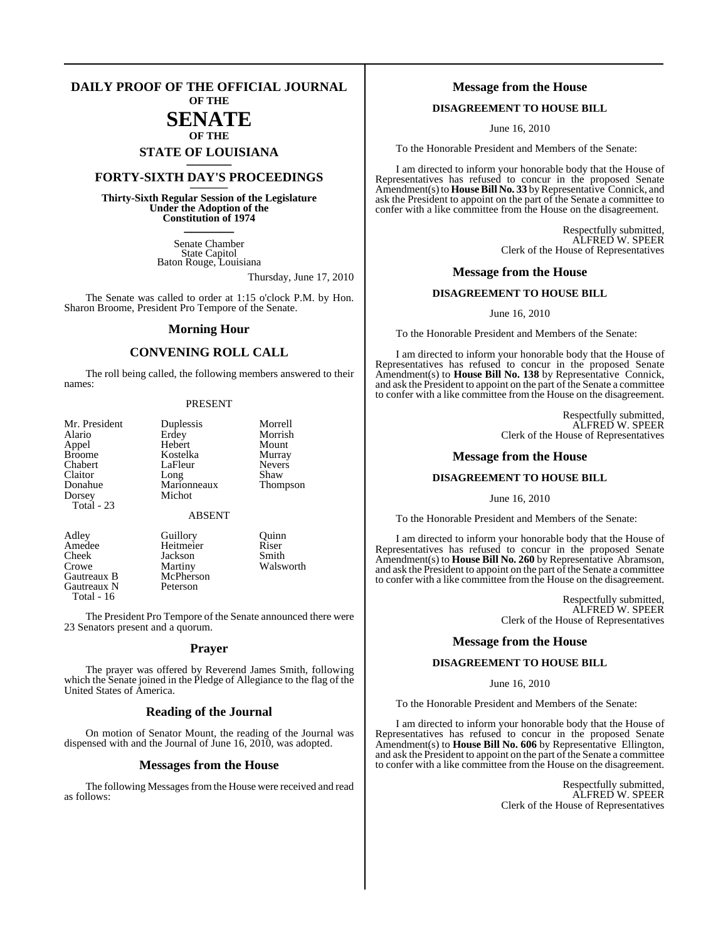#### **DAILY PROOF OF THE OFFICIAL JOURNAL OF THE**

# **SENATE**

# **OF THE STATE OF LOUISIANA \_\_\_\_\_\_\_**

## **FORTY-SIXTH DAY'S PROCEEDINGS \_\_\_\_\_\_\_**

**Thirty-Sixth Regular Session of the Legislature Under the Adoption of the Constitution of 1974 \_\_\_\_\_\_\_**

> Senate Chamber State Capitol Baton Rouge, Louisiana

> > Thursday, June 17, 2010

The Senate was called to order at 1:15 o'clock P.M. by Hon. Sharon Broome, President Pro Tempore of the Senate.

#### **Morning Hour**

## **CONVENING ROLL CALL**

The roll being called, the following members answered to their names:

#### PRESENT

| Mr. President | Duplessis     | Morrell         |
|---------------|---------------|-----------------|
| Alario        | Erdey         | Morrish         |
| Appel         | Hebert        | Mount           |
| <b>Broome</b> | Kostelka      | Murray          |
| Chabert       | LaFleur       | <b>Nevers</b>   |
| Claitor       | Long          | Shaw            |
| Donahue       | Marionneaux   | <b>Thompson</b> |
| Dorsey        | Michot        |                 |
| Total - 23    |               |                 |
|               | <b>ABSENT</b> |                 |
| $\lambda$ 11  | $\sim$ 11.    | $\sim$ .        |

Gautreaux B McPhers<br>
Gautreaux N Peterson Gautreaux N Total - 16

Adley Guillory Quinn<br>Amedee Heitmeier Riser Amedee Heitmeier Riser<br>Cheek Jackson Smith Jackson Crowe Martiny Walsworth<br>
Gautreaux B McPherson

The President Pro Tempore of the Senate announced there were 23 Senators present and a quorum.

#### **Prayer**

The prayer was offered by Reverend James Smith, following which the Senate joined in the Pledge of Allegiance to the flag of the United States of America.

#### **Reading of the Journal**

On motion of Senator Mount, the reading of the Journal was dispensed with and the Journal of June 16, 2010, was adopted.

#### **Messages from the House**

The following Messages from the House were received and read as follows:

#### **Message from the House**

#### **DISAGREEMENT TO HOUSE BILL**

June 16, 2010

To the Honorable President and Members of the Senate:

I am directed to inform your honorable body that the House of Representatives has refused to concur in the proposed Senate Amendment(s) to **House Bill No. 33** by Representative Connick, and ask the President to appoint on the part of the Senate a committee to confer with a like committee from the House on the disagreement.

> Respectfully submitted, ALFRED W. SPEER Clerk of the House of Representatives

#### **Message from the House**

#### **DISAGREEMENT TO HOUSE BILL**

June 16, 2010

To the Honorable President and Members of the Senate:

I am directed to inform your honorable body that the House of Representatives has refused to concur in the proposed Senate Amendment(s) to **House Bill No. 138** by Representative Connick, and ask the President to appoint on the part of the Senate a committee to confer with a like committee from the House on the disagreement.

> Respectfully submitted, ALFRED W. SPEER Clerk of the House of Representatives

#### **Message from the House**

#### **DISAGREEMENT TO HOUSE BILL**

June 16, 2010

To the Honorable President and Members of the Senate:

I am directed to inform your honorable body that the House of Representatives has refused to concur in the proposed Senate Amendment(s) to **House Bill No. 260** by Representative Abramson, and ask the President to appoint on the part of the Senate a committee to confer with a like committee from the House on the disagreement.

> Respectfully submitted, ALFRED W. SPEER Clerk of the House of Representatives

#### **Message from the House**

#### **DISAGREEMENT TO HOUSE BILL**

#### June 16, 2010

To the Honorable President and Members of the Senate:

I am directed to inform your honorable body that the House of Representatives has refused to concur in the proposed Senate Amendment(s) to **House Bill No. 606** by Representative Ellington, and ask the President to appoint on the part of the Senate a committee to confer with a like committee from the House on the disagreement.

> Respectfully submitted, ALFRED W. SPEER Clerk of the House of Representatives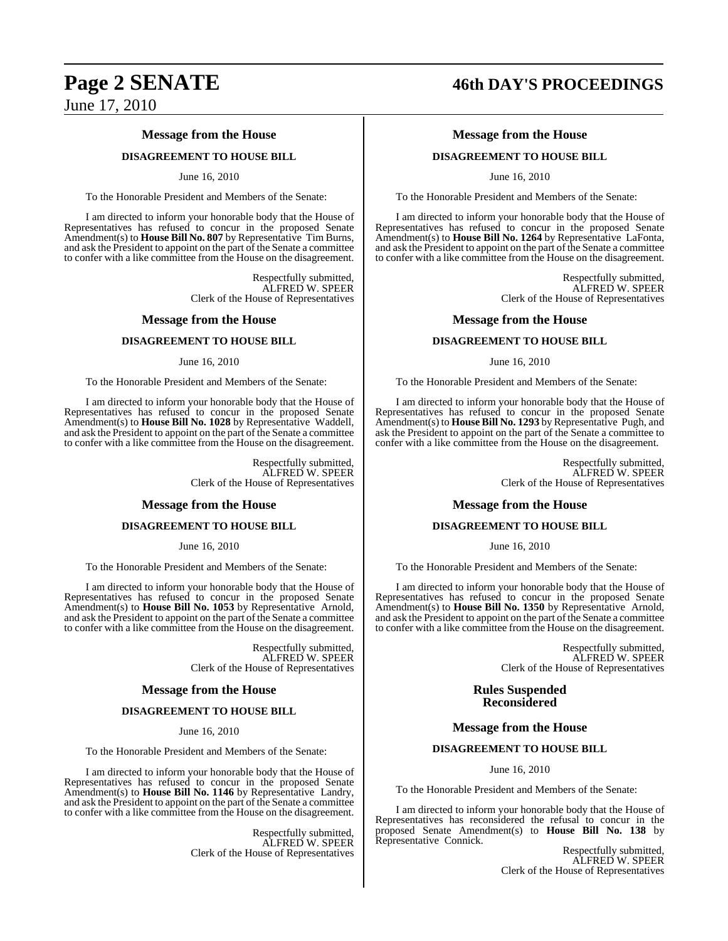#### **Message from the House**

#### **DISAGREEMENT TO HOUSE BILL**

#### June 16, 2010

To the Honorable President and Members of the Senate:

I am directed to inform your honorable body that the House of Representatives has refused to concur in the proposed Senate Amendment(s) to **House Bill No. 807** by Representative Tim Burns, and ask the President to appoint on the part of the Senate a committee to confer with a like committee from the House on the disagreement.

> Respectfully submitted, ALFRED W. SPEER Clerk of the House of Representatives

#### **Message from the House**

#### **DISAGREEMENT TO HOUSE BILL**

#### June 16, 2010

To the Honorable President and Members of the Senate:

I am directed to inform your honorable body that the House of Representatives has refused to concur in the proposed Senate Amendment(s) to **House Bill No. 1028** by Representative Waddell, and ask the President to appoint on the part of the Senate a committee to confer with a like committee from the House on the disagreement.

> Respectfully submitted, ALFRED W. SPEER Clerk of the House of Representatives

#### **Message from the House**

#### **DISAGREEMENT TO HOUSE BILL**

June 16, 2010

To the Honorable President and Members of the Senate:

I am directed to inform your honorable body that the House of Representatives has refused to concur in the proposed Senate Amendment(s) to **House Bill No. 1053** by Representative Arnold, and ask the President to appoint on the part of the Senate a committee to confer with a like committee from the House on the disagreement.

> Respectfully submitted, ALFRED W. SPEER Clerk of the House of Representatives

#### **Message from the House**

#### **DISAGREEMENT TO HOUSE BILL**

June 16, 2010

To the Honorable President and Members of the Senate:

I am directed to inform your honorable body that the House of Representatives has refused to concur in the proposed Senate Amendment(s) to **House Bill No. 1146** by Representative Landry, and ask the President to appoint on the part of the Senate a committee to confer with a like committee from the House on the disagreement.

> Respectfully submitted, ALFRED W. SPEER Clerk of the House of Representatives

# **Page 2 SENATE 46th DAY'S PROCEEDINGS**

### **Message from the House**

#### **DISAGREEMENT TO HOUSE BILL**

June 16, 2010

To the Honorable President and Members of the Senate:

I am directed to inform your honorable body that the House of Representatives has refused to concur in the proposed Senate Amendment(s) to **House Bill No. 1264** by Representative LaFonta, and ask the President to appoint on the part of the Senate a committee to confer with a like committee from the House on the disagreement.

> Respectfully submitted, ALFRED W. SPEER Clerk of the House of Representatives

#### **Message from the House**

#### **DISAGREEMENT TO HOUSE BILL**

June 16, 2010

To the Honorable President and Members of the Senate:

I am directed to inform your honorable body that the House of Representatives has refused to concur in the proposed Senate Amendment(s) to **House Bill No. 1293** by Representative Pugh, and ask the President to appoint on the part of the Senate a committee to confer with a like committee from the House on the disagreement.

> Respectfully submitted, ALFRED W. SPEER Clerk of the House of Representatives

#### **Message from the House**

#### **DISAGREEMENT TO HOUSE BILL**

June 16, 2010

To the Honorable President and Members of the Senate:

I am directed to inform your honorable body that the House of Representatives has refused to concur in the proposed Senate Amendment(s) to **House Bill No. 1350** by Representative Arnold, and ask the President to appoint on the part of the Senate a committee to confer with a like committee from the House on the disagreement.

> Respectfully submitted, ALFRED W. SPEER Clerk of the House of Representatives

**Rules Suspended Reconsidered**

#### **Message from the House**

#### **DISAGREEMENT TO HOUSE BILL**

June 16, 2010

To the Honorable President and Members of the Senate:

I am directed to inform your honorable body that the House of Representatives has reconsidered the refusal to concur in the proposed Senate Amendment(s) to **House Bill No. 138** by Representative Connick.

> Respectfully submitted, ALFRED W. SPEER Clerk of the House of Representatives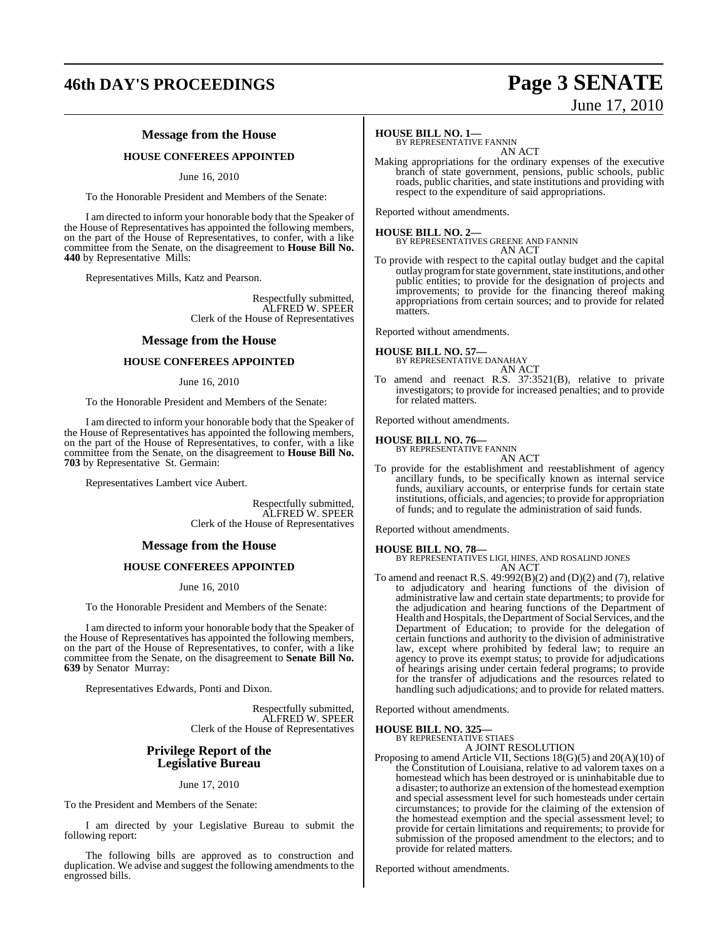# **46th DAY'S PROCEEDINGS Page 3 SENATE**

## **Message from the House**

### **HOUSE CONFEREES APPOINTED**

June 16, 2010

To the Honorable President and Members of the Senate:

I am directed to inform your honorable body that the Speaker of the House of Representatives has appointed the following members, on the part of the House of Representatives, to confer, with a like committee from the Senate, on the disagreement to **House Bill No. 440** by Representative Mills:

Representatives Mills, Katz and Pearson.

Respectfully submitted, ALFRED W. SPEER Clerk of the House of Representatives

#### **Message from the House**

#### **HOUSE CONFEREES APPOINTED**

June 16, 2010

To the Honorable President and Members of the Senate:

I am directed to inform your honorable body that the Speaker of the House of Representatives has appointed the following members, on the part of the House of Representatives, to confer, with a like committee from the Senate, on the disagreement to **House Bill No. 703** by Representative St. Germain:

Representatives Lambert vice Aubert.

Respectfully submitted, ALFRED W. SPEER Clerk of the House of Representatives

#### **Message from the House**

#### **HOUSE CONFEREES APPOINTED**

June 16, 2010

To the Honorable President and Members of the Senate:

I am directed to inform your honorable body that the Speaker of the House of Representatives has appointed the following members, on the part of the House of Representatives, to confer, with a like committee from the Senate, on the disagreement to **Senate Bill No. 639** by Senator Murray:

Representatives Edwards, Ponti and Dixon.

Respectfully submitted, ALFRED W. SPEER Clerk of the House of Representatives

#### **Privilege Report of the Legislative Bureau**

#### June 17, 2010

To the President and Members of the Senate:

I am directed by your Legislative Bureau to submit the following report:

The following bills are approved as to construction and duplication. We advise and suggest the following amendments to the engrossed bills.

#### **HOUSE BILL NO. 1—**

BY REPRESENTATIVE FANNIN AN ACT

Making appropriations for the ordinary expenses of the executive branch of state government, pensions, public schools, public roads, public charities, and state institutions and providing with respect to the expenditure of said appropriations.

Reported without amendments.

**HOUSE BILL NO. 2—** BY REPRESENTATIVES GREENE AND FANNIN AN ACT

To provide with respect to the capital outlay budget and the capital outlay program for state government, state institutions, and other public entities; to provide for the designation of projects and improvements; to provide for the financing thereof making appropriations from certain sources; and to provide for related matters.

Reported without amendments.

**HOUSE BILL NO. 57—** BY REPRESENTATIVE DANAHAY

#### AN ACT

To amend and reenact R.S. 37:3521(B), relative to private investigators; to provide for increased penalties; and to provide for related matters.

Reported without amendments.

# **HOUSE BILL NO. 76—** BY REPRESENTATIVE FANNIN

AN ACT

To provide for the establishment and reestablishment of agency ancillary funds, to be specifically known as internal service funds, auxiliary accounts, or enterprise funds for certain state institutions, officials, and agencies; to provide for appropriation of funds; and to regulate the administration of said funds.

Reported without amendments.

#### **HOUSE BILL NO. 78—**

BY REPRESENTATIVES LIGI, HINES, AND ROSALIND JONES AN ACT

To amend and reenact R.S. 49:992(B)(2) and (D)(2) and (7), relative to adjudicatory and hearing functions of the division of administrative law and certain state departments; to provide for the adjudication and hearing functions of the Department of Health and Hospitals, the Department of Social Services, and the Department of Education; to provide for the delegation of certain functions and authority to the division of administrative law, except where prohibited by federal law; to require an agency to prove its exempt status; to provide for adjudications of hearings arising under certain federal programs; to provide for the transfer of adjudications and the resources related to handling such adjudications; and to provide for related matters.

Reported without amendments.

# **HOUSE BILL NO. 325—** BY REPRESENTATIVE STIAES

A JOINT RESOLUTION

Proposing to amend Article VII, Sections 18(G)(5) and 20(A)(10) of the Constitution of Louisiana, relative to ad valorem taxes on a homestead which has been destroyed or is uninhabitable due to a disaster; to authorize an extension ofthe homestead exemption and special assessment level for such homesteads under certain circumstances; to provide for the claiming of the extension of the homestead exemption and the special assessment level; to provide for certain limitations and requirements; to provide for submission of the proposed amendment to the electors; and to

Reported without amendments.

provide for related matters.

# June 17, 2010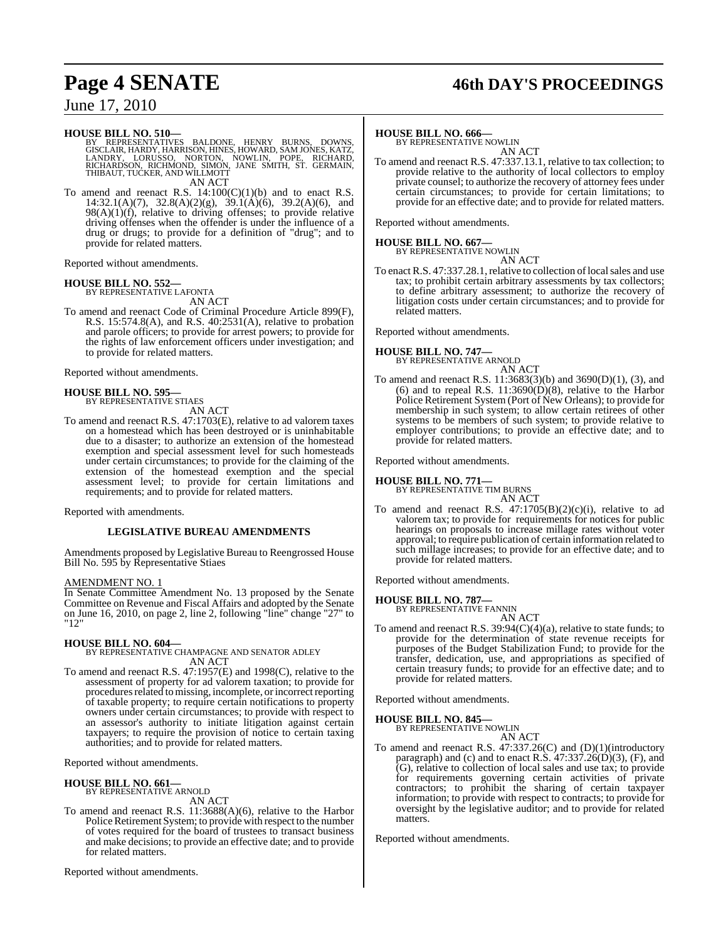# **Page 4 SENATE 46th DAY'S PROCEEDINGS**

## June 17, 2010

#### **HOUSE BILL NO. 510—**

BY REPRESENTATIVES BALDONE, HENRY BURNS, DOWNS,<br>GISCLAIR,HARDY,HARRISON,HINES,HOWARD,SAMJONES,KATZ,<br>LANDRY, LORUSSO, NORTON, NOWLIN, POPE, RICHARD,<br>RICHARDSON,RICHMOND,SIMON,JANE SMITH,ST. GERMAIN,<br>THIBAUT,TUCKER,ANDWILLMO AN ACT

To amend and reenact R.S.  $14:100(C)(1)(b)$  and to enact R.S. 14:32.1(A)(7), 32.8(A)(2)(g), 39.1(A)(6), 39.2(A)(6), and  $98(A)(1)(f)$ , relative to driving offenses; to provide relative driving offenses when the offender is under the influence of a drug or drugs; to provide for a definition of "drug"; and to provide for related matters.

Reported without amendments.

# **HOUSE BILL NO. 552—** BY REPRESENTATIVE LAFONTA

AN ACT

To amend and reenact Code of Criminal Procedure Article 899(F), R.S. 15:574.8(A), and R.S. 40:2531(A), relative to probation and parole officers; to provide for arrest powers; to provide for the rights of law enforcement officers under investigation; and to provide for related matters.

Reported without amendments.

# **HOUSE BILL NO. 595—** BY REPRESENTATIVE STIAES

AN ACT

To amend and reenact R.S. 47:1703(E), relative to ad valorem taxes on a homestead which has been destroyed or is uninhabitable due to a disaster; to authorize an extension of the homestead exemption and special assessment level for such homesteads under certain circumstances; to provide for the claiming of the extension of the homestead exemption and the special assessment level; to provide for certain limitations and requirements; and to provide for related matters.

Reported with amendments.

#### **LEGISLATIVE BUREAU AMENDMENTS**

Amendments proposed by Legislative Bureau to Reengrossed House Bill No. 595 by Representative Stiaes

#### AMENDMENT NO. 1

In Senate Committee Amendment No. 13 proposed by the Senate Committee on Revenue and Fiscal Affairs and adopted by the Senate on June 16, 2010, on page 2, line 2, following "line" change "27" to "12"

## **HOUSE BILL NO. 604—** BY REPRESENTATIVE CHAMPAGNE AND SENATOR ADLEY AN ACT

To amend and reenact R.S. 47:1957(E) and 1998(C), relative to the assessment of property for ad valorem taxation; to provide for procedures related to missing, incomplete, or incorrect reporting of taxable property; to require certain notifications to property owners under certain circumstances; to provide with respect to an assessor's authority to initiate litigation against certain taxpayers; to require the provision of notice to certain taxing authorities; and to provide for related matters.

Reported without amendments.

## **HOUSE BILL NO. 661—** BY REPRESENTATIVE ARNOLD AN ACT

To amend and reenact R.S. 11:3688(A)(6), relative to the Harbor Police Retirement System; to provide with respect to the number of votes required for the board of trustees to transact business and make decisions; to provide an effective date; and to provide for related matters.

Reported without amendments.

# **HOUSE BILL NO. 666—** BY REPRESENTATIVE NOWLIN

AN ACT

To amend and reenact R.S. 47:337.13.1, relative to tax collection; to provide relative to the authority of local collectors to employ private counsel; to authorize the recovery of attorney fees under certain circumstances; to provide for certain limitations; to provide for an effective date; and to provide for related matters.

Reported without amendments.

# **HOUSE BILL NO. 667—** BY REPRESENTATIVE NOWLIN

AN ACT To enact R.S. 47:337.28.1, relative to collection of local sales and use tax; to prohibit certain arbitrary assessments by tax collectors; to define arbitrary assessment; to authorize the recovery of litigation costs under certain circumstances; and to provide for related matters.

Reported without amendments.

## **HOUSE BILL NO. 747—**

BY REPRESENTATIVE ARNOLD AN ACT

To amend and reenact R.S. 11:3683(3)(b) and 3690(D)(1), (3), and (6) and to repeal R.S.  $11:3690(D)(8)$ , relative to the Harbor Police Retirement System (Port of New Orleans); to provide for membership in such system; to allow certain retirees of other systems to be members of such system; to provide relative to employer contributions; to provide an effective date; and to provide for related matters.

Reported without amendments.

# **HOUSE BILL NO. 771—** BY REPRESENTATIVE TIM BURNS

AN ACT

To amend and reenact R.S.  $47:1705(B)(2)(c)(i)$ , relative to ad valorem tax; to provide for requirements for notices for public hearings on proposals to increase millage rates without voter approval; to require publication of certain information related to such millage increases; to provide for an effective date; and to provide for related matters.

Reported without amendments.

#### **HOUSE BILL NO. 787—**

BY REPRESENTATIVE FANNIN AN ACT

To amend and reenact R.S. 39:94(C)(4)(a), relative to state funds; to provide for the determination of state revenue receipts for purposes of the Budget Stabilization Fund; to provide for the transfer, dedication, use, and appropriations as specified of certain treasury funds; to provide for an effective date; and to provide for related matters.

Reported without amendments.

# **HOUSE BILL NO. 845—** BY REPRESENTATIVE NOWLIN

AN ACT

To amend and reenact R.S. 47:337.26(C) and (D)(1)(introductory paragraph) and (c) and to enact R.S.  $47:337.26(D)(3)$ , (F), and (G), relative to collection of local sales and use tax; to provide for requirements governing certain activities of private contractors; to prohibit the sharing of certain taxpayer information; to provide with respect to contracts; to provide for oversight by the legislative auditor; and to provide for related matters.

Reported without amendments.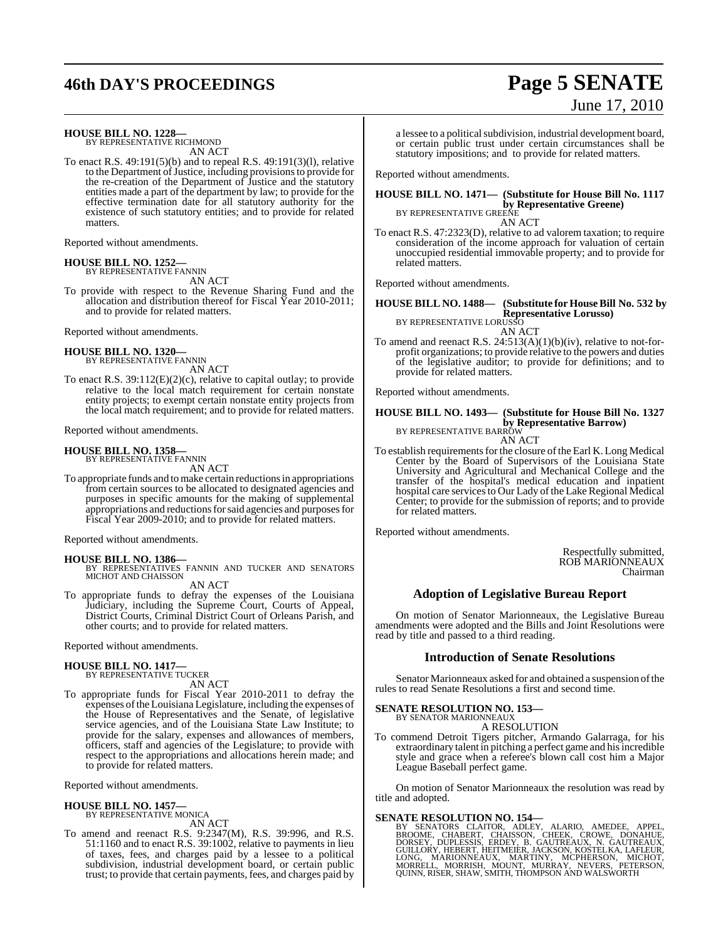# **46th DAY'S PROCEEDINGS Page 5 SENATE**

# June 17, 2010

**HOUSE BILL NO. 1228—** BY REPRESENTATIVE RICHMOND

AN ACT

To enact R.S. 49:191(5)(b) and to repeal R.S. 49:191(3)(l), relative to the Department of Justice, including provisions to provide for the re-creation of the Department of Justice and the statutory entities made a part of the department by law; to provide for the effective termination date for all statutory authority for the existence of such statutory entities; and to provide for related matters.

Reported without amendments.

#### **HOUSE BILL NO. 1252—**

BY REPRESENTATIVE FANNIN AN ACT

To provide with respect to the Revenue Sharing Fund and the allocation and distribution thereof for Fiscal Year 2010-2011; and to provide for related matters.

Reported without amendments.

#### **HOUSE BILL NO. 1320—** BY REPRESENTATIVE FANNIN

AN ACT

To enact R.S. 39:112(E)(2)(c), relative to capital outlay; to provide relative to the local match requirement for certain nonstate entity projects; to exempt certain nonstate entity projects from the local match requirement; and to provide for related matters.

Reported without amendments.

## **HOUSE BILL NO. 1358—**

BY REPRESENTATIVE FANNIN AN ACT

To appropriate funds and tomake certain reductions in appropriations from certain sources to be allocated to designated agencies and purposes in specific amounts for the making of supplemental appropriations and reductions for said agencies and purposes for Fiscal Year 2009-2010; and to provide for related matters.

Reported without amendments.

**HOUSE BILL NO. 1386—** BY REPRESENTATIVES FANNIN AND TUCKER AND SENATORS MICHOT AND CHAISSON

AN ACT

To appropriate funds to defray the expenses of the Louisiana Judiciary, including the Supreme Court, Courts of Appeal, District Courts, Criminal District Court of Orleans Parish, and other courts; and to provide for related matters.

Reported without amendments.

# **HOUSE BILL NO. 1417—** BY REPRESENTATIVE TUCKER

AN ACT

To appropriate funds for Fiscal Year 2010-2011 to defray the expenses ofthe Louisiana Legislature, including the expenses of the House of Representatives and the Senate, of legislative service agencies, and of the Louisiana State Law Institute; to provide for the salary, expenses and allowances of members, officers, staff and agencies of the Legislature; to provide with respect to the appropriations and allocations herein made; and to provide for related matters.

Reported without amendments.

#### **HOUSE BILL NO. 1457—**

BY REPRESENTATIVE MONICA

AN ACT

To amend and reenact R.S. 9:2347(M), R.S. 39:996, and R.S. 51:1160 and to enact R.S. 39:1002, relative to payments in lieu of taxes, fees, and charges paid by a lessee to a political subdivision, industrial development board, or certain public trust; to provide that certain payments, fees, and charges paid by

a lessee to a political subdivision, industrial development board, or certain public trust under certain circumstances shall be statutory impositions; and to provide for related matters.

Reported without amendments.

#### **HOUSE BILL NO. 1471— (Substitute for House Bill No. 1117 by Representative Greene)** BY REPRESENTATIVE GREENE

AN ACT

To enact R.S. 47:2323(D), relative to ad valorem taxation; to require consideration of the income approach for valuation of certain unoccupied residential immovable property; and to provide for related matters.

Reported without amendments.

## **HOUSE BILL NO. 1488— (Substitute for HouseBill No. 532 by Representative Lorusso)** BY REPRESENTATIVE LORUSSO

AN ACT

To amend and reenact R.S. 24:513(A)(1)(b)(iv), relative to not-forprofit organizations; to provide relative to the powers and duties of the legislative auditor; to provide for definitions; and to provide for related matters.

Reported without amendments.

## **HOUSE BILL NO. 1493— (Substitute for House Bill No. 1327 by Representative Barrow)** BY REPRESENTATIVE BARROW

AN ACT

To establish requirements for the closure of the Earl K. Long Medical Center by the Board of Supervisors of the Louisiana State University and Agricultural and Mechanical College and the transfer of the hospital's medical education and inpatient hospital care services to Our Lady of the Lake Regional Medical Center; to provide for the submission of reports; and to provide for related matters.

Reported without amendments.

Respectfully submitted, ROB MARIONNEAUX Chairman

## **Adoption of Legislative Bureau Report**

On motion of Senator Marionneaux, the Legislative Bureau amendments were adopted and the Bills and Joint Resolutions were read by title and passed to a third reading.

#### **Introduction of Senate Resolutions**

Senator Marionneaux asked for and obtained a suspension of the rules to read Senate Resolutions a first and second time.

#### **SENATE RESOLUTION NO. 153—**

BY SENATOR MARIONNEAUX A RESOLUTION

To commend Detroit Tigers pitcher, Armando Galarraga, for his extraordinary talent in pitching a perfect game and hisincredible style and grace when a referee's blown call cost him a Major League Baseball perfect game.

On motion of Senator Marionneaux the resolution was read by title and adopted.

SENATE RESOLUTION NO. 154—<br>BY SENATORS CLAITOR, ADLEY, ALARIO, AMEDEE, APPEL, BROOME, CHABERT, CHABERT, SCRIEK, CROWE, DONAHUE,<br>DORSEY, DUPLESSIS, ERDEY, B. GAUTREAUX, N. GAUTREAUX,<br>GUILLORY, HEBERT, HEITMEIER, JACKSON, KO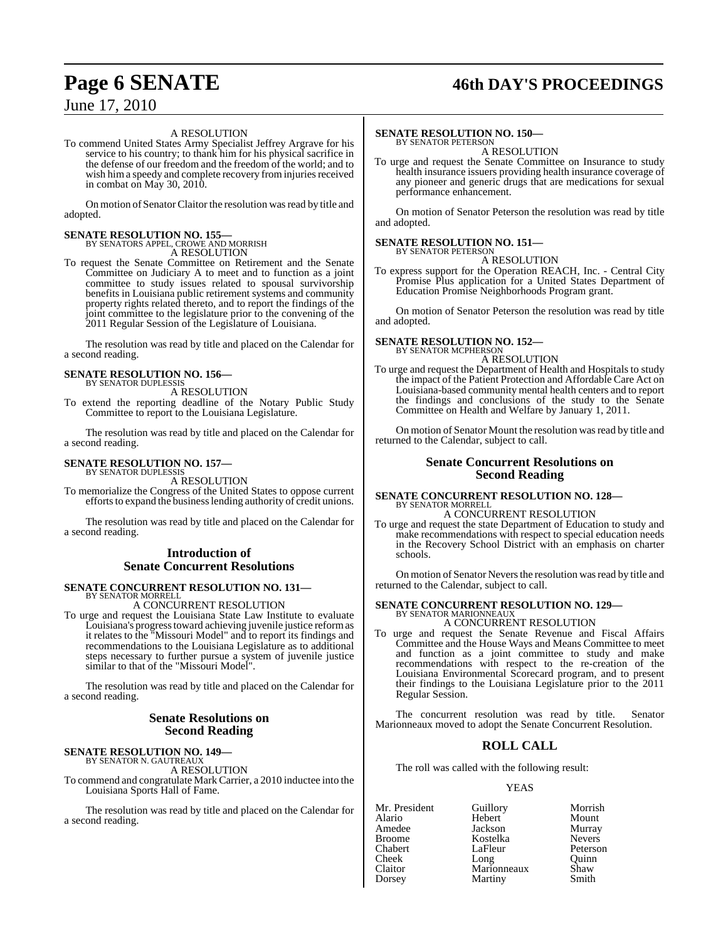# **Page 6 SENATE 46th DAY'S PROCEEDINGS**

## June 17, 2010

#### A RESOLUTION

To commend United States Army Specialist Jeffrey Argrave for his service to his country; to thank him for his physical sacrifice in the defense of our freedom and the freedom of the world; and to wish him a speedy and complete recovery from injuries received in combat on May 30, 2010.

On motion of Senator Claitor the resolution was read by title and adopted.

## **SENATE RESOLUTION NO. 155—**

BY SENATORS APPEL, CROWE AND MORRISH A RESOLUTION

To request the Senate Committee on Retirement and the Senate Committee on Judiciary A to meet and to function as a joint committee to study issues related to spousal survivorship benefits in Louisiana public retirement systems and community property rights related thereto, and to report the findings of the joint committee to the legislature prior to the convening of the 2011 Regular Session of the Legislature of Louisiana.

The resolution was read by title and placed on the Calendar for a second reading.

# **SENATE RESOLUTION NO. 156—** BY SENATOR DUPLESSIS

A RESOLUTION

To extend the reporting deadline of the Notary Public Study Committee to report to the Louisiana Legislature.

The resolution was read by title and placed on the Calendar for a second reading.

#### **SENATE RESOLUTION NO. 157—** BY SENATOR DUPLESSIS

A RESOLUTION

To memorialize the Congress of the United States to oppose current efforts to expand the business lending authority of credit unions.

The resolution was read by title and placed on the Calendar for a second reading.

#### **Introduction of Senate Concurrent Resolutions**

#### **SENATE CONCURRENT RESOLUTION NO. 131—** BY SENATOR MORRELI

A CONCURRENT RESOLUTION

To urge and request the Louisiana State Law Institute to evaluate Louisiana's progresstoward achieving juvenile justice reformas it relates to the "Missouri Model" and to report its findings and recommendations to the Louisiana Legislature as to additional steps necessary to further pursue a system of juvenile justice similar to that of the "Missouri Model".

The resolution was read by title and placed on the Calendar for a second reading.

#### **Senate Resolutions on Second Reading**

**SENATE RESOLUTION NO. 149—** BY SENATOR N. GAUTREAUX A RESOLUTION

To commend and congratulate Mark Carrier, a 2010 inductee into the Louisiana Sports Hall of Fame.

The resolution was read by title and placed on the Calendar for a second reading.

#### **SENATE RESOLUTION NO. 150—** BY SENATOR PETERSON

A RESOLUTION

To urge and request the Senate Committee on Insurance to study health insurance issuers providing health insurance coverage of any pioneer and generic drugs that are medications for sexual performance enhancement.

On motion of Senator Peterson the resolution was read by title and adopted.

# **SENATE RESOLUTION NO. 151—** BY SENATOR PETERSON

A RESOLUTION

To express support for the Operation REACH, Inc. - Central City Promise Plus application for a United States Department of Education Promise Neighborhoods Program grant.

On motion of Senator Peterson the resolution was read by title and adopted.

#### **SENATE RESOLUTION NO. 152—** BY SENATOR MCPHERSON

A RESOLUTION

To urge and request the Department of Health and Hospitals to study the impact of the Patient Protection and Affordable Care Act on Louisiana-based community mental health centers and to report the findings and conclusions of the study to the Senate Committee on Health and Welfare by January 1, 2011.

On motion of Senator Mount the resolution was read by title and returned to the Calendar, subject to call.

#### **Senate Concurrent Resolutions on Second Reading**

#### **SENATE CONCURRENT RESOLUTION NO. 128—** BY SENATOR MORRELL A CONCURRENT RESOLUTION

To urge and request the state Department of Education to study and make recommendations with respect to special education needs in the Recovery School District with an emphasis on charter schools.

On motion of Senator Nevers the resolution was read by title and returned to the Calendar, subject to call.

## **SENATE CONCURRENT RESOLUTION NO. 129—** BY SENATOR MARIONNEAUX A CONCURRENT RESOLUTION

To urge and request the Senate Revenue and Fiscal Affairs Committee and the House Ways and Means Committee to meet and function as a joint committee to study and make recommendations with respect to the re-creation of the Louisiana Environmental Scorecard program, and to present their findings to the Louisiana Legislature prior to the 2011 Regular Session.

The concurrent resolution was read by title. Senator Marionneaux moved to adopt the Senate Concurrent Resolution.

## **ROLL CALL**

The roll was called with the following result:

#### YEAS

Mr. President Guillory Morrish<br>Alario Hebert Mount Alario Hebert Mount Amedee Jackson<br>Broome Kostelka Broome Kostelka Nevers LaFleur Cheek Long Quinn Claitor Marionneaux Shaw

Dorsey Martiny Smith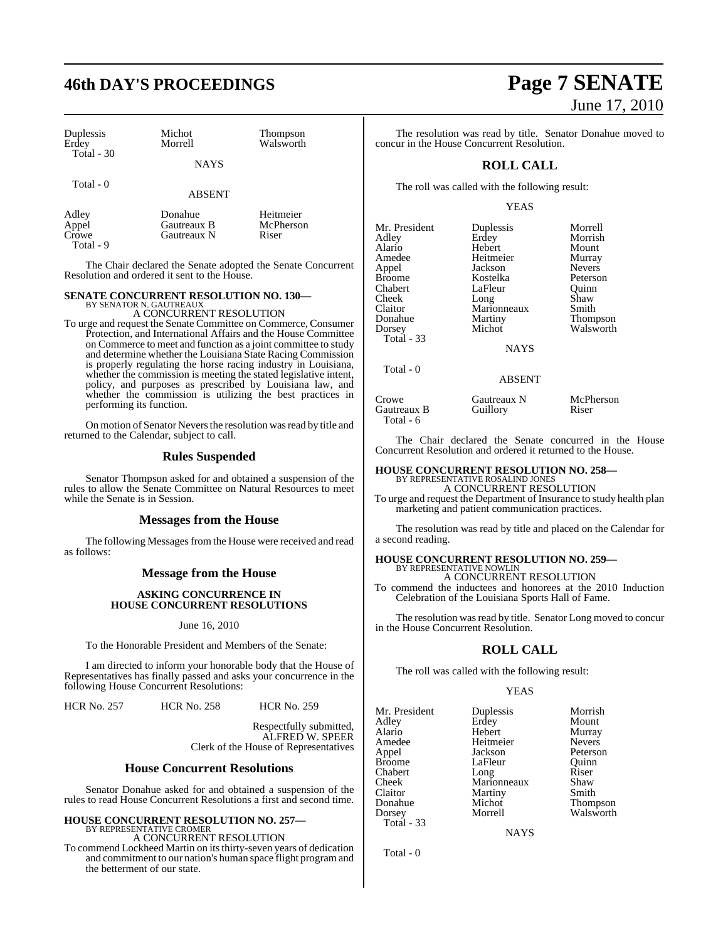# **46th DAY'S PROCEEDINGS Page 7 SENATE**

| Duplessis<br>Erdey | Michot<br>Morrell      | Thompson<br>Walsworth  |
|--------------------|------------------------|------------------------|
| Total - 30         | <b>NAYS</b>            |                        |
| Total - 0          | <b>ABSENT</b>          |                        |
| Adley<br>Appel     | Donahue<br>Gautreaux B | Heitmeier<br>McPherson |

The Chair declared the Senate adopted the Senate Concurrent Resolution and ordered it sent to the House.

# **SENATE CONCURRENT RESOLUTION NO. 130—** BY SENATOR N. GAUTREAUX

Appel Gautreaux B McPh<br>Crowe Gautreaux N Riser Gautreaux N

Total - 9

A CONCURRENT RESOLUTION

To urge and request the Senate Committee on Commerce, Consumer Protection, and International Affairs and the House Committee on Commerce to meet and function as a joint committee to study and determine whether the Louisiana State Racing Commission is properly regulating the horse racing industry in Louisiana, whether the commission is meeting the stated legislative intent, policy, and purposes as prescribed by Louisiana law, and whether the commission is utilizing the best practices in performing its function.

On motion of Senator Nevers the resolution was read by title and returned to the Calendar, subject to call.

#### **Rules Suspended**

Senator Thompson asked for and obtained a suspension of the rules to allow the Senate Committee on Natural Resources to meet while the Senate is in Session.

#### **Messages from the House**

The following Messages from the House were received and read as follows:

#### **Message from the House**

#### **ASKING CONCURRENCE IN HOUSE CONCURRENT RESOLUTIONS**

June 16, 2010

To the Honorable President and Members of the Senate:

I am directed to inform your honorable body that the House of Representatives has finally passed and asks your concurrence in the following House Concurrent Resolutions:

HCR No. 257 HCR No. 258 HCR No. 259

Respectfully submitted, ALFRED W. SPEER Clerk of the House of Representatives

#### **House Concurrent Resolutions**

Senator Donahue asked for and obtained a suspension of the rules to read House Concurrent Resolutions a first and second time.

# **HOUSE CONCURRENT RESOLUTION NO. 257—** BY REPRESENTATIVE CROMER

A CONCURRENT RESOLUTION

To commend Lockheed Martin on its thirty-seven years of dedication and commitment to our nation's human space flight programand the betterment of our state.

# June 17, 2010

The resolution was read by title. Senator Donahue moved to concur in the House Concurrent Resolution.

#### **ROLL CALL**

The roll was called with the following result:

#### YEAS

| Mr. President | Duplessis   | Morrell       |
|---------------|-------------|---------------|
| Adley         | Erdey       | Morrish       |
| Alario        | Hebert      | Mount         |
| Amedee        | Heitmeier   | Murray        |
| Appel         | Jackson     | <b>Nevers</b> |
| <b>Broome</b> | Kostelka    | Peterson      |
| Chabert       | LaFleur     | Ouinn         |
| Cheek         | Long        | Shaw          |
| Claitor       | Marionneaux | Smith         |
| Donahue       | Martiny     | Thompson      |
| Dorsey        | Michot      | Walsworth     |
| Total - 33    |             |               |
|               | NAYS        |               |

#### ABSENT

Crowe Gautreaux N McPherson<br>
Gautreaux B Guillory Riser Gautreaux B Total - 6

Total - 0

The Chair declared the Senate concurred in the House Concurrent Resolution and ordered it returned to the House.

#### **HOUSE CONCURRENT RESOLUTION NO. 258—** BY REPRESENTATIVE ROSALIND JONES

A CONCURRENT RESOLUTION To urge and request the Department of Insurance to study health plan marketing and patient communication practices.

The resolution was read by title and placed on the Calendar for a second reading.

# **HOUSE CONCURRENT RESOLUTION NO. 259—** BY REPRESENTATIVE NOWLIN

A CONCURRENT RESOLUTION

To commend the inductees and honorees at the 2010 Induction Celebration of the Louisiana Sports Hall of Fame.

The resolution was read by title. Senator Long moved to concur in the House Concurrent Resolution.

#### **ROLL CALL**

The roll was called with the following result:

#### YEAS

| Mr. President | Duplessis   | Morrish       |
|---------------|-------------|---------------|
| Adley         | Erdey       | Mount         |
| Alario        | Hebert      | Murray        |
| Amedee        | Heitmeier   | <b>Nevers</b> |
| Appel         | Jackson     | Peterson      |
| Broome        | LaFleur     | Ouinn         |
| Chabert       | Long        | Riser         |
| Cheek         | Marionneaux | Shaw          |
| Claitor       | Martiny     | Smith         |
| Donahue       | Michot      | Thompson      |
| Dorsey        | Morrell     | Walsworth     |
| Total - 33    |             |               |
|               |             |               |

**NAYS** 

Total - 0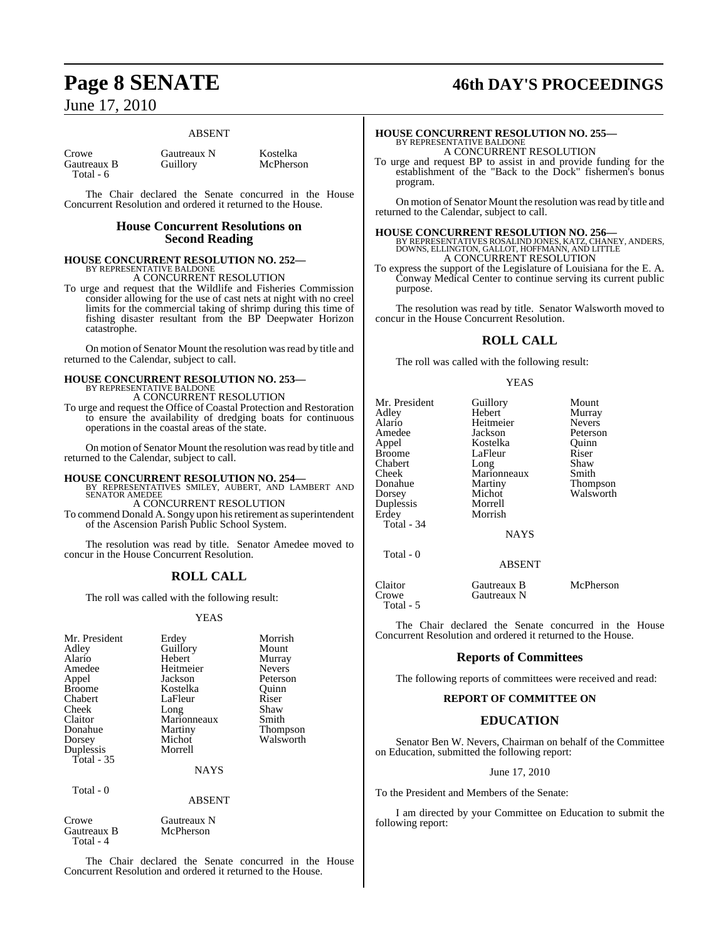#### ABSENT

| Crowe       |  |
|-------------|--|
| Gautreaux B |  |
| Total - 6   |  |

Gautreaux N Kostelka<br>
Guillory McPhers

McPherson

The Chair declared the Senate concurred in the House Concurrent Resolution and ordered it returned to the House.

## **House Concurrent Resolutions on Second Reading**

# **HOUSE CONCURRENT RESOLUTION NO. 252—** BY REPRESENTATIVE BALDONE A CONCURRENT RESOLUTION

To urge and request that the Wildlife and Fisheries Commission consider allowing for the use of cast nets at night with no creel limits for the commercial taking of shrimp during this time of fishing disaster resultant from the BP Deepwater Horizon catastrophe.

On motion of Senator Mount the resolution was read by title and returned to the Calendar, subject to call.

#### **HOUSE CONCURRENT RESOLUTION NO. 253—** BY REPRESENTATIVE BALDONE A CONCURRENT RESOLUTION

To urge and request the Office of Coastal Protection and Restoration to ensure the availability of dredging boats for continuous operations in the coastal areas of the state.

On motion of Senator Mount the resolution was read by title and returned to the Calendar, subject to call.

## **HOUSE CONCURRENT RESOLUTION NO. 254—** BY REPRESENTATIVES SMILEY, AUBERT, AND LAMBERT AND SENATOR AMEDEE

A CONCURRENT RESOLUTION To commend Donald A. Songy upon hisretirement assuperintendent of the Ascension Parish Public School System.

The resolution was read by title. Senator Amedee moved to concur in the House Concurrent Resolution.

## **ROLL CALL**

The roll was called with the following result:

#### YEAS

| Mr. President<br>Adley<br>Alario<br>Amedee<br>Appel<br><b>Broome</b><br>Chabert<br>Cheek<br>Claitor<br>Donahue<br>Dorsey<br>Duplessis<br>Total - $35$ | Erdey<br>Guillory<br>Hebert<br>Heitmeier<br>Jackson<br>Kostelka<br>LaFleur<br>Long<br>Marionneaux<br>Martiny<br>Michot<br>Morrell<br><b>NAYS</b> | Morrish<br>Mount<br>Murray<br><b>Nevers</b><br>Peterson<br>Ouinn<br>Riser<br>Shaw<br>Smith<br>Thompson<br>Walsworth |
|-------------------------------------------------------------------------------------------------------------------------------------------------------|--------------------------------------------------------------------------------------------------------------------------------------------------|---------------------------------------------------------------------------------------------------------------------|
| Total $-0$                                                                                                                                            | <b>ABSENT</b>                                                                                                                                    |                                                                                                                     |
| Crowe                                                                                                                                                 | Gautreaux N                                                                                                                                      |                                                                                                                     |

Gautreaux B McPherson Total - 4

The Chair declared the Senate concurred in the House Concurrent Resolution and ordered it returned to the House.

# **Page 8 SENATE 46th DAY'S PROCEEDINGS**

#### **HOUSE CONCURRENT RESOLUTION NO. 255—** BY REPRESENTATIVE BALDONE A CONCURRENT RESOLUTION

To urge and request BP to assist in and provide funding for the establishment of the "Back to the Dock" fishermen's bonus program.

On motion of Senator Mount the resolution wasread by title and returned to the Calendar, subject to call.

**HOUSE CONCURRENT RESOLUTION NO. 256—** BY REPRESENTATIVES ROSALIND JONES, KATZ, CHANEY, ANDERS, DOWNS, ELLINGTON, GALLOT, HOFFMANN, AND LITTLE A CONCURRENT RESOLUTION

To express the support of the Legislature of Louisiana for the E. A. Conway Medical Center to continue serving its current public purpose.

The resolution was read by title. Senator Walsworth moved to concur in the House Concurrent Resolution.

## **ROLL CALL**

The roll was called with the following result:

#### YEAS

| Mount<br>Murray                                                                       |
|---------------------------------------------------------------------------------------|
| <b>Nevers</b><br>Peterson<br>Ouinn<br>Riser<br>Shaw<br>Smith<br>Thompson<br>Walsworth |
|                                                                                       |
|                                                                                       |

| Claitor   | Gautreaux B | McPherson |
|-----------|-------------|-----------|
| Crowe     | Gautreaux N |           |
| Total - 5 |             |           |

The Chair declared the Senate concurred in the House Concurrent Resolution and ordered it returned to the House.

## **Reports of Committees**

The following reports of committees were received and read:

### **REPORT OF COMMITTEE ON**

## **EDUCATION**

Senator Ben W. Nevers, Chairman on behalf of the Committee on Education, submitted the following report:

#### June 17, 2010

To the President and Members of the Senate:

I am directed by your Committee on Education to submit the following report: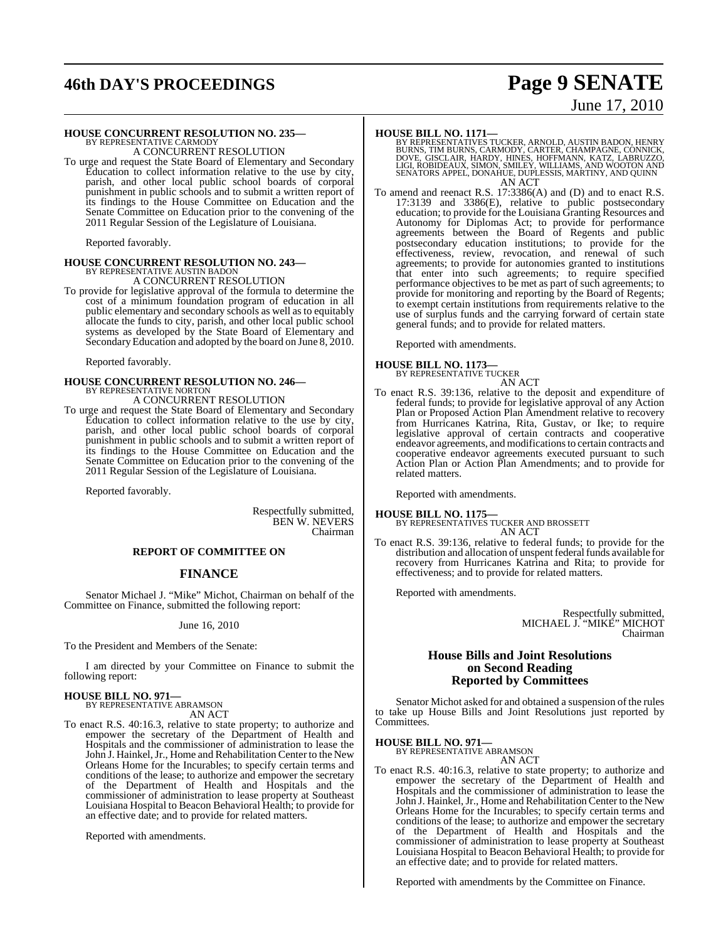# **46th DAY'S PROCEEDINGS Page 9 SENATE**

# **HOUSE CONCURRENT RESOLUTION NO. 235—** BY REPRESENTATIVE CARMODY

A CONCURRENT RESOLUTION

To urge and request the State Board of Elementary and Secondary Education to collect information relative to the use by city, parish, and other local public school boards of corporal punishment in public schools and to submit a written report of its findings to the House Committee on Education and the Senate Committee on Education prior to the convening of the 2011 Regular Session of the Legislature of Louisiana.

Reported favorably.

# **HOUSE CONCURRENT RESOLUTION NO. 243—** BY REPRESENTATIVE AUSTIN BADON

A CONCURRENT RESOLUTION

To provide for legislative approval of the formula to determine the cost of a minimum foundation program of education in all public elementary and secondary schools as well as to equitably allocate the funds to city, parish, and other local public school systems as developed by the State Board of Elementary and Secondary Education and adopted by the board on June 8, 2010.

Reported favorably.

## **HOUSE CONCURRENT RESOLUTION NO. 246—** BY REPRESENTATIVE NORTON A CONCURRENT RESOLUTION

To urge and request the State Board of Elementary and Secondary Education to collect information relative to the use by city, parish, and other local public school boards of corporal punishment in public schools and to submit a written report of its findings to the House Committee on Education and the Senate Committee on Education prior to the convening of the 2011 Regular Session of the Legislature of Louisiana.

Reported favorably.

Respectfully submitted, BEN W. NEVERS Chairman

#### **REPORT OF COMMITTEE ON**

#### **FINANCE**

Senator Michael J. "Mike" Michot, Chairman on behalf of the Committee on Finance, submitted the following report:

June 16, 2010

To the President and Members of the Senate:

I am directed by your Committee on Finance to submit the following report:

# **HOUSE BILL NO. 971—** BY REPRESENTATIVE ABRAMSON

AN ACT

To enact R.S. 40:16.3, relative to state property; to authorize and empower the secretary of the Department of Health and Hospitals and the commissioner of administration to lease the John J. Hainkel, Jr., Home and Rehabilitation Center to the New Orleans Home for the Incurables; to specify certain terms and conditions of the lease; to authorize and empower the secretary of the Department of Health and Hospitals and the commissioner of administration to lease property at Southeast Louisiana Hospital to Beacon Behavioral Health; to provide for an effective date; and to provide for related matters.

Reported with amendments.

**HOUSE BILL NO. 1171—**<br>BY REPRESENTATIVES TUCKER, ARNOLD, AUSTIN BADON, HENRY<br>BURNS, TIM BURNS, CARMODY, CARTER, CHAMPAGNE, CONNICK,<br>DOVE, GISCLAIR, HARDY, HINES, HOFFMANN, KATZ, LABRUZZO,<br>LIGI, ROBIDEAUX, SIMON, SMILEY, W AN ACT

To amend and reenact R.S. 17:3386(A) and (D) and to enact R.S. 17:3139 and 3386(E), relative to public postsecondary education; to provide for the Louisiana Granting Resources and Autonomy for Diplomas Act; to provide for performance agreements between the Board of Regents and public postsecondary education institutions; to provide for the effectiveness, review, revocation, and renewal of such agreements; to provide for autonomies granted to institutions that enter into such agreements; to require specified performance objectives to be met as part of such agreements; to provide for monitoring and reporting by the Board of Regents; to exempt certain institutions from requirements relative to the use of surplus funds and the carrying forward of certain state general funds; and to provide for related matters.

Reported with amendments.

# **HOUSE BILL NO. 1173—** BY REPRESENTATIVE TUCKER

AN ACT

To enact R.S. 39:136, relative to the deposit and expenditure of federal funds; to provide for legislative approval of any Action Plan or Proposed Action Plan Amendment relative to recovery from Hurricanes Katrina, Rita, Gustav, or Ike; to require legislative approval of certain contracts and cooperative endeavor agreements, and modificationsto certain contracts and cooperative endeavor agreements executed pursuant to such Action Plan or Action Plan Amendments; and to provide for related matters.

Reported with amendments.

#### **HOUSE BILL NO. 1175—**

BY REPRESENTATIVES TUCKER AND BROSSETT AN ACT

To enact R.S. 39:136, relative to federal funds; to provide for the distribution and allocation of unspent federal funds available for recovery from Hurricanes Katrina and Rita; to provide for effectiveness; and to provide for related matters.

Reported with amendments.

Respectfully submitted, MICHAEL J. "MIKE" MICHOT Chairman

### **House Bills and Joint Resolutions on Second Reading Reported by Committees**

Senator Michot asked for and obtained a suspension of the rules to take up House Bills and Joint Resolutions just reported by Committees.

# **HOUSE BILL NO. 971—** BY REPRESENTATIVE ABRAMSON

AN ACT

To enact R.S. 40:16.3, relative to state property; to authorize and empower the secretary of the Department of Health and Hospitals and the commissioner of administration to lease the John J. Hainkel, Jr., Home and Rehabilitation Center to the New Orleans Home for the Incurables; to specify certain terms and conditions of the lease; to authorize and empower the secretary of the Department of Health and Hospitals and the commissioner of administration to lease property at Southeast Louisiana Hospital to Beacon Behavioral Health; to provide for an effective date; and to provide for related matters.

Reported with amendments by the Committee on Finance.

# June 17, 2010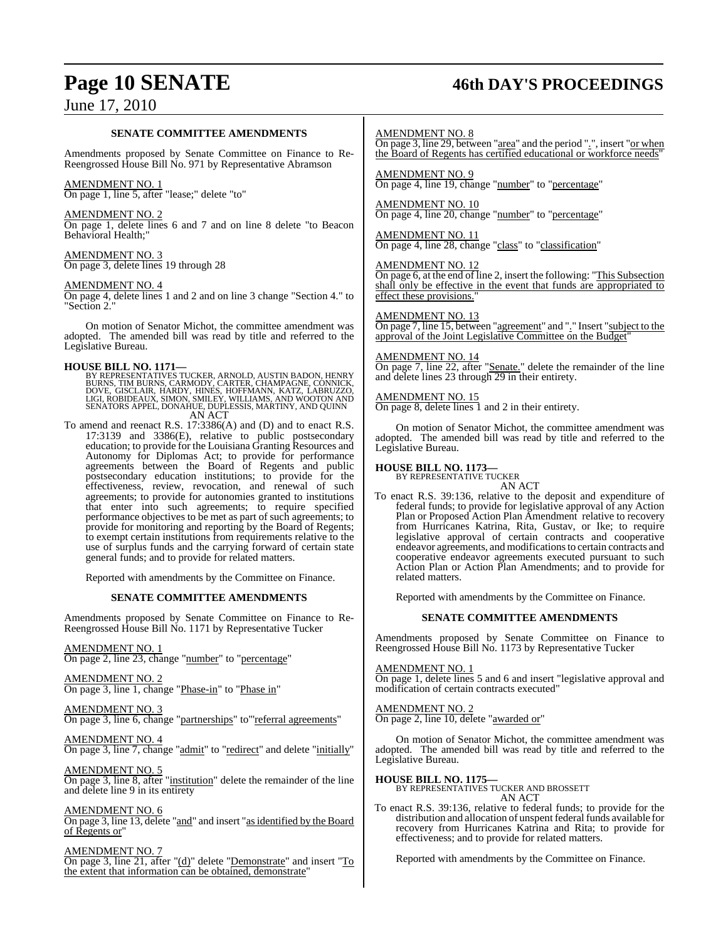# **Page 10 SENATE 46th DAY'S PROCEEDINGS**

## June 17, 2010

#### **SENATE COMMITTEE AMENDMENTS**

Amendments proposed by Senate Committee on Finance to Re-Reengrossed House Bill No. 971 by Representative Abramson

#### AMENDMENT NO. 1

On page 1, line 5, after "lease;" delete "to"

#### AMENDMENT NO. 2

On page 1, delete lines 6 and 7 and on line 8 delete "to Beacon Behavioral Health;"

#### AMENDMENT NO. 3 On page 3, delete lines 19 through 28

AMENDMENT NO. 4

On page 4, delete lines 1 and 2 and on line 3 change "Section 4." to Section 2."

On motion of Senator Michot, the committee amendment was adopted. The amended bill was read by title and referred to the Legislative Bureau.

**HOUSE BILL NO. 1171—**<br>BY REPRESENTATIVES TUCKER, ARNOLD, AUSTIN BADON, HENRY<br>BURNS, TIM BURNS, CARMODY, CARTER, CHAMPAGNE, CONNICK,<br>DOVE, GISCLAIR, HARDY, HINES, HOFFMANN, KATZ, LABRUZZO,<br>LIGI, ROBIDEAUX, SIMON, SMILEY, W SENATORS APPEL, DONAHUE, DUPLESSIS, MARTINY, AND QUINN AN ACT

To amend and reenact R.S. 17:3386(A) and (D) and to enact R.S.  $17:3139$  and  $3386(E)$ , relative to public postsecondary education; to provide for the Louisiana Granting Resources and Autonomy for Diplomas Act; to provide for performance agreements between the Board of Regents and public postsecondary education institutions; to provide for the effectiveness, review, revocation, and renewal of such agreements; to provide for autonomies granted to institutions that enter into such agreements; to require specified performance objectives to be met as part of such agreements; to provide for monitoring and reporting by the Board of Regents; to exempt certain institutions from requirements relative to the use of surplus funds and the carrying forward of certain state general funds; and to provide for related matters.

Reported with amendments by the Committee on Finance.

#### **SENATE COMMITTEE AMENDMENTS**

Amendments proposed by Senate Committee on Finance to Re-Reengrossed House Bill No. 1171 by Representative Tucker

#### AMENDMENT NO. 1

On page 2, line 23, change "number" to "percentage"

#### AMENDMENT NO. 2

On page 3, line 1, change "Phase-in" to "Phase in"

#### AMENDMENT NO. 3

On page 3, line 6, change "partnerships" to "referral agreements"

## AMENDMENT NO. 4

On page 3, line 7, change "admit" to "redirect" and delete "initially"

### AMENDMENT NO. 5

On page 3, line 8, after "institution" delete the remainder of the line and delete line 9 in its entirety

#### AMENDMENT NO. 6

On page 3, line 13, delete "and" and insert "as identified by the Board of Regents or"

#### AMENDMENT NO. 7

On page 3, line 21, after "(d)" delete "Demonstrate" and insert "To the extent that information can be obtained, demonstrate"

#### AMENDMENT NO. 8

On page 3, line 29, between "area" and the period ".", insert "or when the Board of Regents has certified educational or workforce needs"

AMENDMENT NO. 9 On page 4, line 19, change "number" to "percentage"

AMENDMENT NO. 10 On page 4, line 20, change "number" to "percentage"

#### AMENDMENT NO. 11 On page 4, line 28, change "class" to "classification"

AMENDMENT NO. 12 On page 6, at the end of line 2, insert the following: "This Subsection shall only be effective in the event that funds are appropriated to effect these provisions.

#### AMENDMENT NO. 13

On page 7, line 15, between "agreement" and "." Insert "subject to the approval of the Joint Legislative Committee on the Budget"

#### AMENDMENT NO. 14

On page 7, line 22, after "Senate." delete the remainder of the line and delete lines 23 through 29 in their entirety.

#### AMENDMENT NO. 15

On page 8, delete lines 1 and 2 in their entirety.

On motion of Senator Michot, the committee amendment was adopted. The amended bill was read by title and referred to the Legislative Bureau.

# **HOUSE BILL NO. 1173—** BY REPRESENTATIVE TUCKER

AN ACT

To enact R.S. 39:136, relative to the deposit and expenditure of federal funds; to provide for legislative approval of any Action Plan or Proposed Action Plan Amendment relative to recovery from Hurricanes Katrina, Rita, Gustav, or Ike; to require legislative approval of certain contracts and cooperative endeavor agreements, and modificationsto certain contracts and cooperative endeavor agreements executed pursuant to such Action Plan or Action Plan Amendments; and to provide for related matters.

Reported with amendments by the Committee on Finance.

#### **SENATE COMMITTEE AMENDMENTS**

Amendments proposed by Senate Committee on Finance to Reengrossed House Bill No. 1173 by Representative Tucker

#### AMENDMENT NO. 1

On page 1, delete lines 5 and 6 and insert "legislative approval and modification of certain contracts executed"

#### AMENDMENT NO. 2

On page 2, line 10, delete "awarded or"

On motion of Senator Michot, the committee amendment was adopted. The amended bill was read by title and referred to the Legislative Bureau.

## **HOUSE BILL NO. 1175—** BY REPRESENTATIVES TUCKER AND BROSSETT AN ACT

To enact R.S. 39:136, relative to federal funds; to provide for the distribution and allocation of unspent federal funds available for recovery from Hurricanes Katrina and Rita; to provide for effectiveness; and to provide for related matters.

Reported with amendments by the Committee on Finance.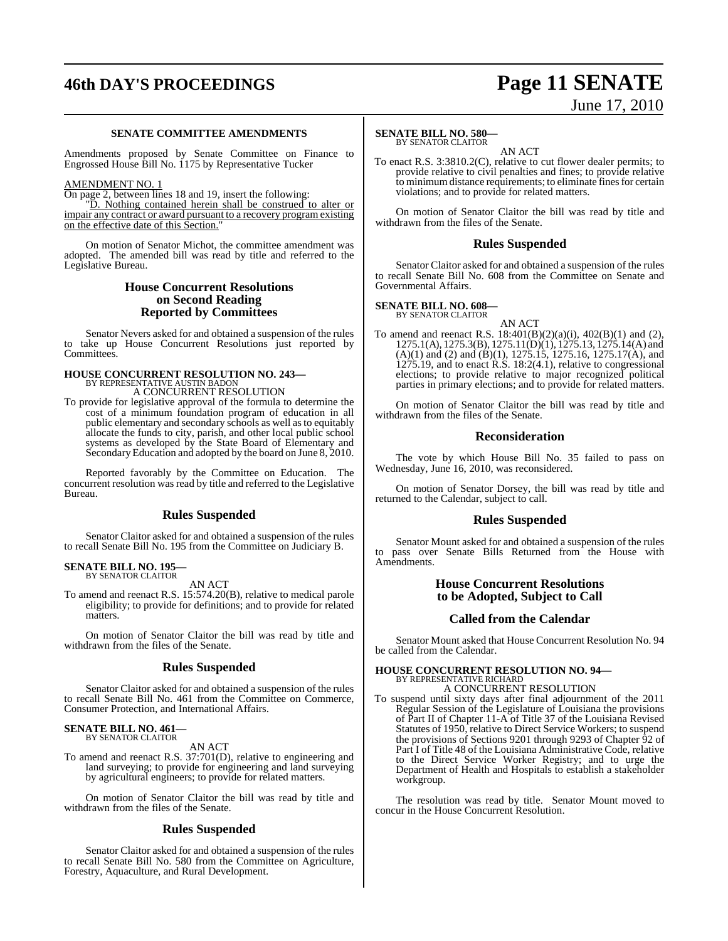# **46th DAY'S PROCEEDINGS Page 11 SENATE**

# June 17, 2010

#### **SENATE COMMITTEE AMENDMENTS**

Amendments proposed by Senate Committee on Finance to Engrossed House Bill No. 1175 by Representative Tucker

#### AMENDMENT NO. 1

On page 2, between lines 18 and 19, insert the following:

"D. Nothing contained herein shall be construed to alter or impair any contract or award pursuant to a recovery program existing on the effective date of this Section."

On motion of Senator Michot, the committee amendment was adopted. The amended bill was read by title and referred to the Legislative Bureau.

## **House Concurrent Resolutions on Second Reading Reported by Committees**

Senator Nevers asked for and obtained a suspension of the rules to take up House Concurrent Resolutions just reported by **Committees** 

# **HOUSE CONCURRENT RESOLUTION NO. 243—** BY REPRESENTATIVE AUSTIN BADON

A CONCURRENT RESOLUTION

To provide for legislative approval of the formula to determine the cost of a minimum foundation program of education in all public elementary and secondary schools as well asto equitably allocate the funds to city, parish, and other local public school systems as developed by the State Board of Elementary and Secondary Education and adopted by the board on June 8, 2010.

Reported favorably by the Committee on Education. The concurrent resolution was read by title and referred to the Legislative Bureau.

## **Rules Suspended**

Senator Claitor asked for and obtained a suspension of the rules to recall Senate Bill No. 195 from the Committee on Judiciary B.

#### **SENATE BILL NO. 195—** BY SENATOR CLAITOR

AN ACT

To amend and reenact R.S. 15:574.20(B), relative to medical parole eligibility; to provide for definitions; and to provide for related matters.

On motion of Senator Claitor the bill was read by title and withdrawn from the files of the Senate.

#### **Rules Suspended**

Senator Claitor asked for and obtained a suspension of the rules to recall Senate Bill No. 461 from the Committee on Commerce, Consumer Protection, and International Affairs.

#### **SENATE BILL NO. 461—** BY SENATOR CLAITOR

AN ACT

To amend and reenact R.S. 37:701(D), relative to engineering and land surveying; to provide for engineering and land surveying by agricultural engineers; to provide for related matters.

On motion of Senator Claitor the bill was read by title and withdrawn from the files of the Senate.

#### **Rules Suspended**

Senator Claitor asked for and obtained a suspension of the rules to recall Senate Bill No. 580 from the Committee on Agriculture, Forestry, Aquaculture, and Rural Development.

#### **SENATE BILL NO. 580—** BY SENATOR CLAITOR

AN ACT

To enact R.S. 3:3810.2(C), relative to cut flower dealer permits; to provide relative to civil penalties and fines; to provide relative to minimum distance requirements; to eliminate fines for certain violations; and to provide for related matters.

On motion of Senator Claitor the bill was read by title and withdrawn from the files of the Senate.

#### **Rules Suspended**

Senator Claitor asked for and obtained a suspension of the rules to recall Senate Bill No. 608 from the Committee on Senate and Governmental Affairs.

#### **SENATE BILL NO. 608—**

BY SENATOR CLAITOR

AN ACT To amend and reenact R.S. 18:401(B)(2)(a)(i), 402(B)(1) and (2), 1275.1(A), 1275.3(B), 1275.11(D)(1), 1275.13, 1275.14(A) and  $(A)(1)$  and  $(2)$  and  $(B)(1)$ , 1275.15, 1275.16, 1275.17(A), and  $1275.19$ , and to enact R.S. 18:2(4.1), relative to congressional elections; to provide relative to major recognized political parties in primary elections; and to provide for related matters.

On motion of Senator Claitor the bill was read by title and withdrawn from the files of the Senate.

### **Reconsideration**

The vote by which House Bill No. 35 failed to pass on Wednesday, June 16, 2010, was reconsidered.

On motion of Senator Dorsey, the bill was read by title and returned to the Calendar, subject to call.

#### **Rules Suspended**

Senator Mount asked for and obtained a suspension of the rules to pass over Senate Bills Returned from the House with Amendments.

#### **House Concurrent Resolutions to be Adopted, Subject to Call**

#### **Called from the Calendar**

Senator Mount asked that House Concurrent Resolution No. 94 be called from the Calendar.

#### **HOUSE CONCURRENT RESOLUTION NO. 94—** BY REPRESENTATIVE RICHARD

A CONCURRENT RESOLUTION

To suspend until sixty days after final adjournment of the 2011 Regular Session of the Legislature of Louisiana the provisions of Part II of Chapter 11-A of Title 37 of the Louisiana Revised Statutes of 1950, relative to Direct Service Workers; to suspend the provisions of Sections 9201 through 9293 of Chapter 92 of Part I of Title 48 of the Louisiana Administrative Code, relative to the Direct Service Worker Registry; and to urge the Department of Health and Hospitals to establish a stakeholder workgroup.

The resolution was read by title. Senator Mount moved to concur in the House Concurrent Resolution.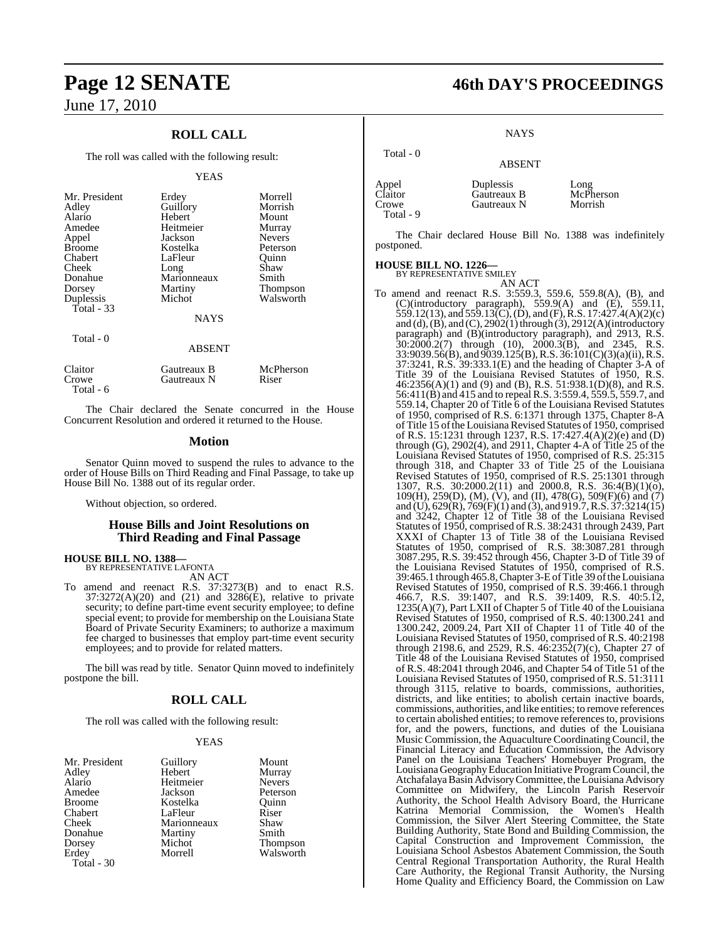## **ROLL CALL**

The roll was called with the following result:

#### YEAS

| Mr. President<br>Adley<br>Alario<br>Amedee<br>Appel<br><b>Broome</b><br>Chabert<br>Cheek<br>Donahue<br>Dorsey<br>Duplessis<br>Total $-33$ | Erdey<br>Guillory<br>Hebert<br>Heitmeier<br>Jackson<br>Kostelka<br>LaFleur<br>Long<br>Marionneaux<br>Martiny<br>Michot<br><b>NAYS</b> | Morrell<br>Morrish<br>Mount<br>Murray<br><b>Nevers</b><br>Peterson<br>Ouinn<br>Shaw<br>Smith<br>Thompson<br>Walsworth |
|-------------------------------------------------------------------------------------------------------------------------------------------|---------------------------------------------------------------------------------------------------------------------------------------|-----------------------------------------------------------------------------------------------------------------------|
| Total - 0                                                                                                                                 | <b>ABSENT</b>                                                                                                                         |                                                                                                                       |
| Claitor                                                                                                                                   | Gautreaux B                                                                                                                           | McPherson                                                                                                             |

The Chair declared the Senate concurred in the House Concurrent Resolution and ordered it returned to the House.

Crowe Gautreaux N Riser

#### **Motion**

Senator Quinn moved to suspend the rules to advance to the order of House Bills on Third Reading and Final Passage, to take up House Bill No. 1388 out of its regular order.

Without objection, so ordered.

## **House Bills and Joint Resolutions on Third Reading and Final Passage**

**HOUSE BILL NO. 1388—** BY REPRESENTATIVE LAFONTA

Total - 6

AN ACT

To amend and reenact R.S. 37:3273(B) and to enact R.S. 37:3272(A)(20) and (21) and 3286(E), relative to private security; to define part-time event security employee; to define special event; to provide for membership on the Louisiana State Board of Private Security Examiners; to authorize a maximum fee charged to businesses that employ part-time event security employees; and to provide for related matters.

The bill was read by title. Senator Quinn moved to indefinitely postpone the bill.

## **ROLL CALL**

The roll was called with the following result:

Heitmeier<br>Jackson

Martiny<br>Michot

#### YEAS

| Mr. Presiden |
|--------------|
| Adley        |
| Alario       |
| Amedee       |
| Broome       |
| Chabert      |
| Cheek        |
| Donahue      |
| Dorsey       |
| Erdey        |
| Total - 30   |
|              |

t Guillory Mount<br>Hebert Murray Murray<br>Nevers Peterson<br>Ouinn Kostelka Quinn<br>LaFleur Riser LaFleur Riser<br>Marionneaux Shaw Marionneaux Shaw<br>
Martiny Smith Michot Thompson<br>Morrell Walsworth Walsworth

# **Page 12 SENATE 46th DAY'S PROCEEDINGS**

**NAYS** 

## ABSENT

| Appel<br>Claitor<br>Crowe | Duplessis<br>Gautreaux B<br>Gautreaux N | Long<br>McPherson<br>Morrish |
|---------------------------|-----------------------------------------|------------------------------|
| Total - 9                 |                                         |                              |

The Chair declared House Bill No. 1388 was indefinitely postponed.

#### **HOUSE BILL NO. 1226—**

Total - 0

BY REPRESENTATIVE SMILEY AN ACT

To amend and reenact R.S. 3:559.3, 559.6, 559.8(A), (B), and (C)(introductory paragraph), 559.9(A) and (E), 559.11, 559.12(13), and 559.13(C), (D), and (F), R.S. 17:427.4(A)(2)(c) and (d),(B), and (C), 2902(1) through (3), 2912(A)(introductory paragraph) and (B)(introductory paragraph), and 2913, R.S. 30:2000.2(7) through (10), 2000.3(B), and 2345, R.S. 33:9039.56(B), and 9039.125(B), R.S. 36:101(C)(3)(a)(ii), R.S.  $37:3241$ , R.S.  $39:333.1(E)$  and the heading of Chapter 3-A of Title 39 of the Louisiana Revised Statutes of 1950, R.S. 46:2356(A)(1) and (9) and (B), R.S. 51:938.1(D)(8), and R.S. 56:411(B) and 415 and to repeal R.S. 3:559.4, 559.5, 559.7, and 559.14, Chapter 20 of Title 6 of the Louisiana Revised Statutes of 1950, comprised of R.S. 6:1371 through 1375, Chapter 8-A of Title 15 of the Louisiana Revised Statutes of 1950, comprised of R.S. 15:1231 through 1237, R.S. 17:427.4(A)(2)(e) and (D) through (G),  $2902(4)$ , and  $2911$ , Chapter 4-A of Title 25 of the Louisiana Revised Statutes of 1950, comprised of R.S. 25:315 through 318, and Chapter 33 of Title 25 of the Louisiana Revised Statutes of 1950, comprised of R.S. 25:1301 through 1307, R.S. 30:2000.2(11) and 2000.8, R.S. 36:4(B)(1)(o), 109(H), 259(D), (M), (V), and (II), 478(G), 509(F)(6) and (7) and (U), 629(R), 769(F)(1) and (3), and 919.7,R.S. 37:3214(15) and 3242, Chapter 12 of Title 38 of the Louisiana Revised Statutes of 1950, comprised of R.S. 38:2431 through 2439, Part XXXI of Chapter 13 of Title 38 of the Louisiana Revised Statutes of 1950, comprised of R.S. 38:3087.281 through 3087.295, R.S. 39:452 through 456, Chapter 3-D of Title 39 of the Louisiana Revised Statutes of 1950, comprised of R.S. 39:465.1 through 465.8,Chapter 3-EofTitle 39 oftheLouisiana Revised Statutes of 1950, comprised of R.S. 39:466.1 through 466.7, R.S. 39:1407, and R.S. 39:1409, R.S. 40:5.12, 1235(A)(7), Part LXII of Chapter 5 of Title 40 of the Louisiana Revised Statutes of 1950, comprised of R.S. 40:1300.241 and 1300.242, 2009.24, Part XII of Chapter 11 of Title 40 of the Louisiana Revised Statutes of 1950, comprised of R.S. 40:2198 through 2198.6, and 2529, R.S. 46:2352(7)(c), Chapter 27 of Title 48 of the Louisiana Revised Statutes of 1950, comprised of R.S. 48:2041 through 2046, and Chapter 54 of Title 51 of the Louisiana Revised Statutes of 1950, comprised of R.S. 51:3111 through 3115, relative to boards, commissions, authorities, districts, and like entities; to abolish certain inactive boards, commissions, authorities, and like entities; to remove references to certain abolished entities; to remove references to, provisions for, and the powers, functions, and duties of the Louisiana Music Commission, the Aquaculture Coordinating Council, the Financial Literacy and Education Commission, the Advisory Panel on the Louisiana Teachers' Homebuyer Program, the LouisianaGeographyEducation Initiative ProgramCouncil, the AtchafalayaBasin AdvisoryCommittee, theLouisiana Advisory Committee on Midwifery, the Lincoln Parish Reservoir Authority, the School Health Advisory Board, the Hurricane Katrina Memorial Commission, the Women's Health Commission, the Silver Alert Steering Committee, the State Building Authority, State Bond and Building Commission, the Capital Construction and Improvement Commission, the Louisiana School Asbestos Abatement Commission, the South Central Regional Transportation Authority, the Rural Health Care Authority, the Regional Transit Authority, the Nursing Home Quality and Efficiency Board, the Commission on Law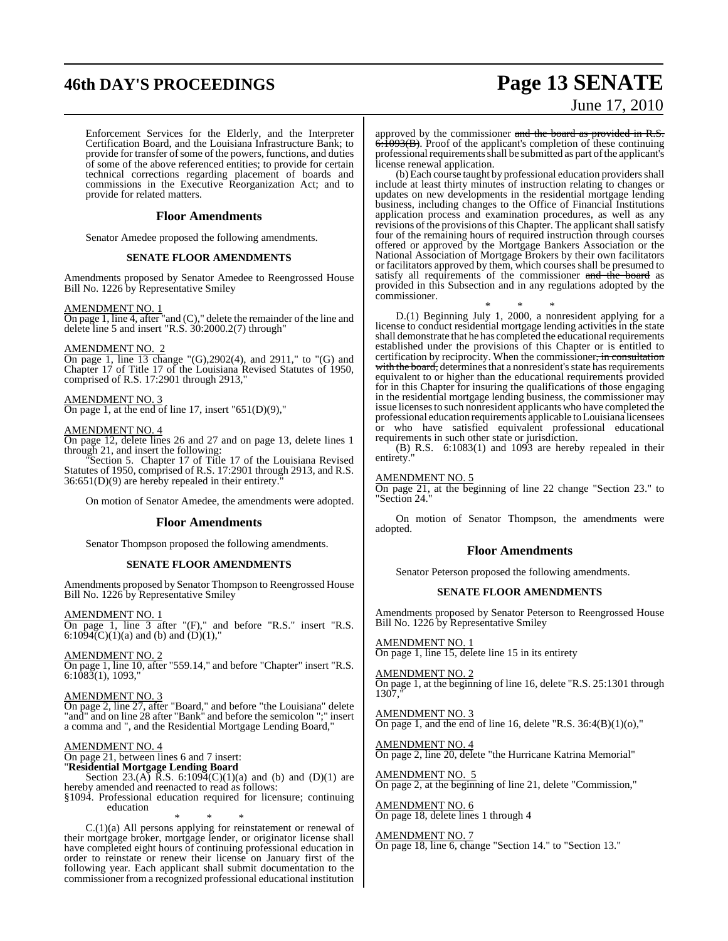# **46th DAY'S PROCEEDINGS Page 13 SENATE** June 17, 2010

Enforcement Services for the Elderly, and the Interpreter Certification Board, and the Louisiana Infrastructure Bank; to provide for transfer of some of the powers, functions, and duties of some of the above referenced entities; to provide for certain technical corrections regarding placement of boards and commissions in the Executive Reorganization Act; and to provide for related matters.

#### **Floor Amendments**

Senator Amedee proposed the following amendments.

#### **SENATE FLOOR AMENDMENTS**

Amendments proposed by Senator Amedee to Reengrossed House Bill No. 1226 by Representative Smiley

#### AMENDMENT NO. 1

On page 1, line 4, after "and (C)," delete the remainder of the line and delete line 5 and insert "R.S.  $30:2000.2(7)$  through"

#### AMENDMENT NO. 2

On page 1, line 13 change "(G),2902(4), and 2911," to "(G) and Chapter 17 of Title 17 of the Louisiana Revised Statutes of 1950, comprised of R.S. 17:2901 through 2913,"

AMENDMENT NO. 3 On page 1, at the end of line 17, insert " $651(D)(9)$ ,"

#### AMENDMENT NO. 4

On page 12, delete lines 26 and 27 and on page 13, delete lines 1 through 21, and insert the following:

"Section 5. Chapter 17 of Title 17 of the Louisiana Revised Statutes of 1950, comprised of R.S. 17:2901 through 2913, and R.S.  $36:651(D)(9)$  are hereby repealed in their entirety.

On motion of Senator Amedee, the amendments were adopted.

#### **Floor Amendments**

Senator Thompson proposed the following amendments.

#### **SENATE FLOOR AMENDMENTS**

Amendments proposed by Senator Thompson to Reengrossed House Bill No. 1226 by Representative Smiley

AMENDMENT NO. 1 On page 1, line 3 after "(F)," and before "R.S." insert "R.S. 6:1094(C)(1)(a) and (b) and (D)(1),"

AMENDMENT NO. 2 On page 1, line 10, after "559.14," and before "Chapter" insert "R.S. 6:1083(1), 1093,"

#### AMENDMENT NO. 3

On page 2, line 27, after "Board," and before "the Louisiana" delete "and" and on line 28 after "Bank" and before the semicolon ";" insert a comma and ", and the Residential Mortgage Lending Board,"

#### AMENDMENT NO. 4

On page 21, between lines 6 and 7 insert:

"**Residential Mortgage Lending Board**

Section 23.(A)  $\overrightarrow{R}$ .S. 6:1094(C)(1)(a) and (b) and (D)(1) are hereby amended and reenacted to read as follows:

§1094. Professional education required for licensure; continuing education

\* \* \*

C.(1)(a) All persons applying for reinstatement or renewal of their mortgage broker, mortgage lender, or originator license shall have completed eight hours of continuing professional education in order to reinstate or renew their license on January first of the following year. Each applicant shall submit documentation to the commissioner from a recognized professional educational institution

approved by the commissioner and the board as provided in R.S.  $6.1093(B)$ . Proof of the applicant's completion of these continuing professional requirements shall be submitted as part of the applicant's license renewal application.

(b) Each course taught by professional education providers shall include at least thirty minutes of instruction relating to changes or updates on new developments in the residential mortgage lending business, including changes to the Office of Financial Institutions application process and examination procedures, as well as any revisions of the provisions of this Chapter. The applicant shall satisfy four of the remaining hours of required instruction through courses offered or approved by the Mortgage Bankers Association or the National Association of Mortgage Brokers by their own facilitators or facilitators approved by them, which courses shall be presumed to satisfy all requirements of the commissioner and the board as provided in this Subsection and in any regulations adopted by the commissioner.

\* \* \*

D.(1) Beginning July 1, 2000, a nonresident applying for a license to conduct residential mortgage lending activities in the state shall demonstrate that he has completed the educational requirements established under the provisions of this Chapter or is entitled to certification by reciprocity. When the commissioner, in consultation with the board, determines that a nonresident's state has requirements equivalent to or higher than the educational requirements provided for in this Chapter for insuring the qualifications of those engaging in the residential mortgage lending business, the commissioner may issue licensesto such nonresident applicants who have completed the professional education requirements applicable to Louisiana licensees or who have satisfied equivalent professional educational requirements in such other state or jurisdiction.

(B) R.S.  $6:1083(1)$  and  $1093$  are hereby repealed in their entirety.'

## AMENDMENT NO. 5

On page 21, at the beginning of line 22 change "Section 23." to "Section 24."

On motion of Senator Thompson, the amendments were adopted.

#### **Floor Amendments**

Senator Peterson proposed the following amendments.

#### **SENATE FLOOR AMENDMENTS**

Amendments proposed by Senator Peterson to Reengrossed House Bill No. 1226 by Representative Smiley

AMENDMENT NO. 1 On page 1, line 15, delete line 15 in its entirety

AMENDMENT NO. 2 On page 1, at the beginning of line 16, delete "R.S. 25:1301 through  $1307,$ "

AMENDMENT NO. 3 On page 1, and the end of line 16, delete "R.S.  $36:4(B)(1)(0)$ ,"

AMENDMENT NO. 4 On page 2, line 20, delete "the Hurricane Katrina Memorial"

AMENDMENT NO. 5 On page 2, at the beginning of line 21, delete "Commission,"

AMENDMENT NO. 6 On page 18, delete lines 1 through 4

#### AMENDMENT NO. 7

On page 18, line 6, change "Section 14." to "Section 13."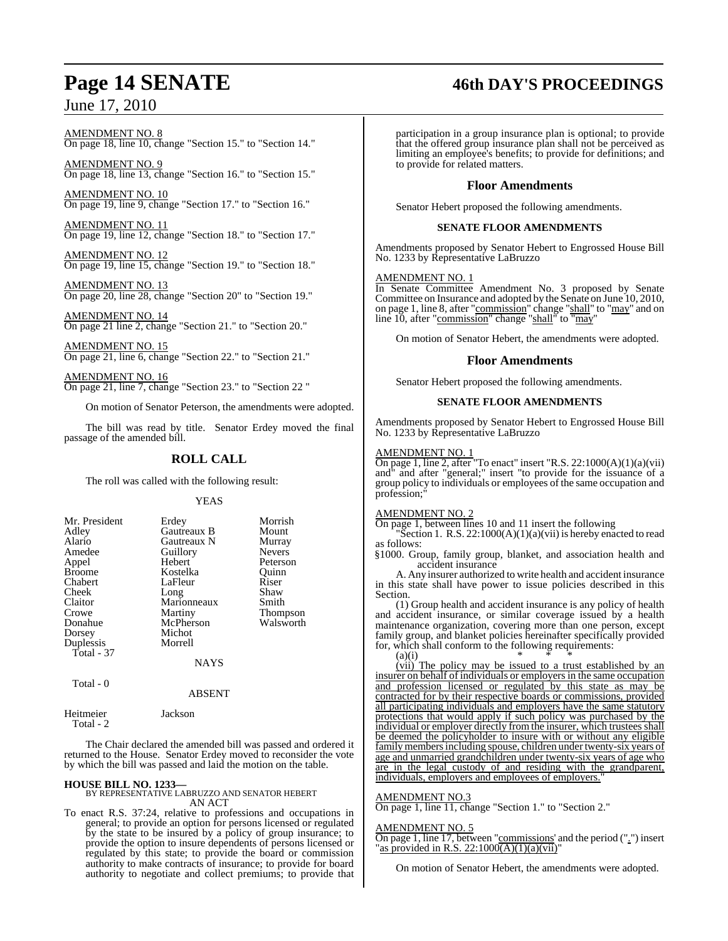# **Page 14 SENATE 46th DAY'S PROCEEDINGS**

AMENDMENT NO. 8 On page 18, line 10, change "Section 15." to "Section 14."

AMENDMENT NO. 9 On page 18, line 13, change "Section 16." to "Section 15."

AMENDMENT NO. 10 On page 19, line 9, change "Section 17." to "Section 16."

AMENDMENT NO. 11 On page 19, line 12, change "Section 18." to "Section 17."

AMENDMENT NO. 12 On page 19, line 15, change "Section 19." to "Section 18."

AMENDMENT NO. 13 On page 20, line 28, change "Section 20" to "Section 19."

AMENDMENT NO. 14 On page 21 line 2, change "Section 21." to "Section 20."

AMENDMENT NO. 15 On page 21, line 6, change "Section 22." to "Section 21."

AMENDMENT NO. 16 On page 21, line 7, change "Section 23." to "Section 22 "

On motion of Senator Peterson, the amendments were adopted.

The bill was read by title. Senator Erdey moved the final passage of the amended bill.

## **ROLL CALL**

The roll was called with the following result:

#### YEAS

| Mr. President<br>Adley<br>Alario<br>Amedee<br>Appel<br><b>Broome</b><br>Chabert<br>Cheek<br>Claitor<br>Crowe<br>Donahue<br>Dorsey | Erdey<br>Gautreaux B<br><b>Gautreaux N</b><br>Guillory<br>Hebert<br>Kostelka<br>LaFleur<br>Long<br>Marionneaux<br>Martiny<br>McPherson<br>Michot | Morrish<br>Mount<br>Murray<br><b>Nevers</b><br>Peterson<br>Ouinn<br>Riser<br>Shaw<br>Smith<br><b>Thompson</b><br>Walsworth |
|-----------------------------------------------------------------------------------------------------------------------------------|--------------------------------------------------------------------------------------------------------------------------------------------------|----------------------------------------------------------------------------------------------------------------------------|
| Duplessis                                                                                                                         | Morrell                                                                                                                                          |                                                                                                                            |
| Total - 37                                                                                                                        | NAYS                                                                                                                                             |                                                                                                                            |

Total - 0

ABSENT

| Heitmeier  | Jackson |
|------------|---------|
| Total $-2$ |         |

The Chair declared the amended bill was passed and ordered it returned to the House. Senator Erdey moved to reconsider the vote by which the bill was passed and laid the motion on the table.

**HOUSE BILL NO. 1233—** BY REPRESENTATIVE LABRUZZO AND SENATOR HEBERT AN ACT

To enact R.S. 37:24, relative to professions and occupations in general; to provide an option for persons licensed or regulated by the state to be insured by a policy of group insurance; to provide the option to insure dependents of persons licensed or regulated by this state; to provide the board or commission authority to make contracts of insurance; to provide for board authority to negotiate and collect premiums; to provide that

participation in a group insurance plan is optional; to provide that the offered group insurance plan shall not be perceived as limiting an employee's benefits; to provide for definitions; and to provide for related matters.

#### **Floor Amendments**

Senator Hebert proposed the following amendments.

#### **SENATE FLOOR AMENDMENTS**

Amendments proposed by Senator Hebert to Engrossed House Bill No. 1233 by Representative LaBruzzo

#### AMENDMENT NO. 1

In Senate Committee Amendment No. 3 proposed by Senate Committee on Insurance and adopted by the Senate on June 10, 2010, on page 1, line 8, after "commission" change "shall" to "may" and on line 10, after "commission" change "shall" to "may"

On motion of Senator Hebert, the amendments were adopted.

#### **Floor Amendments**

Senator Hebert proposed the following amendments.

#### **SENATE FLOOR AMENDMENTS**

Amendments proposed by Senator Hebert to Engrossed House Bill No. 1233 by Representative LaBruzzo

#### AMENDMENT NO. 1

On page 1, line 2, after "To enact" insert "R.S. 22:1000(A)(1)(a)(vii) and" and after "general;" insert "to provide for the issuance of a group policy to individuals or employees of the same occupation and profession;

#### AMENDMENT NO. 2

On page 1, between lines 10 and 11 insert the following

Section 1. R.S.  $22:1000(A)(1)(a)(vii)$  is hereby enacted to read as follows:

§1000. Group, family group, blanket, and association health and accident insurance

A. Any insurer authorized to write health and accident insurance in this state shall have power to issue policies described in this Section.

(1) Group health and accident insurance is any policy of health and accident insurance, or similar coverage issued by a health maintenance organization, covering more than one person, except family group, and blanket policies hereinafter specifically provided for, which shall conform to the following requirements: (a)(i) \* \* \* \*

(vii) The policy may be issued to a trust established by an insurer on behalf of individuals or employers in the same occupation and profession licensed or regulated by this state as may be contracted for by their respective boards or commissions, provided all participating individuals and employers have the same statutory protections that would apply if such policy was purchased by the individual or employer directly from the insurer, which trustees shall be deemed the policyholder to insure with or without any eligible family members including spouse, children under twenty-six years of age and unmarried grandchildren under twenty-six years of age who are in the legal custody of and residing with the grandparent, individuals, employers and employees of employers.

#### AMENDMENT NO.3

On page 1, line 11, change "Section 1." to "Section 2."

#### AMENDMENT NO. 5

On page 1, line 17, between "commissions' and the period (".") insert "as provided in R.S. 22:1000 $(A)(1)(a)(vi)$ "

On motion of Senator Hebert, the amendments were adopted.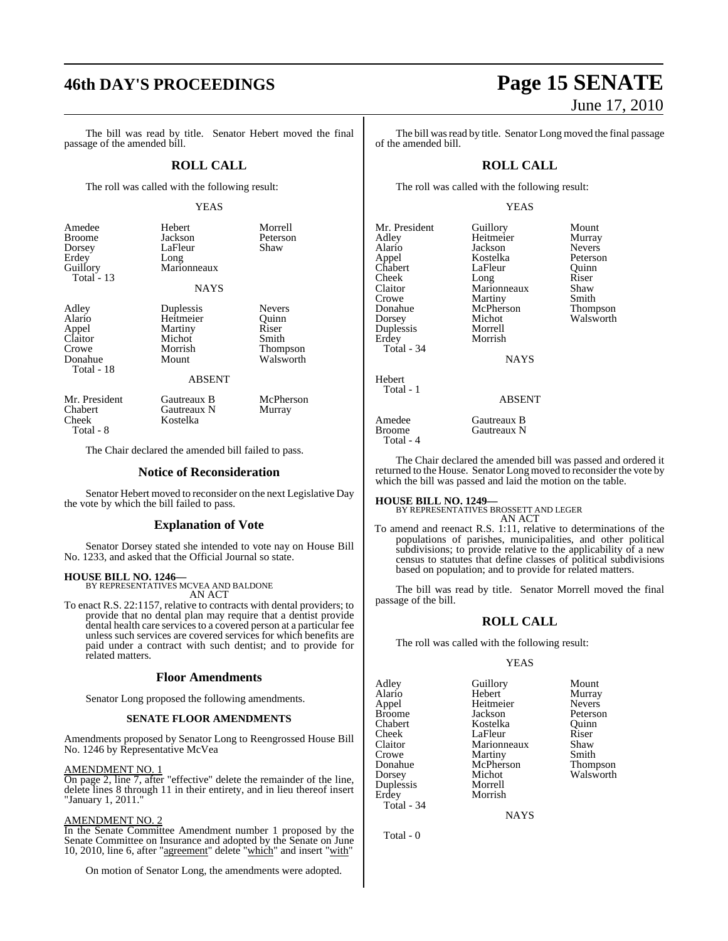# **46th DAY'S PROCEEDINGS Page 15 SENATE**

The bill was read by title. Senator Hebert moved the final passage of the amended bill.

#### **ROLL CALL**

The roll was called with the following result:

#### YEAS

| Amedee<br>Broome<br>Dorsey<br>Erdey<br>Guillory<br>Total $-13$        | Hebert<br>Jackson<br>LaFleur<br>Long<br>Marionneaux<br><b>NAYS</b>               | Morrell<br>Peterson<br>Shaw                                       |
|-----------------------------------------------------------------------|----------------------------------------------------------------------------------|-------------------------------------------------------------------|
| Adley<br>Alario<br>Appel<br>Claitor<br>Crowe<br>Donahue<br>Total - 18 | Duplessis<br>Heitmeier<br>Martiny<br>Michot<br>Morrish<br>Mount<br><b>ABSENT</b> | <b>Nevers</b><br>Ouinn<br>Riser<br>Smith<br>Thompson<br>Walsworth |
| Mr. President<br>Chabert<br>Cheek                                     | Gautreaux B<br>Gautreaux N<br>Kostelka                                           | McPherson<br>Murray                                               |

Total - 8

The Chair declared the amended bill failed to pass.

#### **Notice of Reconsideration**

Senator Hebert moved to reconsider on the next Legislative Day the vote by which the bill failed to pass.

#### **Explanation of Vote**

Senator Dorsey stated she intended to vote nay on House Bill No. 1233, and asked that the Official Journal so state.

#### **HOUSE BILL NO. 1246—**

BY REPRESENTATIVES MCVEA AND BALDONE AN ACT

To enact R.S. 22:1157, relative to contracts with dental providers; to provide that no dental plan may require that a dentist provide dental health care services to a covered person at a particular fee unless such services are covered services for which benefits are paid under a contract with such dentist; and to provide for related matters.

#### **Floor Amendments**

Senator Long proposed the following amendments.

#### **SENATE FLOOR AMENDMENTS**

Amendments proposed by Senator Long to Reengrossed House Bill No. 1246 by Representative McVea

AMENDMENT NO. 1

On page 2, line 7, after "effective" delete the remainder of the line, delete lines 8 through 11 in their entirety, and in lieu thereof insert "January 1, 2011."

#### AMENDMENT NO. 2

In the Senate Committee Amendment number 1 proposed by the Senate Committee on Insurance and adopted by the Senate on June 10, 2010, line 6, after "agreement" delete "which" and insert "with"

On motion of Senator Long, the amendments were adopted.

# June 17, 2010

The bill was read by title. Senator Long moved the final passage of the amended bill.

#### **ROLL CALL**

The roll was called with the following result:

#### YEAS

| Mr. President       | Guillory                       | Mount         |
|---------------------|--------------------------------|---------------|
| Adley               | Heitmeier                      | Murray        |
| Alario              | Jackson                        | <b>Nevers</b> |
| Appel               | Kostelka                       | Peterson      |
| Chabert             | LaFleur                        | Ouinn         |
| Cheek               | Long                           | Riser         |
| Claitor             | Marionneaux                    | Shaw          |
| Crowe               | Martiny                        | Smith         |
| Donahue             | McPherson                      | Thompson      |
| Dorsey              | Michot                         | Walsworth     |
| Duplessis           | Morrell                        |               |
| Erdey               | Morrish                        |               |
| Total - 34          |                                |               |
|                     | <b>NAYS</b>                    |               |
| Hebert              |                                |               |
| Total - 1           |                                |               |
|                     | <b>ABSENT</b>                  |               |
| Amedee              | Gautreaux B                    |               |
| D <sub>acc</sub> os | $C_{\alpha\beta}$ and $\alpha$ |               |

#### ABSENT

Amedee Gautreaux B<br>Broome Gautreaux N Total - 4

The Chair declared the amended bill was passed and ordered it returned to the House. Senator Long moved to reconsider the vote by which the bill was passed and laid the motion on the table.

#### **HOUSE BILL NO. 1249—**

BY REPRESENTATIVES BROSSETT AND LEGER

Gautreaux N

AN ACT To amend and reenact R.S. 1:11, relative to determinations of the populations of parishes, municipalities, and other political subdivisions; to provide relative to the applicability of a new census to statutes that define classes of political subdivisions based on population; and to provide for related matters.

The bill was read by title. Senator Morrell moved the final passage of the bill.

### **ROLL CALL**

The roll was called with the following result:

#### YEAS

| Adley         | Guillory    | Mount         |
|---------------|-------------|---------------|
| Alario        | Hebert      | Murray        |
| Appel         | Heitmeier   | <b>Nevers</b> |
| <b>Broome</b> | Jackson     | Peterson      |
| Chabert       | Kostelka    | Ouinn         |
| Cheek         | LaFleur     | Riser         |
| Claitor       | Marionneaux | Shaw          |
| Crowe         | Martiny     | Smith         |
| Donahue       | McPherson   | Thompson      |
| Dorsey        | Michot      | Walsworth     |
| Duplessis     | Morrell     |               |
| Erdey         | Morrish     |               |
| Total - 34    |             |               |

**NAYS** 

Total - 0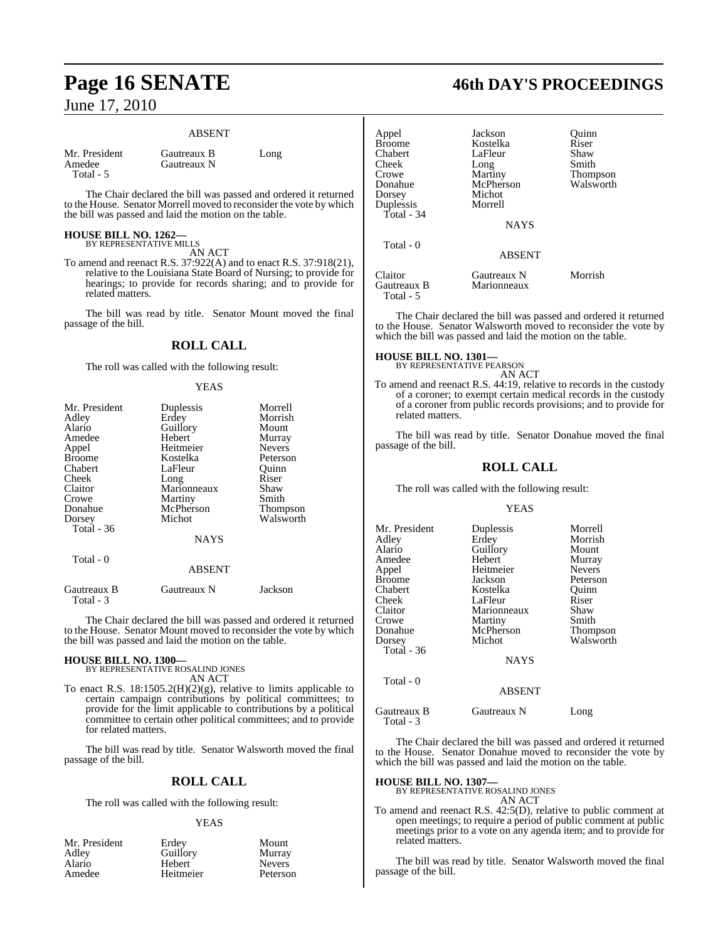#### ABSENT

| Mr. President |  |
|---------------|--|
| Amedee        |  |
| Total - 5     |  |

Gautreaux B Long Gautreaux N

The Chair declared the bill was passed and ordered it returned to the House. Senator Morrell moved to reconsider the vote by which the bill was passed and laid the motion on the table.

#### **HOUSE BILL NO. 1262—** BY REPRESENTATIVE MILLS

AN ACT

To amend and reenact R.S. 37:922(A) and to enact R.S. 37:918(21), relative to the Louisiana State Board of Nursing; to provide for hearings; to provide for records sharing; and to provide for related matters.

The bill was read by title. Senator Mount moved the final passage of the bill.

## **ROLL CALL**

The roll was called with the following result:

#### YEAS

| Mr. President | Duplessis     | Morrell       |
|---------------|---------------|---------------|
| Adley         | Erdey         | Morrish       |
| Alario        | Guillory      | Mount         |
| Amedee        | Hebert        | Murray        |
| Appel         | Heitmeier     | <b>Nevers</b> |
| <b>Broome</b> | Kostelka      | Peterson      |
| Chabert       | LaFleur       | Ouinn         |
| Cheek         | Long          | Riser         |
| Claitor       | Marionneaux   | Shaw          |
| Crowe         | Martiny       | Smith         |
| Donahue       | McPherson     | Thompson      |
| Dorsey        | Michot        | Walsworth     |
| Total $-36$   |               |               |
|               | <b>NAYS</b>   |               |
| Total - 0     |               |               |
|               | <b>ABSENT</b> |               |
| Gautreaux B   | Gautreaux N   | Jackson       |

 Total - 3 The Chair declared the bill was passed and ordered it returned

to the House. Senator Mount moved to reconsider the vote by which the bill was passed and laid the motion on the table.

# **HOUSE BILL NO. 1300—** BY REPRESENTATIVE ROSALIND JONES

AN ACT

To enact R.S. 18:1505.2(H)(2)(g), relative to limits applicable to certain campaign contributions by political committees; to provide for the limit applicable to contributions by a political committee to certain other political committees; and to provide for related matters.

The bill was read by title. Senator Walsworth moved the final passage of the bill.

## **ROLL CALL**

The roll was called with the following result:

#### YEAS

| Mr. President | Erdey     | Mount         |
|---------------|-----------|---------------|
| Adley         | Guillory  | Murray        |
| Alario        | Hebert    | <b>Nevers</b> |
| Amedee        | Heitmeier | Peterson      |

# **Page 16 SENATE 46th DAY'S PROCEEDINGS**

| Appel<br><b>Broome</b><br>Chabert<br>Cheek<br>Crowe<br>Donahue<br>Dorsey<br>Duplessis<br>Total - 34 | Jackson<br>Kostelka<br>LaFleur<br>Long<br>Martiny<br>McPherson<br>Michot<br>Morrell<br><b>NAYS</b> | Ouinn<br>Riser<br>Shaw<br>Smith<br>Thompson<br>Walsworth |
|-----------------------------------------------------------------------------------------------------|----------------------------------------------------------------------------------------------------|----------------------------------------------------------|
| Total - 0                                                                                           | <b>ABSENT</b>                                                                                      |                                                          |
| Claitor<br>Gautreaux B<br>Total - 5                                                                 | Gautreaux N<br>Marionneaux                                                                         | Morrish                                                  |

The Chair declared the bill was passed and ordered it returned to the House. Senator Walsworth moved to reconsider the vote by which the bill was passed and laid the motion on the table.

# **HOUSE BILL NO. 1301—** BY REPRESENTATIVE PEARSON

AN ACT

To amend and reenact R.S. 44:19, relative to records in the custody of a coroner; to exempt certain medical records in the custody of a coroner from public records provisions; and to provide for related matters.

The bill was read by title. Senator Donahue moved the final passage of the bill.

### **ROLL CALL**

The roll was called with the following result:

#### YEAS

| Mr. President | Duplessis   | Morrell       |
|---------------|-------------|---------------|
| Adley         | Erdey       | Morrish       |
| Alario        | Guillory    | Mount         |
| Amedee        | Hebert      | Murray        |
| Appel         | Heitmeier   | <b>Nevers</b> |
| <b>Broome</b> | Jackson     | Peterson      |
| Chabert       | Kostelka    | Ouinn         |
| Cheek         | LaFleur     | Riser         |
| Claitor       | Marionneaux | Shaw          |
| Crowe         | Martiny     | Smith         |
| Donahue       | McPherson   | Thompson      |
| Dorsey        | Michot      | Walsworth     |
| Total $-36$   |             |               |
|               | <b>NAYS</b> |               |
|               |             |               |

### Total - 0

Total - 3

Gautreaux B Gautreaux N Long

The Chair declared the bill was passed and ordered it returned to the House. Senator Donahue moved to reconsider the vote by which the bill was passed and laid the motion on the table.

ABSENT

# **HOUSE BILL NO. 1307—** BY REPRESENTATIVE ROSALIND JONES

AN ACT

To amend and reenact R.S. 42:5(D), relative to public comment at open meetings; to require a period of public comment at public meetings prior to a vote on any agenda item; and to provide for related matters.

The bill was read by title. Senator Walsworth moved the final passage of the bill.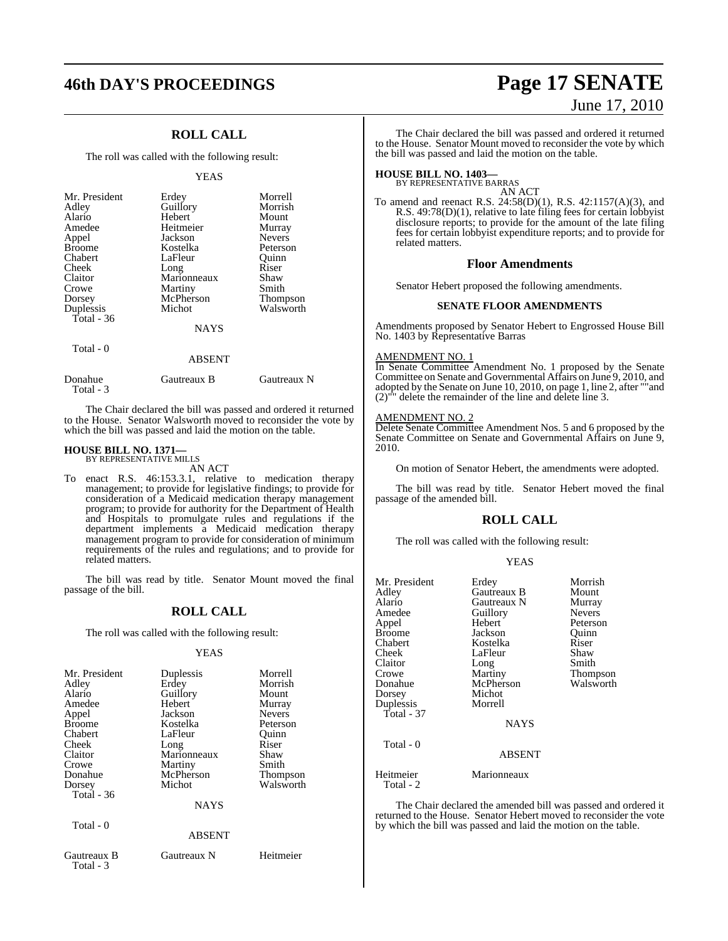# **46th DAY'S PROCEEDINGS Page 17 SENATE**

## **ROLL CALL**

The roll was called with the following result:

#### YEAS

| Mr. President<br>Adley<br>Alario<br>Amedee<br>Appel<br><b>Broome</b><br>Chabert<br>Cheek<br>Claitor<br>Crowe<br>Dorsey<br>Duplessis | Erdey<br>Guillory<br>Hebert<br>Heitmeier<br>Jackson<br>Kostelka<br>LaFleur<br>Long<br>Marionneaux<br>Martiny<br>McPherson<br>Michot | Morrell<br>Morrish<br>Mount<br>Murray<br><b>Nevers</b><br>Peterson<br>Ouinn<br>Riser<br>Shaw<br>Smith<br>Thompson<br>Walsworth |
|-------------------------------------------------------------------------------------------------------------------------------------|-------------------------------------------------------------------------------------------------------------------------------------|--------------------------------------------------------------------------------------------------------------------------------|
| Total - $36$                                                                                                                        |                                                                                                                                     |                                                                                                                                |
|                                                                                                                                     | <b>NAYS</b>                                                                                                                         |                                                                                                                                |
| Total - 0                                                                                                                           | <b>ARSENT</b>                                                                                                                       |                                                                                                                                |

|                      | .           |             |
|----------------------|-------------|-------------|
| Donahue<br>Total - 3 | Gautreaux B | Gautreaux N |

The Chair declared the bill was passed and ordered it returned to the House. Senator Walsworth moved to reconsider the vote by which the bill was passed and laid the motion on the table.

#### **HOUSE BILL NO. 1371—**

BY REPRESENTATIVE MILLS AN ACT

To enact R.S. 46:153.3.1, relative to medication therapy management; to provide for legislative findings; to provide for consideration of a Medicaid medication therapy management program; to provide for authority for the Department of Health and Hospitals to promulgate rules and regulations if the department implements a Medicaid medication therapy management program to provide for consideration of minimum requirements of the rules and regulations; and to provide for related matters.

The bill was read by title. Senator Mount moved the final passage of the bill.

## **ROLL CALL**

The roll was called with the following result:

#### YEAS

| Mr. President<br>Adley<br>Alario<br>Amedee<br>Appel<br><b>Broome</b><br>Chabert<br>Cheek<br>Claitor<br>Crowe<br>Donahue<br>Dorsey<br>Total $-36$<br>Total - 0 | Duplessis<br>Erdey<br>Guillory<br>Hebert<br>Jackson<br>Kostelka<br>LaFleur<br>Long<br>Marionneaux<br>Martiny<br>McPherson<br>Michot<br><b>NAYS</b> | Morrell<br>Morrish<br>Mount<br>Murray<br><b>Nevers</b><br>Peterson<br>Ouinn<br>Riser<br>Shaw<br>Smith<br>Thompson<br>Walsworth |
|---------------------------------------------------------------------------------------------------------------------------------------------------------------|----------------------------------------------------------------------------------------------------------------------------------------------------|--------------------------------------------------------------------------------------------------------------------------------|
|                                                                                                                                                               | ABSENT                                                                                                                                             |                                                                                                                                |
| Gautreaux B<br>Total - 3                                                                                                                                      | Gautreaux N                                                                                                                                        | Heitmeier                                                                                                                      |

# June 17, 2010

The Chair declared the bill was passed and ordered it returned to the House. Senator Mount moved to reconsider the vote by which the bill was passed and laid the motion on the table.

# **HOUSE BILL NO. 1403—** BY REPRESENTATIVE BARRAS

AN ACT

To amend and reenact R.S. 24:58(D)(1), R.S. 42:1157(A)(3), and R.S. 49:78(D)(1), relative to late filing fees for certain lobbyist disclosure reports; to provide for the amount of the late filing fees for certain lobbyist expenditure reports; and to provide for related matters.

#### **Floor Amendments**

Senator Hebert proposed the following amendments.

#### **SENATE FLOOR AMENDMENTS**

Amendments proposed by Senator Hebert to Engrossed House Bill No. 1403 by Representative Barras

#### AMENDMENT NO. 1

In Senate Committee Amendment No. 1 proposed by the Senate Committee on Senate and Governmental Affairs on June 9, 2010, and adopted by the Senate on June 10, 2010, on page 1, line 2, after ""and (2)"" delete the remainder of the line and delete line 3.

#### AMENDMENT NO. 2

Delete Senate Committee Amendment Nos. 5 and 6 proposed by the Senate Committee on Senate and Governmental Affairs on June 9, 2010.

On motion of Senator Hebert, the amendments were adopted.

The bill was read by title. Senator Hebert moved the final passage of the amended bill.

#### **ROLL CALL**

The roll was called with the following result:

#### YEAS

| Mr. President<br>Adley<br>Alario<br>Amedee<br>Appel<br><b>Broome</b><br>Chabert<br>Cheek<br>Claitor<br>Crowe<br>Donahue<br>Dorsey<br>Duplessis<br>Total - 37 | Erdey<br>Gautreaux B<br>Gautreaux N<br>Guillory<br>Hebert<br>Jackson<br>Kostelka<br>LaFleur<br>Long<br>Martiny<br>McPherson<br>Michot<br>Morrell<br><b>NAYS</b> | Morrish<br>Mount<br>Murray<br><b>Nevers</b><br>Peterson<br>Ouinn<br>Riser<br>Shaw<br>Smith<br>Thompson<br>Walsworth |
|--------------------------------------------------------------------------------------------------------------------------------------------------------------|-----------------------------------------------------------------------------------------------------------------------------------------------------------------|---------------------------------------------------------------------------------------------------------------------|
| Total - 0                                                                                                                                                    | ABSENT                                                                                                                                                          |                                                                                                                     |
| Heitmeier<br>Total - 2                                                                                                                                       | Marionneaux                                                                                                                                                     |                                                                                                                     |

The Chair declared the amended bill was passed and ordered it returned to the House. Senator Hebert moved to reconsider the vote by which the bill was passed and laid the motion on the table.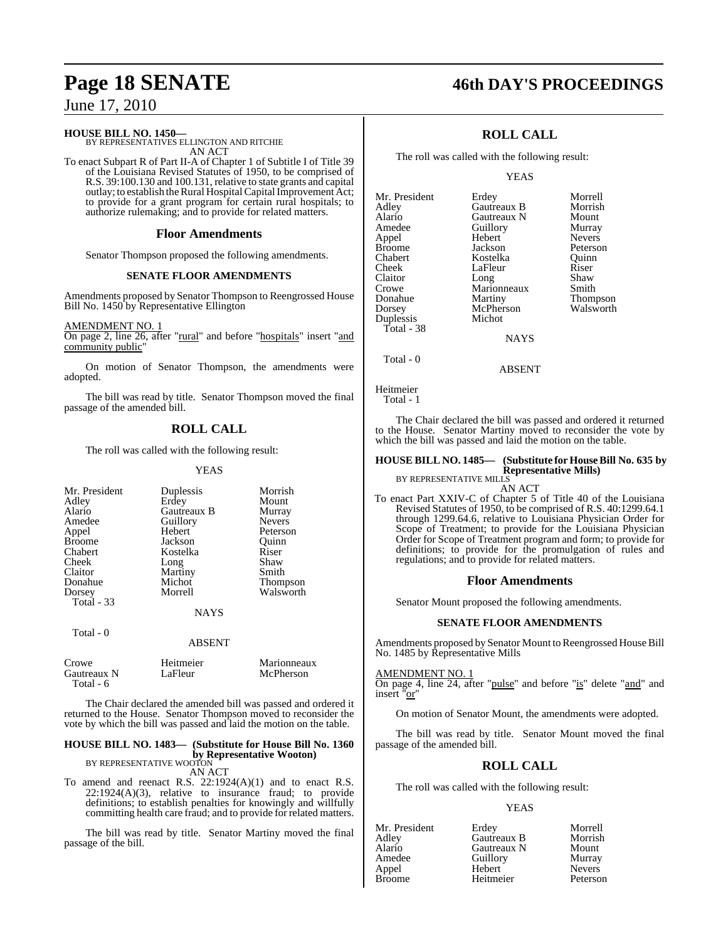# **Page 18 SENATE 46th DAY'S PROCEEDINGS**

June 17, 2010

#### **HOUSE BILL NO. 1450—**

BY REPRESENTATIVES ELLINGTON AND RITCHIE AN ACT

To enact Subpart R of Part II-A of Chapter 1 of Subtitle I of Title 39 of the Louisiana Revised Statutes of 1950, to be comprised of R.S. 39:100.130 and 100.131, relative to state grants and capital outlay; to establish the Rural Hospital Capital Improvement Act; to provide for a grant program for certain rural hospitals; to authorize rulemaking; and to provide for related matters.

#### **Floor Amendments**

Senator Thompson proposed the following amendments.

#### **SENATE FLOOR AMENDMENTS**

Amendments proposed by Senator Thompson to Reengrossed House Bill No. 1450 by Representative Ellington

#### AMENDMENT NO. 1

On page 2, line 26, after "rural" and before "hospitals" insert "and community public"

On motion of Senator Thompson, the amendments were adopted.

The bill was read by title. Senator Thompson moved the final passage of the amended bill.

## **ROLL CALL**

The roll was called with the following result:

#### YEAS

| Mr. President | Duplessis   | Morrish         |
|---------------|-------------|-----------------|
| Adley         | Erdey       | Mount           |
| Alario        | Gautreaux B | Murray          |
| Amedee        | Guillory    | <b>Nevers</b>   |
| Appel         | Hebert      | Peterson        |
| <b>Broome</b> | Jackson     | Ouinn           |
| Chabert       | Kostelka    | Riser           |
| Cheek         | Long        | Shaw            |
| Claitor       | Martiny     | Smith           |
| Donahue       | Michot      | <b>Thompson</b> |
| Dorsey        | Morrell     | Walsworth       |
| Total $-33$   |             |                 |
|               | <b>NAYS</b> |                 |
| Total - 0     |             |                 |

#### ABSENT

| Crowe       | Heitmeier | Marionneaux |
|-------------|-----------|-------------|
| Gautreaux N | LaFleur   | McPherson   |
| Total - 6   |           |             |

The Chair declared the amended bill was passed and ordered it returned to the House. Senator Thompson moved to reconsider the vote by which the bill was passed and laid the motion on the table.

## **HOUSE BILL NO. 1483— (Substitute for House Bill No. 1360 by Representative Wooton)**<br>BY REPRESENTATIVE WOOTON

AN ACT

To amend and reenact R.S. 22:1924(A)(1) and to enact R.S.  $22:1924(A)(3)$ , relative to insurance fraud; to provide definitions; to establish penalties for knowingly and willfully committing health care fraud; and to provide for related matters.

The bill was read by title. Senator Martiny moved the final passage of the bill.

| <b>ROLL CALL</b> |  |
|------------------|--|
|------------------|--|

The roll was called with the following result:

#### YEAS

| Mr. President | Erdey       | Morrell         |
|---------------|-------------|-----------------|
| Adley         | Gautreaux B | Morrish         |
| Alario        | Gautreaux N | Mount           |
| Amedee        | Guillory    | Murray          |
| Appel         | Hebert      | <b>Nevers</b>   |
| <b>Broome</b> | Jackson     | Peterson        |
| Chabert       | Kostelka    | Ouinn           |
| Cheek         | LaFleur     | Riser           |
| Claitor       | Long        | Shaw            |
| Crowe         | Marionneaux | Smith           |
| Donahue       | Martiny     | <b>Thompson</b> |
| Dorsey        | McPherson   | Walsworth       |
| Duplessis     | Michot      |                 |
| Total - 38    |             |                 |
|               | NAYS        |                 |

NAYS

ABSENT

Total - 0

Heitmeier

```
 Total - 1
```
The Chair declared the bill was passed and ordered it returned to the House. Senator Martiny moved to reconsider the vote by which the bill was passed and laid the motion on the table.

#### **HOUSE BILL NO. 1485— (Substitute for HouseBill No. 635 by Representative Mills)**

BY REPRESENTATIVE MILLS

AN ACT

To enact Part XXIV-C of Chapter 5 of Title 40 of the Louisiana Revised Statutes of 1950, to be comprised of R.S. 40:1299.64.1 through 1299.64.6, relative to Louisiana Physician Order for Scope of Treatment; to provide for the Louisiana Physician Order for Scope of Treatment program and form; to provide for definitions; to provide for the promulgation of rules and regulations; and to provide for related matters.

#### **Floor Amendments**

Senator Mount proposed the following amendments.

#### **SENATE FLOOR AMENDMENTS**

Amendments proposed by Senator Mount to Reengrossed House Bill No. 1485 by Representative Mills

#### AMENDMENT NO. 1

On page 4, line 24, after "pulse" and before "is" delete "and" and insert "or"

On motion of Senator Mount, the amendments were adopted.

The bill was read by title. Senator Mount moved the final passage of the amended bill.

## **ROLL CALL**

The roll was called with the following result:

#### YEAS

| Mr. President | Erdey       | Morrell       |
|---------------|-------------|---------------|
| Adley         | Gautreaux B | Morrish       |
| Alario        | Gautreaux N | Mount         |
| Amedee        | Guillory    | Murray        |
| Appel         | Hebert      | <b>Nevers</b> |
| <b>Broome</b> | Heitmeier   | Peterson      |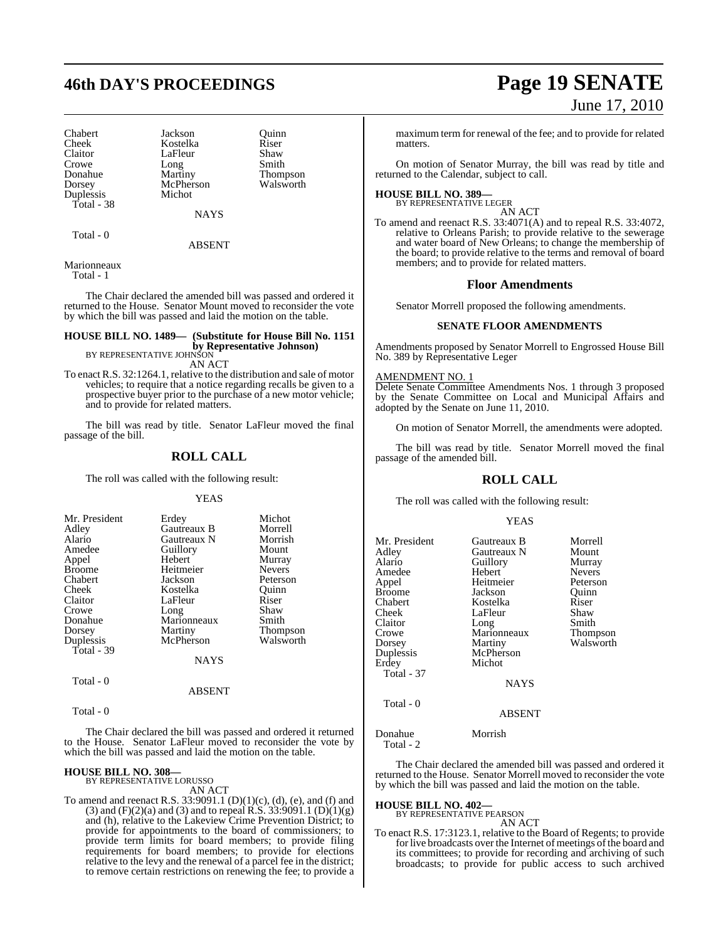Chabert Jackson Quinn Cheek Kostelka Riser<br>Claitor LaFleur Shaw Claitor LaFleur Shaw<br>Crowe Long Smith Crowe Long<br>
Donahue Martiny Dorsey McPherson<br>
Duplessis Michot Duplessis Total - 38

Thompson<br>Walsworth

**NAYS** 

Total - 0

ABSENT

Marionneaux

Total - 1

The Chair declared the amended bill was passed and ordered it returned to the House. Senator Mount moved to reconsider the vote by which the bill was passed and laid the motion on the table.

## **HOUSE BILL NO. 1489— (Substitute for House Bill No. 1151 by Representative Johnson)**<br>BY REPRESENTATIVE JOHNSON

AN ACT

To enact R.S. 32:1264.1, relative to the distribution and sale of motor vehicles; to require that a notice regarding recalls be given to a prospective buyer prior to the purchase of a new motor vehicle; and to provide for related matters.

The bill was read by title. Senator LaFleur moved the final passage of the bill.

#### **ROLL CALL**

The roll was called with the following result:

#### YEAS

| Mr. President | Erdey       | Michot          |
|---------------|-------------|-----------------|
| Adley         | Gautreaux B | Morrell         |
| Alario        | Gautreaux N | Morrish         |
| Amedee        | Guillory    | Mount           |
| Appel         | Hebert      | Murray          |
| <b>Broome</b> | Heitmeier   | <b>Nevers</b>   |
| Chabert       | Jackson     | Peterson        |
| Cheek         | Kostelka    | Ouinn           |
| Claitor       | LaFleur     | Riser           |
| Crowe         | Long        | Shaw            |
| Donahue       | Marionneaux | Smith           |
| Dorsey        | Martiny     | <b>Thompson</b> |
| Duplessis     | McPherson   | Walsworth       |
| Total - 39    |             |                 |
|               | NAYS        |                 |

Total - 0

#### ABSENT

Total - 0

The Chair declared the bill was passed and ordered it returned to the House. Senator LaFleur moved to reconsider the vote by which the bill was passed and laid the motion on the table.

# **HOUSE BILL NO. 308—** BY REPRESENTATIVE LORUSSO

AN ACT

To amend and reenact R.S.  $33:9091.1$  (D)(1)(c), (d), (e), and (f) and (3) and  $(F)(2)(a)$  and (3) and to repeal R.S. 33:9091.1  $(D)(1)(g)$ and (h), relative to the Lakeview Crime Prevention District; to provide for appointments to the board of commissioners; to provide term limits for board members; to provide filing requirements for board members; to provide for elections relative to the levy and the renewal of a parcel fee in the district; to remove certain restrictions on renewing the fee; to provide a

# **46th DAY'S PROCEEDINGS Page 19 SENATE** June 17, 2010

maximum term for renewal of the fee; and to provide for related matters.

On motion of Senator Murray, the bill was read by title and returned to the Calendar, subject to call.

# **HOUSE BILL NO. 389—** BY REPRESENTATIVE LEGER

AN ACT

To amend and reenact R.S. 33:4071(A) and to repeal R.S. 33:4072, relative to Orleans Parish; to provide relative to the sewerage and water board of New Orleans; to change the membership of the board; to provide relative to the terms and removal of board members; and to provide for related matters.

#### **Floor Amendments**

Senator Morrell proposed the following amendments.

#### **SENATE FLOOR AMENDMENTS**

Amendments proposed by Senator Morrell to Engrossed House Bill No. 389 by Representative Leger

#### AMENDMENT NO. 1

Delete Senate Committee Amendments Nos. 1 through 3 proposed by the Senate Committee on Local and Municipal Affairs and adopted by the Senate on June 11, 2010.

On motion of Senator Morrell, the amendments were adopted.

The bill was read by title. Senator Morrell moved the final passage of the amended bill.

## **ROLL CALL**

The roll was called with the following result:

#### **YEAS**

| Gautreaux B                                                                                                                               | Morrell                                                                                                  |
|-------------------------------------------------------------------------------------------------------------------------------------------|----------------------------------------------------------------------------------------------------------|
| Guillory<br>Hebert<br>Heitmeier<br>Jackson<br>Kostelka<br>LaFleur<br>Long<br>Marionneaux<br>Martiny<br>McPherson<br>Michot<br><b>NAYS</b> | Mount<br>Murray<br><b>Nevers</b><br>Peterson<br>Ouinn<br>Riser<br>Shaw<br>Smith<br>Thompson<br>Walsworth |
| <b>ABSENT</b>                                                                                                                             |                                                                                                          |
|                                                                                                                                           | Gautreaux N                                                                                              |

Donahue Morrish Total - 2

The Chair declared the amended bill was passed and ordered it returned to the House. Senator Morrell moved to reconsider the vote by which the bill was passed and laid the motion on the table.

#### **HOUSE BILL NO. 402—**

BY REPRESENTATIVE PEARSON AN ACT

To enact R.S. 17:3123.1, relative to the Board of Regents; to provide for live broadcasts over the Internet of meetings of the board and its committees; to provide for recording and archiving of such broadcasts; to provide for public access to such archived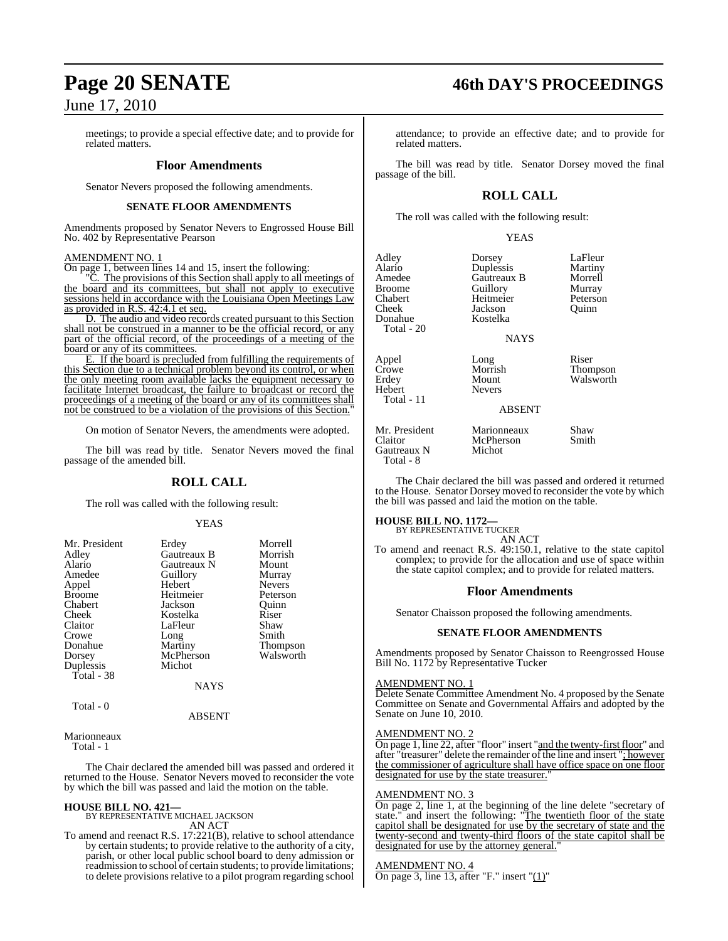# **Page 20 SENATE 46th DAY'S PROCEEDINGS**

## June 17, 2010

meetings; to provide a special effective date; and to provide for related matters.

#### **Floor Amendments**

Senator Nevers proposed the following amendments.

#### **SENATE FLOOR AMENDMENTS**

Amendments proposed by Senator Nevers to Engrossed House Bill No. 402 by Representative Pearson

#### AMENDMENT NO. 1

On page 1, between lines 14 and 15, insert the following:

**C.** The provisions of this Section shall apply to all meetings of the board and its committees, but shall not apply to executive sessions held in accordance with the Louisiana Open Meetings Law as provided in R.S. 42:4.1 et seq.

D. The audio and video records created pursuant to this Section shall not be construed in a manner to be the official record, or any part of the official record, of the proceedings of a meeting of the board or any of its committees.

E. If the board is precluded from fulfilling the requirements of this Section due to a technical problem beyond its control, or when the only meeting room available lacks the equipment necessary to facilitate Internet broadcast, the failure to broadcast or record the proceedings of a meeting of the board or any of its committees shall not be construed to be a violation of the provisions of this Section."

On motion of Senator Nevers, the amendments were adopted.

The bill was read by title. Senator Nevers moved the final passage of the amended bill.

## **ROLL CALL**

The roll was called with the following result:

#### YEAS

| Mr. President | Erdey       | Morrell         |
|---------------|-------------|-----------------|
| Adley         | Gautreaux B | Morrish         |
| Alario        | Gautreaux N | Mount           |
| Amedee        | Guillory    | Murray          |
| Appel         | Hebert      | <b>Nevers</b>   |
| <b>Broome</b> | Heitmeier   | Peterson        |
| Chabert       | Jackson     | Ouinn           |
| Cheek         | Kostelka    | Riser           |
| Claitor       | LaFleur     | Shaw            |
| Crowe         | Long        | Smith           |
| Donahue       | Martiny     | <b>Thompson</b> |
| Dorsey        | McPherson   | Walsworth       |
| Duplessis     | Michot      |                 |
| Total - 38    |             |                 |
|               | <b>NAYS</b> |                 |
| Total - 0     |             |                 |
|               | ABSENT      |                 |

#### Marionneaux

Total - 1

The Chair declared the amended bill was passed and ordered it returned to the House. Senator Nevers moved to reconsider the vote by which the bill was passed and laid the motion on the table.

**HOUSE BILL NO. 421—** BY REPRESENTATIVE MICHAEL JACKSON AN ACT

To amend and reenact R.S. 17:221(B), relative to school attendance by certain students; to provide relative to the authority of a city, parish, or other local public school board to deny admission or readmission to school of certain students; to provide limitations; to delete provisions relative to a pilot program regarding school

attendance; to provide an effective date; and to provide for related matters.

The bill was read by title. Senator Dorsey moved the final passage of the bill.

## **ROLL CALL**

The roll was called with the following result:

YEAS

| Adley<br>Alario<br>Amedee<br><b>Broome</b><br>Chabert<br>Cheek<br>Donahue<br>Total - 20 | Dorsey<br>Duplessis<br>Gautreaux B<br>Guillory<br>Heitmeier<br>Jackson<br>Kostelka<br><b>NAYS</b> | LaFleur<br>Martiny<br>Morrell<br>Murray<br>Peterson<br>Ouinn |
|-----------------------------------------------------------------------------------------|---------------------------------------------------------------------------------------------------|--------------------------------------------------------------|
| Appel<br>Crowe<br>Erdey<br>Hebert<br>Total - 11                                         | Long<br>Morrish<br>Mount<br><b>Nevers</b><br><b>ABSENT</b>                                        | Riser<br>Thompson<br>Walsworth                               |
| Mr. President                                                                           | Marionneaux                                                                                       | Shaw                                                         |

Mr. President Marionneaux Shaw<br>Claitor McPherson Smith Claitor McPherson<br>Gautreaux N Michot Gautreaux N Total - 8

The Chair declared the bill was passed and ordered it returned to the House. Senator Dorsey moved to reconsider the vote by which the bill was passed and laid the motion on the table.

#### **HOUSE BILL NO. 1172—**

BY REPRESENTATIVE TUCKER AN ACT

To amend and reenact R.S. 49:150.1, relative to the state capitol complex; to provide for the allocation and use of space within the state capitol complex; and to provide for related matters.

#### **Floor Amendments**

Senator Chaisson proposed the following amendments.

#### **SENATE FLOOR AMENDMENTS**

Amendments proposed by Senator Chaisson to Reengrossed House Bill No. 1172 by Representative Tucker

#### AMENDMENT NO. 1

Delete Senate Committee Amendment No. 4 proposed by the Senate Committee on Senate and Governmental Affairs and adopted by the Senate on June 10, 2010.

#### AMENDMENT NO. 2

On page 1, line 22, after "floor" insert "and the twenty-first floor" and after "treasurer" delete the remainder of the line and insert "; however the commissioner of agriculture shall have office space on one floor designated for use by the state treasurer.

#### AMENDMENT NO. 3

On page 2, line 1, at the beginning of the line delete "secretary of state." and insert the following: "The twentieth floor of the state capitol shall be designated for use by the secretary of state and the twenty-second and twenty-third floors of the state capitol shall be designated for use by the attorney general.

#### AMENDMENT NO. 4

On page 3, line 13, after "F." insert " $(1)$ "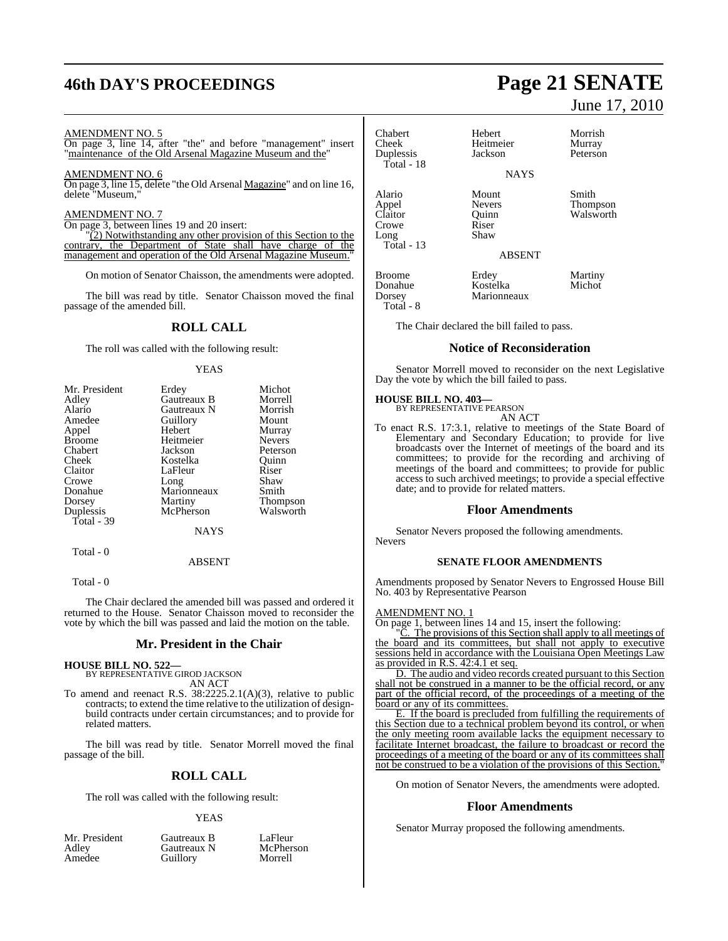# **46th DAY'S PROCEEDINGS Page 21 SENATE**

#### AMENDMENT NO. 5

On page 3, line 14, after "the" and before "management" insert "maintenance of the Old Arsenal Magazine Museum and the"

### AMENDMENT NO. 6

On page 3, line 15, delete "the Old Arsenal Magazine" and on line 16, delete "Museum,"

#### AMENDMENT NO. 7

On page 3, between lines 19 and 20 insert:

"(2) Notwithstanding any other provision of this Section to the contrary, the Department of State shall have charge of the management and operation of the Old Arsenal Magazine Museum."

On motion of Senator Chaisson, the amendments were adopted.

The bill was read by title. Senator Chaisson moved the final passage of the amended bill.

### **ROLL CALL**

The roll was called with the following result:

#### YEAS

| Mr. President | Erdey       | Michot          |
|---------------|-------------|-----------------|
| Adley         | Gautreaux B | Morrell         |
| Alario        | Gautreaux N | Morrish         |
| Amedee        | Guillory    | Mount           |
| Appel         | Hebert      | Murray          |
| <b>Broome</b> | Heitmeier   | <b>Nevers</b>   |
| Chabert       | Jackson     | Peterson        |
| Cheek         | Kostelka    | Ouinn           |
| Claitor       | LaFleur     | Riser           |
| Crowe         | Long        | Shaw            |
| Donahue       | Marionneaux | Smith           |
| Dorsey        | Martiny     | <b>Thompson</b> |
| Duplessis     | McPherson   | Walsworth       |
| Total - 39    |             |                 |
|               | <b>NAYS</b> |                 |
| Total - 0     |             |                 |

Total - 0

The Chair declared the amended bill was passed and ordered it returned to the House. Senator Chaisson moved to reconsider the vote by which the bill was passed and laid the motion on the table.

ABSENT

#### **Mr. President in the Chair**

**HOUSE BILL NO. 522—** BY REPRESENTATIVE GIROD JACKSON AN ACT

To amend and reenact R.S. 38:2225.2.1(A)(3), relative to public contracts; to extend the time relative to the utilization of designbuild contracts under certain circumstances; and to provide for related matters.

The bill was read by title. Senator Morrell moved the final passage of the bill.

#### **ROLL CALL**

The roll was called with the following result:

Guillory

#### YEAS

Adley Gautreaux N McPher<br>Amedee Guillory Morrell

Mr. President Gautreaux B LaFleur<br>Adley Gautreaux N McPherson

June 17, 2010

Chabert Hebert Morrish<br>Cheek Heitmeier Murray Duplessis Total - 18 Alario Mount Smith<br>
Appel Nevers Thom Appel Nevers Thompson Crowe Riser<br>Long Shaw Long Total - 13 Broome Erdey Martiny<br>
Donahue Kostelka Michot Donahue Kostelka<br>Dorsey Marionne

Total - 8

The Chair declared the bill failed to pass.

Marionneaux

#### **Notice of Reconsideration**

Senator Morrell moved to reconsider on the next Legislative Day the vote by which the bill failed to pass.

# **HOUSE BILL NO. 403—** BY REPRESENTATIVE PEARSON

AN ACT

To enact R.S. 17:3.1, relative to meetings of the State Board of Elementary and Secondary Education; to provide for live broadcasts over the Internet of meetings of the board and its committees; to provide for the recording and archiving of meetings of the board and committees; to provide for public access to such archived meetings; to provide a special effective date; and to provide for related matters.

#### **Floor Amendments**

Senator Nevers proposed the following amendments. Nevers

#### **SENATE FLOOR AMENDMENTS**

Amendments proposed by Senator Nevers to Engrossed House Bill No. 403 by Representative Pearson

#### AMENDMENT NO. 1

On page 1, between lines 14 and 15, insert the following:

The provisions of this Section shall apply to all meetings of the board and its committees, but shall not apply to executive sessions held in accordance with the Louisiana Open Meetings Law as provided in R.S. 42:4.1 et seq.

D. The audio and video records created pursuant to this Section shall not be construed in a manner to be the official record, or any part of the official record, of the proceedings of a meeting of the board or any of its committees.

E. If the board is precluded from fulfilling the requirements of this Section due to a technical problem beyond its control, or when the only meeting room available lacks the equipment necessary to facilitate Internet broadcast, the failure to broadcast or record the proceedings of a meeting of the board or any of its committees shall not be construed to be a violation of the provisions of this Section.

On motion of Senator Nevers, the amendments were adopted.

#### **Floor Amendments**

Senator Murray proposed the following amendments.

Heitmeier Murray<br>Iackson Peterson

Quinn Walsworth Riser

ABSENT

**NAVS**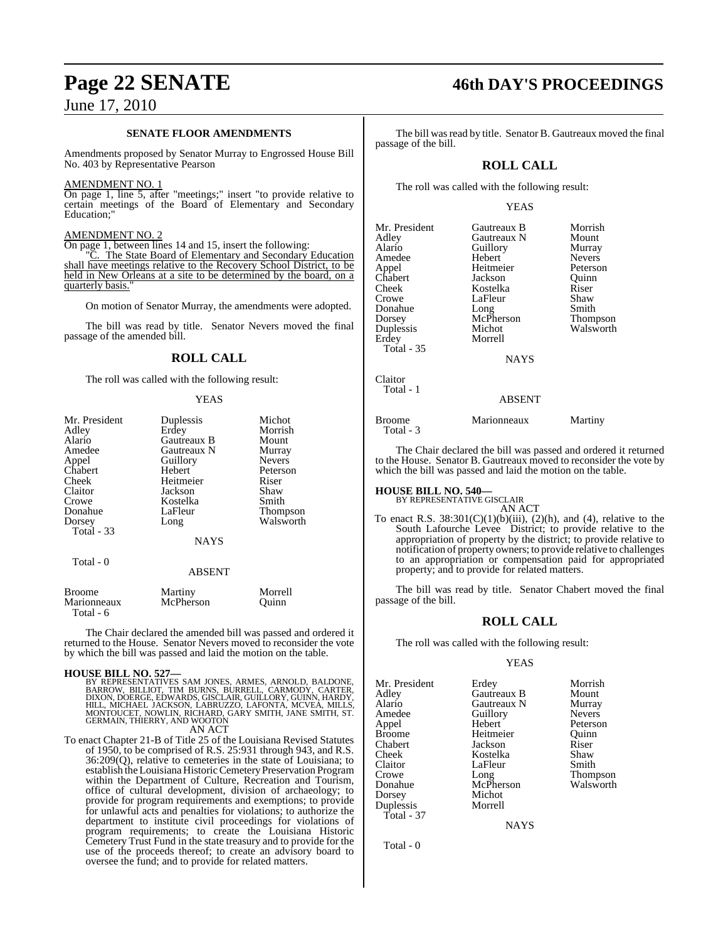#### **SENATE FLOOR AMENDMENTS**

Amendments proposed by Senator Murray to Engrossed House Bill No. 403 by Representative Pearson

#### AMENDMENT NO. 1

On page 1, line 5, after "meetings;" insert "to provide relative to certain meetings of the Board of Elementary and Secondary Education;"

#### AMENDMENT NO. 2

On page 1, between lines 14 and 15, insert the following:

"C. The State Board of Elementary and Secondary Education shall have meetings relative to the Recovery School District, to be held in New Orleans at a site to be determined by the board, on a quarterly basis.

On motion of Senator Murray, the amendments were adopted.

The bill was read by title. Senator Nevers moved the final passage of the amended bill.

### **ROLL CALL**

The roll was called with the following result:

#### YEAS

| Mr. President<br>Adley   | Duplessis<br>Erdey | Michot<br>Morrish |
|--------------------------|--------------------|-------------------|
| Alario                   | Gautreaux B        | Mount             |
| Amedee                   | Gautreaux N        | Murray            |
| Appel                    | Guillory           | <b>Nevers</b>     |
| Chabert                  | Hebert             | Peterson          |
| Cheek                    | Heitmeier          | Riser             |
| Claitor                  | Jackson            | Shaw              |
| Crowe                    | Kostelka           | Smith             |
| Donahue                  | LaFleur            | Thompson          |
| Dorsey                   | Long               | Walsworth         |
| Total - 33               |                    |                   |
|                          | <b>NAYS</b>        |                   |
| Total - 0                |                    |                   |
|                          | <b>ABSENT</b>      |                   |
| <b>Broome</b>            | Martiny            | Morrell           |
| Marionneaux<br>Total - 6 | McPherson          | Ouinn             |

The Chair declared the amended bill was passed and ordered it returned to the House. Senator Nevers moved to reconsider the vote by which the bill was passed and laid the motion on the table.

#### **HOUSE BILL NO. 527—**

BY REPRESENTATIVES SAM JONES, ARMES, ARNOLD, BALDONE,<br>BARROW, BILLIOT, TIM BURNS, BURRELL, CARMODY, CARTER,<br>DIXON, DOERGE, EDWARDS, GISCLAIR, GUILLORY, GUINN, HARDY,<br>HILL, MICHAEL JACKSON, LABRUZZO, LAFONTA, MCVEA, MILLS,<br>

AN ACT

To enact Chapter 21-B of Title 25 of the Louisiana Revised Statutes of 1950, to be comprised of R.S. 25:931 through 943, and R.S. 36:209(Q), relative to cemeteries in the state of Louisiana; to establish the Louisiana Historic Cemetery Preservation Program within the Department of Culture, Recreation and Tourism, office of cultural development, division of archaeology; to provide for program requirements and exemptions; to provide for unlawful acts and penalties for violations; to authorize the department to institute civil proceedings for violations of program requirements; to create the Louisiana Historic Cemetery Trust Fund in the state treasury and to provide for the use of the proceeds thereof; to create an advisory board to oversee the fund; and to provide for related matters.

# **Page 22 SENATE 46th DAY'S PROCEEDINGS**

The bill was read by title. Senator B. Gautreaux moved the final passage of the bill.

## **ROLL CALL**

The roll was called with the following result:

#### YEAS

| Mr. President     | Gautreaux B   | Morrish       |
|-------------------|---------------|---------------|
|                   |               |               |
| Adley             | Gautreaux N   | Mount         |
| Alario            | Guillory      | Murray        |
| Amedee            | Hebert        | <b>Nevers</b> |
| Appel             | Heitmeier     | Peterson      |
| Chabert           | Jackson       | Ouinn         |
| Cheek             | Kostelka      | Riser         |
| Crowe             | LaFleur       | Shaw          |
| Donahue           | Long          | Smith         |
| Dorsey            | McPherson     | Thompson      |
| Duplessis         | Michot        | Walsworth     |
| Erdey             | Morrell       |               |
| <b>Total - 35</b> |               |               |
|                   | <b>NAYS</b>   |               |
| Claitor           |               |               |
| Total - 1         |               |               |
|                   | <b>ABSENT</b> |               |
|                   |               |               |
|                   |               |               |

Broome Marionneaux Martiny Total - 3

The Chair declared the bill was passed and ordered it returned to the House. Senator B. Gautreaux moved to reconsider the vote by which the bill was passed and laid the motion on the table.

# **HOUSE BILL NO. 540—** BY REPRESENTATIVE GISCLAIR

AN ACT

To enact R.S.  $38:301(C)(1)(b)(iii)$ ,  $(2)(h)$ , and  $(4)$ , relative to the South Lafourche Levee District; to provide relative to the appropriation of property by the district; to provide relative to notification of property owners; to provide relative to challenges to an appropriation or compensation paid for appropriated property; and to provide for related matters.

The bill was read by title. Senator Chabert moved the final passage of the bill.

### **ROLL CALL**

The roll was called with the following result:

#### YEAS

Mr. President Erdey Morrish<br>Adley Gautreaux B Mount Adley Gautreaux B Mount Alario Gautreaux N Murray Amedee Guillory Nevers<br>
Appel Hebert Peterson Appel Hebert Peterson Broome Heitmeier Quinn<br>Chabert Jackson Riser Cheek Kostelka Shaw<br>Claitor LaFleur Smith Claitor LaFleur<br>Crowe Long Crowe Long Thompson Dorsey Michot<br>
Duplessis Morrell Duplessis Total - 37

Jackson

McPherson Walsworth<br>Michot

**NAYS** 

Total - 0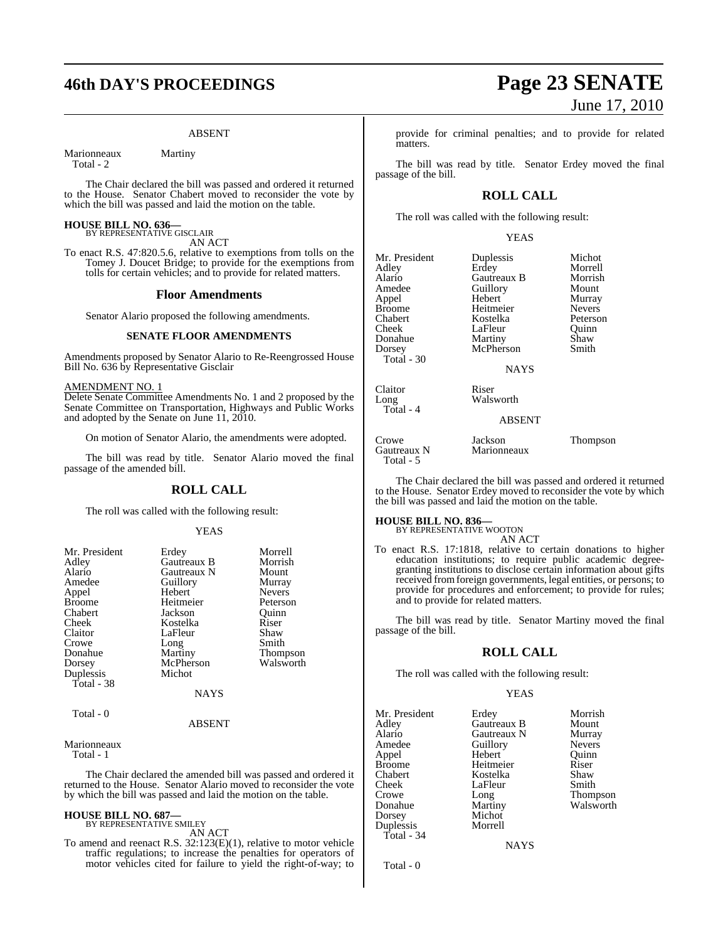# **46th DAY'S PROCEEDINGS Page 23 SENATE**

#### ABSENT

Marionneaux Martiny

Total - 2

The Chair declared the bill was passed and ordered it returned to the House. Senator Chabert moved to reconsider the vote by which the bill was passed and laid the motion on the table.

# **HOUSE BILL NO. 636—** BY REPRESENTATIVE GISCLAIR

AN ACT

To enact R.S. 47:820.5.6, relative to exemptions from tolls on the Tomey J. Doucet Bridge; to provide for the exemptions from tolls for certain vehicles; and to provide for related matters.

#### **Floor Amendments**

Senator Alario proposed the following amendments.

#### **SENATE FLOOR AMENDMENTS**

Amendments proposed by Senator Alario to Re-Reengrossed House Bill No. 636 by Representative Gisclair

#### AMENDMENT NO. 1

Delete Senate Committee Amendments No. 1 and 2 proposed by the Senate Committee on Transportation, Highways and Public Works and adopted by the Senate on June 11, 2010.

On motion of Senator Alario, the amendments were adopted.

The bill was read by title. Senator Alario moved the final passage of the amended bill.

#### **ROLL CALL**

The roll was called with the following result:

#### YEAS

| Mr. President | Erdey       | Morrell         |
|---------------|-------------|-----------------|
| Adley         | Gautreaux B | Morrish         |
| Alario        | Gautreaux N | Mount           |
| Amedee        | Guillory    | Murray          |
| Appel         | Hebert      | <b>Nevers</b>   |
| <b>Broome</b> | Heitmeier   | Peterson        |
| Chabert       | Jackson     | Ouinn           |
| Cheek         | Kostelka    | Riser           |
| Claitor       | LaFleur     | Shaw            |
| Crowe         | Long        | Smith           |
| Donahue       | Martiny     | <b>Thompson</b> |
| Dorsey        | McPherson   | Walsworth       |
| Duplessis     | Michot      |                 |
| Total - 38    |             |                 |
|               | <b>NAYS</b> |                 |
| Total - 0     |             |                 |

#### ABSENT

Marionneaux

Total - 1

The Chair declared the amended bill was passed and ordered it returned to the House. Senator Alario moved to reconsider the vote by which the bill was passed and laid the motion on the table.

#### **HOUSE BILL NO. 687—** BY REPRESENTATIVE SMILEY

AN ACT

To amend and reenact R.S. 32:123(E)(1), relative to motor vehicle traffic regulations; to increase the penalties for operators of motor vehicles cited for failure to yield the right-of-way; to

## provide for criminal penalties; and to provide for related matters.

The bill was read by title. Senator Erdey moved the final passage of the bill.

## **ROLL CALL**

The roll was called with the following result:

YEAS

| Mr. President | Duplessis   | Michot        |
|---------------|-------------|---------------|
| Adley         | Erdey       | Morrell       |
| Alario        | Gautreaux B | Morrish       |
| Amedee        | Guillory    | Mount         |
| Appel         | Hebert      | Murray        |
| <b>Broome</b> | Heitmeier   | <b>Nevers</b> |
| Chabert       | Kostelka    | Peterso       |
| Cheek         | LaFleur     | Ouinn         |
| Donahue       | Martiny     | Shaw          |
| Dorsey        | McPherson   | Smith         |
| Total - 30    |             |               |
|               | <b>NAYS</b> |               |

Total - 4

### Claitor Riser<br>Long Walsv Walsworth

ABSENT

| Crowe       | Jackson     | Thompson |
|-------------|-------------|----------|
| Gautreaux N | Marionneaux |          |
| Total - 5   |             |          |

The Chair declared the bill was passed and ordered it returned to the House. Senator Erdey moved to reconsider the vote by which the bill was passed and laid the motion on the table.

#### **HOUSE BILL NO. 836—**

BY REPRESENTATIVE WOOTON AN ACT

To enact R.S. 17:1818, relative to certain donations to higher education institutions; to require public academic degreegranting institutions to disclose certain information about gifts received from foreign governments, legal entities, or persons; to provide for procedures and enforcement; to provide for rules; and to provide for related matters.

The bill was read by title. Senator Martiny moved the final passage of the bill.

#### **ROLL CALL**

The roll was called with the following result:

#### YEAS

| Mr. President | Erdey       | Morrish         |
|---------------|-------------|-----------------|
| Adley         | Gautreaux B | Mount           |
| Alario        | Gautreaux N | Murray          |
| Amedee        | Guillory    | <b>Nevers</b>   |
| Appel         | Hebert      | Ouinn           |
| <b>Broome</b> | Heitmeier   | Riser           |
| Chabert       | Kostelka    | Shaw            |
| Cheek         | LaFleur     | Smith           |
| Crowe         | Long        | <b>Thompson</b> |
| Donahue       | Martiny     | Walsworth       |
| Dorsey        | Michot      |                 |
| Duplessis     | Morrell     |                 |
| Total - 34    |             |                 |
|               | NAYS        |                 |

Total - 0

# June 17, 2010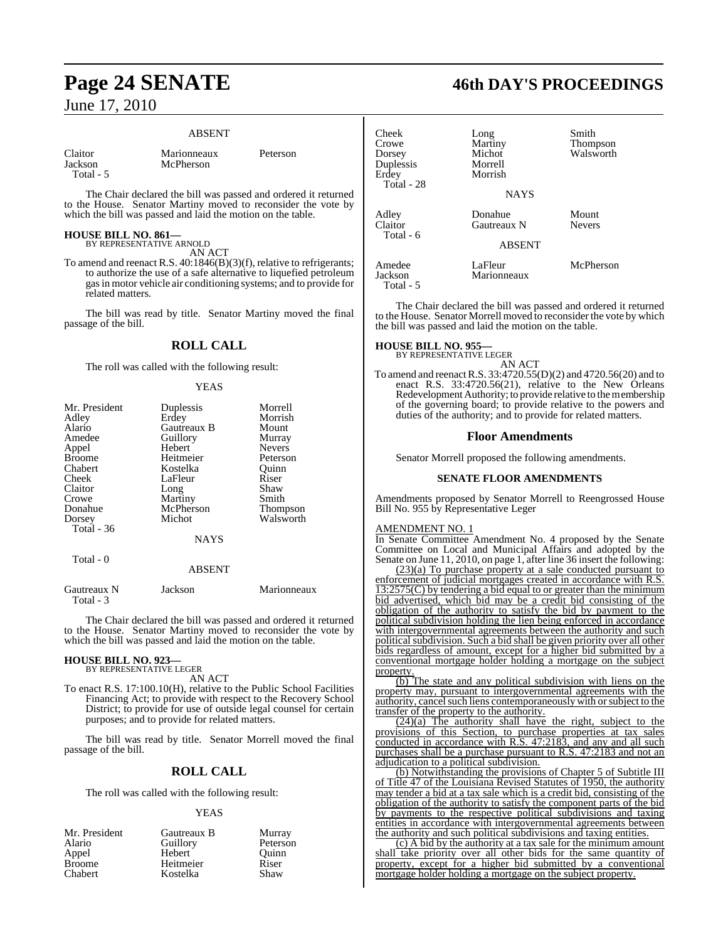#### ABSENT

| Claitor |  |
|---------|--|
| Jackson |  |
| Total - |  |

Marionneaux Peterson McPherson

The Chair declared the bill was passed and ordered it returned to the House. Senator Martiny moved to reconsider the vote by which the bill was passed and laid the motion on the table.

## **HOUSE BILL NO. 861—**

BY REPRESENTATIVE ARNOLD AN ACT

To amend and reenact R.S. 40:1846(B)(3)(f), relative to refrigerants; to authorize the use of a safe alternative to liquefied petroleum gasin motor vehicle air conditioning systems; and to provide for related matters.

The bill was read by title. Senator Martiny moved the final passage of the bill.

## **ROLL CALL**

The roll was called with the following result:

#### YEAS

| Mr. President | Duplessis   | Morrell         |
|---------------|-------------|-----------------|
| Adley         | Erdey       | Morrish         |
| Alario        | Gautreaux B | Mount           |
| Amedee        | Guillory    | Murray          |
| Appel         | Hebert      | <b>Nevers</b>   |
| <b>Broome</b> | Heitmeier   | Peterson        |
| Chabert       | Kostelka    | Ouinn           |
| Cheek         | LaFleur     | Riser           |
| Claitor       | Long        | Shaw            |
| Crowe         | Martiny     | Smith           |
| Donahue       | McPherson   | <b>Thompson</b> |
| Dorsey        | Michot      | Walsworth       |
| Total - 36    |             |                 |
|               | <b>NAYS</b> |                 |
| Total - 0     |             |                 |
|               | ABSENT      |                 |

| Gautreaux N<br>Total - 3 | Jackson | Marionneaux |
|--------------------------|---------|-------------|
|                          |         |             |

The Chair declared the bill was passed and ordered it returned to the House. Senator Martiny moved to reconsider the vote by which the bill was passed and laid the motion on the table.

# **HOUSE BILL NO. 923—** BY REPRESENTATIVE LEGER

AN ACT

To enact R.S. 17:100.10(H), relative to the Public School Facilities Financing Act; to provide with respect to the Recovery School District; to provide for use of outside legal counsel for certain purposes; and to provide for related matters.

The bill was read by title. Senator Morrell moved the final passage of the bill.

## **ROLL CALL**

The roll was called with the following result:

#### YEAS

| Mr. President  | Gautreaux B | Murray   |
|----------------|-------------|----------|
| Alario         | Guillory    | Peterson |
| Appel          | Hebert      | Ouinn    |
| <b>Broome</b>  | Heitmeier   | Riser    |
| <b>Chabert</b> | Kostelka    | Shaw     |

# **Page 24 SENATE 46th DAY'S PROCEEDINGS**

| Cheek<br>Crowe<br>Dorsey<br>Duplessis<br>Erdey<br>Total - 28 | Long<br>Martiny<br>Michot<br>Morrell<br>Morrish<br><b>NAYS</b> | Smith<br><b>Thompson</b><br>Walsworth |
|--------------------------------------------------------------|----------------------------------------------------------------|---------------------------------------|
| Adley<br>Claitor<br>Total - 6                                | Donahue<br><b>Gautreaux N</b><br><b>ABSENT</b>                 | Mount<br><b>Nevers</b>                |
| Amedee<br>Jackson<br>$Total - 5$                             | LaFleur<br>Marionneaux                                         | McPherson                             |

The Chair declared the bill was passed and ordered it returned to the House. Senator Morrell moved to reconsider the vote by which the bill was passed and laid the motion on the table.

# **HOUSE BILL NO. 955—** BY REPRESENTATIVE LEGER

AN ACT

To amend and reenactR.S. 33:4720.55(D)(2) and 4720.56(20) and to enact R.S. 33:4720.56(21), relative to the New Orleans Redevelopment Authority; to provide relative to the membership of the governing board; to provide relative to the powers and duties of the authority; and to provide for related matters.

#### **Floor Amendments**

Senator Morrell proposed the following amendments.

#### **SENATE FLOOR AMENDMENTS**

Amendments proposed by Senator Morrell to Reengrossed House Bill No. 955 by Representative Leger

#### AMENDMENT NO. 1

In Senate Committee Amendment No. 4 proposed by the Senate Committee on Local and Municipal Affairs and adopted by the Senate on June 11, 2010, on page 1, after line 36 insert the following:

(23)(a) To purchase property at a sale conducted pursuant to enforcement of judicial mortgages created in accordance with R.S. 13:2575(C) by tendering a bid equal to or greater than the minimum bid advertised, which bid may be a credit bid consisting of the obligation of the authority to satisfy the bid by payment to the political subdivision holding the lien being enforced in accordance with intergovernmental agreements between the authority and such political subdivision. Such a bid shall be given priority over all other bids regardless of amount, except for a higher bid submitted by a conventional mortgage holder holding a mortgage on the subject property.

(b) The state and any political subdivision with liens on the property may, pursuant to intergovernmental agreements with the authority, cancel such liens contemporaneously with or subject to the transfer of the property to the authority.

(24)(a) The authority shall have the right, subject to the provisions of this Section, to purchase properties at tax sales conducted in accordance with R.S. 47:2183, and any and all such purchases shall be a purchase pursuant to R.S. 47:2183 and not an adjudication to a political subdivision.

(b) Notwithstanding the provisions of Chapter 5 of Subtitle III of Title 47 of the Louisiana Revised Statutes of 1950, the authority may tender a bid at a tax sale which is a credit bid, consisting of the obligation of the authority to satisfy the component parts of the bid by payments to the respective political subdivisions and taxing entities in accordance with intergovernmental agreements between the authority and such political subdivisions and taxing entities.

(c) A bid by the authority at a tax sale for the minimum amount shall take priority over all other bids for the same quantity of property, except for a higher bid submitted by a conventional mortgage holder holding a mortgage on the subject property.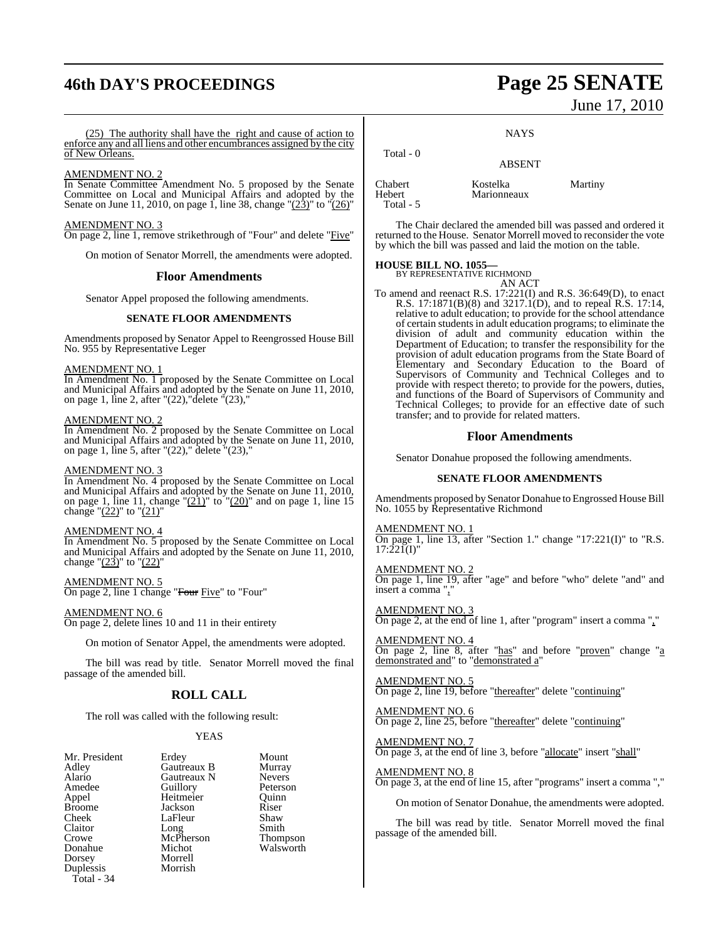# **46th DAY'S PROCEEDINGS Page 25 SENATE**

(25) The authority shall have the right and cause of action to enforce any and all liens and other encumbrances assigned by the city of New Orleans.

#### AMENDMENT NO. 2

In Senate Committee Amendment No. 5 proposed by the Senate Committee on Local and Municipal Affairs and adopted by the Senate on June 11, 2010, on page 1, line 38, change " $(23)$ " to " $(26)$ "

AMENDMENT NO. 3 On page 2, line 1, remove strikethrough of "Four" and delete "Five"

On motion of Senator Morrell, the amendments were adopted.

#### **Floor Amendments**

Senator Appel proposed the following amendments.

#### **SENATE FLOOR AMENDMENTS**

Amendments proposed by Senator Appel to Reengrossed House Bill No. 955 by Representative Leger

#### AMENDMENT NO. 1

In Amendment No. 1 proposed by the Senate Committee on Local and Municipal Affairs and adopted by the Senate on June 11, 2010, on page 1, line 2, after "(22),"delete "(23),"

#### AMENDMENT NO. 2

In Amendment No. 2 proposed by the Senate Committee on Local and Municipal Affairs and adopted by the Senate on June 11, 2010, on page 1, line 5, after "(22)," delete "(23),"

#### AMENDMENT NO. 3

In Amendment No. 4 proposed by the Senate Committee on Local and Municipal Affairs and adopted by the Senate on June 11, 2010, on page 1, line 11, change " $(21)$ " to " $(20)$ " and on page 1, line 15 change " $(22)$ " to " $(21)$ "

#### AMENDMENT NO. 4

In Amendment No. 5 proposed by the Senate Committee on Local and Municipal Affairs and adopted by the Senate on June 11, 2010, change " $(23)$ " to " $(22)$ "

AMENDMENT NO. 5 On page 2, line 1 change "Four Five" to "Four"

AMENDMENT NO. 6 On page 2, delete lines 10 and 11 in their entirety

On motion of Senator Appel, the amendments were adopted.

The bill was read by title. Senator Morrell moved the final passage of the amended bill.

## **ROLL CALL**

The roll was called with the following result:

#### YEAS

| Mr. President | Erdey       | Mount         |
|---------------|-------------|---------------|
| Adley         | Gautreaux B | Murray        |
| Alario        | Gautreaux N | <b>Nevers</b> |
| Amedee        | Guillory    | Peterson      |
| Appel         | Heitmeier   | Ouinn         |
| <b>Broome</b> | Jackson     | Riser         |
| Cheek         | LaFleur     | Shaw          |
| Claitor       | Long        | Smith         |
| Crowe         | McPherson   | Thompson      |
| Donahue       | Michot      | Walsworth     |
| Dorsey        | Morrell     |               |
| Duplessis     | Morrish     |               |
| Total - 34    |             |               |

# June 17, 2010

**NAYS** 

### Total - 0 ABSENT Chabert Kostelka Martiny Marionneaux

The Chair declared the amended bill was passed and ordered it returned to the House. Senator Morrell moved to reconsider the vote by which the bill was passed and laid the motion on the table.

#### **HOUSE BILL NO. 1055—**

Total - 5

BY REPRESENTATIVE RICHMOND AN ACT

To amend and reenact R.S. 17:221(I) and R.S. 36:649(D), to enact R.S. 17:1871(B)(8) and 3217.1(D), and to repeal R.S. 17:14, relative to adult education; to provide for the school attendance of certain students in adult education programs; to eliminate the division of adult and community education within the Department of Education; to transfer the responsibility for the provision of adult education programs from the State Board of Elementary and Secondary Education to the Board of Supervisors of Community and Technical Colleges and to provide with respect thereto; to provide for the powers, duties, and functions of the Board of Supervisors of Community and Technical Colleges; to provide for an effective date of such transfer; and to provide for related matters.

#### **Floor Amendments**

Senator Donahue proposed the following amendments.

#### **SENATE FLOOR AMENDMENTS**

Amendments proposed by Senator Donahue to Engrossed House Bill No. 1055 by Representative Richmond

#### AMENDMENT NO. 1

On page 1, line 13, after "Section 1." change "17:221(I)" to "R.S.  $17:221(I)'$ 

#### AMENDMENT NO. 2

On page 1, line 19, after "age" and before "who" delete "and" and insert a comma  $"$ ,

AMENDMENT NO. 3 On page 2, at the end of line 1, after "program" insert a comma ","

AMENDMENT NO. 4 On page 2, line 8, after "has" and before "proven" change "a demonstrated and" to "demonstrated a"

AMENDMENT NO. 5 On page 2, line 19, before "thereafter" delete "continuing"

AMENDMENT NO. 6 On page 2, line 25, before "thereafter" delete "continuing"

AMENDMENT NO. 7 On page 3, at the end of line 3, before "allocate" insert "shall"

AMENDMENT NO. 8 On page 3, at the end of line 15, after "programs" insert a comma ","

On motion of Senator Donahue, the amendments were adopted.

The bill was read by title. Senator Morrell moved the final passage of the amended bill.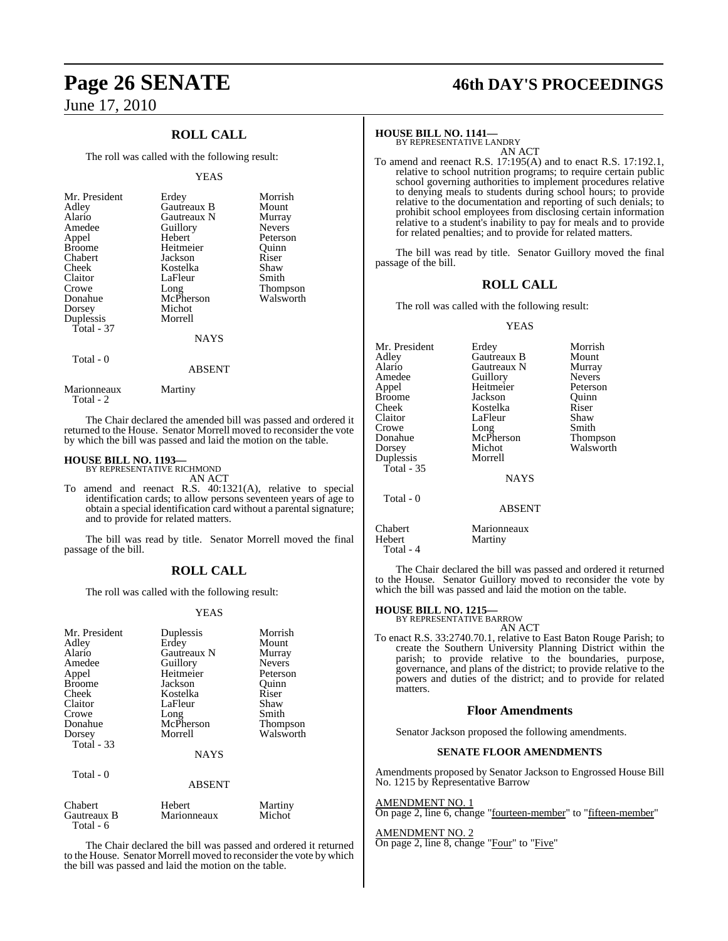## **ROLL CALL**

The roll was called with the following result:

#### YEAS

| Mr. President<br>Adley<br>Alario<br>Amedee<br>Appel<br><b>Broome</b><br>Chabert<br>Cheek<br>Claitor<br>Crowe<br>Donahue<br>Dorsey<br>Duplessis<br>Total - 37 | Erdey<br>Gautreaux B<br>Gautreaux N<br>Guillory<br>Hebert<br>Heitmeier<br>Jackson<br>Kostelka<br>LaFleur<br>Long<br>McPherson<br>Michot<br>Morrell<br><b>NAYS</b> | Morrish<br>Mount<br>Murray<br><b>Nevers</b><br>Peterson<br>Ouinn<br>Riser<br>Shaw<br>Smith<br><b>Thompson</b><br>Walsworth |
|--------------------------------------------------------------------------------------------------------------------------------------------------------------|-------------------------------------------------------------------------------------------------------------------------------------------------------------------|----------------------------------------------------------------------------------------------------------------------------|
|                                                                                                                                                              |                                                                                                                                                                   |                                                                                                                            |
|                                                                                                                                                              |                                                                                                                                                                   |                                                                                                                            |

## Total - 0

Total - 2

Total - 6

Marionneaux Martiny

The Chair declared the amended bill was passed and ordered it returned to the House. Senator Morrell moved to reconsider the vote by which the bill was passed and laid the motion on the table.

ABSENT

# **HOUSE BILL NO. 1193—** BY REPRESENTATIVE RICHMOND

AN ACT

To amend and reenact R.S. 40:1321(A), relative to special identification cards; to allow persons seventeen years of age to obtain a special identification card without a parental signature; and to provide for related matters.

The bill was read by title. Senator Morrell moved the final passage of the bill.

#### **ROLL CALL**

The roll was called with the following result:

#### YEAS

| Mr. President<br>Adley<br>Alario<br>Amedee<br>Appel<br><b>Broome</b><br>Cheek<br>Claitor<br>Crowe<br>Donahue<br>Dorsey<br>Total - 33 | Duplessis<br>Erdey<br>Gautreaux N<br>Guillory<br>Heitmeier<br>Jackson<br>Kostelka<br>LaFleur<br>Long<br>McPherson<br>Morrell | Morrish<br>Mount<br>Murray<br><b>Nevers</b><br>Peterson<br>Quinn<br>Riser<br>Shaw<br>Smith<br>Thompson<br>Walsworth |
|--------------------------------------------------------------------------------------------------------------------------------------|------------------------------------------------------------------------------------------------------------------------------|---------------------------------------------------------------------------------------------------------------------|
|                                                                                                                                      | <b>NAYS</b>                                                                                                                  |                                                                                                                     |
| Total - 0                                                                                                                            | <b>ABSENT</b>                                                                                                                |                                                                                                                     |
| Chabert<br>Gautreaux B                                                                                                               | Hebert<br>Marionneaux                                                                                                        | Martiny<br>Michot                                                                                                   |

The Chair declared the bill was passed and ordered it returned to the House. Senator Morrell moved to reconsider the vote by which the bill was passed and laid the motion on the table.

# **Page 26 SENATE 46th DAY'S PROCEEDINGS**

# **HOUSE BILL NO. 1141—** BY REPRESENTATIVE LANDRY

AN ACT

To amend and reenact R.S. 17:195(A) and to enact R.S. 17:192.1, relative to school nutrition programs; to require certain public school governing authorities to implement procedures relative to denying meals to students during school hours; to provide relative to the documentation and reporting of such denials; to prohibit school employees from disclosing certain information relative to a student's inability to pay for meals and to provide for related penalties; and to provide for related matters.

The bill was read by title. Senator Guillory moved the final passage of the bill.

## **ROLL CALL**

The roll was called with the following result:

#### YEAS

| Mr. President | Erdey         | Morrish       |
|---------------|---------------|---------------|
| Adley         | Gautreaux B   | Mount         |
| Alario        | Gautreaux N   | Murray        |
| Amedee        | Guillory      | <b>Nevers</b> |
| Appel         | Heitmeier     | Peterson      |
| Broome        | Jackson       | Ouinn         |
| Cheek         | Kostelka      | Riser         |
| Claitor       | LaFleur       | Shaw          |
| Crowe         | Long          | Smith         |
| Donahue       | McPherson     | Thompson      |
| Dorsey        | Michot        | Walsworth     |
| Duplessis     | Morrell       |               |
| Total - 35    |               |               |
|               | <b>NAYS</b>   |               |
| Total - 0     |               |               |
|               | <b>ABSENT</b> |               |
| $C1 - 1 - 1$  | $M = 12.5$    |               |

Chabert Marionneaux<br>
Hebert Martiny Martiny

The Chair declared the bill was passed and ordered it returned to the House. Senator Guillory moved to reconsider the vote by which the bill was passed and laid the motion on the table.

# **HOUSE BILL NO. 1215—** BY REPRESENTATIVE BARROW

Total - 4

AN ACT

To enact R.S. 33:2740.70.1, relative to East Baton Rouge Parish; to create the Southern University Planning District within the parish; to provide relative to the boundaries, purpose, governance, and plans of the district; to provide relative to the powers and duties of the district; and to provide for related matters.

#### **Floor Amendments**

Senator Jackson proposed the following amendments.

#### **SENATE FLOOR AMENDMENTS**

Amendments proposed by Senator Jackson to Engrossed House Bill No. 1215 by Representative Barrow

AMENDMENT NO. 1 On page 2, line 6, change "fourteen-member" to "fifteen-member"

## AMENDMENT NO. 2

On page 2, line 8, change "Four" to "Five"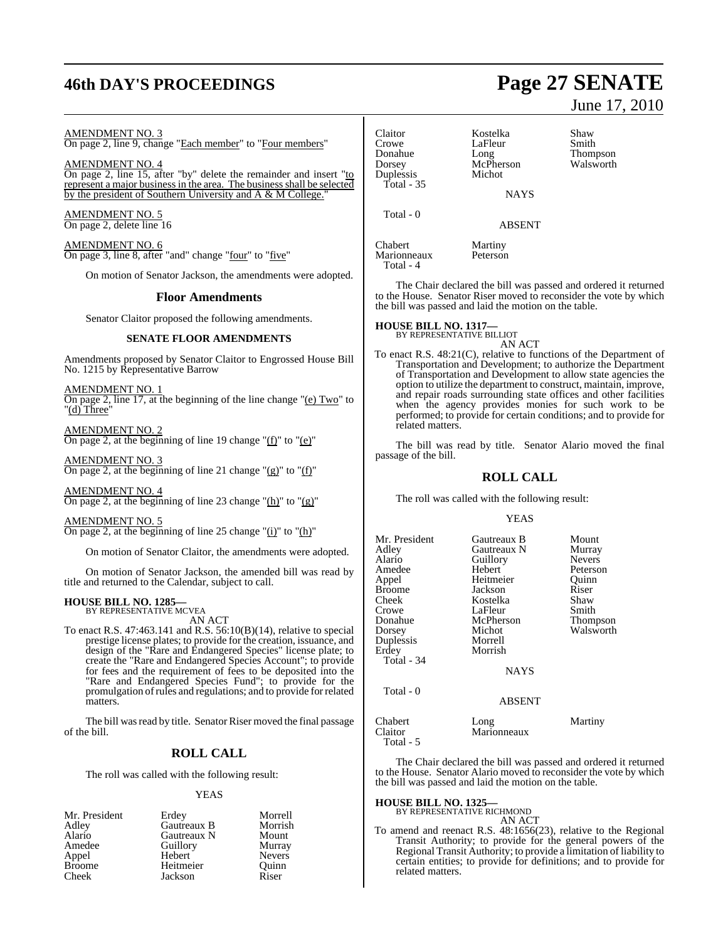# **46th DAY'S PROCEEDINGS Page 27 SENATE**

#### AMENDMENT NO. 3

On page 2, line 9, change "Each member" to "Four members"

AMENDMENT NO. 4 On page 2, line 15, after "by" delete the remainder and insert "to represent a major business in the area. The business shall be selected by the president of Southern University and A & M College."

AMENDMENT NO. 5 On page 2, delete line 16

AMENDMENT NO. 6 On page 3, line 8, after "and" change "four" to "five"

On motion of Senator Jackson, the amendments were adopted.

#### **Floor Amendments**

Senator Claitor proposed the following amendments.

#### **SENATE FLOOR AMENDMENTS**

Amendments proposed by Senator Claitor to Engrossed House Bill No. 1215 by Representative Barrow

AMENDMENT NO. 1 On page 2, line 17, at the beginning of the line change "(e) Two" to "(d) Three"

AMENDMENT NO. 2 On page 2, at the beginning of line 19 change " $(f)$ " to " $(e)$ "

AMENDMENT NO. 3 On page 2, at the beginning of line 21 change " $(g)$ " to " $(f)$ "

AMENDMENT NO. 4 On page 2, at the beginning of line 23 change "(h)" to " $(g)$ "

AMENDMENT NO. 5 On page 2, at the beginning of line 25 change " $(i)$ " to " $(h)$ "

On motion of Senator Claitor, the amendments were adopted.

On motion of Senator Jackson, the amended bill was read by title and returned to the Calendar, subject to call.

#### **HOUSE BILL NO. 1285—** BY REPRESENTATIVE MCVEA

AN ACT

To enact R.S. 47:463.141 and R.S. 56:10(B)(14), relative to special prestige license plates; to provide for the creation, issuance, and design of the "Rare and Endangered Species" license plate; to create the "Rare and Endangered Species Account"; to provide for fees and the requirement of fees to be deposited into the "Rare and Endangered Species Fund"; to provide for the promulgation ofrules and regulations; and to provide forrelated matters.

The bill was read by title. Senator Riser moved the final passage of the bill.

## **ROLL CALL**

The roll was called with the following result:

#### YEAS

| Mr. President | Erdey       | Morrell       |
|---------------|-------------|---------------|
| Adley         | Gautreaux B | Morrish       |
| Alario        | Gautreaux N | Mount         |
| Amedee        | Guillory    | Murray        |
| Appel         | Hebert      | <b>Nevers</b> |
| <b>Broome</b> | Heitmeier   | Ouinn         |
| Cheek         | Jackson     | Riser         |

## Claitor **Kostelka** Shaw<br>Crowe LaFleur Smith Crowe LaFleur<br>Donahue Long Donahue Long Thompson Duplessis Total - 35

Total - 0

Total - 4

McPherson<br>Michot

**NAYS** 

ABSENT

Chabert Martiny Marionneaux Peterson

The Chair declared the bill was passed and ordered it returned to the House. Senator Riser moved to reconsider the vote by which the bill was passed and laid the motion on the table.

#### **HOUSE BILL NO. 1317—** BY REPRESENTATIVE BILLIOT

AN ACT

To enact R.S. 48:21(C), relative to functions of the Department of Transportation and Development; to authorize the Department of Transportation and Development to allow state agencies the option to utilize the department to construct, maintain, improve, and repair roads surrounding state offices and other facilities when the agency provides monies for such work to be performed; to provide for certain conditions; and to provide for related matters.

The bill was read by title. Senator Alario moved the final passage of the bill.

#### **ROLL CALL**

The roll was called with the following result:

#### YEAS

| Mr. President<br>Adley<br>Alario<br>Amedee<br>Appel<br>Broome<br>Cheek<br>Crowe<br>Donahue<br>Dorsey<br>Duplessis<br>Erdey<br>Total - 34<br>Total - 0 | Gautreaux B<br>Gautreaux N<br>Guillory<br>Hebert<br>Heitmeier<br>Jackson<br>Kostelka<br>LaFleur<br>McPherson<br>Michot<br>Morrell<br>Morrish<br><b>NAYS</b> | Mount<br>Murray<br><b>Nevers</b><br>Peterson<br>Ouinn<br>Riser<br>Shaw<br>Smith<br>Thompson<br>Walsworth |
|-------------------------------------------------------------------------------------------------------------------------------------------------------|-------------------------------------------------------------------------------------------------------------------------------------------------------------|----------------------------------------------------------------------------------------------------------|
|                                                                                                                                                       | <b>ABSENT</b>                                                                                                                                               |                                                                                                          |
| Chabert                                                                                                                                               | Long                                                                                                                                                        | Martiny                                                                                                  |
| Claitor                                                                                                                                               | Marionneaux                                                                                                                                                 |                                                                                                          |

Total - 5

The Chair declared the bill was passed and ordered it returned to the House. Senator Alario moved to reconsider the vote by which the bill was passed and laid the motion on the table.

#### **HOUSE BILL NO. 1325—**

BY REPRESENTATIVE RICHMOND AN ACT

To amend and reenact R.S. 48:1656(23), relative to the Regional Transit Authority; to provide for the general powers of the Regional Transit Authority; to provide a limitation of liability to certain entities; to provide for definitions; and to provide for related matters.

# June 17, 2010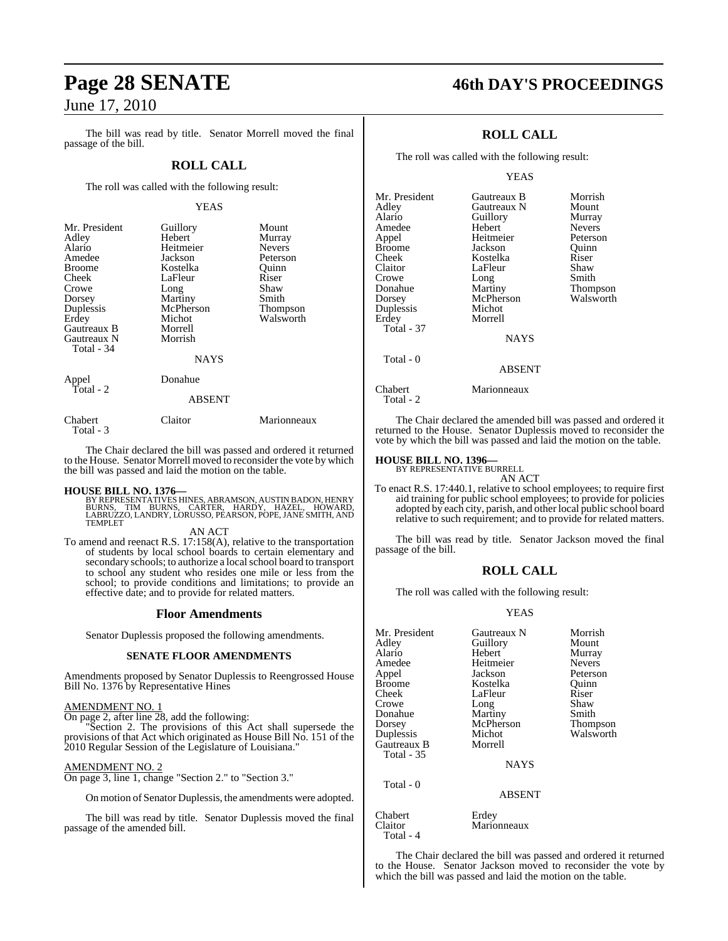The bill was read by title. Senator Morrell moved the final passage of the bill.

### **ROLL CALL**

The roll was called with the following result:

#### YEAS

| Mr. President<br>Adley<br>Alario<br>Amedee<br>Broome<br>Cheek<br>Crowe<br>Dorsey<br>Duplessis<br>Erdey<br>Gautreaux B<br>Gautreaux N<br>Total - 34 | Guillory<br>Hebert<br>Heitmeier<br>Jackson<br>Kostelka<br>LaFleur<br>Long<br>Martiny<br>McPherson<br>Michot<br>Morrell<br>Morrish<br><b>NAYS</b> | Mount<br>Murray<br><b>Nevers</b><br>Peterson<br>Ouinn<br>Riser<br>Shaw<br>Smith<br>Thompson<br>Walsworth |
|----------------------------------------------------------------------------------------------------------------------------------------------------|--------------------------------------------------------------------------------------------------------------------------------------------------|----------------------------------------------------------------------------------------------------------|
| Appel<br>Total - 2                                                                                                                                 | Donahue<br><b>ABSENT</b>                                                                                                                         |                                                                                                          |
| Chabert<br>Total - 3                                                                                                                               | Claitor                                                                                                                                          | Marionneaux                                                                                              |

The Chair declared the bill was passed and ordered it returned to the House. Senator Morrell moved to reconsider the vote by which the bill was passed and laid the motion on the table.

**HOUSE BILL NO. 1376—**<br>BY REPRESENTATIVES HINES, ABRAMSON, AUSTIN BADON, HENRY<br>BURNS, TIM BURNS, CARTER, HARDY, HAZEL, HOWARD,<br>LABRUZZO, LANDRY, LORUSSO, PEARSON, POPE, JANE SMITH, AND<br>TEMPLET

#### AN ACT

To amend and reenact R.S. 17:158(A), relative to the transportation of students by local school boards to certain elementary and secondary schools; to authorize a local school board to transport to school any student who resides one mile or less from the school; to provide conditions and limitations; to provide an effective date; and to provide for related matters.

#### **Floor Amendments**

Senator Duplessis proposed the following amendments.

#### **SENATE FLOOR AMENDMENTS**

Amendments proposed by Senator Duplessis to Reengrossed House Bill No. 1376 by Representative Hines

#### AMENDMENT NO. 1

On page 2, after line 28, add the following:

"Section 2. The provisions of this Act shall supersede the provisions of that Act which originated as House Bill No. 151 of the 2010 Regular Session of the Legislature of Louisiana."

#### AMENDMENT NO. 2

On page 3, line 1, change "Section 2." to "Section 3."

On motion of Senator Duplessis, the amendments were adopted.

The bill was read by title. Senator Duplessis moved the final passage of the amended bill.

# **Page 28 SENATE 46th DAY'S PROCEEDINGS**

## **ROLL CALL**

The roll was called with the following result:

#### YEAS

| Gautreaux B   | Morrish       |
|---------------|---------------|
| Gautreaux N   | Mount         |
| Guillory      | Murray        |
| Hebert        | <b>Nevers</b> |
| Heitmeier     | Peterson      |
| Jackson       | Ouinn         |
| Kostelka      | Riser         |
| LaFleur       | Shaw          |
| Long          | Smith         |
| Martiny       | Thompson      |
| McPherson     | Walsworth     |
| Michot        |               |
| Morrell       |               |
|               |               |
|               |               |
|               |               |
| <b>ABSENT</b> |               |
| Marionneaux   |               |
|               | <b>NAYS</b>   |

The Chair declared the amended bill was passed and ordered it returned to the House. Senator Duplessis moved to reconsider the vote by which the bill was passed and laid the motion on the table.

# **HOUSE BILL NO. 1396—** BY REPRESENTATIVE BURRELL

Total - 2

AN ACT

To enact R.S. 17:440.1, relative to school employees; to require first aid training for public school employees; to provide for policies adopted by each city, parish, and other local public school board relative to such requirement; and to provide for related matters.

The bill was read by title. Senator Jackson moved the final passage of the bill.

#### **ROLL CALL**

The roll was called with the following result:

#### YEAS

| Mr. President<br>Adley<br>Alario<br>Amedee<br>Appel<br><b>Broome</b><br>Cheek<br>Crowe<br>Donahue<br>Dorsey<br>Duplessis<br>Gautreaux B<br>Total - 35 | Gautreaux N<br>Guillory<br>Hebert<br>Heitmeier<br>Jackson<br>Kostelka<br>LaFleur<br>Long<br>Martiny<br>McPherson<br>Michot<br>Morrell<br><b>NAYS</b> | Morrish<br>Mount<br>Murray<br><b>Nevers</b><br>Peterson<br>Ouinn<br>Riser<br>Shaw<br>Smith<br>Thompson<br>Walsworth |
|-------------------------------------------------------------------------------------------------------------------------------------------------------|------------------------------------------------------------------------------------------------------------------------------------------------------|---------------------------------------------------------------------------------------------------------------------|
| Total - 0                                                                                                                                             | <b>ABSENT</b>                                                                                                                                        |                                                                                                                     |
| Chabert<br>Claitor<br>Total - 4                                                                                                                       | Erdey<br>Marionneaux                                                                                                                                 |                                                                                                                     |

The Chair declared the bill was passed and ordered it returned to the House. Senator Jackson moved to reconsider the vote by which the bill was passed and laid the motion on the table.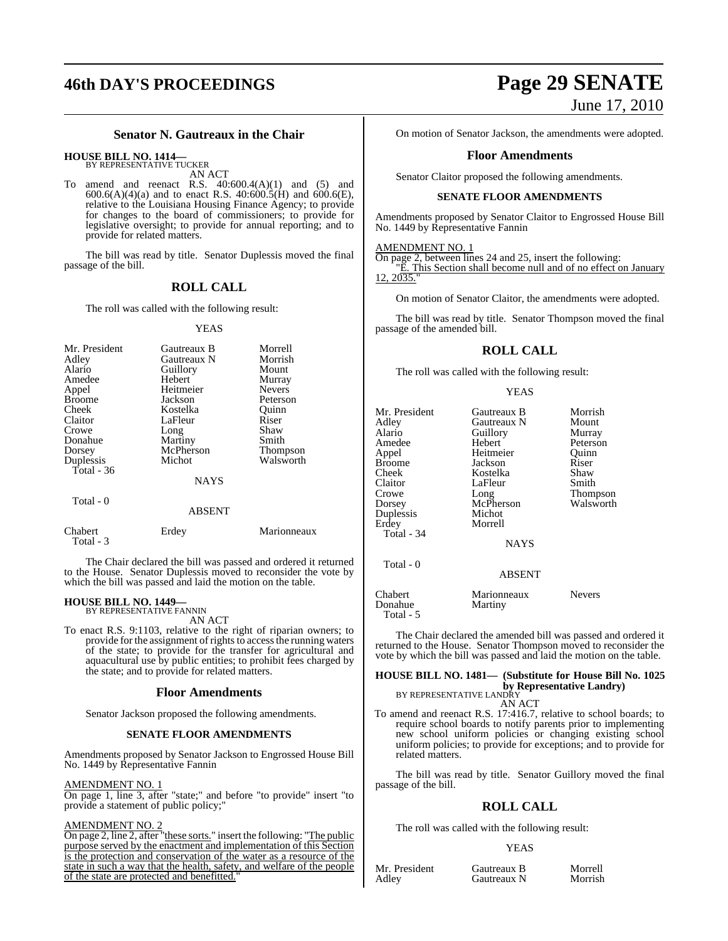## **Senator N. Gautreaux in the Chair**

#### **HOUSE BILL NO. 1414—** BY REPRESENTATIVE TUCKER

AN ACT

amend and reenact R.S.  $40:600.4(A)(1)$  and  $(5)$  and  $600.6(A)(4)(a)$  and to enact R.S.  $40:600.5(H)$  and  $600.6(E)$ , relative to the Louisiana Housing Finance Agency; to provide for changes to the board of commissioners; to provide for legislative oversight; to provide for annual reporting; and to provide for related matters.

The bill was read by title. Senator Duplessis moved the final passage of the bill.

### **ROLL CALL**

The roll was called with the following result:

#### YEAS

| Mr. President<br>Adley<br>Alario<br>Amedee<br>Appel<br><b>Broome</b><br>Cheek<br>Claitor<br>Crowe<br>Donahue<br>Dorsey | Gautreaux B<br>Gautreaux N<br>Guillory<br>Hebert<br>Heitmeier<br>Jackson<br>Kostelka<br>LaFleur<br>Long<br>Martiny<br>McPherson | Morrell<br>Morrish<br>Mount<br>Murray<br><b>Nevers</b><br>Peterson<br>Ouinn<br>Riser<br>Shaw<br>Smith<br><b>Thompson</b> |
|------------------------------------------------------------------------------------------------------------------------|---------------------------------------------------------------------------------------------------------------------------------|--------------------------------------------------------------------------------------------------------------------------|
| Duplessis                                                                                                              | Michot                                                                                                                          | Walsworth                                                                                                                |
| Total - 36                                                                                                             |                                                                                                                                 |                                                                                                                          |
|                                                                                                                        | <b>NAYS</b>                                                                                                                     |                                                                                                                          |
| Total - 0                                                                                                              | <b>ABSENT</b>                                                                                                                   |                                                                                                                          |

Chabert Erdey Marionneaux Total - 3

The Chair declared the bill was passed and ordered it returned to the House. Senator Duplessis moved to reconsider the vote by which the bill was passed and laid the motion on the table.

#### **HOUSE BILL NO. 1449—** BY REPRESENTATIVE FANNIN

AN ACT

To enact R.S. 9:1103, relative to the right of riparian owners; to provide for the assignment of rights to access the running waters of the state; to provide for the transfer for agricultural and aquacultural use by public entities; to prohibit fees charged by the state; and to provide for related matters.

#### **Floor Amendments**

Senator Jackson proposed the following amendments.

#### **SENATE FLOOR AMENDMENTS**

Amendments proposed by Senator Jackson to Engrossed House Bill No. 1449 by Representative Fannin

#### AMENDMENT NO. 1

On page 1, line 3, after "state;" and before "to provide" insert "to provide a statement of public policy;"

#### AMENDMENT NO. 2

On page 2, line 2, after "these sorts." insert the following: "The public purpose served by the enactment and implementation of this Section is the protection and conservation of the water as a resource of the state in such a way that the health, safety, and welfare of the people of the state are protected and benefitted."

# **46th DAY'S PROCEEDINGS Page 29 SENATE** June 17, 2010

On motion of Senator Jackson, the amendments were adopted.

#### **Floor Amendments**

Senator Claitor proposed the following amendments.

#### **SENATE FLOOR AMENDMENTS**

Amendments proposed by Senator Claitor to Engrossed House Bill No. 1449 by Representative Fannin

#### AMENDMENT NO. 1

On page 2, between lines 24 and 25, insert the following: "E. This Section shall become null and of no effect on January 12, 2035.

On motion of Senator Claitor, the amendments were adopted.

The bill was read by title. Senator Thompson moved the final passage of the amended bill.

## **ROLL CALL**

The roll was called with the following result:

YEAS

| Mr. President<br>Adley<br>Alario<br>Amedee<br>Appel<br><b>Broome</b><br>Cheek<br>Claitor<br>Crowe<br>Dorsey<br>Duplessis<br>Erdey<br>Total - 34 | Gautreaux B<br>Gautreaux N<br>Guillory<br>Hebert<br>Heitmeier<br>Jackson<br>Kostelka<br>LaFleur<br>Long<br>McPherson<br>Michot<br>Morrell<br><b>NAYS</b> | Morrish<br>Mount<br>Murray<br>Peterson<br>Ouinn<br>Riser<br>Shaw<br>Smith<br>Thompson<br>Walsworth |
|-------------------------------------------------------------------------------------------------------------------------------------------------|----------------------------------------------------------------------------------------------------------------------------------------------------------|----------------------------------------------------------------------------------------------------|
| Total - 0                                                                                                                                       | <b>ABSENT</b>                                                                                                                                            |                                                                                                    |
| Chabert<br>Donahue<br>Total - 5                                                                                                                 | Marionneaux<br>Martiny                                                                                                                                   | <b>Nevers</b>                                                                                      |

The Chair declared the amended bill was passed and ordered it returned to the House. Senator Thompson moved to reconsider the vote by which the bill was passed and laid the motion on the table.

## **HOUSE BILL NO. 1481— (Substitute for House Bill No. 1025 by Representative Landry)**<br>BY REPRESENTATIVE LANDRY

#### AN ACT

To amend and reenact R.S. 17:416.7, relative to school boards; to require school boards to notify parents prior to implementing new school uniform policies or changing existing school uniform policies; to provide for exceptions; and to provide for related matters.

The bill was read by title. Senator Guillory moved the final passage of the bill.

## **ROLL CALL**

The roll was called with the following result:

## YEAS

Mr. President Gautreaux B Morrell<br>Adley Gautreaux N Morrish

Gautreaux N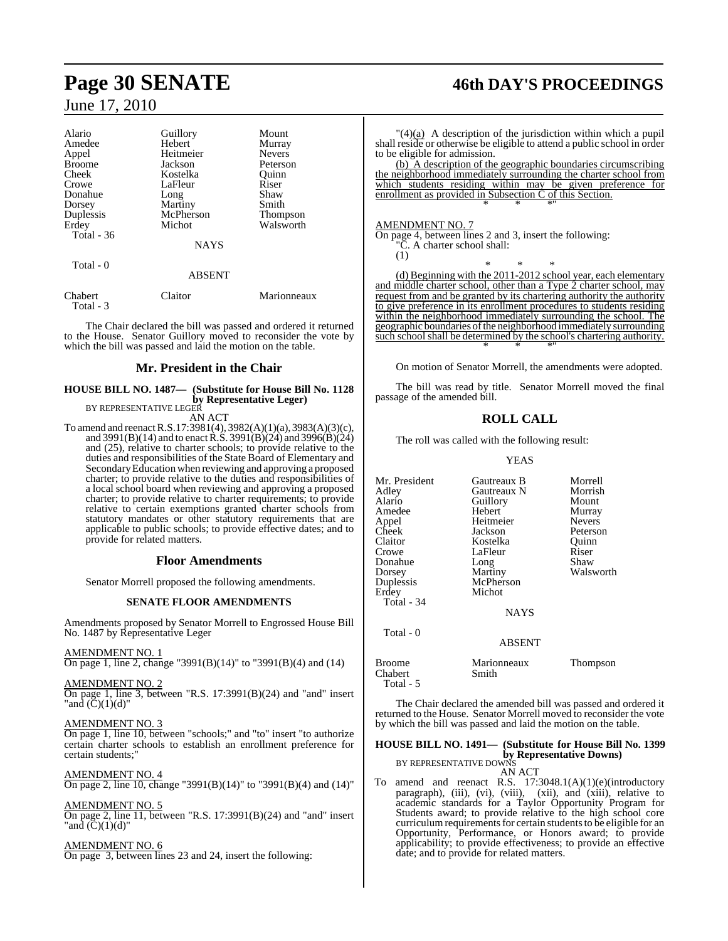Total - 3

| Alario        | Guillory      | Mount           |
|---------------|---------------|-----------------|
| Amedee        | Hebert        | Murray          |
| Appel         | Heitmeier     | <b>Nevers</b>   |
| <b>Broome</b> | Jackson       | Peterson        |
| Cheek         | Kostelka      | Ouinn           |
| Crowe         | LaFleur       | Riser           |
| Donahue       | Long          | Shaw            |
| Dorsey        | Martiny       | Smith           |
| Duplessis     | McPherson     | <b>Thompson</b> |
| Erdey         | Michot        | Walsworth       |
| Total $-36$   |               |                 |
|               | <b>NAYS</b>   |                 |
| Total - 0     |               |                 |
|               | <b>ABSENT</b> |                 |
| Chabert       | Claitor       | Marionneaux     |

The Chair declared the bill was passed and ordered it returned to the House. Senator Guillory moved to reconsider the vote by which the bill was passed and laid the motion on the table.

#### **Mr. President in the Chair**

## **HOUSE BILL NO. 1487— (Substitute for House Bill No. 1128 by Representative Leger)** BY REPRESENTATIVE LEGER

AN ACT

To amend and reenactR.S.17:3981(4), 3982(A)(1)(a), 3983(A)(3)(c), and 3991(B)(14) and to enact R.S. 3991(B)(24) and 3996(B)(24) and (25), relative to charter schools; to provide relative to the duties and responsibilities of the State Board of Elementary and SecondaryEducation when reviewing and approving a proposed charter; to provide relative to the duties and responsibilities of a local school board when reviewing and approving a proposed charter; to provide relative to charter requirements; to provide relative to certain exemptions granted charter schools from statutory mandates or other statutory requirements that are applicable to public schools; to provide effective dates; and to provide for related matters.

#### **Floor Amendments**

Senator Morrell proposed the following amendments.

#### **SENATE FLOOR AMENDMENTS**

Amendments proposed by Senator Morrell to Engrossed House Bill No. 1487 by Representative Leger

#### AMENDMENT NO. 1

On page 1, line 2, change "3991(B)(14)" to "3991(B)(4) and (14)

#### AMENDMENT NO. 2

On page 1, line 3, between "R.S.  $17:3991(B)(24)$  and "and" insert "and  $(\overline{C})(1)(d)$ "

#### AMENDMENT NO. 3

On page 1, line 10, between "schools;" and "to" insert "to authorize certain charter schools to establish an enrollment preference for certain students;"

AMENDMENT NO. 4 On page 2, line 10, change "3991(B)(14)" to "3991(B)(4) and (14)"

#### AMENDMENT NO. 5

On page 2, line 11, between "R.S. 17:3991(B)(24) and "and" insert "and  $(C)(1)(d)$ "

#### AMENDMENT NO. 6

On page 3, between lines 23 and 24, insert the following:

# **Page 30 SENATE 46th DAY'S PROCEEDINGS**

 $\frac{1}{4}$  A description of the jurisdiction within which a pupil shall reside or otherwise be eligible to attend a public school in order to be eligible for admission.

(b) A description of the geographic boundaries circumscribing the neighborhood immediately surrounding the charter school from which students residing within may be given preference for enrollment as provided in Subsection C of this Section. \* \* \*"

AMENDMENT NO. 7

(1)

On page 4, between lines 2 and 3, insert the following: "C. A charter school shall:

\* \* \* (d) Beginning with the 2011-2012 school year, each elementary and middle charter school, other than a Type 2 charter school, may request from and be granted by its chartering authority the authority to give preference in its enrollment procedures to students residing within the neighborhood immediately surrounding the school. The geographic boundaries of the neighborhood immediately surrounding such school shall be determined by the school's chartering authority. \* \* \*"

On motion of Senator Morrell, the amendments were adopted.

The bill was read by title. Senator Morrell moved the final passage of the amended bill.

#### **ROLL CALL**

The roll was called with the following result:

YEAS

| Mr. President<br>Adley<br>Alario<br>Amedee<br>Appel<br>Cheek<br>Claitor<br>Crowe<br>Donahue<br>Dorsey<br>Duplessis<br>Erdey<br>Total - 34<br>Total - 0 | Gautreaux B<br>Gautreaux N<br>Guillory<br>Hebert<br>Heitmeier<br>Jackson<br>Kostelka<br>LaFleur<br>Long<br>Martiny<br>McPherson<br>Michot<br><b>NAYS</b><br><b>ABSENT</b> | Morrell<br>Morrish<br>Mount<br>Murray<br><b>Nevers</b><br>Peterson<br>Quinn<br>Riser<br>Shaw<br>Walsworth |
|--------------------------------------------------------------------------------------------------------------------------------------------------------|---------------------------------------------------------------------------------------------------------------------------------------------------------------------------|-----------------------------------------------------------------------------------------------------------|
| Broome<br>Chabert<br>Total - 5                                                                                                                         | Marionneaux<br>Smith                                                                                                                                                      | Thompson                                                                                                  |

The Chair declared the amended bill was passed and ordered it returned to the House. Senator Morrell moved to reconsider the vote by which the bill was passed and laid the motion on the table.

## **HOUSE BILL NO. 1491— (Substitute for House Bill No. 1399 by Representative Downs)** BY REPRESENTATIVE DOWNS

AN ACT

To amend and reenact R.S. 17:3048.1(A)(1)(e)(introductory paragraph), (iii), (vi), (viii), (xii), and (xiii), relative to academic standards for a Taylor Opportunity Program for Students award; to provide relative to the high school core curriculum requirements for certain students to be eligible for an Opportunity, Performance, or Honors award; to provide applicability; to provide effectiveness; to provide an effective date; and to provide for related matters.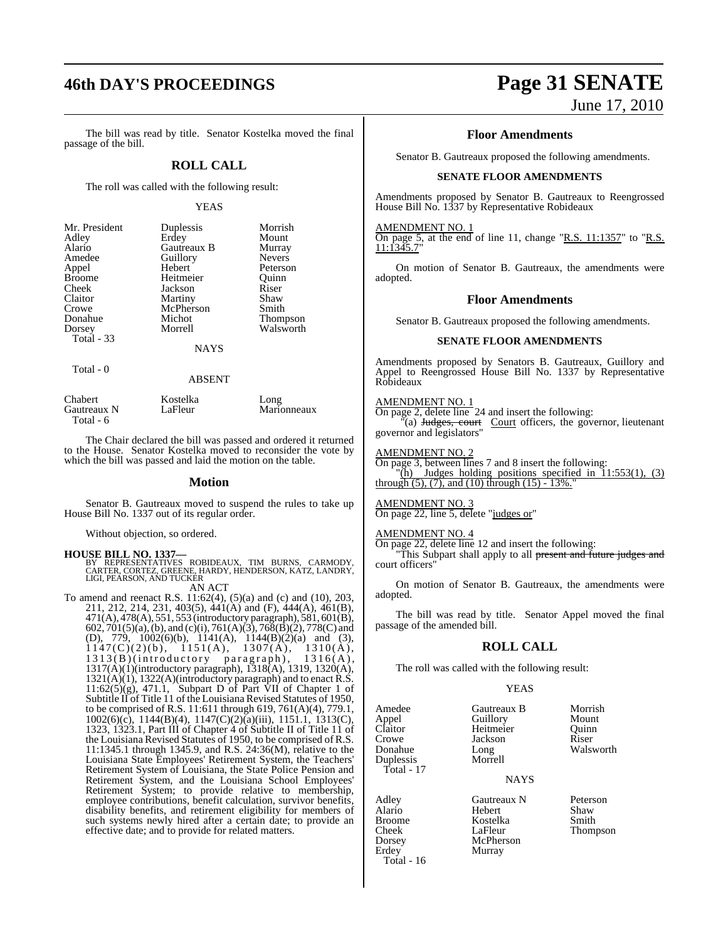# **46th DAY'S PROCEEDINGS Page 31 SENATE**

The bill was read by title. Senator Kostelka moved the final passage of the bill.

#### **ROLL CALL**

The roll was called with the following result:

#### YEAS

| Mr. President | Duplessis   | Morrish       |
|---------------|-------------|---------------|
| Adley         | Erdey       | Mount         |
| Alario        | Gautreaux B | Murray        |
| Amedee        | Guillory    | <b>Nevers</b> |
| Appel         | Hebert      | Peterson      |
| <b>Broome</b> | Heitmeier   | Ouinn         |
| Cheek         | Jackson     | Riser         |
| Claitor       | Martiny     | Shaw          |
| Crowe         | McPherson   | Smith         |
| Donahue       | Michot      | Thompson      |
| Dorsey        | Morrell     | Walsworth     |
| Total - 33    |             |               |
|               | <b>NAYS</b> |               |
| Total - 0     |             |               |

| Chabert     | Kostelka | Long        |
|-------------|----------|-------------|
| Gautreaux N | LaFleur  | Marionneaux |
| Total - 6   |          |             |

The Chair declared the bill was passed and ordered it returned to the House. Senator Kostelka moved to reconsider the vote by which the bill was passed and laid the motion on the table.

ABSENT

#### **Motion**

Senator B. Gautreaux moved to suspend the rules to take up House Bill No. 1337 out of its regular order.

Without objection, so ordered.

**HOUSE BILL NO. 1337—**<br>BY REPRESENTATIVES ROBIDEAUX, TIM BURNS, CARMODY,<br>CARTER, CORTEZ, GREENE, HARDY, HENDERSON, KATZ, LANDRY,<br>LIGI, PEARSON, AND TUCKER

AN ACT

To amend and reenact R.S. 11:62(4), (5)(a) and (c) and (10), 203, 211, 212, 214, 231, 403(5), 441(A) and (F), 444(A), 461(B), 471(A), 478(A), 551, 553 (introductory paragraph), 581, 601(B), 602, 701(5)(a),(b), and (c)(i), 761(A)(3), 768(B)(2), 778(C) and (D), 779, 1002(6)(b), 1141(A), 1144(B)(2)(a) and (3),  $1147(C)(2)(b)$ ,  $1151(A)$ ,  $1307(A)$ ,  $1310(A)$ , 1313(B)(introductory paragraph), 1316(A), 1317(A)(1)(introductory paragraph), 1318(A), 1319, 1320(A),  $1321(A)(1)$ ,  $1322(A)$ (introductory paragraph) and to enact R.S.  $11:62(5)(g)$ , 471.1, Subpart D of Part VII of Chapter 1 of Subtitle II of Title 11 of the Louisiana Revised Statutes of 1950, to be comprised of R.S. 11:611 through 619, 761(A)(4), 779.1, 1002(6)(c), 1144(B)(4), 1147(C)(2)(a)(iii), 1151.1, 1313(C), 1323, 1323.1, Part III of Chapter 4 of Subtitle II of Title 11 of the Louisiana Revised Statutes of 1950, to be comprised of R.S. 11:1345.1 through 1345.9, and R.S. 24:36(M), relative to the Louisiana State Employees' Retirement System, the Teachers' Retirement System of Louisiana, the State Police Pension and Retirement System, and the Louisiana School Employees' Retirement System; to provide relative to membership, employee contributions, benefit calculation, survivor benefits, disability benefits, and retirement eligibility for members of such systems newly hired after a certain date; to provide an effective date; and to provide for related matters.

# June 17, 2010

**Floor Amendments**

Senator B. Gautreaux proposed the following amendments.

#### **SENATE FLOOR AMENDMENTS**

Amendments proposed by Senator B. Gautreaux to Reengrossed House Bill No. 1337 by Representative Robideaux

#### AMENDMENT NO. 1

On page 5, at the end of line 11, change "R.S.  $11:1357$ " to "R.S. 11:1345.7"

On motion of Senator B. Gautreaux, the amendments were adopted.

#### **Floor Amendments**

Senator B. Gautreaux proposed the following amendments.

#### **SENATE FLOOR AMENDMENTS**

Amendments proposed by Senators B. Gautreaux, Guillory and Appel to Reengrossed House Bill No. 1337 by Representative Robideaux

## AMENDMENT NO. 1

On page 2, delete line 24 and insert the following: (a) Judges, court Court officers, the governor, lieutenant governor and legislators"

#### AMENDMENT NO. 2

On page 3, between lines 7 and 8 insert the following:

 $\langle \tilde{h} \rangle$  Judges holding positions specified in  $11:553(1)$ , (3) through  $(5)$ ,  $(7)$ , and  $(10)$  through  $(15)$  - 13%.

#### AMENDMENT NO. 3

On page 22, line 5, delete "judges or"

#### AMENDMENT NO. 4

On page 22, delete line 12 and insert the following:

"This Subpart shall apply to all present and future judges and court officers"

On motion of Senator B. Gautreaux, the amendments were adopted.

The bill was read by title. Senator Appel moved the final passage of the amended bill.

#### **ROLL CALL**

The roll was called with the following result:

#### YEAS

Amedee Gautreaux B Morrish<br>
Appel Guillory Mount<br>
Claitor Heitmeier Ouinn Claitor Heitmeier Quinn<br>Crowe Jackson Riser Crowe Jackson<br>Donahue Long Duplessis Total - 17

Total - 16

Erdey Murray

Adley Gautreaux N Peterson Hebert Broome Kostelka Smith Cheek LaFleur Thompson McPherson

Guillory Mount<br>
Heitmeier Ouinn Long Walsworth<br>Morrell

**NAYS**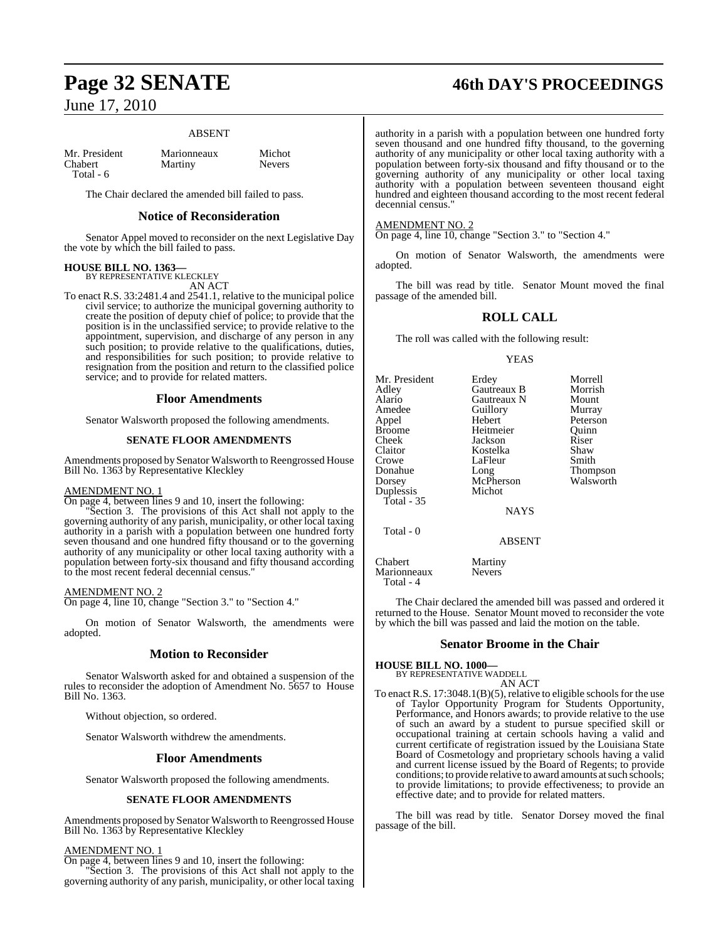#### ABSENT

| Mr. President  | Marionneaux | Michot        |
|----------------|-------------|---------------|
| <b>Chabert</b> | Martiny     | <b>Nevers</b> |
| Total - 6      |             |               |

The Chair declared the amended bill failed to pass.

#### **Notice of Reconsideration**

Senator Appel moved to reconsider on the next Legislative Day the vote by which the bill failed to pass.

# **HOUSE BILL NO. 1363—** BY REPRESENTATIVE KLECKLEY

AN ACT

To enact R.S. 33:2481.4 and 2541.1, relative to the municipal police civil service; to authorize the municipal governing authority to create the position of deputy chief of police; to provide that the position is in the unclassified service; to provide relative to the appointment, supervision, and discharge of any person in any such position; to provide relative to the qualifications, duties, and responsibilities for such position; to provide relative to resignation from the position and return to the classified police service; and to provide for related matters.

#### **Floor Amendments**

Senator Walsworth proposed the following amendments.

#### **SENATE FLOOR AMENDMENTS**

Amendments proposed by Senator Walsworth to Reengrossed House Bill No. 1363 by Representative Kleckley

#### AMENDMENT NO. 1

On page 4, between lines 9 and 10, insert the following:

"Section 3. The provisions of this Act shall not apply to the governing authority of any parish, municipality, or other local taxing authority in a parish with a population between one hundred forty seven thousand and one hundred fifty thousand or to the governing authority of any municipality or other local taxing authority with a population between forty-six thousand and fifty thousand according to the most recent federal decennial census."

#### AMENDMENT NO. 2

On page 4, line 10, change "Section 3." to "Section 4."

On motion of Senator Walsworth, the amendments were adopted.

#### **Motion to Reconsider**

Senator Walsworth asked for and obtained a suspension of the rules to reconsider the adoption of Amendment No. 5657 to House Bill No. 1363.

Without objection, so ordered.

Senator Walsworth withdrew the amendments.

#### **Floor Amendments**

Senator Walsworth proposed the following amendments.

#### **SENATE FLOOR AMENDMENTS**

Amendments proposed by Senator Walsworth to Reengrossed House Bill No. 1363 by Representative Kleckley

#### AMENDMENT NO. 1

On page 4, between lines 9 and 10, insert the following: "Section 3. The provisions of this Act shall not apply to the governing authority of any parish, municipality, or other local taxing

# **Page 32 SENATE 46th DAY'S PROCEEDINGS**

authority in a parish with a population between one hundred forty seven thousand and one hundred fifty thousand, to the governing authority of any municipality or other local taxing authority with a population between forty-six thousand and fifty thousand or to the governing authority of any municipality or other local taxing authority with a population between seventeen thousand eight hundred and eighteen thousand according to the most recent federal decennial census<sup>'</sup>

#### AMENDMENT NO. 2

On page 4, line 10, change "Section 3." to "Section 4."

On motion of Senator Walsworth, the amendments were adopted.

The bill was read by title. Senator Mount moved the final passage of the amended bill.

#### **ROLL CALL**

The roll was called with the following result:

#### YEAS

| Mr. President | Erdey           | Morrell         |
|---------------|-----------------|-----------------|
| Adley         | Gautreaux B     | Morrish         |
| Alario        | Gautreaux N     | Mount           |
| Amedee        | Guillory        | Murray          |
| Appel         | Hebert          | Peterson        |
| <b>Broome</b> | Heitmeier       | Ouinn           |
| Cheek         | Jackson         | Riser           |
| Claitor       | Kostelka        | Shaw            |
| Crowe         | LaFleur         | Smith           |
| Donahue       | Long            | <b>Thompson</b> |
| Dorsey        | McPherson       | Walsworth       |
| Duplessis     | Michot          |                 |
| Total - $35$  |                 |                 |
|               | <b>NAYS</b>     |                 |
|               |                 |                 |
| Total - 0     | <b>A R SENT</b> |                 |
|               |                 |                 |

ABSENT

Chabert Martiny Marionneaux Nevers Total - 4

The Chair declared the amended bill was passed and ordered it returned to the House. Senator Mount moved to reconsider the vote by which the bill was passed and laid the motion on the table.

#### **Senator Broome in the Chair**

**HOUSE BILL NO. 1000—** BY REPRESENTATIVE WADDELL

#### AN ACT

To enact R.S. 17:3048.1(B)(5), relative to eligible schools for the use of Taylor Opportunity Program for Students Opportunity, Performance, and Honors awards; to provide relative to the use of such an award by a student to pursue specified skill or occupational training at certain schools having a valid and current certificate of registration issued by the Louisiana State Board of Cosmetology and proprietary schools having a valid and current license issued by the Board of Regents; to provide conditions; to provide relative to award amounts at such schools; to provide limitations; to provide effectiveness; to provide an effective date; and to provide for related matters.

The bill was read by title. Senator Dorsey moved the final passage of the bill.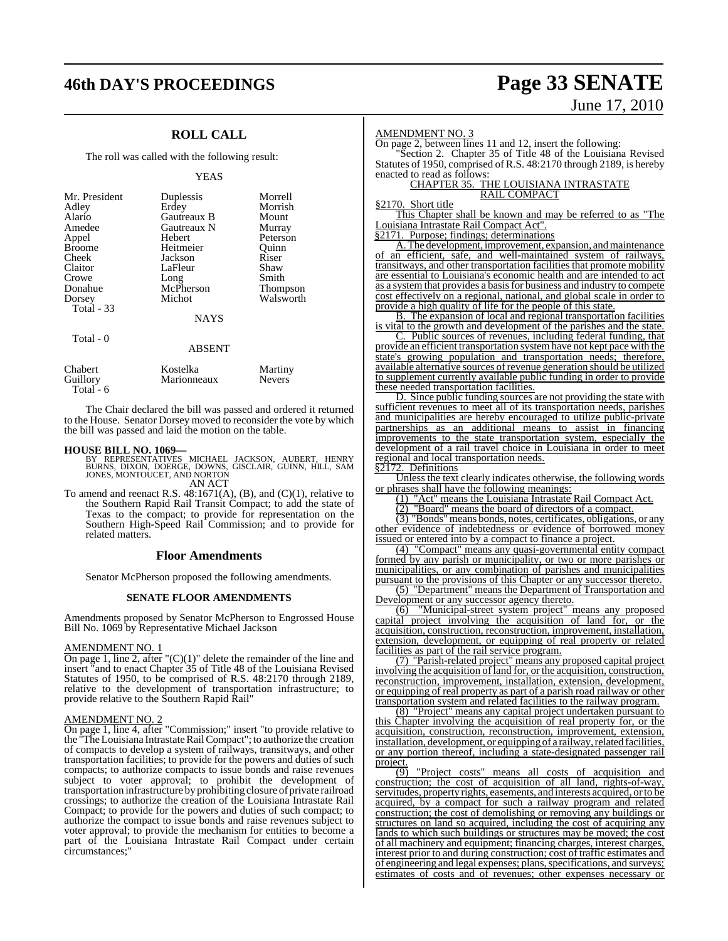# **46th DAY'S PROCEEDINGS Page 33 SENATE**

## **ROLL CALL**

The roll was called with the following result:

#### YEAS

| Mr. President     | Duplessis     | Morrell         |
|-------------------|---------------|-----------------|
| Adley             | Erdey         | Morrish         |
| Alario            | Gautreaux B   | Mount           |
| Amedee            | Gautreaux N   | Murray          |
| Appel             | Hebert        | Peterson        |
| <b>Broome</b>     | Heitmeier     | Ouinn           |
| Cheek             | Jackson       | Riser           |
| Claitor           | LaFleur       | Shaw            |
| Crowe             | Long          | Smith           |
| Donahue           | McPherson     | <b>Thompson</b> |
| Dorsey            | Michot        | Walsworth       |
| <b>Total - 33</b> |               |                 |
|                   | <b>NAYS</b>   |                 |
|                   |               |                 |
| Total $-0$        | <b>ABSENT</b> |                 |
|                   |               |                 |
|                   |               |                 |

Chabert Kostelka Martiny Marionneaux Total - 6

The Chair declared the bill was passed and ordered it returned to the House. Senator Dorsey moved to reconsider the vote by which the bill was passed and laid the motion on the table.

## **HOUSE BILL NO. 1069—**

- BY REPRESENTATIVES MICHAEL JACKSON, AUBERT, HENRY<br>BURNS, DIXON, DOERGE, DOWNS, GISCLAIR, GUINN, HILL, SAM<br>JONES,MONTOUCET,AND NORTON AN ACT
- To amend and reenact R.S. 48:1671(A), (B), and (C)(1), relative to the Southern Rapid Rail Transit Compact; to add the state of Texas to the compact; to provide for representation on the Southern High-Speed Rail Commission; and to provide for related matters.

#### **Floor Amendments**

Senator McPherson proposed the following amendments.

#### **SENATE FLOOR AMENDMENTS**

Amendments proposed by Senator McPherson to Engrossed House Bill No. 1069 by Representative Michael Jackson

#### AMENDMENT NO. 1

On page 1, line 2, after " $(C)(1)$ " delete the remainder of the line and insert "and to enact Chapter 35 of Title 48 of the Louisiana Revised Statutes of 1950, to be comprised of R.S. 48:2170 through 2189, relative to the development of transportation infrastructure; to provide relative to the Southern Rapid Rail"

#### AMENDMENT NO. 2

On page 1, line 4, after "Commission;" insert "to provide relative to the "TheLouisiana IntrastateRailCompact"; to authorize the creation of compacts to develop a system of railways, transitways, and other transportation facilities; to provide for the powers and duties of such compacts; to authorize compacts to issue bonds and raise revenues subject to voter approval; to prohibit the development of transportation infrastructure by prohibiting closure of private railroad crossings; to authorize the creation of the Louisiana Intrastate Rail Compact; to provide for the powers and duties of such compact; to authorize the compact to issue bonds and raise revenues subject to voter approval; to provide the mechanism for entities to become a part of the Louisiana Intrastate Rail Compact under certain circumstances;"

# June 17, 2010

#### AMENDMENT NO. 3

On page 2, between lines 11 and 12, insert the following: "Section 2. Chapter 35 of Title 48 of the Louisiana Revised Statutes of 1950, comprised of R.S. 48:2170 through 2189, is hereby enacted to read as follows:

#### CHAPTER 35. THE LOUISIANA INTRASTATE RAIL COMPACT

#### §2170. Short title

This Chapter shall be known and may be referred to as "The Louisiana Intrastate Rail Compact Act".

§2171. Purpose; findings; determinations

A.The development, improvement, expansion, and maintenance of an efficient, safe, and well-maintained system of railways, transitways, and other transportation facilities that promote mobility are essential to Louisiana's economic health and are intended to act as a system that provides a basisfor business and industry to compete cost effectively on a regional, national, and global scale in order to provide a high quality of life for the people of this state.

B. The expansion of local and regional transportation facilities is vital to the growth and development of the parishes and the state.

C. Public sources of revenues, including federal funding, that provide an efficient transportation systemhave not kept pace with the state's growing population and transportation needs; therefore, available alternative sources ofrevenue generation should be utilized to supplement currently available public funding in order to provide these needed transportation facilities.

D. Since public funding sources are not providing the state with sufficient revenues to meet all of its transportation needs, parishes and municipalities are hereby encouraged to utilize public-private partnerships as an additional means to assist in financing improvements to the state transportation system, especially the development of a rail travel choice in Louisiana in order to meet regional and local transportation needs.

§2172. Definitions

Unless the text clearly indicates otherwise, the following words or phrases shall have the following meanings:

(1) "Act" means the Louisiana Intrastate Rail Compact Act.

(2) "Board" means the board of directors of a compact.

(3) "Bonds" means bonds, notes, certificates, obligations, or any other evidence of indebtedness or evidence of borrowed money issued or entered into by a compact to finance a project.

(4) "Compact" means any quasi-governmental entity compact formed by any parish or municipality, or two or more parishes or municipalities, or any combination of parishes and municipalities pursuant to the provisions of this Chapter or any successor thereto.

(5) "Department" means the Department of Transportation and Development or any successor agency thereto.

(6) "Municipal-street system project" means any proposed capital project involving the acquisition of land for, or the acquisition, construction, reconstruction, improvement, installation, extension, development, or equipping of real property or related facilities as part of the rail service program.

(7) "Parish-related project" means any proposed capital project involving the acquisition ofland for, or the acquisition, construction, reconstruction, improvement, installation, extension, development, or equipping of real property as part of a parish road railway or other transportation system and related facilities to the railway program.

(8) "Project" means any capital project undertaken pursuant to this Chapter involving the acquisition of real property for, or the acquisition, construction, reconstruction, improvement, extension, installation, development, or equipping of a railway, related facilities, or any portion thereof, including a state-designated passenger rail project.

 $\overline{(9)}$  "Project costs" means all costs of acquisition and construction; the cost of acquisition of all land, rights-of-way, servitudes, property rights, easements, and interests acquired, orto be acquired, by a compact for such a railway program and related construction; the cost of demolishing or removing any buildings or structures on land so acquired, including the cost of acquiring any lands to which such buildings or structures may be moved; the cost of all machinery and equipment; financing charges, interest charges, interest prior to and during construction; cost of traffic estimates and of engineering and legal expenses; plans, specifications, and surveys; estimates of costs and of revenues; other expenses necessary or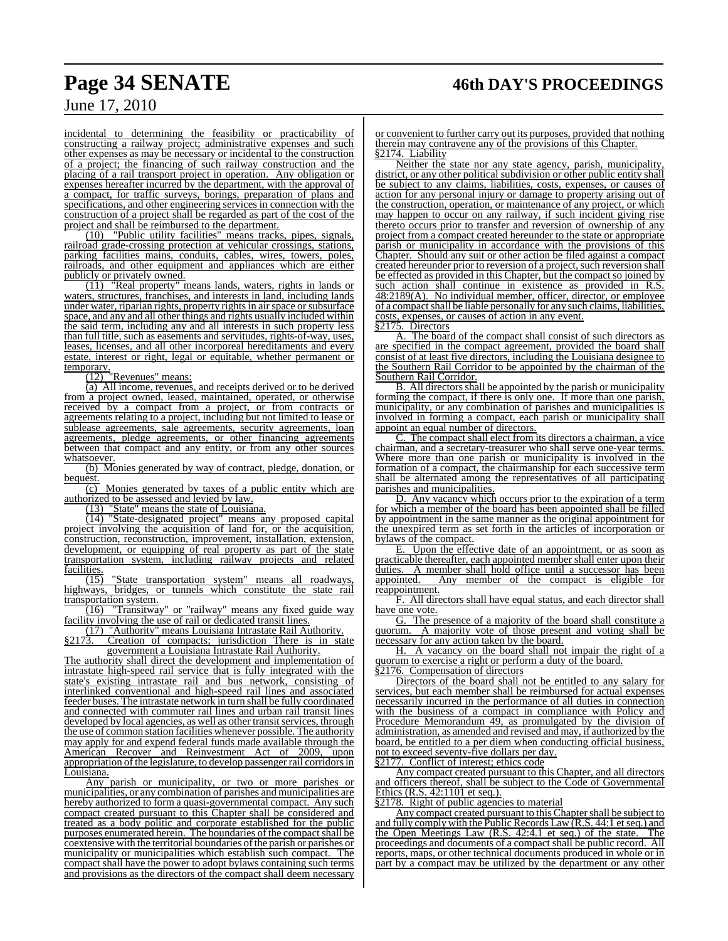incidental to determining the feasibility or practicability of constructing a railway project; administrative expenses and such other expenses as may be necessary or incidental to the construction of a project; the financing of such railway construction and the placing of a rail transport project in operation. Any obligation or expenses hereafter incurred by the department, with the approval of a compact, for traffic surveys, borings, preparation of plans and specifications, and other engineering services in connection with the construction of a project shall be regarded as part of the cost of the project and shall be reimbursed to the department.

(10) "Public utility facilities" means tracks, pipes, signals, railroad grade-crossing protection at vehicular crossings, stations, parking facilities mains, conduits, cables, wires, towers, poles, railroads, and other equipment and appliances which are either publicly or privately owned.

(11) "Real property" means lands, waters, rights in lands or waters, structures, franchises, and interests in land, including lands under water, riparian rights, property rights in air space or subsurface space, and any and all other things and rights usually included within the said term, including any and all interests in such property less than full title, such as easements and servitudes, rights-of-way, uses, leases, licenses, and all other incorporeal hereditaments and every estate, interest or right, legal or equitable, whether permanent or  $\frac{\text{temporary.}}{(12)}$ 

"Revenues" means:

(a) All income, revenues, and receipts derived or to be derived from a project owned, leased, maintained, operated, or otherwise received by a compact from a project, or from contracts or agreements relating to a project, including but not limited to lease or sublease agreements, sale agreements, security agreements, loan agreements, pledge agreements, or other financing agreements between that compact and any entity, or from any other sources whatsoever.

(b) Monies generated by way of contract, pledge, donation, or bequest.

 $\overline{(c)}$  Monies generated by taxes of a public entity which are authorized to be assessed and levied by law.

(13) "State" means the state of Louisiana.

(14) "State-designated project" means any proposed capital project involving the acquisition of land for, or the acquisition, construction, reconstruction, improvement, installation, extension, development, or equipping of real property as part of the state transportation system, including railway projects and related **facilities** 

 $\overline{(15)}$  "State transportation system" means all roadways, highways, bridges, or tunnels which constitute the state rail transportation system.

(16) "Transitway" or "railway" means any fixed guide way facility involving the use of rail or dedicated transit lines.

(17) "Authority" means Louisiana Intrastate Rail Authority.<br>§2173. Creation of compacts; jurisdiction There is in sta §2173. Creation of compacts; jurisdiction There is in state

government a Louisiana Intrastate Rail Authority. The authority shall direct the development and implementation of intrastate high-speed rail service that is fully integrated with the state's existing intrastate rail and bus network, consisting of interlinked conventional and high-speed rail lines and associated feeder buses. The intrastate network in turn shall be fully coordinated and connected with commuter rail lines and urban rail transit lines developed by local agencies, as well as other transit services, through the use of common station facilities whenever possible. The authority may apply for and expend federal funds made available through the American Recover and Reinvestment Act of 2009, upon appropriation of the legislature, to develop passenger rail corridors in Louisiana.

Any parish or municipality, or two or more parishes or municipalities, or any combination of parishes and municipalities are hereby authorized to form a quasi-governmental compact. Any such compact created pursuant to this Chapter shall be considered and treated as a body politic and corporate established for the public purposes enumerated herein. The boundaries of the compact shall be coextensive with the territorial boundaries of the parish or parishes or municipality or municipalities which establish such compact. The compact shall have the power to adopt bylaws containing such terms and provisions as the directors of the compact shall deem necessary

or convenient to further carry out its purposes, provided that nothing therein may contravene any of the provisions of this Chapter. §2174. Liability

Neither the state nor any state agency, parish, municipality, district, or any other political subdivision or other public entity shall be subject to any claims, liabilities, costs, expenses, or causes of action for any personal injury or damage to property arising out of the construction, operation, or maintenance of any project, or which may happen to occur on any railway, if such incident giving rise thereto occurs prior to transfer and reversion of ownership of any project from a compact created hereunder to the state or appropriate parish or municipality in accordance with the provisions of this Chapter. Should any suit or other action be filed against a compact created hereunder prior to reversion of a project, such reversion shall be effected as provided in this Chapter, but the compact so joined by such action shall continue in existence as provided in R.S. 48:2189(A). No individual member, officer, director, or employee of a compact shall be liable personally for any such claims, liabilities, costs, expenses, or causes of action in any event.

§2175. Directors

A. The board of the compact shall consist of such directors as are specified in the compact agreement, provided the board shall consist of at least five directors, including the Louisiana designee to the Southern Rail Corridor to be appointed by the chairman of the Southern Rail Corridor.

B. All directors shall be appointed by the parish or municipality forming the compact, if there is only one. If more than one parish, municipality, or any combination of parishes and municipalities is involved in forming a compact, each parish or municipality shall appoint an equal number of directors.

C. The compact shall elect from its directors a chairman, a vice chairman, and a secretary-treasurer who shall serve one-year terms. Where more than one parish or municipality is involved in the formation of a compact, the chairmanship for each successive term shall be alternated among the representatives of all participating parishes and municipalities.

Any vacancy which occurs prior to the expiration of a term for which a member of the board has been appointed shall be filled by appointment in the same manner as the original appointment for the unexpired term as set forth in the articles of incorporation or bylaws of the compact.

E. Upon the effective date of an appointment, or as soon as practicable thereafter, each appointed member shall enter upon their duties. A member shall hold office until a successor has been A member shall hold office until a successor has been appointed. Any member of the compact is eligible for reappointment.

F. All directors shall have equal status, and each director shall have one vote.

G. The presence of a majority of the board shall constitute a quorum. A majority vote of those present and voting shall be necessary for any action taken by the board.

H. A vacancy on the board shall not impair the right of a quorum to exercise a right or perform a duty of the board.

§2176. Compensation of directors

Directors of the board shall not be entitled to any salary for services, but each member shall be reimbursed for actual expenses necessarily incurred in the performance of all duties in connection with the business of a compact in compliance with Policy and Procedure Memorandum 49, as promulgated by the division of administration, as amended and revised and may, if authorized by the board, be entitled to a per diem when conducting official business, not to exceed seventy-five dollars per day.

§2177. Conflict of interest; ethics code

Any compact created pursuant to this Chapter, and all directors and officers thereof, shall be subject to the Code of Governmental Ethics  $(R.S. 42:1101$  et seq.).<br>82178. Right of public agence

Right of public agencies to material

Any compact created pursuant to this Chapter shall be subject to and fully comply with the Public Records Law  $(R.S. 44:1$  et seq.) and the Open Meetings Law  $(R.S. 42:4.1$  et seq.) of the state. The the Open Meetings Law  $(R.S. 42:4.1$  et seq.) of the state. proceedings and documents of a compact shall be public record. All reports, maps, or other technical documents produced in whole or in part by a compact may be utilized by the department or any other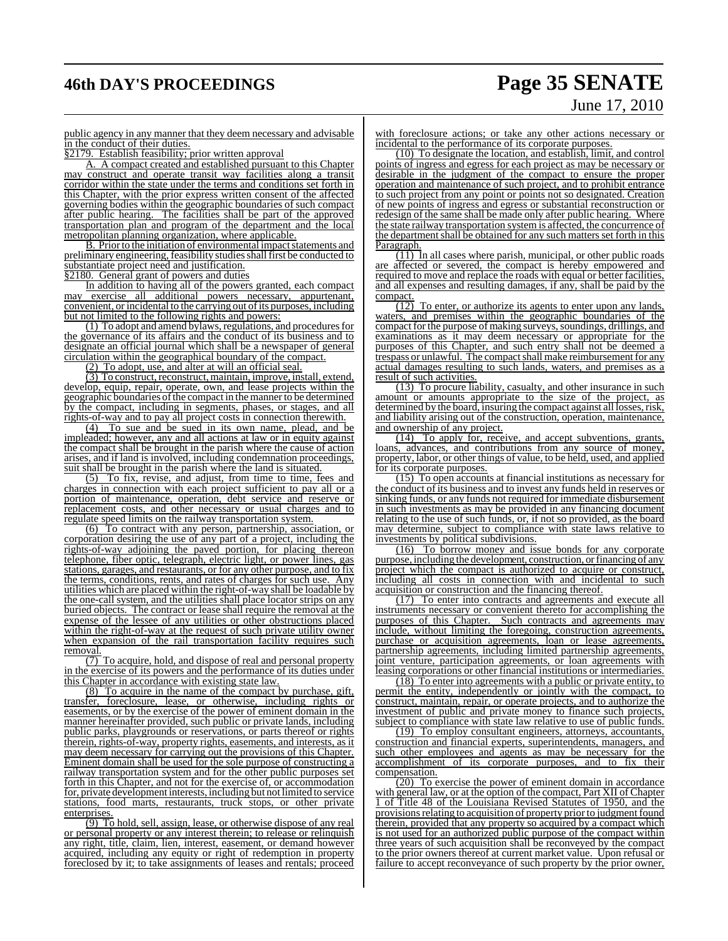# **46th DAY'S PROCEEDINGS Page 35 SENATE**

# June 17, 2010

public agency in any manner that they deem necessary and advisable in the conduct of their duties.

§2179. Establish feasibility; prior written approval

A. A compact created and established pursuant to this Chapter may construct and operate transit way facilities along a transit corridor within the state under the terms and conditions set forth in this Chapter, with the prior express written consent of the affected governing bodies within the geographic boundaries of such compact after public hearing. The facilities shall be part of the approved transportation plan and program of the department and the local metropolitan planning organization, where applicable.

B. Prior to the initiation of environmental impact statements and preliminary engineering, feasibility studies shall first be conducted to substantiate project need and justification.

§2180. General grant of powers and duties

In addition to having all of the powers granted, each compact may exercise all additional powers necessary, appurtenant, convenient, or incidental to the carrying out of its purposes, including but not limited to the following rights and powers:

(1) To adopt and amend bylaws, regulations, and procedures for the governance of its affairs and the conduct of its business and to designate an official journal which shall be a newspaper of general circulation within the geographical boundary of the compact.

(2) To adopt, use, and alter at will an official seal.

(3) To construct, reconstruct, maintain, improve, install, extend, develop, equip, repair, operate, own, and lease projects within the geographic boundaries ofthe compact in the mannerto be determined by the compact, including in segments, phases, or stages, and all rights-of-way and to pay all project costs in connection therewith.

(4) To sue and be sued in its own name, plead, and be impleaded; however, any and all actions at law or in equity against the compact shall be brought in the parish where the cause of action arises, and if land is involved, including condemnation proceedings, suit shall be brought in the parish where the land is situated.

(5) To fix, revise, and adjust, from time to time, fees and charges in connection with each project sufficient to pay all or a portion of maintenance, operation, debt service and reserve or replacement costs, and other necessary or usual charges and to regulate speed limits on the railway transportation system.

(6) To contract with any person, partnership, association, or corporation desiring the use of any part of a project, including the rights-of-way adjoining the paved portion, for placing thereon telephone, fiber optic, telegraph, electric light, or power lines, gas stations, garages, and restaurants, or for any other purpose, and to fix the terms, conditions, rents, and rates of charges for such use. Any utilities which are placed within the right-of-way shall be loadable by the one-call system, and the utilities shall place locator strips on any buried objects. The contract or lease shall require the removal at the expense of the lessee of any utilities or other obstructions placed within the right-of-way at the request of such private utility owner when expansion of the rail transportation facility requires such removal.

(7) To acquire, hold, and dispose of real and personal property in the exercise of its powers and the performance of its duties under this Chapter in accordance with existing state law.

(8) To acquire in the name of the compact by purchase, gift, transfer, foreclosure, lease, or otherwise, including rights or easements, or by the exercise of the power of eminent domain in the manner hereinafter provided, such public or private lands, including public parks, playgrounds or reservations, or parts thereof or rights therein, rights-of-way, property rights, easements, and interests, as it may deem necessary for carrying out the provisions of this Chapter. Eminent domain shall be used for the sole purpose of constructing a railway transportation system and for the other public purposes set forth in this Chapter, and not for the exercise of, or accommodation for, private development interests, including but not limited to service food marts, restaurants, truck stops, or other private enterprises.

(9) To hold, sell, assign, lease, or otherwise dispose of any real or personal property or any interest therein; to release or relinquish any right, title, claim, lien, interest, easement, or demand however acquired, including any equity or right of redemption in property foreclosed by it; to take assignments of leases and rentals; proceed with foreclosure actions; or take any other actions necessary or incidental to the performance of its corporate purposes.

(10) To designate the location, and establish, limit, and control points of ingress and egress for each project as may be necessary or desirable in the judgment of the compact to ensure the proper operation and maintenance of such project, and to prohibit entrance to such project from any point or points not so designated. Creation of new points of ingress and egress or substantial reconstruction or redesign of the same shall be made only after public hearing. Where the state railway transportation system is affected, the concurrence of the department shall be obtained for any such matters set forth in this Paragraph.

 $(11)$  In all cases where parish, municipal, or other public roads are affected or severed, the compact is hereby empowered and required to move and replace the roads with equal or better facilities, and all expenses and resulting damages, if any, shall be paid by the compact.

 $\overline{(12)}$  To enter, or authorize its agents to enter upon any lands, waters, and premises within the geographic boundaries of the compact for the purpose of making surveys, soundings, drillings, and examinations as it may deem necessary or appropriate for the purposes of this Chapter, and such entry shall not be deemed a trespass or unlawful. The compact shall make reimbursement for any actual damages resulting to such lands, waters, and premises as a result of such activities.

(13) To procure liability, casualty, and other insurance in such amount or amounts appropriate to the size of the project, as determined by the board, insuring the compact against all losses, risk, and liability arising out of the construction, operation, maintenance, and ownership of any project.

(14) To apply for, receive, and accept subventions, grants, loans, advances, and contributions from any source of money, property, labor, or other things of value, to be held, used, and applied for its corporate purposes.

(15) To open accounts at financial institutions as necessary for the conduct of its business and to invest any funds held in reserves or sinking funds, or any funds not required for immediate disbursement in such investments as may be provided in any financing document relating to the use of such funds, or, if not so provided, as the board may determine, subject to compliance with state laws relative to investments by political subdivisions.

(16) To borrow money and issue bonds for any corporate purpose, including the development, construction, or financing of any project which the compact is authorized to acquire or construct, including all costs in connection with and incidental to such acquisition or construction and the financing thereof.

(17) To enter into contracts and agreements and execute all instruments necessary or convenient thereto for accomplishing the purposes of this Chapter. Such contracts and agreements may include, without limiting the foregoing, construction agreements, purchase or acquisition agreements, loan or lease agreements, partnership agreements, including limited partnership agreements, joint venture, participation agreements, or loan agreements with leasing corporations or other financial institutions or intermediaries.

(18) To enter into agreements with a public or private entity, to permit the entity, independently or jointly with the compact, to construct, maintain, repair, or operate projects, and to authorize the investment of public and private money to finance such projects, subject to compliance with state law relative to use of public funds.

(19) To employ consultant engineers, attorneys, accountants, construction and financial experts, superintendents, managers, and such other employees and agents as may be necessary for the accomplishment of its corporate purposes, and to fix their compensation.

(20) To exercise the power of eminent domain in accordance with general law, or at the option of the compact, Part XII of Chapter 1 of Title 48 of the Louisiana Revised Statutes of 1950, and the provisions relating to acquisition of property prior to judgment found therein, provided that any property so acquired by a compact which is not used for an authorized public purpose of the compact within three years of such acquisition shall be reconveyed by the compact to the prior owners thereof at current market value. Upon refusal or failure to accept reconveyance of such property by the prior owner,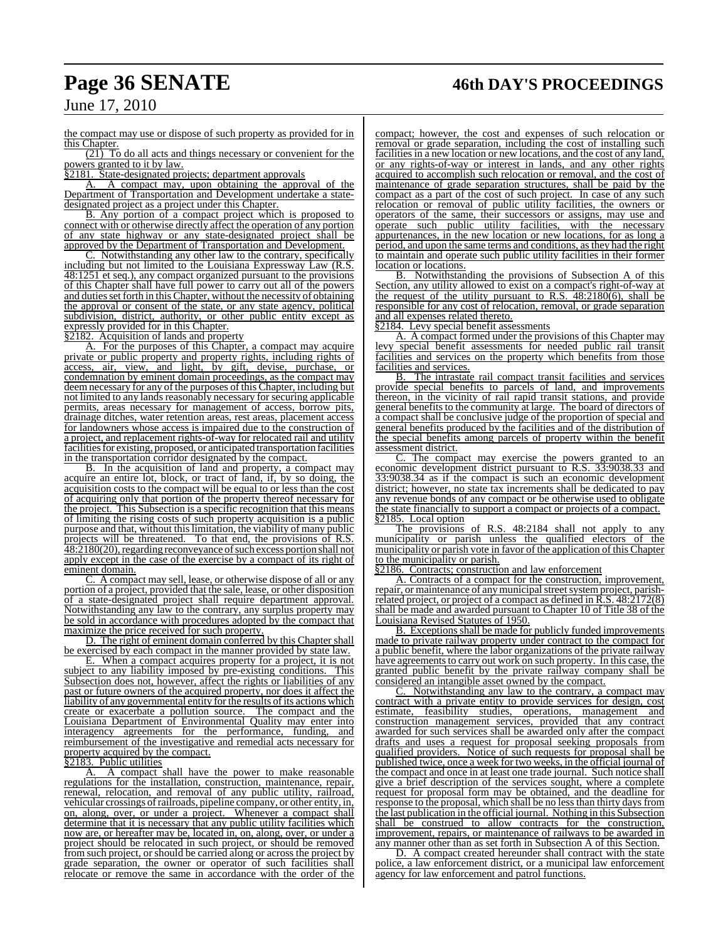# **Page 36 SENATE 46th DAY'S PROCEEDINGS**

## June 17, 2010

the compact may use or dispose of such property as provided for in this Chapter.

 $(21)$  To do all acts and things necessary or convenient for the powers granted to it by law.

§2181. State-designated projects; department approvals

A. A compact may, upon obtaining the approval of the Department of Transportation and Development undertake a statedesignated project as a project under this Chapter.

B. Any portion of a compact project which is proposed to connect with or otherwise directly affect the operation of any portion of any state highway or any state-designated project shall be approved by the Department of Transportation and Development.

Notwithstanding any other law to the contrary, specifically including but not limited to the Louisiana Expressway Law (R.S. 48:1251 et seq.), any compact organized pursuant to the provisions of this Chapter shall have full power to carry out all of the powers and duties set forth in this Chapter, without the necessity of obtaining the approval or consent of the state, or any state agency, political subdivision, district, authority, or other public entity except as expressly provided for in this Chapter.

§2182. Acquisition of lands and property

A. For the purposes of this Chapter, a compact may acquire private or public property and property rights, including rights of access, air, view, and light, by gift, devise, purchase, or condemnation by eminent domain proceedings, as the compact may deem necessary for any of the purposes of this Chapter, including but not limited to any lands reasonably necessary for securing applicable permits, areas necessary for management of access, borrow pits, drainage ditches, water retention areas, rest areas, placement access for landowners whose access is impaired due to the construction of a project, and replacement rights-of-way for relocated rail and utility facilities for existing, proposed, or anticipated transportation facilities in the transportation corridor designated by the compact.

B. In the acquisition of land and property, a compact may acquire an entire lot, block, or tract of land, if, by so doing, the acquisition costs to the compact will be equal to or less than the cost of acquiring only that portion of the property thereof necessary for the project. This Subsection is a specific recognition that this means of limiting the rising costs of such property acquisition is a public purpose and that, without thislimitation, the viability of many public projects will be threatened. To that end, the provisions of R.S. 48:2180(20), regarding reconveyance of such excess portion shall not apply except in the case of the exercise by a compact of its right of eminent domain.

C. A compact may sell, lease, or otherwise dispose of all or any portion of a project, provided that the sale, lease, or other disposition of a state-designated project shall require department approval. Notwithstanding any law to the contrary, any surplus property may be sold in accordance with procedures adopted by the compact that maximize the price received for such property.

D. The right of eminent domain conferred by this Chapter shall be exercised by each compact in the manner provided by state law.

When a compact acquires property for a project, it is not subject to any liability imposed by pre-existing conditions. This Subsection does not, however, affect the rights or liabilities of any past or future owners of the acquired property, nor does it affect the liability of any governmental entity for the results of its actions which create or exacerbate a pollution source. The compact and the Louisiana Department of Environmental Quality may enter into interagency agreements for the performance, funding, and reimbursement of the investigative and remedial acts necessary for property acquired by the compact.

#### §2183. Public utilities

A. A compact shall have the power to make reasonable regulations for the installation, construction, maintenance, repair, renewal, relocation, and removal of any public utility, railroad, vehicular crossings ofrailroads, pipeline company, or other entity, in, on, along, over, or under a project. Whenever a compact shall determine that it is necessary that any public utility facilities which now are, or hereafter may be, located in, on, along, over, or under a project should be relocated in such project, or should be removed from such project, or should be carried along or across the project by grade separation, the owner or operator of such facilities shall relocate or remove the same in accordance with the order of the

compact; however, the cost and expenses of such relocation or removal or grade separation, including the cost of installing such facilities in a new location or new locations, and the cost of any land, or any rights-of-way or interest in lands, and any other rights acquired to accomplish such relocation or removal, and the cost of maintenance of grade separation structures, shall be paid by the compact as a part of the cost of such project. In case of any such relocation or removal of public utility facilities, the owners or operators of the same, their successors or assigns, may use and operate such public utility facilities, with the necessary appurtenances, in the new location or new locations, for as long a period, and upon the same terms and conditions, as they had the right to maintain and operate such public utility facilities in their former

**location or locations.**<br>**B.** Notwithstan Notwithstanding the provisions of Subsection A of this Section, any utility allowed to exist on a compact's right-of-way at the request of the utility pursuant to R.S.  $48:2180(6)$ , shall be responsible for any cost of relocation, removal, or grade separation and all expenses related thereto.

§2184. Levy special benefit assessments

A. A compact formed under the provisions of this Chapter may levy special benefit assessments for needed public rail transit facilities and services on the property which benefits from those facilities and services.

B. The intrastate rail compact transit facilities and services provide special benefits to parcels of land, and improvements thereon, in the vicinity of rail rapid transit stations, and provide general benefits to the community at large. The board of directors of a compact shall be conclusive judge of the proportion of special and general benefits produced by the facilities and of the distribution of the special benefits among parcels of property within the benefit assessment district.

C. The compact may exercise the powers granted to an economic development district pursuant to R.S. 33:9038.33 and 33:9038.34 as if the compact is such an economic development district; however, no state tax increments shall be dedicated to pay any revenue bonds of any compact or be otherwise used to obligate the state financially to support a compact or projects of a compact. Local option

The provisions of R.S. 48:2184 shall not apply to any municipality or parish unless the qualified electors of the municipality or parish vote in favor of the application of this Chapter to the municipality or parish.

§2186. Contracts; construction and law enforcement

A. Contracts of a compact for the construction, improvement, repair, or maintenance of any municipal street system project, parishrelated project, or project of a compact as defined in R.S. 48:2172(8) shall be made and awarded pursuant to Chapter 10 of Title 38 of the Louisiana Revised Statutes of 1950.

B. Exceptions shall be made for publicly funded improvements made to private railway property under contract to the compact for a public benefit, where the labor organizations of the private railway have agreements to carry out work on such property. In this case, the granted public benefit by the private railway company shall be considered an intangible asset owned by the compact.

C. Notwithstanding any law to the contrary, a compact may contract with a private entity to provide services for design, cost estimate, feasibility studies, operations, management and construction management services, provided that any contract awarded for such services shall be awarded only after the compact drafts and uses a request for proposal seeking proposals from qualified providers. Notice of such requests for proposal shall be published twice, once a week for two weeks, in the official journal of the compact and once in at least one trade journal. Such notice shall give a brief description of the services sought, where a complete request for proposal form may be obtained, and the deadline for response to the proposal, which shall be no less than thirty days from the last publication in the official journal. Nothing in this Subsection shall be construed to allow contracts for the construction, improvement, repairs, or maintenance of railways to be awarded in any manner other than as set forth in Subsection A of this Section.

D. A compact created hereunder shall contract with the state police, a law enforcement district, or a municipal law enforcement agency for law enforcement and patrol functions.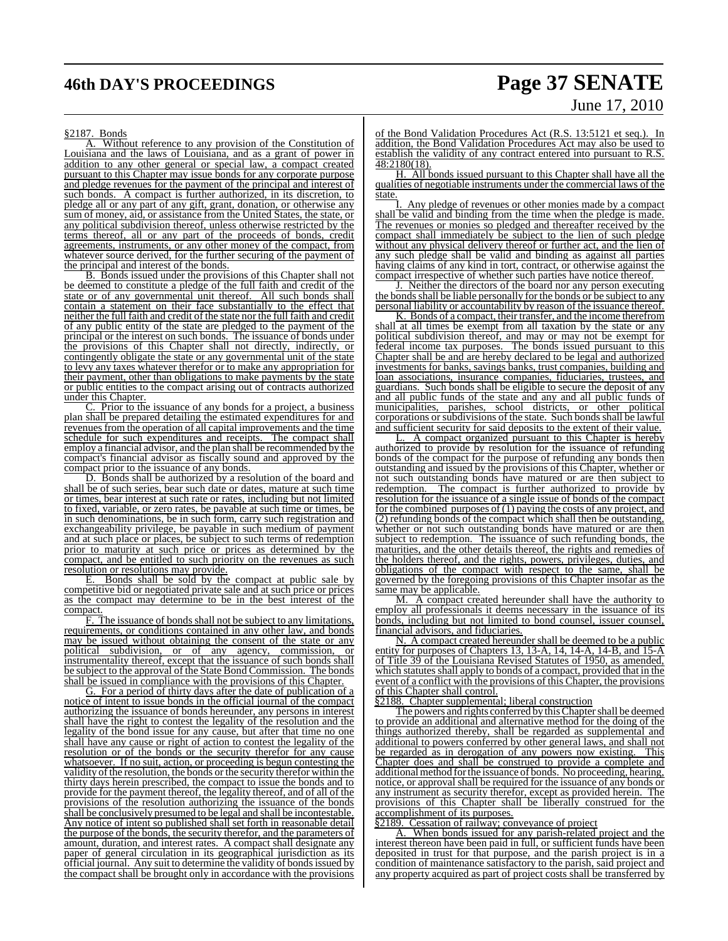# **46th DAY'S PROCEEDINGS Page 37 SENATE**

# June 17, 2010

#### §2187. Bonds

Without reference to any provision of the Constitution of Louisiana and the laws of Louisiana, and as a grant of power in addition to any other general or special law, a compact created pursuant to this Chapter may issue bonds for any corporate purpose and pledge revenues for the payment of the principal and interest of such bonds. A compact is further authorized, in its discretion, to A compact is further authorized, in its discretion, to pledge all or any part of any gift, grant, donation, or otherwise any sum of money, aid, or assistance from the United States, the state, or any political subdivision thereof, unless otherwise restricted by the terms thereof, all or any part of the proceeds of bonds, credit agreements, instruments, or any other money of the compact, from whatever source derived, for the further securing of the payment of the principal and interest of the bonds.

Bonds issued under the provisions of this Chapter shall not be deemed to constitute a pledge of the full faith and credit of the state or of any governmental unit thereof. All such bonds shall contain a statement on their face substantially to the effect that neither the full faith and credit of the state nor the full faith and credit of any public entity of the state are pledged to the payment of the principal or the interest on such bonds. The issuance of bonds under the provisions of this Chapter shall not directly, indirectly, or contingently obligate the state or any governmental unit of the state to levy any taxes whatever therefor or to make any appropriation for their payment, other than obligations to make payments by the state or public entities to the compact arising out of contracts authorized under this Chapter.

Prior to the issuance of any bonds for a project, a business plan shall be prepared detailing the estimated expenditures for and revenues from the operation of all capital improvements and the time schedule for such expenditures and receipts. The compact shall employ a financial advisor, and the plan shall be recommended by the compact's financial advisor as fiscally sound and approved by the compact prior to the issuance of any bonds.

D. Bonds shall be authorized by a resolution of the board and shall be of such series, bear such date or dates, mature at such time or times, bear interest at such rate or rates, including but not limited to fixed, variable, or zero rates, be payable at such time or times, be in such denominations, be in such form, carry such registration and exchangeability privilege, be payable in such medium of payment and at such place or places, be subject to such terms of redemption prior to maturity at such price or prices as determined by the compact, and be entitled to such priority on the revenues as such resolution or resolutions may provide.

E. Bonds shall be sold by the compact at public sale by competitive bid or negotiated private sale and at such price or prices as the compact may determine to be in the best interest of the compact.

F. The issuance of bonds shall not be subject to any limitations, requirements, or conditions contained in any other law, and bonds may be issued without obtaining the consent of the state or any political subdivision, or of any agency, commission, or instrumentality thereof, except that the issuance of such bonds shall be subject to the approval of the State Bond Commission. The bonds shall be issued in compliance with the provisions of this Chapter.

G. For a period of thirty days after the date of publication of a notice of intent to issue bonds in the official journal of the compact authorizing the issuance of bonds hereunder, any persons in interest shall have the right to contest the legality of the resolution and the legality of the bond issue for any cause, but after that time no one shall have any cause or right of action to contest the legality of the resolution or of the bonds or the security therefor for any cause whatsoever. If no suit, action, or proceeding is begun contesting the validity of the resolution, the bonds or the security therefor within the thirty days herein prescribed, the compact to issue the bonds and to provide for the payment thereof, the legality thereof, and of all of the provisions of the resolution authorizing the issuance of the bonds shall be conclusively presumed to be legal and shall be incontestable. Any notice of intent so published shall set forth in reasonable detail the purpose of the bonds, the security therefor, and the parameters of amount, duration, and interest rates. A compact shall designate any paper of general circulation in its geographical jurisdiction as its official journal. Any suit to determine the validity of bonds issued by the compact shall be brought only in accordance with the provisions of the Bond Validation Procedures Act (R.S. 13:5121 et seq.). In addition, the Bond Validation Procedures Act may also be used to establish the validity of any contract entered into pursuant to R.S. 48:2180(18).

H. All bonds issued pursuant to this Chapter shall have all the qualities of negotiable instruments under the commercial laws of the state.

I. Any pledge of revenues or other monies made by a compact shall be valid and binding from the time when the pledge is made. The revenues or monies so pledged and thereafter received by the compact shall immediately be subject to the lien of such pledge without any physical delivery thereof or further act, and the lien of any such pledge shall be valid and binding as against all parties having claims of any kind in tort, contract, or otherwise against the compact irrespective of whether such parties have notice thereof.

J. Neither the directors of the board nor any person executing the bonds shall be liable personally for the bonds or be subject to any personal liability or accountability by reason of the issuance thereof.

K. Bonds of a compact, their transfer, and the income therefrom shall at all times be exempt from all taxation by the state or any political subdivision thereof, and may or may not be exempt for federal income tax purposes. The bonds issued pursuant to this Chapter shall be and are hereby declared to be legal and authorized investments for banks, savings banks, trust companies, building and loan associations, insurance companies, fiduciaries, trustees, and guardians. Such bonds shall be eligible to secure the deposit of any and all public funds of the state and any and all public funds of municipalities, parishes, school districts, or other political corporations or subdivisions of the state. Such bonds shall be lawful and sufficient security for said deposits to the extent of their value.

A compact organized pursuant to this Chapter is hereby authorized to provide by resolution for the issuance of refunding bonds of the compact for the purpose of refunding any bonds then outstanding and issued by the provisions of this Chapter, whether or not such outstanding bonds have matured or are then subject to redemption. The compact is further authorized to provide by The compact is further authorized to provide by resolution for the issuance of a single issue of bonds of the compact for the combined purposes of (1) paying the costs of any project, and (2) refunding bonds of the compact which shall then be outstanding, whether or not such outstanding bonds have matured or are then subject to redemption. The issuance of such refunding bonds, the maturities, and the other details thereof, the rights and remedies of the holders thereof, and the rights, powers, privileges, duties, and obligations of the compact with respect to the same, shall be governed by the foregoing provisions of this Chapter insofar as the same may be applicable.

M. A compact created hereunder shall have the authority to employ all professionals it deems necessary in the issuance of its bonds, including but not limited to bond counsel, issuer counsel, financial advisors, and fiduciaries.

N. A compact created hereunder shall be deemed to be a public entity for purposes of Chapters 13, 13-A, 14, 14-A, 14-B, and 15-A of Title 39 of the Louisiana Revised Statutes of 1950, as amended, which statutes shall apply to bonds of a compact, provided that in the event of a conflict with the provisions of this Chapter, the provisions of this Chapter shall control.

§2188. Chapter supplemental; liberal construction

The powers and rights conferred by this Chapter shall be deemed to provide an additional and alternative method for the doing of the things authorized thereby, shall be regarded as supplemental and additional to powers conferred by other general laws, and shall not be regarded as in derogation of any powers now existing. This Chapter does and shall be construed to provide a complete and additional method for the issuance of bonds. No proceeding, hearing, notice, or approval shall be required for the issuance of any bonds or any instrument as security therefor, except as provided herein. The provisions of this Chapter shall be liberally construed for the accomplishment of its purposes.

§2189. Cessation of railway; conveyance of project

When bonds issued for any parish-related project and the interest thereon have been paid in full, or sufficient funds have been deposited in trust for that purpose, and the parish project is in a condition of maintenance satisfactory to the parish, said project and any property acquired as part of project costs shall be transferred by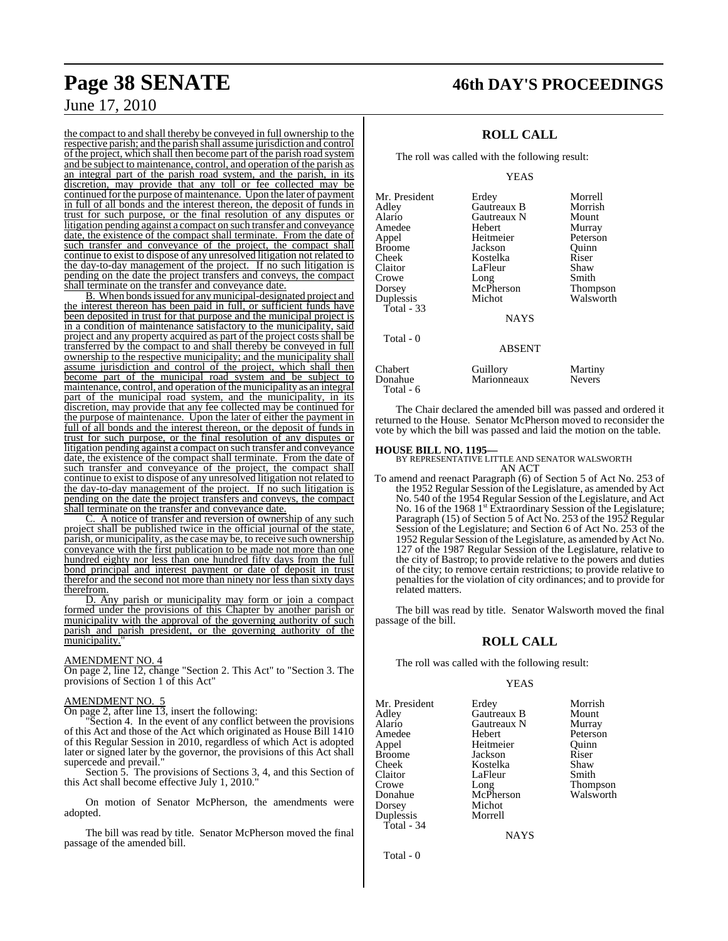the compact to and shall thereby be conveyed in full ownership to the respective parish; and the parish shall assume jurisdiction and control of the project, which shall then become part of the parish road system and be subject to maintenance, control, and operation of the parish as an integral part of the parish road system, and the parish, in its discretion, may provide that any toll or fee collected may be continued for the purpose of maintenance. Upon the later of payment in full of all bonds and the interest thereon, the deposit of funds in trust for such purpose, or the final resolution of any disputes or litigation pending against a compact on such transfer and conveyance date, the existence of the compact shall terminate. From the date of such transfer and conveyance of the project, the compact shall continue to exist to dispose of any unresolved litigation not related to the day-to-day management of the project. If no such litigation is pending on the date the project transfers and conveys, the compact shall terminate on the transfer and conveyance date.

B. When bonds issued for any municipal-designated project and the interest thereon has been paid in full, or sufficient funds have been deposited in trust for that purpose and the municipal project is in a condition of maintenance satisfactory to the municipality, said project and any property acquired as part of the project costs shall be transferred by the compact to and shall thereby be conveyed in full ownership to the respective municipality; and the municipality shall assume jurisdiction and control of the project, which shall then become part of the municipal road system and be subject to maintenance, control, and operation of the municipality as an integral part of the municipal road system, and the municipality, in its discretion, may provide that any fee collected may be continued for the purpose of maintenance. Upon the later of either the payment in full of all bonds and the interest thereon, or the deposit of funds in trust for such purpose, or the final resolution of any disputes or litigation pending against a compact on such transfer and conveyance date, the existence of the compact shall terminate. From the date of such transfer and conveyance of the project, the compact shall continue to exist to dispose of any unresolved litigation not related to the day-to-day management of the project. If no such litigation is pending on the date the project transfers and conveys, the compact shall terminate on the transfer and conveyance date.

C. A notice of transfer and reversion of ownership of any such project shall be published twice in the official journal of the state, parish, or municipality, asthe case may be, to receive such ownership conveyance with the first publication to be made not more than one hundred eighty nor less than one hundred fifty days from the full bond principal and interest payment or date of deposit in trust therefor and the second not more than ninety nor less than sixty days therefrom.

D. Any parish or municipality may form or join a compact formed under the provisions of this Chapter by another parish or municipality with the approval of the governing authority of such parish and parish president, or the governing authority of the municipality.

#### AMENDMENT NO. 4

On page 2, line 12, change "Section 2. This Act" to "Section 3. The provisions of Section 1 of this Act"

#### AMENDMENT NO. 5

On page 2, after line 13, insert the following:

Section 4. In the event of any conflict between the provisions of this Act and those of the Act which originated as House Bill 1410 of this Regular Session in 2010, regardless of which Act is adopted later or signed later by the governor, the provisions of this Act shall supercede and prevail.'

Section 5. The provisions of Sections 3, 4, and this Section of this Act shall become effective July 1, 2010.

On motion of Senator McPherson, the amendments were adopted.

The bill was read by title. Senator McPherson moved the final passage of the amended bill.

# **Page 38 SENATE 46th DAY'S PROCEEDINGS**

## **ROLL CALL**

The roll was called with the following result:

YEAS

| Mr. President | Erdey         | Morrell       |
|---------------|---------------|---------------|
| Adley         | Gautreaux B   | Morrish       |
| Alario        | Gautreaux N   | Mount         |
| Amedee        | Hebert        | Murray        |
| Appel         | Heitmeier     | Peterson      |
| <b>Broome</b> | Jackson       | Ouinn         |
| Cheek         | Kostelka      | Riser         |
| Claitor       | LaFleur       | Shaw          |
| Crowe         | Long          | Smith         |
| Dorsey        | McPherson     | Thompson      |
| Duplessis     | Michot        | Walsworth     |
| Total - 33    |               |               |
|               | <b>NAYS</b>   |               |
| Total - 0     |               |               |
|               | <b>ABSENT</b> |               |
| Chabert       | Guillory      | Martiny       |
| Donahue       | Marionneaux   | <b>Nevers</b> |

The Chair declared the amended bill was passed and ordered it returned to the House. Senator McPherson moved to reconsider the vote by which the bill was passed and laid the motion on the table.

#### **HOUSE BILL NO. 1195—**

Total - 6

BY REPRESENTATIVE LITTLE AND SENATOR WALSWORTH AN ACT

To amend and reenact Paragraph (6) of Section 5 of Act No. 253 of the 1952 Regular Session of the Legislature, as amended by Act No. 540 of the 1954 Regular Session of the Legislature, and Act No. 16 of the 1968 1<sup>st</sup> Extraordinary Session of the Legislature; Paragraph (15) of Section 5 of Act No. 253 of the 1952 Regular Session of the Legislature; and Section 6 of Act No. 253 of the 1952 Regular Session of the Legislature, as amended by Act No. 127 of the 1987 Regular Session of the Legislature, relative to the city of Bastrop; to provide relative to the powers and duties of the city; to remove certain restrictions; to provide relative to penalties for the violation of city ordinances; and to provide for related matters.

The bill was read by title. Senator Walsworth moved the final passage of the bill.

#### **ROLL CALL**

The roll was called with the following result:

Heitmeier

#### YEAS

Mr. President Erdey Morrish<br>Adley Gautreaux B Mount Adley Gautreaux B Mount Alario Gautreaux N<br>Amedee Hebert Amedee Hebert Peterson<br>
Appel Heitmeier Quinn Broome Jackson Riser<br>
Cheek Kostelka Shaw Cheek Kostelka Shaw Claitor LaFleur Smith<br>Crowe Long Thompson Crowe Long Thompson Donahue McPherson Walsworth Dorsey Michot<br>Duplessis Morrell Duplessis Total - 34

NAYS

Total - 0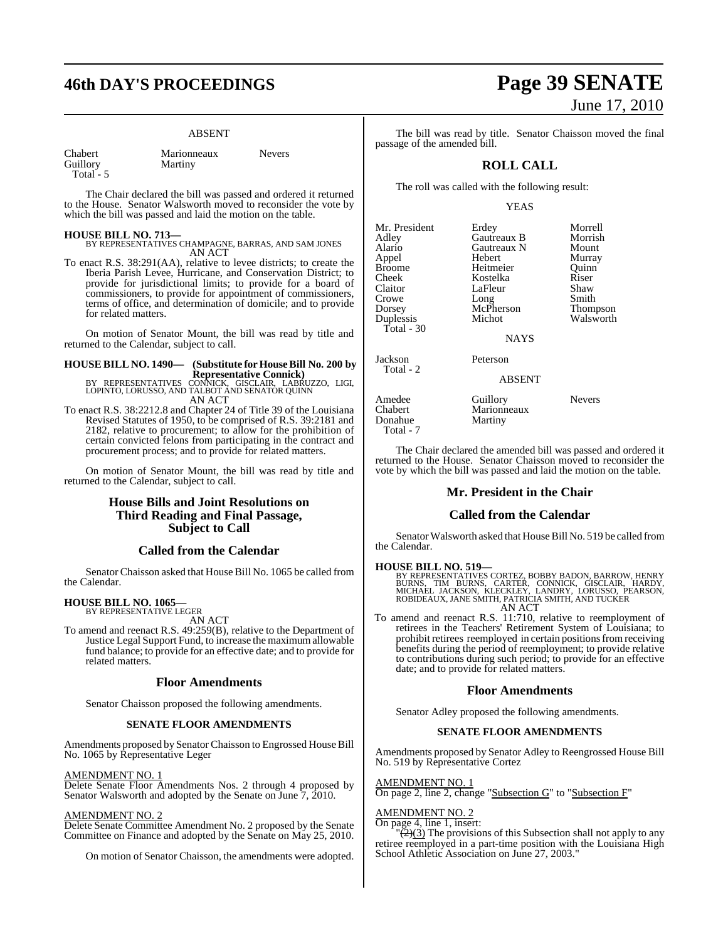#### ABSENT

| Chabert   | Marionneaux | Nevers |
|-----------|-------------|--------|
| Guillory  | Martiny     |        |
| Total - 5 |             |        |

The Chair declared the bill was passed and ordered it returned to the House. Senator Walsworth moved to reconsider the vote by which the bill was passed and laid the motion on the table.

#### **HOUSE BILL NO. 713—**

BY REPRESENTATIVES CHAMPAGNE, BARRAS, AND SAM JONES AN ACT

To enact R.S. 38:291(AA), relative to levee districts; to create the Iberia Parish Levee, Hurricane, and Conservation District; to provide for jurisdictional limits; to provide for a board of commissioners, to provide for appointment of commissioners, terms of office, and determination of domicile; and to provide for related matters.

On motion of Senator Mount, the bill was read by title and returned to the Calendar, subject to call.

# **HOUSE BILL NO. 1490— (Substitute for HouseBill No. 200 by**

**Representative Connick)**<br>BY REPRESENTATIVES CONNICK, GISCLAIR, LABRUZZO, LIGI,<br>LOPINTO, LORUSSO, AND TALBOT AND SENATOR QUINN AN ACT

To enact R.S. 38:2212.8 and Chapter 24 of Title 39 of the Louisiana Revised Statutes of 1950, to be comprised of R.S. 39:2181 and 2182, relative to procurement; to allow for the prohibition of certain convicted felons from participating in the contract and procurement process; and to provide for related matters.

On motion of Senator Mount, the bill was read by title and returned to the Calendar, subject to call.

## **House Bills and Joint Resolutions on Third Reading and Final Passage, Subject to Call**

#### **Called from the Calendar**

Senator Chaisson asked that House Bill No. 1065 be called from the Calendar.

#### **HOUSE BILL NO. 1065—** BY REPRESENTATIVE LEGER

AN ACT

To amend and reenact R.S. 49:259(B), relative to the Department of Justice Legal Support Fund, to increase the maximumallowable fund balance; to provide for an effective date; and to provide for related matters.

#### **Floor Amendments**

Senator Chaisson proposed the following amendments.

#### **SENATE FLOOR AMENDMENTS**

Amendments proposed by Senator Chaisson to Engrossed House Bill No. 1065 by Representative Leger

#### AMENDMENT NO. 1

Delete Senate Floor Amendments Nos. 2 through 4 proposed by Senator Walsworth and adopted by the Senate on June 7, 2010.

#### AMENDMENT NO. 2

Delete Senate Committee Amendment No. 2 proposed by the Senate Committee on Finance and adopted by the Senate on May 25, 2010.

On motion of Senator Chaisson, the amendments were adopted.

# **46th DAY'S PROCEEDINGS Page 39 SENATE** June 17, 2010

The bill was read by title. Senator Chaisson moved the final passage of the amended bill.

## **ROLL CALL**

The roll was called with the following result:

#### YEAS

| Mr. President | Erdey         | Morrell       |
|---------------|---------------|---------------|
| Adley         | Gautreaux B   | Morrish       |
| Alario        | Gautreaux N   | Mount         |
| Appel         | Hebert        | Murray        |
| Broome        | Heitmeier     | Ouinn         |
| Cheek         | Kostelka      | Riser         |
| Claitor       | LaFleur       | Shaw          |
| Crowe         | Long          | Smith         |
| Dorsey        | McPherson     | Thompson      |
| Duplessis     | Michot        | Walsworth     |
| Total - 30    |               |               |
|               | <b>NAYS</b>   |               |
| Jackson       | Peterson      |               |
| Total - 2     | <b>ABSENT</b> |               |
| Amedee        | Guillory      | <b>Nevers</b> |
| Chabert       | Marionneaux   |               |
| Donahue       | Martiny       |               |
| Total - 7     |               |               |

The Chair declared the amended bill was passed and ordered it returned to the House. Senator Chaisson moved to reconsider the vote by which the bill was passed and laid the motion on the table.

#### **Mr. President in the Chair**

#### **Called from the Calendar**

Senator Walsworth asked that House Bill No. 519 be called from the Calendar.

**HOUSE BILL NO. 519—**<br>BY REPRESENTATIVES CORTEZ, BOBBY BADON, BARROW, HENRY<br>BURNS, TIM BURNS, CARTER, CONNICK, GISCLAIR, HARDY,<br>MICHAEL JACKSON, KLECKLEY, LANDRY, LORUSSO, PEARSON,<br>ROBIDEAUX, JANE SMITH, PATRICIA SMITH, AN AN ACT

To amend and reenact R.S. 11:710, relative to reemployment of retirees in the Teachers' Retirement System of Louisiana; to prohibit retirees reemployed in certain positions from receiving benefits during the period of reemployment; to provide relative to contributions during such period; to provide for an effective date; and to provide for related matters.

#### **Floor Amendments**

Senator Adley proposed the following amendments.

#### **SENATE FLOOR AMENDMENTS**

Amendments proposed by Senator Adley to Reengrossed House Bill No. 519 by Representative Cortez

#### AMENDMENT NO. 1

On page 2, line 2, change "Subsection G" to "Subsection F"

#### AMENDMENT NO. 2

On page 4, line 1, insert:

 $\left(\frac{1}{2}(3)\right)$  The provisions of this Subsection shall not apply to any retiree reemployed in a part-time position with the Louisiana High School Athletic Association on June 27, 2003."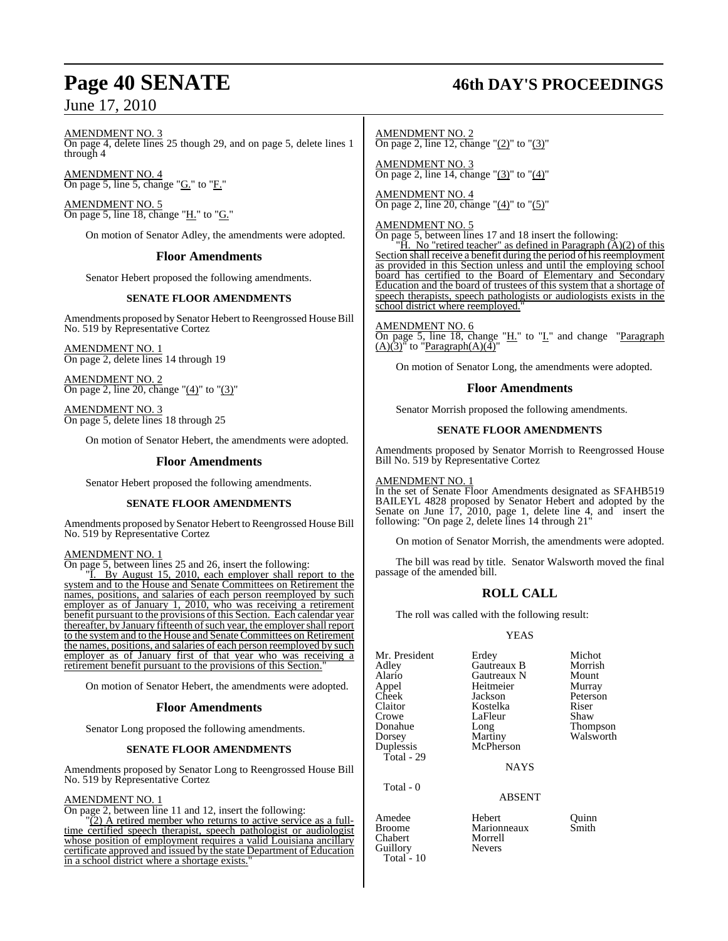#### AMENDMENT NO. 3 On page 4, delete lines 25 though 29, and on page 5, delete lines 1 through  $4$

AMENDMENT NO. 4 On page 5, line 5, change "G." to "F."

AMENDMENT NO. 5 On page 5, line 18, change "H." to "G."

On motion of Senator Adley, the amendments were adopted.

## **Floor Amendments**

Senator Hebert proposed the following amendments.

#### **SENATE FLOOR AMENDMENTS**

Amendments proposed by Senator Hebert to Reengrossed House Bill No. 519 by Representative Cortez

AMENDMENT NO. 1 On page 2, delete lines 14 through 19

AMENDMENT NO. 2 On page 2, line 20, change " $(4)$ " to " $(3)$ "

AMENDMENT NO. 3 On page 5, delete lines 18 through 25

On motion of Senator Hebert, the amendments were adopted.

#### **Floor Amendments**

Senator Hebert proposed the following amendments.

#### **SENATE FLOOR AMENDMENTS**

Amendments proposed by Senator Hebert to Reengrossed House Bill No. 519 by Representative Cortez

#### AMENDMENT NO. 1

On page 5, between lines 25 and 26, insert the following:

By August 15, 2010, each employer shall report to the system and to the House and Senate Committees on Retirement the names, positions, and salaries of each person reemployed by such employer as of January 1, 2010, who was receiving a retirement benefit pursuant to the provisions of this Section. Each calendar year thereafter, by January fifteenth of such year, the employer shall report to the system and to the House and Senate Committees on Retirement the names, positions, and salaries of each person reemployed by such employer as of January first of that year who was receiving a retirement benefit pursuant to the provisions of this Section."

On motion of Senator Hebert, the amendments were adopted.

#### **Floor Amendments**

Senator Long proposed the following amendments.

#### **SENATE FLOOR AMENDMENTS**

Amendments proposed by Senator Long to Reengrossed House Bill No. 519 by Representative Cortez

#### AMENDMENT NO. 1

On page 2, between line 11 and 12, insert the following:

"(2) A retired member who returns to active service as a fulltime certified speech therapist, speech pathologist or audiologist whose position of employment requires a valid Louisiana ancillary certificate approved and issued by the state Department of Education in a school district where a shortage exists."

# **Page 40 SENATE 46th DAY'S PROCEEDINGS**

AMENDMENT NO. 2 On page 2, line 12, change " $(2)$ " to " $(3)$ "

AMENDMENT NO. 3 On page 2, line 14, change " $(3)$ " to " $(4)$ "

AMENDMENT NO. 4 On page 2, line 20, change " $(4)$ " to " $(5)$ "

#### AMENDMENT NO. 5

On page 5, between lines 17 and 18 insert the following:

"H. No "retired teacher" as defined in Paragraph  $(A)(2)$  of this Section shall receive a benefit during the period of his reemployment as provided in this Section unless and until the employing school board has certified to the Board of Elementary and Secondary Education and the board of trustees of this system that a shortage of speech therapists, speech pathologists or audiologists exists in the school district where reemployed.

#### AMENDMENT NO. 6

On page 5, line 18, change "H." to "I." and change "Paragraph  $(A)(3)$ <sup>"</sup> to "Paragraph $(A)(4)$ "

On motion of Senator Long, the amendments were adopted.

#### **Floor Amendments**

Senator Morrish proposed the following amendments.

#### **SENATE FLOOR AMENDMENTS**

Amendments proposed by Senator Morrish to Reengrossed House Bill No. 519 by Representative Cortez

## AMENDMENT NO. 1

In the set of Senate Floor Amendments designated as SFAHB519 BAILEYL 4828 proposed by Senator Hebert and adopted by the Senate on June 17, 2010, page 1, delete line 4, and insert the following: "On page 2, delete lines 14 through 21"

On motion of Senator Morrish, the amendments were adopted.

The bill was read by title. Senator Walsworth moved the final passage of the amended bill.

#### **ROLL CALL**

The roll was called with the following result:

#### YEAS

| Mr. President | Erdey       | Michot          |
|---------------|-------------|-----------------|
| Adley         | Gautreaux B | Morrish         |
| Alario        | Gautreaux N | Mount           |
| Appel         | Heitmeier   | Murray          |
| Cheek         | Jackson     | Peterson        |
| Claitor       | Kostelka    | Riser           |
| Crowe         | LaFleur     | Shaw            |
| Donahue       | Long        | <b>Thompson</b> |
| Dorsey        | Martiny     | Walsworth       |
| Duplessis     | McPherson   |                 |
| Total - 29    |             |                 |
|               | <b>NAYS</b> |                 |
| Total - 0     |             |                 |

#### ABSENT

Amedee Hebert Quinn Marionneaux<br>Morrell Guillory Nevers

Chabert

Total  $-10$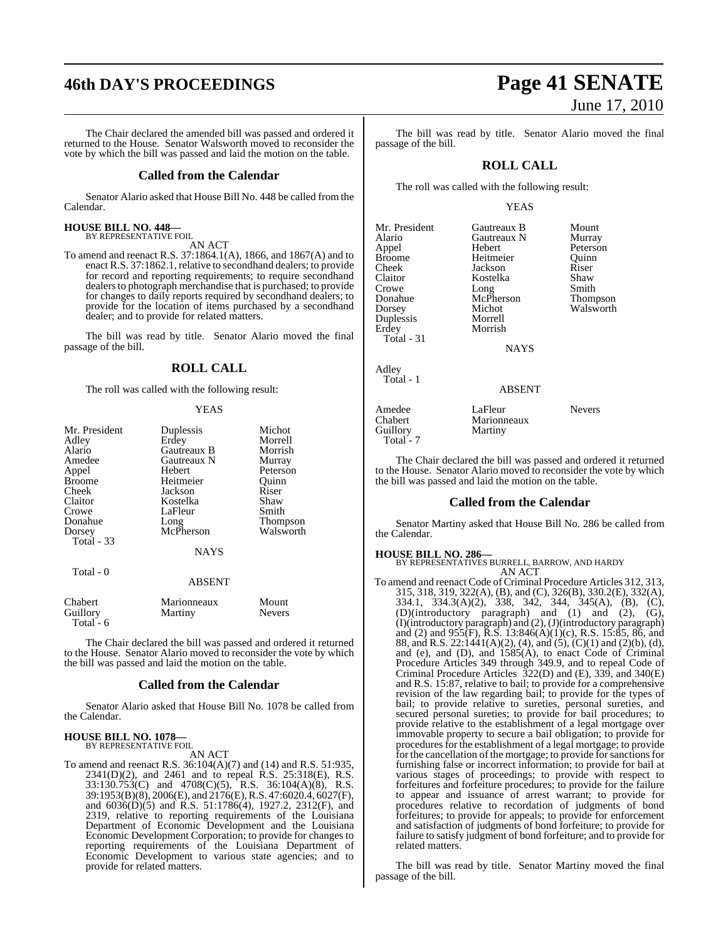# **46th DAY'S PROCEEDINGS Page 41 SENATE**

The Chair declared the amended bill was passed and ordered it returned to the House. Senator Walsworth moved to reconsider the vote by which the bill was passed and laid the motion on the table.

#### **Called from the Calendar**

Senator Alario asked that House Bill No. 448 be called from the Calendar.

# **HOUSE BILL NO. 448—** BY REPRESENTATIVE FOIL

AN ACT

To amend and reenact R.S. 37:1864.1(A), 1866, and 1867(A) and to enact R.S. 37:1862.1, relative to secondhand dealers; to provide for record and reporting requirements; to require secondhand dealers to photograph merchandise that is purchased; to provide for changes to daily reports required by secondhand dealers; to provide for the location of items purchased by a secondhand dealer; and to provide for related matters.

The bill was read by title. Senator Alario moved the final passage of the bill.

#### **ROLL CALL**

The roll was called with the following result:

#### **YEAS**

| Mr. President<br>Adley<br>Alario<br>Amedee<br>Appel<br><b>Broome</b><br>Cheek<br>Claitor<br>Crowe<br>Donahue<br>Dorsey<br><b>Total - 33</b> | Duplessis<br>Erdey<br>Gautreaux B<br>Gautreaux N<br>Hebert<br>Heitmeier<br>Jackson<br>Kostelka<br>LaFleur<br>Long<br>McPherson<br><b>NAYS</b> | Michot<br>Morrell<br>Morrish<br>Murray<br>Peterson<br>Ouinn<br>Riser<br>Shaw<br>Smith<br><b>Thompson</b><br>Walsworth |
|---------------------------------------------------------------------------------------------------------------------------------------------|-----------------------------------------------------------------------------------------------------------------------------------------------|-----------------------------------------------------------------------------------------------------------------------|
| Total - 0                                                                                                                                   | <b>ABSENT</b>                                                                                                                                 |                                                                                                                       |
| Chabert<br>Guillory                                                                                                                         | Marionneaux<br>Martiny                                                                                                                        | Mount<br>Nevers                                                                                                       |

The Chair declared the bill was passed and ordered it returned to the House. Senator Alario moved to reconsider the vote by which the bill was passed and laid the motion on the table.

#### **Called from the Calendar**

Senator Alario asked that House Bill No. 1078 be called from the Calendar.

#### **HOUSE BILL NO. 1078—** BY REPRESENTATIVE FOIL

Total - 6

AN ACT

To amend and reenact R.S. 36:104(A)(7) and (14) and R.S. 51:935, 2341(D)(2), and 2461 and to repeal R.S. 25:318(E), R.S. 33:130.753(C) and 4708(C)(5), R.S. 36:104(A)(8), R.S. 39:1953(B)(8), 2006(E), and 2176(E),R.S. 47:6020.4, 6027(F), and 6036(D)(5) and R.S. 51:1786(4), 1927.2, 2312(F), and 2319, relative to reporting requirements of the Louisiana Department of Economic Development and the Louisiana Economic Development Corporation; to provide for changes to reporting requirements of the Louisiana Department of Economic Development to various state agencies; and to provide for related matters.

# June 17, 2010

The bill was read by title. Senator Alario moved the final passage of the bill.

### **ROLL CALL**

The roll was called with the following result:

#### YEAS

Mr. President Gautreaux B Mount<br>Alario Gautreaux N Murray Alario Gautreaux N<br>Appel Hebert Appel Hebert Peterson Broome Heitmeier Quinn<br>Cheek Jackson Riser Cheek Jackson Riser Claitor Kostelka Shaw Crowe Long Smith Donahue McPherson Thompson Dorsey Michot Walsworth Duplessis<br>Erdey Total - 31

Morrish

**NAYS** 

ABSENT

#### Adley Total - 1

| Amedee    | LaFleur     | <b>Nevers</b> |
|-----------|-------------|---------------|
| Chabert   | Marionneaux |               |
| Guillory  | Martiny     |               |
| Total - 7 |             |               |

The Chair declared the bill was passed and ordered it returned to the House. Senator Alario moved to reconsider the vote by which the bill was passed and laid the motion on the table.

#### **Called from the Calendar**

Senator Martiny asked that House Bill No. 286 be called from the Calendar.

**HOUSE BILL NO. 286—** BY REPRESENTATIVES BURRELL, BARROW, AND HARDY AN ACT

To amend and reenact Code of Criminal Procedure Articles 312, 313, 315, 318, 319, 322(A), (B), and (C), 326(B), 330.2(E), 332(A), 334.1, 334.3(A)(2), 338, 342, 344, 345(A), (B), (C), (D)(introductory paragraph) and (1) and (2), (G), (I)(introductory paragraph) and (2), (J)(introductory paragraph) and (2) and 955(F),  $\overline{R}$ .S. 13:846(A)(1)(c), R.S. 15:85, 86, and 88, and R.S. 22:1441(A)(2), (4), and (5), (C)(1) and (2)(b), (d), and (e), and (D), and 1585(A), to enact Code of Criminal Procedure Articles 349 through 349.9, and to repeal Code of Criminal Procedure Articles 322(D) and (E), 339, and 340(E) and R.S. 15:87, relative to bail; to provide for a comprehensive revision of the law regarding bail; to provide for the types of bail; to provide relative to sureties, personal sureties, and secured personal sureties; to provide for bail procedures; to provide relative to the establishment of a legal mortgage over immovable property to secure a bail obligation; to provide for procedures for the establishment of a legal mortgage; to provide for the cancellation of the mortgage; to provide for sanctions for furnishing false or incorrect information; to provide for bail at various stages of proceedings; to provide with respect to forfeitures and forfeiture procedures; to provide for the failure to appear and issuance of arrest warrant; to provide for procedures relative to recordation of judgments of bond forfeitures; to provide for appeals; to provide for enforcement and satisfaction of judgments of bond forfeiture; to provide for failure to satisfy judgment of bond forfeiture; and to provide for related matters.

The bill was read by title. Senator Martiny moved the final passage of the bill.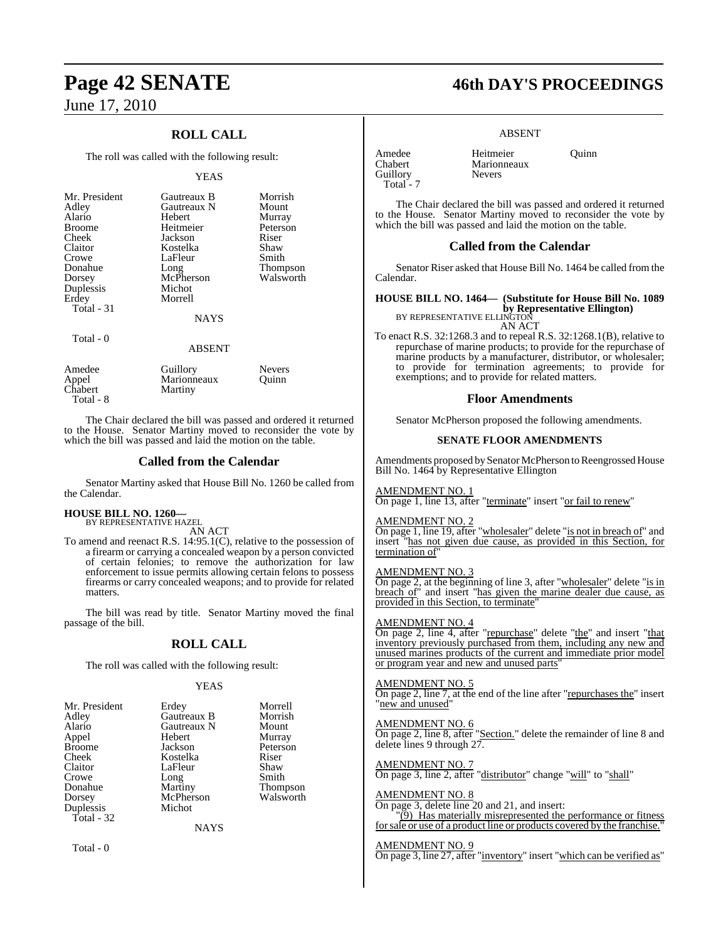## **ROLL CALL**

The roll was called with the following result:

#### YEAS

| Mr. President<br>Adley<br>Alario<br><b>Broome</b><br><b>Cheek</b><br>Claitor<br>Crowe<br>Donahue<br>Dorsey<br>Duplessis<br>Erdey<br>Total - 31 | Gautreaux B<br>Gautreaux N<br><b>Hebert</b><br>Heitmeier<br>Jackson<br>Kostelka<br>LaFleur<br>Long<br>McPherson<br>Michot<br>Morrell<br><b>NAYS</b> | Morrish<br>Mount<br>Murray<br>Peterson<br>Riser<br>Shaw<br>Smith<br><b>Thompson</b><br>Walsworth |
|------------------------------------------------------------------------------------------------------------------------------------------------|-----------------------------------------------------------------------------------------------------------------------------------------------------|--------------------------------------------------------------------------------------------------|
| Total - 0                                                                                                                                      | <b>ABSENT</b>                                                                                                                                       |                                                                                                  |
| Amedee                                                                                                                                         | Guillory                                                                                                                                            | <b>Nevers</b>                                                                                    |

| Appel<br>Chabert<br>Marionneaux<br>Martiny | Ouinn |  |
|--------------------------------------------|-------|--|
| Total - 8                                  |       |  |
|                                            |       |  |

The Chair declared the bill was passed and ordered it returned to the House. Senator Martiny moved to reconsider the vote by which the bill was passed and laid the motion on the table.

#### **Called from the Calendar**

Senator Martiny asked that House Bill No. 1260 be called from the Calendar.

#### **HOUSE BILL NO. 1260—** BY REPRESENTATIVE HAZEL

AN ACT

To amend and reenact R.S. 14:95.1(C), relative to the possession of a firearm or carrying a concealed weapon by a person convicted of certain felonies; to remove the authorization for law enforcement to issue permits allowing certain felons to possess firearms or carry concealed weapons; and to provide for related matters.

The bill was read by title. Senator Martiny moved the final passage of the bill.

#### **ROLL CALL**

The roll was called with the following result:

#### YEAS

| Mr. President | Erdey       | Morrell   |
|---------------|-------------|-----------|
| Adley         | Gautreaux B | Morrish   |
| Alario        | Gautreaux N | Mount     |
| Appel         | Hebert      | Murray    |
| Broome        | Jackson     | Peterson  |
| Cheek         | Kostelka    | Riser     |
| Claitor       | LaFleur     | Shaw      |
| Crowe         | Long        | Smith     |
| Donahue       | Martiny     | Thompson  |
| Dorsey        | McPherson   | Walsworth |
| Duplessis     | Michot      |           |
| Total - 32    |             |           |
|               | <b>NAYS</b> |           |

Total - 0

# **Page 42 SENATE 46th DAY'S PROCEEDINGS**

#### ABSENT

Marionneaux<br>Nevers

Amedee Heitmeier Quinn<br>Chabert Marionneaux Guillory Total - 7

The Chair declared the bill was passed and ordered it returned to the House. Senator Martiny moved to reconsider the vote by which the bill was passed and laid the motion on the table.

#### **Called from the Calendar**

Senator Riser asked that House Bill No. 1464 be called from the Calendar.

## **HOUSE BILL NO. 1464— (Substitute for House Bill No. 1089**

**by Representative Ellington)**<br>BY REPRESENTATIVE ELLINGTON

AN ACT

To enact R.S. 32:1268.3 and to repeal R.S. 32:1268.1(B), relative to repurchase of marine products; to provide for the repurchase of marine products by a manufacturer, distributor, or wholesaler; to provide for termination agreements; to provide for exemptions; and to provide for related matters.

#### **Floor Amendments**

Senator McPherson proposed the following amendments.

#### **SENATE FLOOR AMENDMENTS**

Amendments proposed bySenator McPherson to Reengrossed House Bill No. 1464 by Representative Ellington

AMENDMENT NO. 1

On page 1, line 13, after "terminate" insert "or fail to renew"

#### AMENDMENT NO. 2

On page 1, line 19, after "wholesaler" delete "is not in breach of" and insert "has not given due cause, as provided in this Section, for termination of"

#### AMENDMENT NO. 3

On page 2, at the beginning of line 3, after "wholesaler" delete "is in breach of" and insert "has given the marine dealer due cause, as provided in this Section, to terminate

#### AMENDMENT NO. 4

On page 2, line 4, after "repurchase" delete "the" and insert "that inventory previously purchased from them, including any new and unused marines products of the current and immediate prior model or program year and new and unused parts"

#### AMENDMENT NO. 5

On page 2, line 7, at the end of the line after "repurchases the" insert "new and unused"

#### AMENDMENT NO. 6

On page 2, line 8, after "Section." delete the remainder of line 8 and delete lines 9 through 27.

#### AMENDMENT NO. 7

On page 3, line 2, after "distributor" change "will" to "shall"

#### AMEN<u>DMENT NO. 8</u>

On page 3, delete line 20 and 21, and insert: "(9) Has materially misrepresented the performance or fitness forsale or use of a product line or products covered by the franchise."

#### AMENDMENT NO. 9

On page 3, line 27, after "inventory" insert "which can be verified as"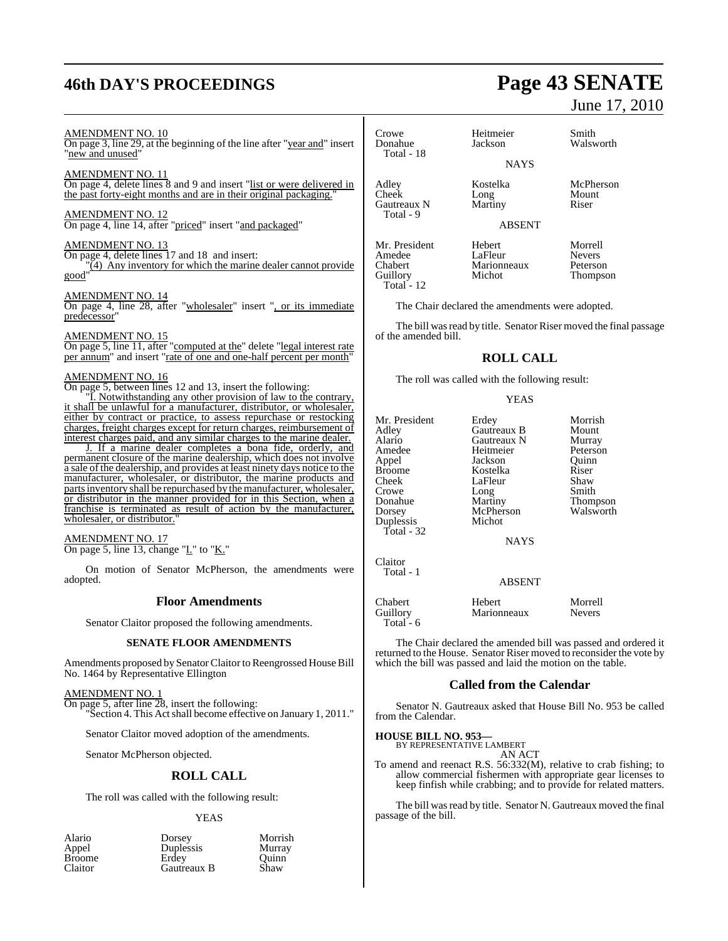# **46th DAY'S PROCEEDINGS Page 43 SENATE**

#### AMENDMENT NO. 10

On page 3, line 29, at the beginning of the line after "year and" insert "new and unused"

#### AMENDMENT NO. 11

On page 4, delete lines 8 and 9 and insert "list or were delivered in the past forty-eight months and are in their original packaging."

#### AMENDMENT NO. 12

On page 4, line 14, after "priced" insert "and packaged"

#### AMENDMENT NO. 13

On page 4, delete lines 17 and 18 and insert:  $(4)$  Any inventory for which the marine dealer cannot provide good"

#### AMENDMENT NO. 14

On page 4, line 28, after "wholesaler" insert ", or its immediate predecessor"

#### AMENDMENT NO. 15

On page 5, line 11, after "computed at the" delete "legal interest rate per annum" and insert "rate of one and one-half percent per month"

#### AMENDMENT NO. 16

On page 5, between lines 12 and 13, insert the following:

"I. Notwithstanding any other provision of law to the contrary, it shall be unlawful for a manufacturer, distributor, or wholesaler, either by contract or practice, to assess repurchase or restocking charges, freight charges except for return charges, reimbursement of interest charges paid, and any similar charges to the marine dealer.

J. If a marine dealer completes a bona fide, orderly, and permanent closure of the marine dealership, which does not involve a sale of the dealership, and provides at least ninety days notice to the manufacturer, wholesaler, or distributor, the marine products and parts inventory shall be repurchased by the manufacturer, wholesaler, or distributor in the manner provided for in this Section, when a franchise is terminated as result of action by the manufacturer, wholesaler, or distributor.

#### AMENDMENT NO. 17

On page 5, line 13, change " $L$ " to " $K$ ."

On motion of Senator McPherson, the amendments were adopted.

#### **Floor Amendments**

Senator Claitor proposed the following amendments.

#### **SENATE FLOOR AMENDMENTS**

Amendments proposed by Senator Claitor to Reengrossed House Bill No. 1464 by Representative Ellington

#### AMENDMENT NO. 1

On page 5, after line 28, insert the following: "Section 4. This Actshall become effective on January 1, 2011."

Senator Claitor moved adoption of the amendments.

Senator McPherson objected.

#### **ROLL CALL**

The roll was called with the following result:

#### YEAS

Morrish Murray Quinn<sup>'</sup><br>Shaw

| Alario        | Dorsey           | Morri |
|---------------|------------------|-------|
| Appel         | <b>Duplessis</b> | Murra |
| <b>Broome</b> | Erdev            | Ouini |
| Claitor       | Gautreaux B      | Shaw  |

# June 17, 2010

Thompson

Crowe Heitmeier Smith<br>
Donahue Jackson Walsw Walsworth Total - 18 **NAYS** Adley Kostelka McPherson Long Mount<br>Martiny Riser Gautreaux N Total - 9 ABSENT Mr. President Hebert Morrell<br>Amedee LaFleur Nevers Amedee LaFleur Nevers Chabert Marionneaux<br>
Guillory Michot

The Chair declared the amendments were adopted.

The bill was read by title. Senator Riser moved the final passage of the amended bill.

## **ROLL CALL**

The roll was called with the following result:

#### YEAS

Mr. President Erdey Morrish<br>Adley Gautreaux B Mount Adley Gautreaux B Mount<br>Alario Gautreaux N Murray Alario Gautreaux N Murray<br>Amedee Heitmeier Peterson Amedee Heitmeier Peters<br>Appel Jackson Quinn Appel Jackson Quinn Broome Kostelka Riser<br>Cheek LaFleur Shaw Cheek LaFleur Shaw<br>Crowe Long Smith Crowe Long<br>
Donahue Martiny Donahue Martiny Thompson<br>
Dorsey McPherson Walsworth McPherson<br>Michot Duplessis Total - 32 NAYS Claitor Total - 1 ABSENT

Total - 12

Chabert Hebert Morrell

The Chair declared the amended bill was passed and ordered it returned to the House. Senator Riser moved to reconsider the vote by which the bill was passed and laid the motion on the table.

Marionneaux

#### **Called from the Calendar**

Senator N. Gautreaux asked that House Bill No. 953 be called from the Calendar.

#### **HOUSE BILL NO. 953—** BY REPRESENTATIVE LAMBERT

Total - 6

AN ACT

To amend and reenact R.S. 56:332(M), relative to crab fishing; to allow commercial fishermen with appropriate gear licenses to keep finfish while crabbing; and to provide for related matters.

The bill was read by title. Senator N. Gautreaux moved the final passage of the bill.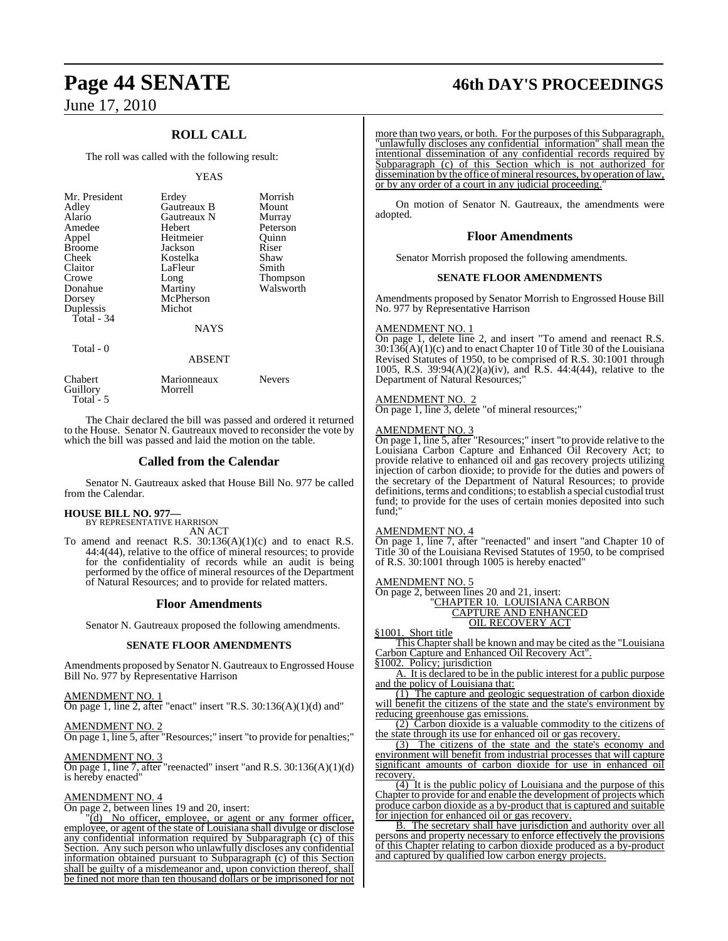## **ROLL CALL**

The roll was called with the following result:

#### YEAS

| Mr. President<br>Adley | Erdey<br>Gautreaux B | Morrish<br>Mount |
|------------------------|----------------------|------------------|
| Alario                 | Gautreaux N          | Murray           |
| Amedee                 | Hebert               | Peterson         |
| Appel                  | Heitmeier            | Ouinn            |
| <b>Broome</b>          | Jackson              | Riser            |
| Cheek                  | Kostelka             | Shaw             |
| Claitor                | LaFleur              | Smith            |
| Crowe                  | Long                 | Thompson         |
| Donahue                | Martiny              | Walsworth        |
| Dorsey                 | McPherson            |                  |
| Duplessis              | Michot               |                  |
| Total - 34             |                      |                  |
|                        | <b>NAYS</b>          |                  |
| Total - 0              | <b>ABSENT</b>        |                  |

Chabert Marionneaux Nevers Guillory Total - 5

The Chair declared the bill was passed and ordered it returned to the House. Senator N. Gautreaux moved to reconsider the vote by which the bill was passed and laid the motion on the table.

#### **Called from the Calendar**

Senator N. Gautreaux asked that House Bill No. 977 be called from the Calendar.

# **HOUSE BILL NO. 977—** BY REPRESENTATIVE HARRISON

AN ACT

To amend and reenact R.S.  $30:136(A)(1)(c)$  and to enact R.S. 44:4(44), relative to the office of mineral resources; to provide for the confidentiality of records while an audit is being performed by the office of mineral resources of the Department of Natural Resources; and to provide for related matters.

#### **Floor Amendments**

Senator N. Gautreaux proposed the following amendments.

#### **SENATE FLOOR AMENDMENTS**

Amendments proposed by Senator N. Gautreaux to Engrossed House Bill No. 977 by Representative Harrison

#### AMENDMENT NO. 1

On page 1, line 2, after "enact" insert "R.S. 30:136(A)(1)(d) and"

#### AMENDMENT NO. 2

On page 1, line 5, after "Resources;" insert "to provide for penalties;"

## AMENDMENT NO. 3

On page 1, line 7, after "reenacted" insert "and R.S. 30:136(A)(1)(d) is hereby enacted"

#### AMENDMENT NO. 4

On page 2, between lines 19 and 20, insert:

"(d) No officer, employee, or agent or any former officer, employee, or agent of the state of Louisiana shall divulge or disclose any confidential information required by Subparagraph (c) of this Section. Any such person who unlawfully discloses any confidential information obtained pursuant to Subparagraph (c) of this Section shall be guilty of a misdemeanor and, upon conviction thereof, shall be fined not more than ten thousand dollars or be imprisoned for not

# **Page 44 SENATE 46th DAY'S PROCEEDINGS**

more than two years, or both. For the purposes of this Subparagraph, "unlawfully discloses any confidential information" shall mean the intentional dissemination of any confidential records required by Subparagraph (c) of this Section which is not authorized for dissemination by the office of mineral resources, by operation of law, or by any order of a court in any judicial proceeding.

On motion of Senator N. Gautreaux, the amendments were adopted.

#### **Floor Amendments**

Senator Morrish proposed the following amendments.

#### **SENATE FLOOR AMENDMENTS**

Amendments proposed by Senator Morrish to Engrossed House Bill No. 977 by Representative Harrison

#### AMENDMENT NO. 1

On page 1, delete line 2, and insert "To amend and reenact R.S.  $30:136(A)(1)(c)$  and to enact Chapter 10 of Title 30 of the Louisiana Revised Statutes of 1950, to be comprised of R.S. 30:1001 through 1005, R.S. 39:94(A)(2)(a)(iv), and R.S. 44:4(44), relative to the Department of Natural Resources;"

#### AMENDMENT NO. 2

On page 1, line 3, delete "of mineral resources;"

#### AMENDMENT NO. 3

On page 1, line 5, after "Resources;" insert "to provide relative to the Louisiana Carbon Capture and Enhanced Oil Recovery Act; to provide relative to enhanced oil and gas recovery projects utilizing injection of carbon dioxide; to provide for the duties and powers of the secretary of the Department of Natural Resources; to provide definitions, terms and conditions; to establish a special custodial trust fund; to provide for the uses of certain monies deposited into such fund;"

#### AMENDMENT NO. 4

On page 1, line 7, after "reenacted" and insert "and Chapter 10 of Title 30 of the Louisiana Revised Statutes of 1950, to be comprised of R.S. 30:1001 through 1005 is hereby enacted"

#### AMENDMENT NO. 5

On page 2, between lines 20 and 21, insert: "CHAPTER 10. LOUISIANA CARBON CAPTURE AND ENHANCED OIL RECOVERY ACT

§1001. Short title

This Chapter shall be known and may be cited as the "Louisiana Carbon Capture and Enhanced Oil Recovery Act".

§1002. Policy; jurisdiction

A. It is declared to be in the public interest for a public purpose and the policy of Louisiana that:

(1) The capture and geologic sequestration of carbon dioxide will benefit the citizens of the state and the state's environment by reducing greenhouse gas emissions.

(2) Carbon dioxide is a valuable commodity to the citizens of the state through its use for enhanced oil or gas recovery.

(3) The citizens of the state and the state's economy and environment will benefit from industrial processes that will capture significant amounts of carbon dioxide for use in enhanced recovery.

 $\overline{(4)}$  It is the public policy of Louisiana and the purpose of this Chapter to provide for and enable the development of projects which produce carbon dioxide as a by-product that is captured and suitable for injection for enhanced oil or gas recovery.

B. The secretary shall have jurisdiction and authority over all persons and property necessary to enforce effectively the provisions of this Chapter relating to carbon dioxide produced as a by-product and captured by qualified low carbon energy projects.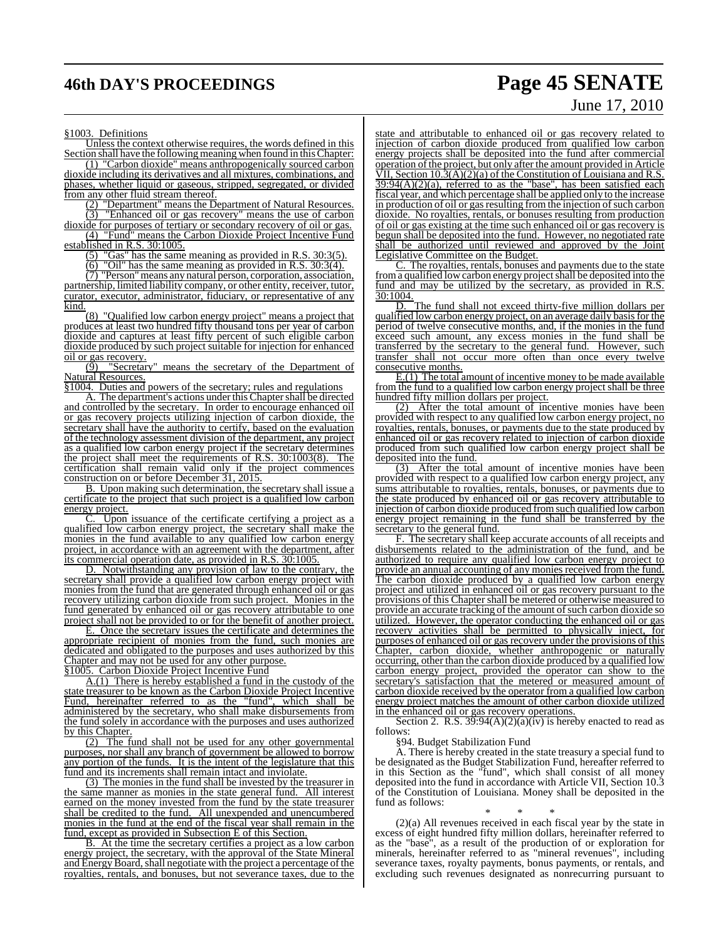# **46th DAY'S PROCEEDINGS Page 45 SENATE**

# June 17, 2010

§1003. Definitions

Unless the context otherwise requires, the words defined in this Section shall have the following meaning when found in this Chapter:

(1) "Carbon dioxide" means anthropogenically sourced carbon dioxide including its derivatives and all mixtures, combinations, and phases, whether liquid or gaseous, stripped, segregated, or divided from any other fluid stream thereof.

(2) "Department" means the Department of Natural Resources. (3) "Enhanced oil or gas recovery" means the use of carbon

dioxide for purposes of tertiary or secondary recovery of oil or gas. (4) "Fund" means the Carbon Dioxide Project Incentive Fund

established in R.S. 30:1005.

(5) "Gas" has the same meaning as provided in R.S. 30:3(5).<br>(6) "Oil" has the same meaning as provided in  $\overline{P} \subseteq 30.3(4)$ .

"Oil" has the same meaning as provided in R.S. 30:3(4).

(7) "Person" means any natural person, corporation, association, partnership, limited liability company, or other entity, receiver, tutor, curator, executor, administrator, fiduciary, or representative of any kind.

(8) "Qualified low carbon energy project" means a project that produces at least two hundred fifty thousand tons per year of carbon dioxide and captures at least fifty percent of such eligible carbon dioxide produced by such project suitable for injection for enhanced

 $\frac{\text{oil or gas recovery.}}{(\frac{5}{9})}$  "Secretar" "Secretary" means the secretary of the Department of Natural Resources.

§1004. Duties and powers of the secretary; rules and regulations

A. The department's actions under this Chapter shall be directed and controlled by the secretary. In order to encourage enhanced oil or gas recovery projects utilizing injection of carbon dioxide, the secretary shall have the authority to certify, based on the evaluation of the technology assessment division of the department, any project as a qualified low carbon energy project if the secretary determines<br>the project shall meet the requirements of R.S. 30:1003(8). The the project shall meet the requirements of R.S.  $30:1003(8)$ . certification shall remain valid only if the project commences construction on or before December 31, 2015.

B. Upon making such determination, the secretary shall issue a certificate to the project that such project is a qualified low carbon energy project.

Upon issuance of the certificate certifying a project as a qualified low carbon energy project, the secretary shall make the monies in the fund available to any qualified low carbon energy project, in accordance with an agreement with the department, after its commercial operation date, as provided in R.S. 30:1005.

D. Notwithstanding any provision of law to the contrary, the secretary shall provide a qualified low carbon energy project with monies from the fund that are generated through enhanced oil or gas recovery utilizing carbon dioxide from such project. Monies in the fund generated by enhanced oil or gas recovery attributable to one project shall not be provided to or for the benefit of another project.

E. Once the secretary issues the certificate and determines the appropriate recipient of monies from the fund, such monies are dedicated and obligated to the purposes and uses authorized by this Chapter and may not be used for any other purpose.

§1005. Carbon Dioxide Project Incentive Fund

A.(1) There is hereby established a fund in the custody of the state treasurer to be known as the Carbon Dioxide Project Incentive Fund, hereinafter referred to as the "fund", which shall be administered by the secretary, who shall make disbursements from the fund solely in accordance with the purposes and uses authorized by this Chapter.

(2) The fund shall not be used for any other governmental purposes, nor shall any branch of government be allowed to borrow any portion of the funds. It is the intent of the legislature that this fund and its increments shall remain intact and inviolate.

(3) The monies in the fund shall be invested by the treasurer in the same manner as monies in the state general fund. All interest earned on the money invested from the fund by the state treasurer shall be credited to the fund. All unexpended and unencumbered monies in the fund at the end of the fiscal year shall remain in the fund, except as provided in Subsection E of this Section.

B. At the time the secretary certifies a project as a low carbon energy project, the secretary, with the approval of the State Mineral and Energy Board, shall negotiate with the project a percentage of the royalties, rentals, and bonuses, but not severance taxes, due to the

state and attributable to enhanced oil or gas recovery related to injection of carbon dioxide produced from qualified low carbon energy projects shall be deposited into the fund after commercial operation of the project, but only after the amount provided in Article VII, Section 10.3(A)(2)(a) of the Constitution of Louisiana and R.S.  $39:94(A)(2)(a)$ , referred to as the "base", has been satisfied each fiscal year, and which percentage shall be applied only to the increase in production of oil or gas resulting from the injection of such carbon dioxide. No royalties, rentals, or bonuses resulting from production of oil or gas existing at the time such enhanced oil or gas recovery is begun shall be deposited into the fund. However, no negotiated rate shall be authorized until reviewed and approved by the Joint Legislative Committee on the Budget.

C. The royalties, rentals, bonuses and payments due to the state from a qualified low carbon energy project shall be deposited into the fund and may be utilized by the secretary, as provided in R.S. 30:1004.

D. The fund shall not exceed thirty-five million dollars per qualified low carbon energy project, on an average daily basisfor the period of twelve consecutive months, and, if the monies in the fund exceed such amount, any excess monies in the fund shall be transferred by the secretary to the general fund. However, such transfer shall not occur more often than once every twelve consecutive months.

E.(1) The total amount of incentive money to be made available from the fund to a qualified low carbon energy project shall be three hundred fifty million dollars per project.

(2) After the total amount of incentive monies have been provided with respect to any qualified low carbon energy project, no royalties, rentals, bonuses, or payments due to the state produced by enhanced oil or gas recovery related to injection of carbon dioxide produced from such qualified low carbon energy project shall be deposited into the fund.

(3) After the total amount of incentive monies have been provided with respect to a qualified low carbon energy project, any sums attributable to royalties, rentals, bonuses, or payments due to the state produced by enhanced oil or gas recovery attributable to injection of carbon dioxide produced fromsuch qualified low carbon energy project remaining in the fund shall be transferred by the secretary to the general fund.

F. The secretary shall keep accurate accounts of all receipts and disbursements related to the administration of the fund, and be authorized to require any qualified low carbon energy project to provide an annual accounting of any monies received from the fund. The carbon dioxide produced by a qualified low carbon energy project and utilized in enhanced oil or gas recovery pursuant to the provisions of this Chapter shall be metered or otherwise measured to provide an accurate tracking of the amount of such carbon dioxide so utilized. However, the operator conducting the enhanced oil or gas recovery activities shall be permitted to physically inject, for purposes of enhanced oil or gas recovery under the provisions of this Chapter, carbon dioxide, whether anthropogenic or naturally occurring, other than the carbon dioxide produced by a qualified low carbon energy project, provided the operator can show to the secretary's satisfaction that the metered or measured amount of carbon dioxide received by the operator from a qualified low carbon energy project matches the amount of other carbon dioxide utilized in the enhanced oil or gas recovery operations.

Section 2. R.S.  $39:94(A)(2)(a)(iv)$  is hereby enacted to read as follows:

§94. Budget Stabilization Fund

A. There is hereby created in the state treasury a special fund to be designated as the Budget Stabilization Fund, hereafter referred to in this Section as the "fund", which shall consist of all money deposited into the fund in accordance with Article VII, Section 10.3 of the Constitution of Louisiana. Money shall be deposited in the fund as follows:

\* \* \*

(2)(a) All revenues received in each fiscal year by the state in excess of eight hundred fifty million dollars, hereinafter referred to as the "base", as a result of the production of or exploration for minerals, hereinafter referred to as "mineral revenues", including severance taxes, royalty payments, bonus payments, or rentals, and excluding such revenues designated as nonrecurring pursuant to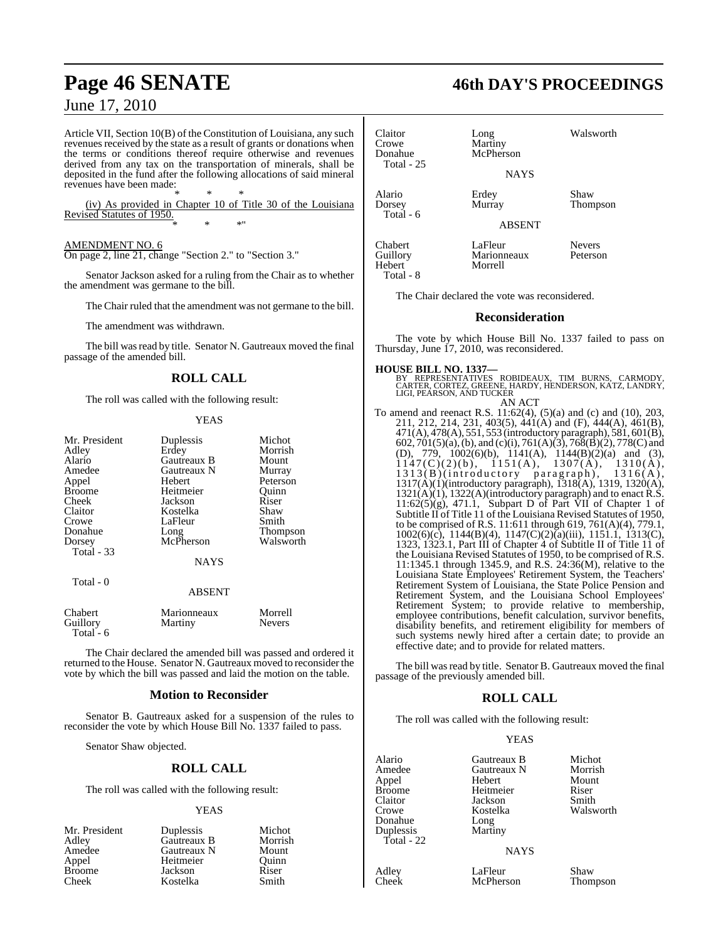Article VII, Section 10(B) of the Constitution of Louisiana, any such revenues received by the state as a result of grants or donations when the terms or conditions thereof require otherwise and revenues derived from any tax on the transportation of minerals, shall be deposited in the fund after the following allocations of said mineral revenues have been made:

\* \* \* (iv) As provided in Chapter 10 of Title 30 of the Louisiana Revised Statutes of 1950. \* \* \*"

#### AMENDMENT NO. 6

On page 2, line 21, change "Section 2." to "Section 3."

Senator Jackson asked for a ruling from the Chair as to whether the amendment was germane to the bill.

The Chair ruled that the amendment was not germane to the bill.

The amendment was withdrawn.

The bill was read by title. Senator N. Gautreaux moved the final passage of the amended bill.

## **ROLL CALL**

The roll was called with the following result:

#### YEAS

| Mr. President     | Duplessis     | Michot    |
|-------------------|---------------|-----------|
| Adley             | Erdey         | Morrish   |
| Alario            | Gautreaux B   | Mount     |
| Amedee            | Gautreaux N   | Murray    |
| Appel             | Hebert        | Peterson  |
| <b>Broome</b>     | Heitmeier     | Quinn     |
| Cheek             | Jackson       | Riser     |
| Claitor           | Kostelka      | Shaw      |
| Crowe             | LaFleur       | Smith     |
| Donahue           | Long          | Thompson  |
| Dorsey            | McPherson     | Walsworth |
| <b>Total - 33</b> |               |           |
|                   | <b>NAYS</b>   |           |
| Total - 0         |               |           |
|                   | <b>ABSENT</b> |           |
| Chahert           | Marionneauv   | Morrell   |

| Chabert     | Marionneaux | Morrell       |
|-------------|-------------|---------------|
| Guillory    | Martiny     | <b>Nevers</b> |
| Total - $6$ |             |               |

The Chair declared the amended bill was passed and ordered it returned to the House. Senator N. Gautreaux moved to reconsider the vote by which the bill was passed and laid the motion on the table.

#### **Motion to Reconsider**

Senator B. Gautreaux asked for a suspension of the rules to reconsider the vote by which House Bill No. 1337 failed to pass.

Senator Shaw objected.

#### **ROLL CALL**

The roll was called with the following result:

#### YEAS

| Mr. President | Duplessis   | Michot  |
|---------------|-------------|---------|
| Adley         | Gautreaux B | Morrish |
| Amedee        | Gautreaux N | Mount   |
| Appel         | Heitmeier   | Ouinn   |
| <b>Broome</b> | Jackson     | Riser   |
| Cheek         | Kostelka    | Smith   |

# **Page 46 SENATE 46th DAY'S PROCEEDINGS**

| Claitor<br>Crowe<br>Donahue<br><b>Total - 25</b> | Long<br>Martiny<br>McPherson<br><b>NAYS</b> | Walsworth                 |
|--------------------------------------------------|---------------------------------------------|---------------------------|
| Alario<br>Dorsey<br>Total - 6                    | Erdey<br>Murray                             | Shaw<br>Thompson          |
|                                                  | <b>ABSENT</b>                               |                           |
| Chabert<br>Guillory<br>Hebert<br>Total - 8       | LaFleur<br>Marionneaux<br>Morrell           | <b>Nevers</b><br>Peterson |

The Chair declared the vote was reconsidered.

#### **Reconsideration**

The vote by which House Bill No. 1337 failed to pass on Thursday, June 17, 2010, was reconsidered.

**HOUSE BILL NO. 1337—**<br>BY REPRESENTATIVES ROBIDEAUX, TIM BURNS, CARMODY,<br>CARTER, CORTEZ, GREENE, HARDY, HENDERSON, KATZ, LANDRY,<br>LIGI, PEARSON, AND TUCKER

AN ACT To amend and reenact R.S. 11:62(4), (5)(a) and (c) and (10), 203, 211, 212, 214, 231, 403(5), 441(A) and (F), 444(A), 461(B), 471(A), 478(A), 551, 553 (introductory paragraph), 581, 601(B), 602, 701(5)(a),(b), and (c)(i), 761(A)(3), 768(B)(2), 778(C) and (D), 779, 1002(6)(b), 1141(A), 1144(B)(2)(a) and (3),  $1147(C)(2)(b)$ ,  $1151(A)$ ,  $1307(A)$ ,  $1310(A)$ , 1313(B)(introductory paragraph), 1316(A), 1317(A)(1)(introductory paragraph), 1318(A), 1319, 1320(A), 1321(A)(1), 1322(A)(introductory paragraph) and to enact R.S.  $11:62(5)(g)$ , 471.1, Subpart D of Part VII of Chapter 1 of Subtitle II of Title 11 of the Louisiana Revised Statutes of 1950, to be comprised of R.S. 11:611 through 619, 761(A)(4), 779.1, 1002(6)(c), 1144(B)(4), 1147(C)(2)(a)(iii), 1151.1, 1313(C), 1323, 1323.1, Part III of Chapter 4 of Subtitle II of Title 11 of the Louisiana Revised Statutes of 1950, to be comprised of R.S. 11:1345.1 through 1345.9, and R.S. 24:36(M), relative to the Louisiana State Employees' Retirement System, the Teachers' Retirement System of Louisiana, the State Police Pension and Retirement System, and the Louisiana School Employees' Retirement System; to provide relative to membership, employee contributions, benefit calculation, survivor benefits, disability benefits, and retirement eligibility for members of such systems newly hired after a certain date; to provide an effective date; and to provide for related matters.

The bill was read by title. Senator B. Gautreaux moved the final passage of the previously amended bill.

## **ROLL CALL**

The roll was called with the following result:

#### YEAS

| Alario       | Gautreaux B    | Michot    |
|--------------|----------------|-----------|
| Amedee       | Gautreaux N    | Morrish   |
| Appel        | Hebert         | Mount     |
| Broome       | Heitmeier      | Riser     |
| Claitor      | Jackson        | Smith     |
| Crowe        | Kostelka       | Walsworth |
| Donahue      | Long           |           |
| Duplessis    | Martiny        |           |
| Total - $22$ |                |           |
|              | <b>ATA TTM</b> |           |

#### NAYS

Adley LaFleur Shaw **McPherson**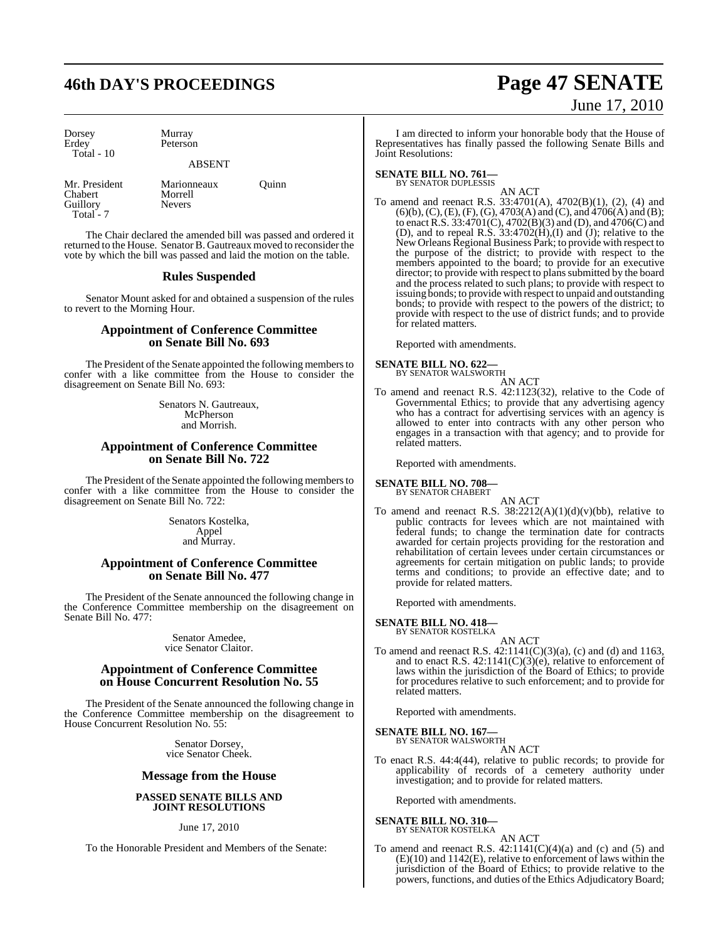# **46th DAY'S PROCEEDINGS Page 47 SENATE**

Dorsey Murray<br>Erdey Peterso Total - 10

Peterson

#### ABSENT

Mr. President Marionneaux Quinn<br>
Chabert Morrell Chabert Morrel<br>
Guillory Nevers Guillory Total - 7

The Chair declared the amended bill was passed and ordered it returned to the House. Senator B. Gautreaux moved to reconsider the vote by which the bill was passed and laid the motion on the table.

#### **Rules Suspended**

Senator Mount asked for and obtained a suspension of the rules to revert to the Morning Hour.

#### **Appointment of Conference Committee on Senate Bill No. 693**

The President of the Senate appointed the following members to confer with a like committee from the House to consider the disagreement on Senate Bill No. 693:

> Senators N. Gautreaux, McPherson and Morrish.

## **Appointment of Conference Committee on Senate Bill No. 722**

The President of the Senate appointed the following membersto confer with a like committee from the House to consider the disagreement on Senate Bill No. 722:

> Senators Kostelka, Appel and Murray.

#### **Appointment of Conference Committee on Senate Bill No. 477**

The President of the Senate announced the following change in the Conference Committee membership on the disagreement on Senate Bill No. 477:

> Senator Amedee, vice Senator Claitor.

### **Appointment of Conference Committee on House Concurrent Resolution No. 55**

The President of the Senate announced the following change in the Conference Committee membership on the disagreement to House Concurrent Resolution No. 55:

> Senator Dorsey, vice Senator Cheek.

#### **Message from the House**

#### **PASSED SENATE BILLS AND JOINT RESOLUTIONS**

June 17, 2010

To the Honorable President and Members of the Senate:

# June 17, 2010

I am directed to inform your honorable body that the House of Representatives has finally passed the following Senate Bills and Joint Resolutions:

# **SENATE BILL NO. 761—**<br>BY SENATOR DUPLESSIS

AN ACT

To amend and reenact R.S. 33:4701(A), 4702(B)(1), (2), (4) and  $(6)(b)$ ,  $(C)$ ,  $(E)$ ,  $(F)$ ,  $(G)$ ,  $4703(A)$  and  $(C)$ , and  $4706(A)$  and  $(B)$ ; to enact R.S.  $33:4701(C)$ ,  $4702(B)(3)$  and (D), and  $4706(C)$  and (D), and to repeal R.S.  $33:4702(H), (I)$  and (J); relative to the New Orleans Regional Business Park; to provide with respect to the purpose of the district; to provide with respect to the members appointed to the board; to provide for an executive director; to provide with respect to plans submitted by the board and the process related to such plans; to provide with respect to issuing bonds; to provide with respect to unpaid and outstanding bonds; to provide with respect to the powers of the district; to provide with respect to the use of district funds; and to provide for related matters.

Reported with amendments.

#### **SENATE BILL NO. 622—**

BY SENATOR WALSWORTH AN ACT

To amend and reenact R.S. 42:1123(32), relative to the Code of Governmental Ethics; to provide that any advertising agency who has a contract for advertising services with an agency is allowed to enter into contracts with any other person who engages in a transaction with that agency; and to provide for related matters.

Reported with amendments.

#### **SENATE BILL NO. 708—**

BY SENATOR CHABERT

AN ACT To amend and reenact R.S.  $38:2212(A)(1)(d)(v)(bb)$ , relative to public contracts for levees which are not maintained with federal funds; to change the termination date for contracts awarded for certain projects providing for the restoration and rehabilitation of certain levees under certain circumstances or agreements for certain mitigation on public lands; to provide terms and conditions; to provide an effective date; and to provide for related matters.

Reported with amendments.

#### **SENATE BILL NO. 418—**

BY SENATOR KOSTELKA AN ACT

To amend and reenact R.S. 42:1141(C)(3)(a), (c) and (d) and 1163, and to enact R.S.  $42:1141(C)(3)(e)$ , relative to enforcement of laws within the jurisdiction of the Board of Ethics; to provide for procedures relative to such enforcement; and to provide for related matters.

Reported with amendments.

**SENATE BILL NO. 167—** BY SENATOR WALSWORTH

AN ACT

To enact R.S. 44:4(44), relative to public records; to provide for applicability of records of a cemetery authority under investigation; and to provide for related matters.

Reported with amendments.

**SENATE BILL NO. 310—** BY SENATOR KOSTELKA

- AN ACT
- To amend and reenact R.S.  $42:1141(C)(4)(a)$  and (c) and (5) and (E)(10) and 1142(E), relative to enforcement of laws within the jurisdiction of the Board of Ethics; to provide relative to the powers, functions, and duties of the Ethics Adjudicatory Board;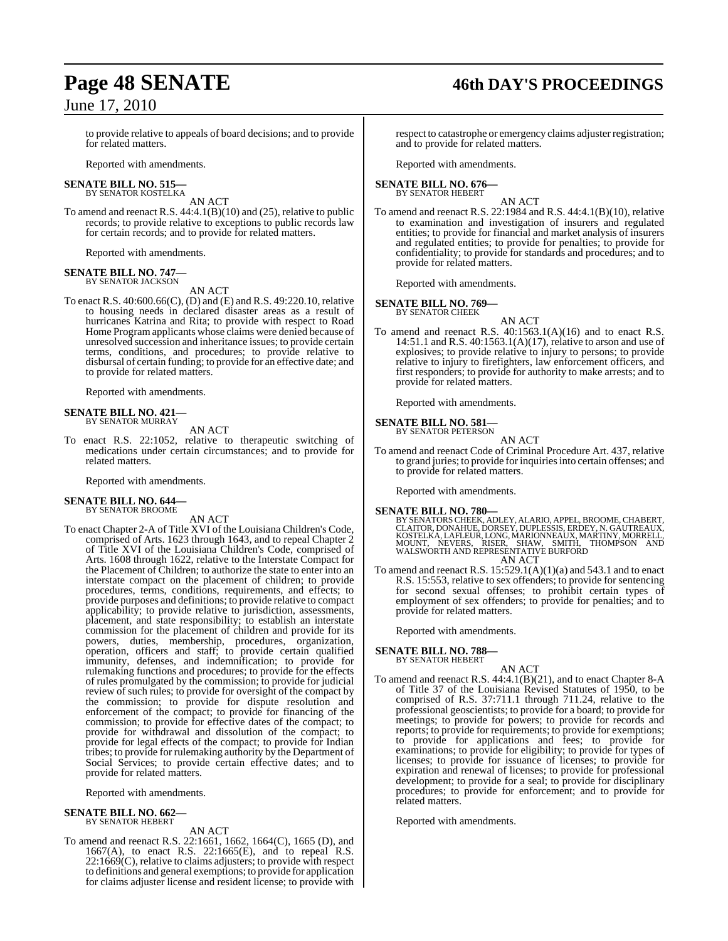# **Page 48 SENATE 46th DAY'S PROCEEDINGS**

to provide relative to appeals of board decisions; and to provide for related matters.

Reported with amendments.

#### **SENATE BILL NO. 515—** BY SENATOR KOSTELKA

AN ACT

To amend and reenact R.S. 44:4.1(B)(10) and (25), relative to public records; to provide relative to exceptions to public records law for certain records; and to provide for related matters.

Reported with amendments.

#### **SENATE BILL NO. 747—** BY SENATOR JACKSON

AN ACT

To enact R.S. 40:600.66(C), (D) and (E) and R.S. 49:220.10, relative to housing needs in declared disaster areas as a result of hurricanes Katrina and Rita; to provide with respect to Road Home Program applicants whose claims were denied because of unresolved succession and inheritance issues; to provide certain terms, conditions, and procedures; to provide relative to disbursal of certain funding; to provide for an effective date; and to provide for related matters.

Reported with amendments.

#### **SENATE BILL NO. 421—** BY SENATOR MURRAY

AN ACT

To enact R.S. 22:1052, relative to therapeutic switching of medications under certain circumstances; and to provide for related matters.

Reported with amendments.

#### **SENATE BILL NO. 644** BY SENATOR BROOME

AN ACT

To enact Chapter 2-A of Title XVI of the Louisiana Children's Code, comprised of Arts. 1623 through 1643, and to repeal Chapter 2 of Title XVI of the Louisiana Children's Code, comprised of Arts. 1608 through 1622, relative to the Interstate Compact for the Placement of Children; to authorize the state to enter into an interstate compact on the placement of children; to provide procedures, terms, conditions, requirements, and effects; to provide purposes and definitions; to provide relative to compact applicability; to provide relative to jurisdiction, assessments, placement, and state responsibility; to establish an interstate commission for the placement of children and provide for its powers, duties, membership, procedures, organization, operation, officers and staff; to provide certain qualified immunity, defenses, and indemnification; to provide for rulemaking functions and procedures; to provide for the effects of rules promulgated by the commission; to provide for judicial review of such rules; to provide for oversight of the compact by the commission; to provide for dispute resolution and enforcement of the compact; to provide for financing of the commission; to provide for effective dates of the compact; to provide for withdrawal and dissolution of the compact; to provide for legal effects of the compact; to provide for Indian tribes; to provide for rulemaking authority by the Department of Social Services; to provide certain effective dates; and to provide for related matters.

Reported with amendments.

# **SENATE BILL NO. 662—** BY SENATOR HEBERT

#### AN ACT

To amend and reenact R.S. 22:1661, 1662, 1664(C), 1665 (D), and 1667(A), to enact R.S. 22:1665(E), and to repeal R.S.  $22:1669(C)$ , relative to claims adjusters; to provide with respect to definitions and general exemptions; to provide for application for claims adjuster license and resident license; to provide with respect to catastrophe or emergency claims adjuster registration; and to provide for related matters.

Reported with amendments.

#### **SENATE BILL NO. 676—** BY SENATOR HEBERT

AN ACT

To amend and reenact R.S. 22:1984 and R.S. 44:4.1(B)(10), relative to examination and investigation of insurers and regulated entities; to provide for financial and market analysis of insurers and regulated entities; to provide for penalties; to provide for confidentiality; to provide for standards and procedures; and to provide for related matters.

Reported with amendments.

#### **SENATE BILL NO. 769—** BY SENATOR CHEEK

AN ACT

To amend and reenact R.S.  $40:1563.1(A)(16)$  and to enact R.S. 14:51.1 and R.S. 40:1563.1(A)(17), relative to arson and use of explosives; to provide relative to injury to persons; to provide relative to injury to firefighters, law enforcement officers, and first responders; to provide for authority to make arrests; and to provide for related matters.

Reported with amendments.

#### **SENATE BILL NO. 581—** BY SENATOR PETERSON

AN ACT

To amend and reenact Code of Criminal Procedure Art. 437, relative to grand juries; to provide for inquiries into certain offenses; and to provide for related matters.

Reported with amendments.

#### **SENATE BILL NO. 780—**

BY SENATORS CHEEK, ADLEY, ALARIO, APPEL, BROOME, CHABERT,<br>CLAITOR, DONAHUE, DORSEY, DUPLESSIS, ERDEY, N. GAUTREAUX,<br>KOSTELKA, LAFLEUR, LONG, MARIONNEAUX, MARTINY, MORRELL,<br>MOUNT, NEVERS, RISER, SHAW, SMITH, THOMPSON AND<br>WA AN ACT

To amend and reenact R.S.  $15:529.1(A)(1)(a)$  and  $543.1$  and to enact R.S. 15:553, relative to sex offenders; to provide for sentencing for second sexual offenses; to prohibit certain types of employment of sex offenders; to provide for penalties; and to provide for related matters.

Reported with amendments.

**SENATE BILL NO. 788—** BY SENATOR HEBERT

AN ACT

To amend and reenact R.S. 44:4.1(B)(21), and to enact Chapter 8-A of Title 37 of the Louisiana Revised Statutes of 1950, to be comprised of R.S. 37:711.1 through 711.24, relative to the professional geoscientists; to provide for a board; to provide for meetings; to provide for powers; to provide for records and reports; to provide for requirements; to provide for exemptions; to provide for applications and fees; to provide for examinations; to provide for eligibility; to provide for types of licenses; to provide for issuance of licenses; to provide for expiration and renewal of licenses; to provide for professional development; to provide for a seal; to provide for disciplinary procedures; to provide for enforcement; and to provide for related matters.

Reported with amendments.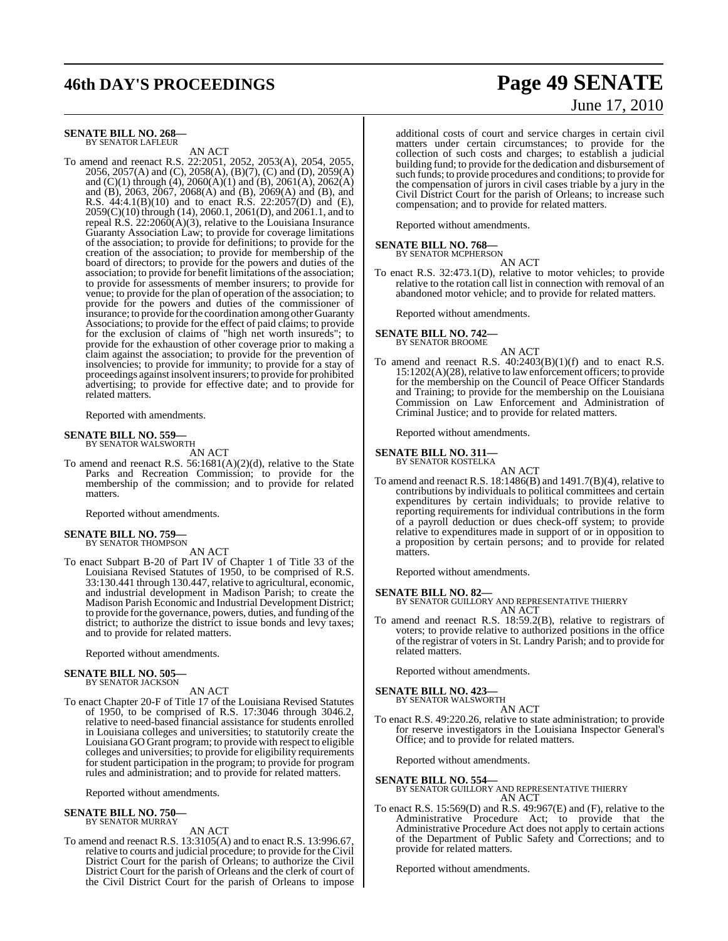# **46th DAY'S PROCEEDINGS Page 49 SENATE**

#### **SENATE BILL NO. 268—** BY SENATOR LAFLEUR

AN ACT

To amend and reenact R.S. 22:2051, 2052, 2053(A), 2054, 2055, 2056, 2057(A) and (C), 2058(A), (B)(7), (C) and (D), 2059(A) and (C)(1) through (4), 2060(A)(1) and (B), 2061(A), 2062(A) and (B), 2063, 2067, 2068(A) and (B), 2069(A) and (B), and R.S. 44:4.1(B)(10) and to enact R.S. 22:2057(D) and (E), 2059(C)(10) through (14), 2060.1, 2061(D), and 2061.1, and to repeal R.S. 22:2060(A)(3), relative to the Louisiana Insurance Guaranty Association Law; to provide for coverage limitations of the association; to provide for definitions; to provide for the creation of the association; to provide for membership of the board of directors; to provide for the powers and duties of the association; to provide for benefit limitations of the association; to provide for assessments of member insurers; to provide for venue; to provide for the plan of operation of the association; to provide for the powers and duties of the commissioner of insurance; to provide forthe coordination among other Guaranty Associations; to provide for the effect of paid claims; to provide for the exclusion of claims of "high net worth insureds"; to provide for the exhaustion of other coverage prior to making a claim against the association; to provide for the prevention of insolvencies; to provide for immunity; to provide for a stay of proceedings against insolvent insurers; to provide for prohibited advertising; to provide for effective date; and to provide for related matters.

Reported with amendments.

#### **SENATE BILL NO. 559—** BY SENATOR WALSWORTH

AN ACT

To amend and reenact R.S. 56:1681(A)(2)(d), relative to the State Parks and Recreation Commission; to provide for the membership of the commission; and to provide for related matters.

Reported without amendments.

# **SENATE BILL NO. 759—** BY SENATOR THOMPSON

AN ACT

To enact Subpart B-20 of Part IV of Chapter 1 of Title 33 of the Louisiana Revised Statutes of 1950, to be comprised of R.S. 33:130.441 through 130.447, relative to agricultural, economic, and industrial development in Madison Parish; to create the Madison Parish Economic and Industrial Development District; to provide for the governance, powers, duties, and funding of the district; to authorize the district to issue bonds and levy taxes; and to provide for related matters.

Reported without amendments.

#### **SENATE BILL NO. 505—** BY SENATOR JACKSON

AN ACT

To enact Chapter 20-F of Title 17 of the Louisiana Revised Statutes of 1950, to be comprised of R.S. 17:3046 through 3046.2, relative to need-based financial assistance for students enrolled in Louisiana colleges and universities; to statutorily create the Louisiana GO Grant program; to provide with respect to eligible colleges and universities; to provide for eligibility requirements for student participation in the program; to provide for program rules and administration; and to provide for related matters.

Reported without amendments.

# **SENATE BILL NO. 750—** BY SENATOR MURRAY

#### AN ACT

To amend and reenact R.S. 13:3105(A) and to enact R.S. 13:996.67, relative to courts and judicial procedure; to provide for the Civil District Court for the parish of Orleans; to authorize the Civil District Court for the parish of Orleans and the clerk of court of the Civil District Court for the parish of Orleans to impose

# June 17, 2010

additional costs of court and service charges in certain civil matters under certain circumstances; to provide for the collection of such costs and charges; to establish a judicial building fund; to provide for the dedication and disbursement of such funds; to provide procedures and conditions; to provide for the compensation of jurors in civil cases triable by a jury in the Civil District Court for the parish of Orleans; to increase such compensation; and to provide for related matters.

Reported without amendments.

# **SENATE BILL NO. 768—**<br>BY SENATOR MCPHERSON

AN ACT

To enact R.S. 32:473.1(D), relative to motor vehicles; to provide relative to the rotation call list in connection with removal of an abandoned motor vehicle; and to provide for related matters.

Reported without amendments.

# **SENATE BILL NO. 742—** BY SENATOR BROOME

AN ACT

To amend and reenact R.S. 40:2403(B)(1)(f) and to enact R.S. 15:1202(A)(28), relative to law enforcement officers; to provide for the membership on the Council of Peace Officer Standards and Training; to provide for the membership on the Louisiana Commission on Law Enforcement and Administration of Criminal Justice; and to provide for related matters.

Reported without amendments.

# **SENATE BILL NO. 311—** BY SENATOR KOSTELKA

AN ACT

To amend and reenact R.S. 18:1486(B) and 1491.7(B)(4), relative to contributions by individuals to political committees and certain expenditures by certain individuals; to provide relative to reporting requirements for individual contributions in the form of a payroll deduction or dues check-off system; to provide relative to expenditures made in support of or in opposition to a proposition by certain persons; and to provide for related matters.

Reported without amendments.

**SENATE BILL NO. 82—** BY SENATOR GUILLORY AND REPRESENTATIVE THIERRY AN ACT

To amend and reenact R.S. 18:59.2(B), relative to registrars of voters; to provide relative to authorized positions in the office of the registrar of voters in St. Landry Parish; and to provide for related matters.

Reported without amendments.

**SENATE BILL NO. 423—** BY SENATOR WALSWORTH

AN ACT

To enact R.S. 49:220.26, relative to state administration; to provide for reserve investigators in the Louisiana Inspector General's Office; and to provide for related matters.

Reported without amendments.

#### **SENATE BILL NO. 554**

BY SENATOR GUILLORY AND REPRESENTATIVE THIERRY AN ACT

To enact R.S. 15:569(D) and R.S. 49:967(E) and (F), relative to the Administrative Procedure Act; to provide that the Administrative Procedure Act does not apply to certain actions of the Department of Public Safety and Corrections; and to provide for related matters.

Reported without amendments.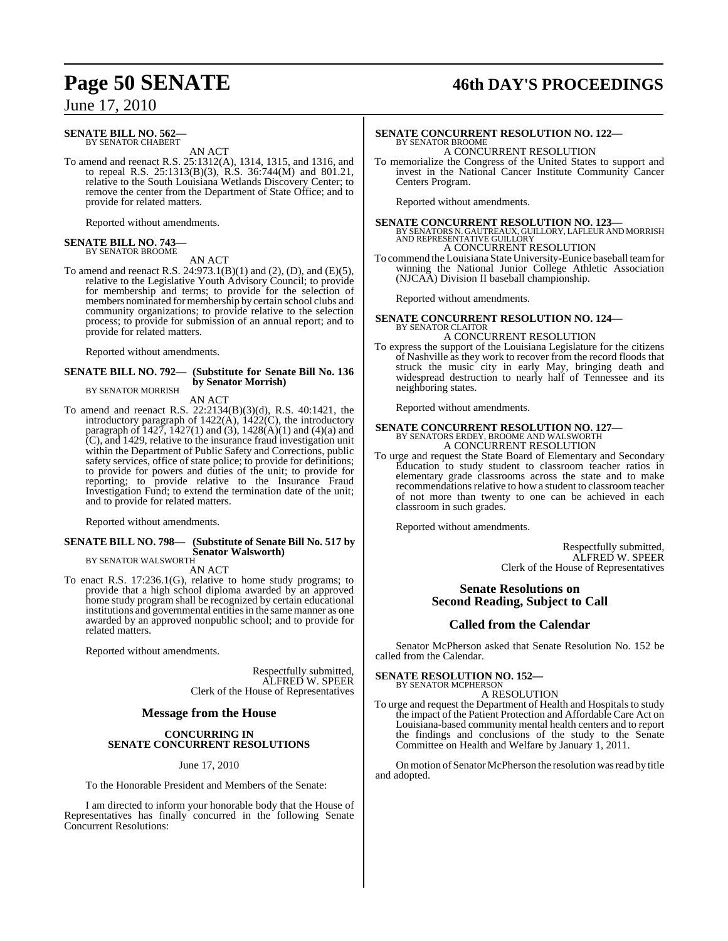# **Page 50 SENATE 46th DAY'S PROCEEDINGS**

June 17, 2010

#### **SENATE BILL NO. 562—** BY SENATOR CHABERT

AN ACT

To amend and reenact R.S. 25:1312(A), 1314, 1315, and 1316, and to repeal R.S. 25:1313(B)(3), R.S. 36:744(M) and 801.21, relative to the South Louisiana Wetlands Discovery Center; to remove the center from the Department of State Office; and to provide for related matters.

Reported without amendments.

# **SENATE BILL NO. 743—** BY SENATOR BROOME

AN ACT

To amend and reenact R.S. 24:973.1(B)(1) and (2), (D), and (E)(5), relative to the Legislative Youth Advisory Council; to provide for membership and terms; to provide for the selection of members nominated formembership by certain school clubs and community organizations; to provide relative to the selection process; to provide for submission of an annual report; and to provide for related matters.

Reported without amendments.

#### **SENATE BILL NO. 792— (Substitute for Senate Bill No. 136 by Senator Morrish)** BY SENATOR MORRISH

AN ACT

To amend and reenact R.S. 22:2134(B)(3)(d), R.S. 40:1421, the introductory paragraph of 1422(A), 1422(C), the introductory paragraph of 1427, 1427(1) and (3), 1428(A)(1) and (4)(a) and (C), and 1429, relative to the insurance fraud investigation unit within the Department of Public Safety and Corrections, public safety services, office of state police; to provide for definitions; to provide for powers and duties of the unit; to provide for reporting; to provide relative to the Insurance Fraud Investigation Fund; to extend the termination date of the unit; and to provide for related matters.

Reported without amendments.

#### **SENATE BILL NO. 798— (Substitute of Senate Bill No. 517 by Senator Walsworth)** BY SENATOR WALSWORTH

AN ACT

To enact R.S. 17:236.1(G), relative to home study programs; to provide that a high school diploma awarded by an approved home study program shall be recognized by certain educational institutions and governmental entities in the same manner as one awarded by an approved nonpublic school; and to provide for related matters.

Reported without amendments.

Respectfully submitted, ALFRED W. SPEER Clerk of the House of Representatives

#### **Message from the House**

#### **CONCURRING IN SENATE CONCURRENT RESOLUTIONS**

June 17, 2010

To the Honorable President and Members of the Senate:

I am directed to inform your honorable body that the House of Representatives has finally concurred in the following Senate Concurrent Resolutions:

#### **SENATE CONCURRENT RESOLUTION NO. 122—** BY SENATOR BROOME A CONCURRENT RESOLUTION

To memorialize the Congress of the United States to support and invest in the National Cancer Institute Community Cancer Centers Program.

Reported without amendments.

**SENATE CONCURRENT RESOLUTION NO. 123—** BY SENATORS N. GAUTREAUX, GUILLORY, LAFLEUR AND MORRISH AND REPRESENTATIVE GUILLORY A CONCURRENT RESOLUTION

To commend the Louisiana StateUniversity-Eunice baseball teamfor winning the National Junior College Athletic Association (NJCAA) Division II baseball championship.

Reported without amendments.

#### **SENATE CONCURRENT RESOLUTION NO. 124—** BY SENATOR CLAITOR A CONCURRENT RESOLUTION

To express the support of the Louisiana Legislature for the citizens of Nashville as they work to recover from the record floods that struck the music city in early May, bringing death and widespread destruction to nearly half of Tennessee and its neighboring states.

Reported without amendments.

## **SENATE CONCURRENT RESOLUTION NO. 127—** BY SENATORS ERDEY, BROOME AND WALSWORTH A CONCURRENT RESOLUTION

To urge and request the State Board of Elementary and Secondary Education to study student to classroom teacher ratios in elementary grade classrooms across the state and to make recommendations relative to how a student to classroom teacher of not more than twenty to one can be achieved in each classroom in such grades.

Reported without amendments.

Respectfully submitted, ALFRED W. SPEER Clerk of the House of Representatives

#### **Senate Resolutions on Second Reading, Subject to Call**

#### **Called from the Calendar**

Senator McPherson asked that Senate Resolution No. 152 be called from the Calendar.

#### **SENATE RESOLUTION NO. 152—**

BY SENATOR MCPHERSON A RESOLUTION

To urge and request the Department of Health and Hospitals to study the impact of the Patient Protection and Affordable Care Act on Louisiana-based community mental health centers and to report the findings and conclusions of the study to the Senate Committee on Health and Welfare by January 1, 2011.

On motion of Senator McPherson the resolution was read by title and adopted.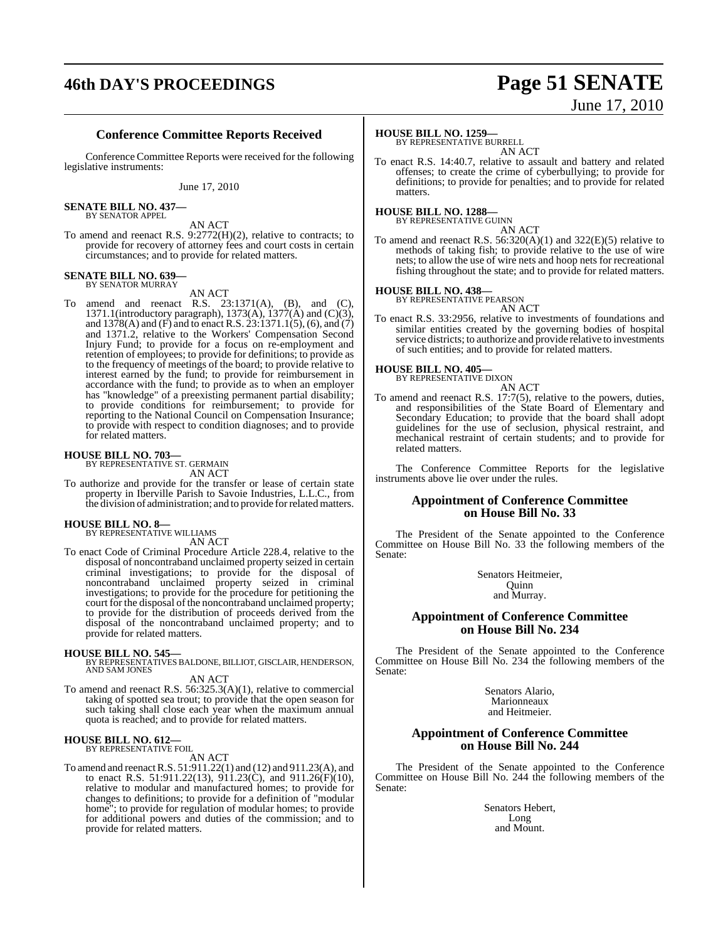# **46th DAY'S PROCEEDINGS Page 51 SENATE**

# June 17, 2010

## **Conference Committee Reports Received**

Conference Committee Reports were received for the following legislative instruments:

June 17, 2010

**SENATE BILL NO. 437—** BY SENATOR APPEL

AN ACT

To amend and reenact R.S. 9:2772(H)(2), relative to contracts; to provide for recovery of attorney fees and court costs in certain circumstances; and to provide for related matters.

#### **SENATE BILL NO. 639** BY SENATOR MURRAY

AN ACT

To amend and reenact R.S. 23:1371(A), (B), and (C), 1371.1(introductory paragraph), 1373(A), 1377(A) and (C)(3), and 1378(A) and (F) and to enact R.S. 23:1371.1(5), (6), and (7) and 1371.2, relative to the Workers' Compensation Second Injury Fund; to provide for a focus on re-employment and retention of employees; to provide for definitions; to provide as to the frequency of meetings of the board; to provide relative to interest earned by the fund; to provide for reimbursement in accordance with the fund; to provide as to when an employer has "knowledge" of a preexisting permanent partial disability; to provide conditions for reimbursement; to provide for reporting to the National Council on Compensation Insurance; to provide with respect to condition diagnoses; and to provide for related matters.

# **HOUSE BILL NO. 703—** BY REPRESENTATIVE ST. GERMAIN

AN ACT

To authorize and provide for the transfer or lease of certain state property in Iberville Parish to Savoie Industries, L.L.C., from the division of administration; and to provide forrelated matters.

## **HOUSE BILL NO. 8—**

BY REPRESENTATIVE WILLIAMS AN ACT

To enact Code of Criminal Procedure Article 228.4, relative to the disposal of noncontraband unclaimed property seized in certain criminal investigations; to provide for the disposal of noncontraband unclaimed property seized in criminal investigations; to provide for the procedure for petitioning the court for the disposal of the noncontraband unclaimed property; to provide for the distribution of proceeds derived from the disposal of the noncontraband unclaimed property; and to provide for related matters.

**HOUSE BILL NO. 545—** BY REPRESENTATIVES BALDONE, BILLIOT, GISCLAIR, HENDERSON, AND SAM JONES

#### AN ACT

To amend and reenact R.S. 56:325.3(A)(1), relative to commercial taking of spotted sea trout; to provide that the open season for such taking shall close each year when the maximum annual quota is reached; and to provide for related matters.

#### **HOUSE BILL NO. 612—** BY REPRESENTATIVE FOIL

AN ACT

To amend and reenactR.S. 51:911.22(1) and (12) and 911.23(A), and to enact R.S. 51:911.22(13), 911.23(C), and 911.26(F)(10), relative to modular and manufactured homes; to provide for changes to definitions; to provide for a definition of "modular home"; to provide for regulation of modular homes; to provide for additional powers and duties of the commission; and to provide for related matters.

#### **HOUSE BILL NO. 1259—**

BY REPRESENTATIVE BURRELL AN ACT

To enact R.S. 14:40.7, relative to assault and battery and related offenses; to create the crime of cyberbullying; to provide for definitions; to provide for penalties; and to provide for related matters.

# **HOUSE BILL NO. 1288—** BY REPRESENTATIVE GUINN

AN ACT To amend and reenact R.S. 56:320(A)(1) and 322(E)(5) relative to methods of taking fish; to provide relative to the use of wire nets; to allow the use of wire nets and hoop nets for recreational fishing throughout the state; and to provide for related matters.

# **HOUSE BILL NO. 438—** BY REPRESENTATIVE PEARSON

AN ACT

To enact R.S. 33:2956, relative to investments of foundations and similar entities created by the governing bodies of hospital service districts; to authorize and provide relative to investments of such entities; and to provide for related matters.

# **HOUSE BILL NO. 405—** BY REPRESENTATIVE DIXON

AN ACT

To amend and reenact R.S. 17:7(5), relative to the powers, duties, and responsibilities of the State Board of Elementary and Secondary Education; to provide that the board shall adopt guidelines for the use of seclusion, physical restraint, and mechanical restraint of certain students; and to provide for related matters.

The Conference Committee Reports for the legislative instruments above lie over under the rules.

#### **Appointment of Conference Committee on House Bill No. 33**

The President of the Senate appointed to the Conference Committee on House Bill No. 33 the following members of the Senate:

> Senators Heitmeier, Quinn

and Murray.

#### **Appointment of Conference Committee on House Bill No. 234**

The President of the Senate appointed to the Conference Committee on House Bill No. 234 the following members of the Senate:

> Senators Alario, Marionneaux and Heitmeier.

#### **Appointment of Conference Committee on House Bill No. 244**

The President of the Senate appointed to the Conference Committee on House Bill No. 244 the following members of the Senate:

> Senators Hebert, Long and Mount.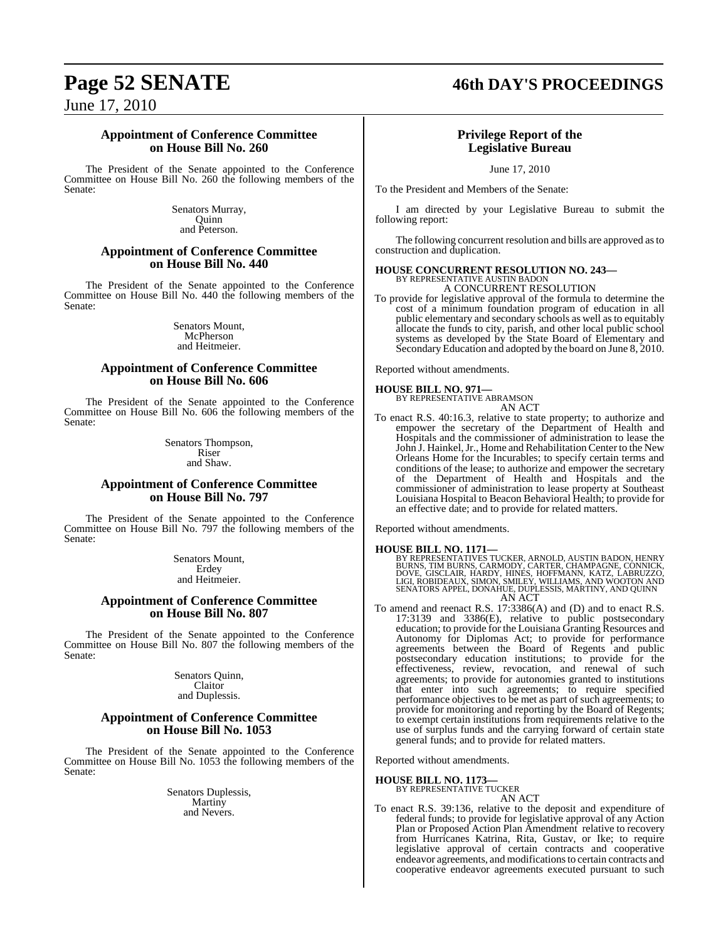# **Page 52 SENATE 46th DAY'S PROCEEDINGS**

June 17, 2010

### **Appointment of Conference Committee on House Bill No. 260**

The President of the Senate appointed to the Conference Committee on House Bill No. 260 the following members of the Senate:

> Senators Murray, **Ouinn** and Peterson.

#### **Appointment of Conference Committee on House Bill No. 440**

The President of the Senate appointed to the Conference Committee on House Bill No. 440 the following members of the Senate:

> Senators Mount, McPherson and Heitmeier.

#### **Appointment of Conference Committee on House Bill No. 606**

The President of the Senate appointed to the Conference Committee on House Bill No. 606 the following members of the Senate:

> Senators Thompson, Riser and Shaw.

#### **Appointment of Conference Committee on House Bill No. 797**

The President of the Senate appointed to the Conference Committee on House Bill No. 797 the following members of the Senate:

> Senators Mount, Erdey and Heitmeier.

### **Appointment of Conference Committee on House Bill No. 807**

The President of the Senate appointed to the Conference Committee on House Bill No. 807 the following members of the Senate:

> Senators Quinn, Claitor and Duplessis.

#### **Appointment of Conference Committee on House Bill No. 1053**

The President of the Senate appointed to the Conference Committee on House Bill No. 1053 the following members of the Senate:

> Senators Duplessis, Martiny and Nevers.

## **Privilege Report of the Legislative Bureau**

June 17, 2010

To the President and Members of the Senate:

I am directed by your Legislative Bureau to submit the following report:

The following concurrent resolution and bills are approved asto construction and duplication.

## **HOUSE CONCURRENT RESOLUTION NO. 243—** BY REPRESENTATIVE AUSTIN BADON A CONCURRENT RESOLUTION

To provide for legislative approval of the formula to determine the cost of a minimum foundation program of education in all public elementary and secondary schools as well as to equitably allocate the funds to city, parish, and other local public school systems as developed by the State Board of Elementary and Secondary Education and adopted by the board on June 8, 2010.

Reported without amendments.

**HOUSE BILL NO. 971—** BY REPRESENTATIVE ABRAMSON AN ACT

To enact R.S. 40:16.3, relative to state property; to authorize and empower the secretary of the Department of Health and Hospitals and the commissioner of administration to lease the John J. Hainkel, Jr., Home and Rehabilitation Center to the New Orleans Home for the Incurables; to specify certain terms and conditions of the lease; to authorize and empower the secretary of the Department of Health and Hospitals and the commissioner of administration to lease property at Southeast Louisiana Hospital to Beacon Behavioral Health; to provide for an effective date; and to provide for related matters.

Reported without amendments.

#### **HOUSE BILL NO. 1171—**

BY REPRESENTATIVES TUCKER, ARNOLD, AUSTIN BADON, HENRY<br>BURNS, TIM BURNS, CARMODY, CARTER, CHAMPAGNE, CONNICK,<br>DOVE, GISCLAIR, HARDY, HINES, HOFFMANN, KATZ, LABRUZZO,<br>LIGI, ROBIDEAUX, SIMON, SMILEY, WILLIAMS, AND WOOTON AND

To amend and reenact R.S. 17:3386(A) and (D) and to enact R.S. 17:3139 and 3386(E), relative to public postsecondary education; to provide for the Louisiana Granting Resources and Autonomy for Diplomas Act; to provide for performance agreements between the Board of Regents and public postsecondary education institutions; to provide for the effectiveness, review, revocation, and renewal of such agreements; to provide for autonomies granted to institutions that enter into such agreements; to require specified performance objectives to be met as part of such agreements; to provide for monitoring and reporting by the Board of Regents; to exempt certain institutions from requirements relative to the use of surplus funds and the carrying forward of certain state general funds; and to provide for related matters.

Reported without amendments.

#### **HOUSE BILL NO. 1173—**

BY REPRESENTATIVE TUCKER AN ACT

To enact R.S. 39:136, relative to the deposit and expenditure of federal funds; to provide for legislative approval of any Action Plan or Proposed Action Plan Amendment relative to recovery from Hurricanes Katrina, Rita, Gustav, or Ike; to require legislative approval of certain contracts and cooperative endeavor agreements, and modifications to certain contracts and cooperative endeavor agreements executed pursuant to such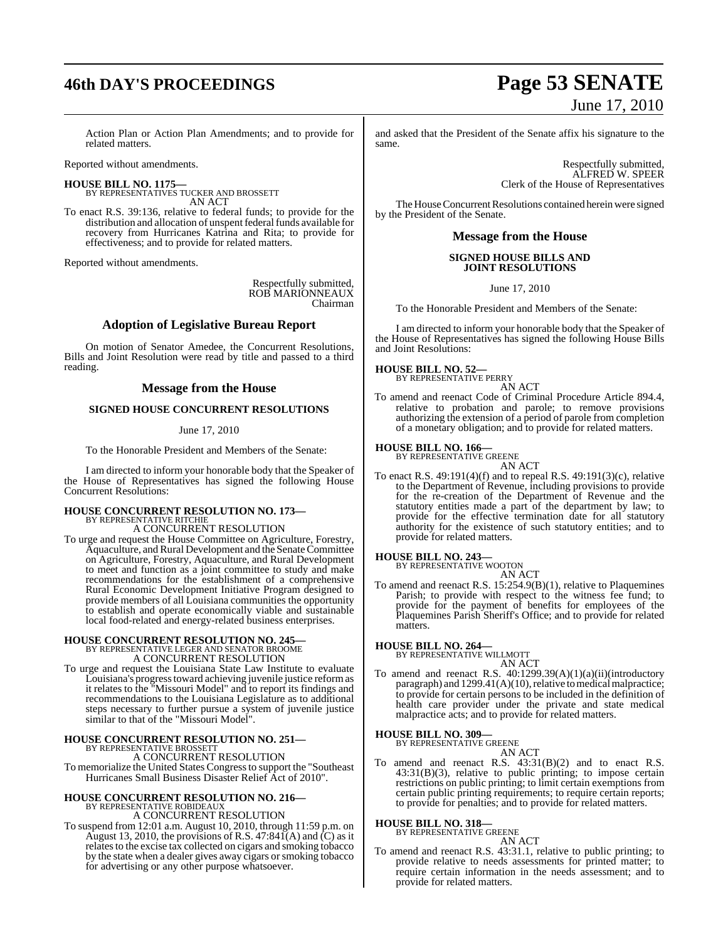Action Plan or Action Plan Amendments; and to provide for related matters.

Reported without amendments.

**HOUSE BILL NO. 1175—** BY REPRESENTATIVES TUCKER AND BROSSETT AN ACT

To enact R.S. 39:136, relative to federal funds; to provide for the distribution and allocation of unspent federal funds available for recovery from Hurricanes Katrina and Rita; to provide for effectiveness; and to provide for related matters.

Reported without amendments.

Respectfully submitted, ROB MARIONNEAUX Chairman

#### **Adoption of Legislative Bureau Report**

On motion of Senator Amedee, the Concurrent Resolutions, Bills and Joint Resolution were read by title and passed to a third reading.

#### **Message from the House**

#### **SIGNED HOUSE CONCURRENT RESOLUTIONS**

#### June 17, 2010

To the Honorable President and Members of the Senate:

I am directed to inform your honorable body that the Speaker of the House of Representatives has signed the following House Concurrent Resolutions:

#### **HOUSE CONCURRENT RESOLUTION NO. 173—** BY REPRESENTATIVE RITCHIE

A CONCURRENT RESOLUTION

To urge and request the House Committee on Agriculture, Forestry, Aquaculture, and Rural Development and the Senate Committee on Agriculture, Forestry, Aquaculture, and Rural Development to meet and function as a joint committee to study and make recommendations for the establishment of a comprehensive Rural Economic Development Initiative Program designed to provide members of all Louisiana communities the opportunity to establish and operate economically viable and sustainable local food-related and energy-related business enterprises.

## **HOUSE CONCURRENT RESOLUTION NO. 245—** BY REPRESENTATIVE LEGER AND SENATOR BROOME A CONCURRENT RESOLUTION

To urge and request the Louisiana State Law Institute to evaluate Louisiana's progresstoward achieving juvenile justice reformas it relates to the "Missouri Model" and to report its findings and recommendations to the Louisiana Legislature as to additional steps necessary to further pursue a system of juvenile justice similar to that of the "Missouri Model".

#### **HOUSE CONCURRENT RESOLUTION NO. 251—** BY REPRESENTATIVE BROSSETT

A CONCURRENT RESOLUTION To memorialize the United States Congressto support the "Southeast Hurricanes Small Business Disaster Relief Act of 2010".

#### **HOUSE CONCURRENT RESOLUTION NO. 216—** BY REPRESENTATIVE ROBIDEAU

A CONCURRENT RESOLUTION

To suspend from 12:01 a.m. August 10, 2010, through 11:59 p.m. on August 13, 2010, the provisions of R.S.  $47:84\tilde{I}(A)$  and  $\tilde{C}$ ) as it relates to the excise tax collected on cigars and smoking tobacco by the state when a dealer gives away cigars or smoking tobacco for advertising or any other purpose whatsoever.

# **46th DAY'S PROCEEDINGS Page 53 SENATE** June 17, 2010

and asked that the President of the Senate affix his signature to the same.

> Respectfully submitted, ALFRED W. SPEER Clerk of the House of Representatives

The House Concurrent Resolutions contained herein were signed by the President of the Senate.

#### **Message from the House**

#### **SIGNED HOUSE BILLS AND JOINT RESOLUTIONS**

June 17, 2010

To the Honorable President and Members of the Senate:

I am directed to inform your honorable body that the Speaker of the House of Representatives has signed the following House Bills and Joint Resolutions:

# **HOUSE BILL NO. 52—** BY REPRESENTATIVE PERRY

AN ACT

To amend and reenact Code of Criminal Procedure Article 894.4, relative to probation and parole; to remove provisions authorizing the extension of a period of parole from completion of a monetary obligation; and to provide for related matters.

# **HOUSE BILL NO. 166—** BY REPRESENTATIVE GREENE

AN ACT

To enact R.S. 49:191(4)(f) and to repeal R.S. 49:191(3)(c), relative to the Department of Revenue, including provisions to provide for the re-creation of the Department of Revenue and the statutory entities made a part of the department by law; to provide for the effective termination date for all statutory authority for the existence of such statutory entities; and to provide for related matters.

#### **HOUSE BILL NO. 243—**

BY REPRESENTATIVE WOOTON AN ACT

To amend and reenact R.S. 15:254.9(B)(1), relative to Plaquemines Parish; to provide with respect to the witness fee fund; to provide for the payment of benefits for employees of the Plaquemines Parish Sheriff's Office; and to provide for related matters.

**HOUSE BILL NO. 264—** BY REPRESENTATIVE WILLMOTT AN ACT

To amend and reenact R.S. 40:1299.39(A)(1)(a)(ii)(introductory paragraph) and 1299.41(A)(10), relative to medical malpractice; to provide for certain persons to be included in the definition of health care provider under the private and state medical malpractice acts; and to provide for related matters.

# **HOUSE BILL NO. 309—** BY REPRESENTATIVE GREENE

AN ACT

To amend and reenact R.S.  $43:31(B)(2)$  and to enact R.S. 43:31(B)(3), relative to public printing; to impose certain restrictions on public printing; to limit certain exemptions from certain public printing requirements; to require certain reports; to provide for penalties; and to provide for related matters.

# **HOUSE BILL NO. 318—** BY REPRESENTATIVE GREENE

- AN ACT
- To amend and reenact R.S. 43:31.1, relative to public printing; to provide relative to needs assessments for printed matter; to require certain information in the needs assessment; and to provide for related matters.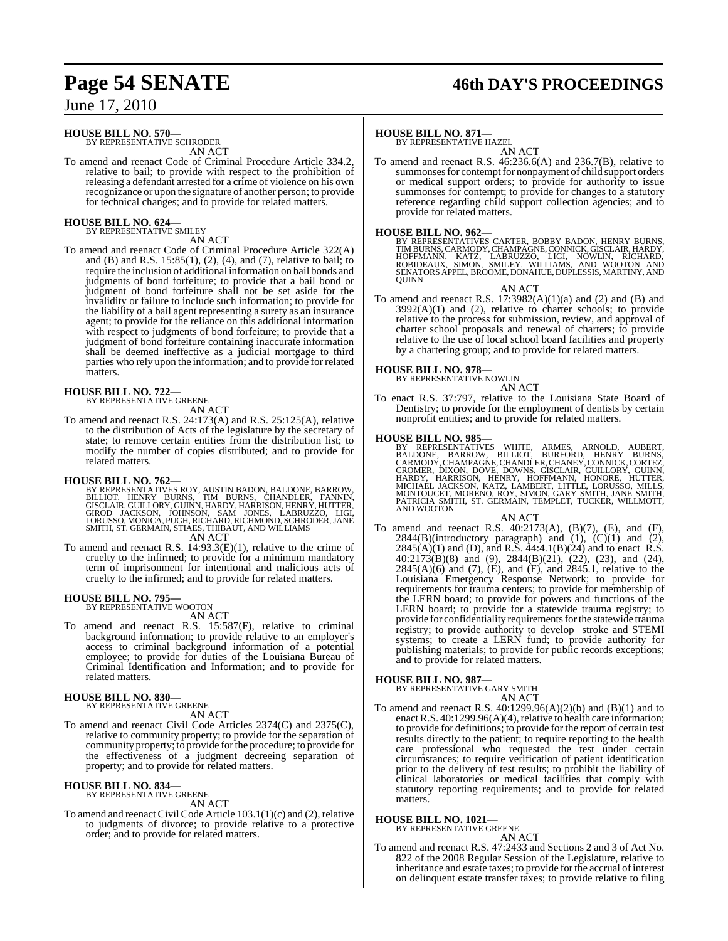#### **HOUSE BILL NO. 570—** BY REPRESENTATIVE SCHRODER

AN ACT

To amend and reenact Code of Criminal Procedure Article 334.2, relative to bail; to provide with respect to the prohibition of releasing a defendant arrested for a crime of violence on his own recognizance or upon the signature of another person; to provide for technical changes; and to provide for related matters.

#### **HOUSE BILL NO. 624—** BY REPRESENTATIVE SMILEY

AN ACT

To amend and reenact Code of Criminal Procedure Article 322(A) and (B) and R.S.  $15:85(1)$ ,  $(2)$ ,  $(4)$ , and  $(7)$ , relative to bail; to require the inclusion of additional information on bail bonds and judgments of bond forfeiture; to provide that a bail bond or judgment of bond forfeiture shall not be set aside for the invalidity or failure to include such information; to provide for the liability of a bail agent representing a surety as an insurance agent; to provide for the reliance on this additional information with respect to judgments of bond forfeiture; to provide that a judgment of bond forfeiture containing inaccurate information shall be deemed ineffective as a judicial mortgage to third parties who rely upon the information; and to provide for related matters.

#### **HOUSE BILL NO. 722—** BY REPRESENTATIVE GREENE

AN ACT

To amend and reenact R.S. 24:173(A) and R.S. 25:125(A), relative to the distribution of Acts of the legislature by the secretary of state; to remove certain entities from the distribution list; to modify the number of copies distributed; and to provide for related matters.

**HOUSE BILL NO. 762—**<br>BY REPRESENTATIVES ROY, AUSTIN BADON, BALDONE, BARROW, BILLIOT, HENRY BURNS, TIM BURNS, CHANDLER, FANNIN,<br>GISCLAIR, GUILLORY, GUINN, HARDY, HARRISON, HENRY, HUTTER,<br>GIROD JACKSON, JOHNSON, SAM JONES,

To amend and reenact R.S. 14:93.3(E)(1), relative to the crime of To amend and reenact R.S.  $14:93.3(E)(1)$ , relative to the crime of cruelty to the infirmed; to provide for a minimum mandatory term of imprisonment for intentional and malicious acts of cruelty to the infirmed; and to provide for related matters.

#### **HOUSE BILL NO. 795—** BY REPRESENTATIVE WOOTON

AN ACT

To amend and reenact R.S. 15:587(F), relative to criminal background information; to provide relative to an employer's access to criminal background information of a potential employee; to provide for duties of the Louisiana Bureau of Criminal Identification and Information; and to provide for related matters.

# **HOUSE BILL NO. 830—** BY REPRESENTATIVE GREENE

AN ACT

To amend and reenact Civil Code Articles 2374(C) and 2375(C), relative to community property; to provide for the separation of community property; to provide for the procedure; to provide for the effectiveness of a judgment decreeing separation of property; and to provide for related matters.

# **HOUSE BILL NO. 834—** BY REPRESENTATIVE GREENE

AN ACT

To amend and reenact Civil Code Article  $103.1(1)(c)$  and  $(2)$ , relative to judgments of divorce; to provide relative to a protective order; and to provide for related matters.

# **Page 54 SENATE 46th DAY'S PROCEEDINGS**

#### **HOUSE BILL NO. 871—**

BY REPRESENTATIVE HAZEL

AN ACT To amend and reenact R.S. 46:236.6(A) and 236.7(B), relative to summonses for contempt for nonpayment of child support orders or medical support orders; to provide for authority to issue summonses for contempt; to provide for changes to a statutory reference regarding child support collection agencies; and to provide for related matters.

**HOUSE BILL NO. 962—**<br>BY REPRESENTATIVES CARTER, BOBBY BADON, HENRY BURNS, TIMBURNS, CARMODY, CHAMPAGNE, CONNICK, GISCLAIR, HARDY,<br>HOFFMANN, KATZ, LABRUZZO, LIGI, NOWLIN, RICHARD,<br>ROBIDEAUX, SIMON, SMILEY, WILLIAMS, AND WO

AN ACT

To amend and reenact R.S.  $17:3982(A)(1)(a)$  and  $(2)$  and  $(B)$  and  $3992(A)(1)$  and  $(2)$ , relative to charter schools; to provide relative to the process for submission, review, and approval of charter school proposals and renewal of charters; to provide relative to the use of local school board facilities and property by a chartering group; and to provide for related matters.

#### **HOUSE BILL NO. 978—**

BY REPRESENTATIVE NOWLIN

AN ACT To enact R.S. 37:797, relative to the Louisiana State Board of Dentistry; to provide for the employment of dentists by certain nonprofit entities; and to provide for related matters.

**HOUSE BILL NO. 985—**<br>BY REPRESENTATIVES WHITE, ARMES, ARNOLD, AUBERT,<br>BALDONE, BARROW, BILLIOT, BURFORD, HENRY BURNS,<br>CARMODY, CHAMPAGNE, CHANDLER, CHANEY, CONNICK, CORTEZ,<br>CROMER, DIXON, DOVE, DOWNS, GISCLAIR, GUILLORY,

#### AN ACT

To amend and reenact R.S. 40:2173(A), (B)(7), (E), and (F),  $2844(B)$ (introductory paragraph) and  $(1)$ ,  $(C)(1)$  and  $(2)$ ,  $2845(A)(1)$  and (D), and R.S.  $44:4.1(B)(24)$  and to enact R.S. 40:2173(B)(8) and (9), 2844(B)(21), (22), (23), and (24),  $2845(A)(6)$  and  $(7)$ ,  $(E)$ , and  $(F)$ , and  $2845.1$ , relative to the Louisiana Emergency Response Network; to provide for requirements for trauma centers; to provide for membership of the LERN board; to provide for powers and functions of the LERN board; to provide for a statewide trauma registry; to provide for confidentiality requirements for the statewide trauma registry; to provide authority to develop stroke and STEMI systems; to create a LERN fund; to provide authority for publishing materials; to provide for public records exceptions; and to provide for related matters.

### **HOUSE BILL NO. 987—**

BY REPRESENTATIVE GARY SMITH AN ACT

To amend and reenact R.S.  $40:1299.96(A)(2)(b)$  and  $(B)(1)$  and to enact R.S.  $40:1299.96(A)(4)$ , relative to health care information; to provide for definitions; to provide for the report of certain test results directly to the patient; to require reporting to the health care professional who requested the test under certain circumstances; to require verification of patient identification prior to the delivery of test results; to prohibit the liability of clinical laboratories or medical facilities that comply with statutory reporting requirements; and to provide for related matters.

# **HOUSE BILL NO. 1021—** BY REPRESENTATIVE GREENE

AN ACT

To amend and reenact R.S. 47:2433 and Sections 2 and 3 of Act No. 822 of the 2008 Regular Session of the Legislature, relative to inheritance and estate taxes; to provide for the accrual of interest on delinquent estate transfer taxes; to provide relative to filing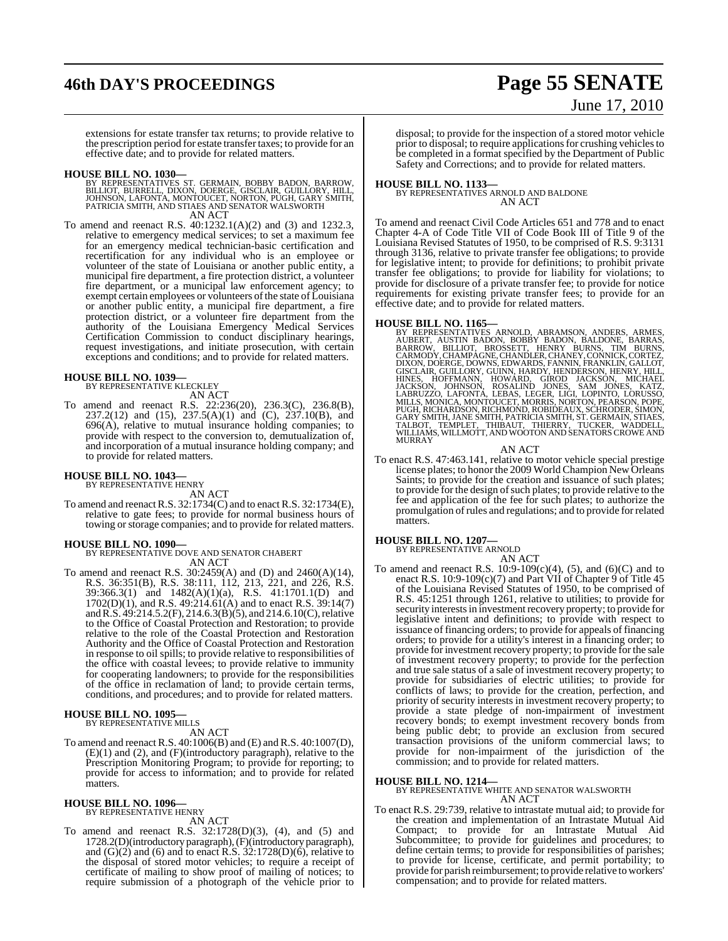# **46th DAY'S PROCEEDINGS Page 55 SENATE**

# June 17, 2010

extensions for estate transfer tax returns; to provide relative to the prescription period for estate transfer taxes; to provide for an effective date; and to provide for related matters.

#### **HOUSE BILL NO. 1030—**

- BY REPRESENTATIVES ST. GERMAIN, BOBBY BADON, BARROW,<br>BILLIOT, BURRELL, DIXON, DOERGE, GISCLAIR, GUILLORY, HILL,<br>JOHNSON, LAFONTA, MONTOUCET, NORTON, PUGH, GARY SMITH,<br>PATRICIA SMITH, AND STIAES AND SENATOR WALSWORTH AN ACT
- To amend and reenact R.S. 40:1232.1(A)(2) and (3) and 1232.3, relative to emergency medical services; to set a maximum fee for an emergency medical technician-basic certification and recertification for any individual who is an employee or volunteer of the state of Louisiana or another public entity, a municipal fire department, a fire protection district, a volunteer fire department, or a municipal law enforcement agency; to exempt certain employees or volunteers of the state of Louisiana or another public entity, a municipal fire department, a fire protection district, or a volunteer fire department from the authority of the Louisiana Emergency Medical Services Certification Commission to conduct disciplinary hearings, request investigations, and initiate prosecution, with certain exceptions and conditions; and to provide for related matters.

# **HOUSE BILL NO. 1039—** BY REPRESENTATIVE KLECKLEY

AN ACT

- To amend and reenact R.S. 22:236(20), 236.3(C), 236.8(B),
- 237.2(12) and (15), 237.5(A)(1) and (C),  $237.10(B)$ , and 696(A), relative to mutual insurance holding companies; to provide with respect to the conversion to, demutualization of, and incorporation of a mutual insurance holding company; and to provide for related matters.

#### **HOUSE BILL NO. 1043—** BY REPRESENTATIVE HENRY

AN ACT

To amend and reenactR.S. 32:1734(C) and to enact R.S. 32:1734(E), relative to gate fees; to provide for normal business hours of towing or storage companies; and to provide for related matters.

**HOUSE BILL NO. 1090—** BY REPRESENTATIVE DOVE AND SENATOR CHABERT AN ACT

To amend and reenact R.S. 30:2459(A) and (D) and 2460(A)(14), R.S. 36:351(B), R.S. 38:111, 112, 213, 221, and 226, R.S. 39:366.3(1) and 1482(A)(1)(a), R.S. 41:1701.1(D) and  $1702(D)(1)$ , and R.S.  $49:214.61(A)$  and to enact R.S.  $39:14(7)$ and R.S. 49:214.5.2(F), 214.6.3(B)(5), and 214.6.10(C), relative to the Office of Coastal Protection and Restoration; to provide relative to the role of the Coastal Protection and Restoration Authority and the Office of Coastal Protection and Restoration in response to oil spills; to provide relative to responsibilities of the office with coastal levees; to provide relative to immunity for cooperating landowners; to provide for the responsibilities of the office in reclamation of land; to provide certain terms, conditions, and procedures; and to provide for related matters.

#### **HOUSE BILL NO. 1095** BY REPRESENTATIVE MILLS

AN ACT

To amend and reenact R.S. 40:1006(B) and (E) and R.S. 40:1007(D), (E)(1) and (2), and (F)(introductory paragraph), relative to the Prescription Monitoring Program; to provide for reporting; to provide for access to information; and to provide for related matters.

# **HOUSE BILL NO. 1096—** BY REPRESENTATIVE HENRY

AN ACT

To amend and reenact R.S. 32:1728(D)(3), (4), and (5) and 1728.2(D)(introductory paragraph), (F)(introductory paragraph), and  $(G)(2)$  and  $(6)$  and to enact R.S. 32:1728 $(D)(6)$ , relative to the disposal of stored motor vehicles; to require a receipt of certificate of mailing to show proof of mailing of notices; to require submission of a photograph of the vehicle prior to

disposal; to provide for the inspection of a stored motor vehicle prior to disposal; to require applications for crushing vehicles to be completed in a format specified by the Department of Public Safety and Corrections; and to provide for related matters.

#### **HOUSE BILL NO. 1133—**

BY REPRESENTATIVES ARNOLD AND BALDONE AN ACT

To amend and reenact Civil Code Articles 651 and 778 and to enact Chapter 4-A of Code Title VII of Code Book III of Title 9 of the Louisiana Revised Statutes of 1950, to be comprised of R.S. 9:3131 through 3136, relative to private transfer fee obligations; to provide for legislative intent; to provide for definitions; to prohibit private transfer fee obligations; to provide for liability for violations; to provide for disclosure of a private transfer fee; to provide for notice requirements for existing private transfer fees; to provide for an effective date; and to provide for related matters.

HOUSE BILL NO. 1165—<br>BY REPRESENTATIVES ARNOLD, ABRAMSON, ANDERS, ARMES, AUBERT, AUSTIN BADON, BOBBY BADON, BALDONE, BARRAS, BARROW, BILLIOT, BROSSETT, HENRY BURNS, TIM BURNS, CARMODY, CHAMPAGNE, CHANDLER, CHANEY, CONNICK,

AN ACT

To enact R.S. 47:463.141, relative to motor vehicle special prestige license plates; to honor the 2009 World Champion New Orleans Saints; to provide for the creation and issuance of such plates; to provide for the design of such plates; to provide relative to the fee and application of the fee for such plates; to authorize the promulgation ofrules and regulations; and to provide forrelated matters.

# **HOUSE BILL NO. 1207—** BY REPRESENTATIVE ARNOLD

AN ACT

To amend and reenact R.S.  $10:9-109(c)(4)$ , (5), and (6)(C) and to enact R.S. 10:9-109(c)(7) and Part VII of Chapter 9 of Title 45 of the Louisiana Revised Statutes of 1950, to be comprised of R.S. 45:1251 through 1261, relative to utilities; to provide for security interests in investment recovery property; to provide for legislative intent and definitions; to provide with respect to issuance of financing orders; to provide for appeals of financing orders; to provide for a utility's interest in a financing order; to provide for investment recovery property; to provide for the sale of investment recovery property; to provide for the perfection and true sale status of a sale of investment recovery property; to provide for subsidiaries of electric utilities; to provide for conflicts of laws; to provide for the creation, perfection, and priority of security interests in investment recovery property; to provide a state pledge of non-impairment of investment recovery bonds; to exempt investment recovery bonds from being public debt; to provide an exclusion from secured transaction provisions of the uniform commercial laws; to provide for non-impairment of the jurisdiction of the commission; and to provide for related matters.

#### **HOUSE BILL NO. 1214—**

BY REPRESENTATIVE WHITE AND SENATOR WALSWORTH AN ACT

To enact R.S. 29:739, relative to intrastate mutual aid; to provide for the creation and implementation of an Intrastate Mutual Aid Compact; to provide for an Intrastate Mutual Aid Subcommittee; to provide for guidelines and procedures; to define certain terms; to provide for responsibilities of parishes; to provide for license, certificate, and permit portability; to provide for parish reimbursement; to provide relative to workers' compensation; and to provide for related matters.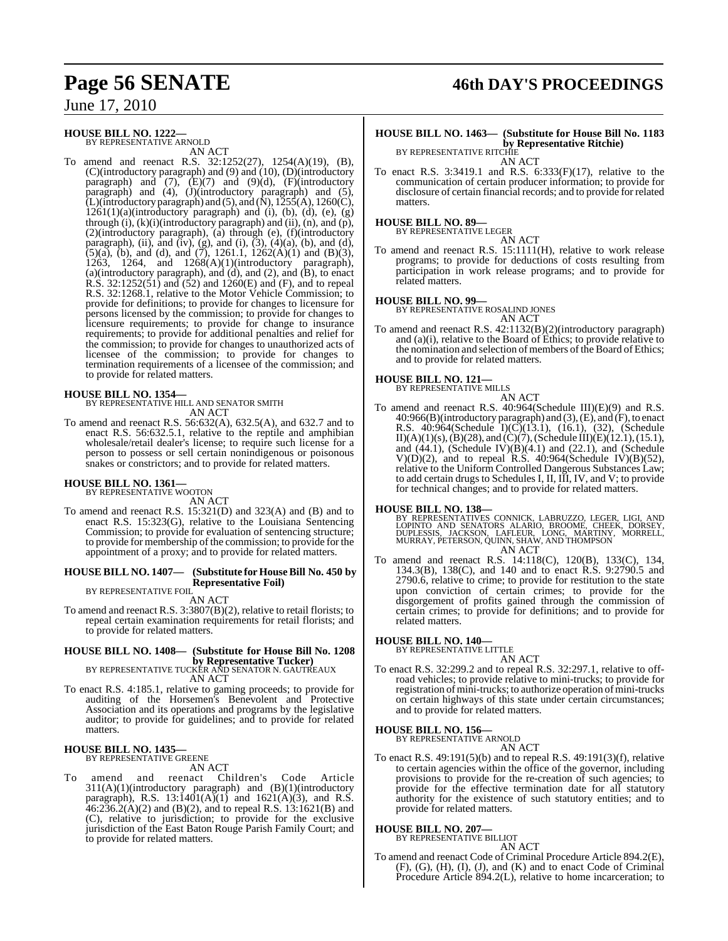#### **HOUSE BILL NO. 1222—** BY REPRESENTATIVE ARNOLD

AN ACT

To amend and reenact R.S. 32:1252(27), 1254(A)(19), (B), (C)(introductory paragraph) and (9) and (10), (D)(introductory paragraph) and  $(7)$ ,  $(E)(7)$  and  $(9)(d)$ ,  $(F)(introducing$ paragraph) and (4), (J)(introductory paragraph) and (5),  $\tilde{L}$ )(introductory paragraph) and (5), and ( $\tilde{N}$ ), 1255(A), 1260(C),  $1261(1)(a)$ (introductory paragraph) and (i), (b), (d), (e), (g) through  $(i)$ ,  $(k)(i)$ (introductory paragraph) and  $(ii)$ ,  $(n)$ , and  $(p)$ , (2)(introductory paragraph), (a) through (e), (f)(introductory paragraph), (ii), and (iv), (g), and (i),  $(3)$ ,  $(4)(a)$ ,  $(b)$ , and  $(d)$ ,  $(5)(a)$ ,  $(b)$ , and  $(d)$ , and  $(7)$ , 1261.1, 1262 $(A)(1)$  and  $(B)(3)$ , 1263, 1264, and 1268(A)(1)(introductory paragraph), (a)(introductory paragraph), and (d), and (2), and (B), to enact R.S. 32:1252(51) and (52) and 1260(E) and (F), and to repeal R.S. 32:1268.1, relative to the Motor Vehicle Commission; to provide for definitions; to provide for changes to licensure for persons licensed by the commission; to provide for changes to licensure requirements; to provide for change to insurance requirements; to provide for additional penalties and relief for the commission; to provide for changes to unauthorized acts of licensee of the commission; to provide for changes to termination requirements of a licensee of the commission; and to provide for related matters.

#### **HOUSE BILL NO. 1354—**

BY REPRESENTATIVE HILL AND SENATOR SMITH AN ACT

To amend and reenact R.S. 56:632(A), 632.5(A), and 632.7 and to enact R.S. 56:632.5.1, relative to the reptile and amphibian wholesale/retail dealer's license; to require such license for a person to possess or sell certain nonindigenous or poisonous snakes or constrictors; and to provide for related matters.

# **HOUSE BILL NO. 1361—** BY REPRESENTATIVE WOOTON

AN ACT

To amend and reenact R.S. 15:321(D) and 323(A) and (B) and to enact R.S. 15:323(G), relative to the Louisiana Sentencing Commission; to provide for evaluation of sentencing structure; to provide for membership of the commission; to provide for the appointment of a proxy; and to provide for related matters.

#### **HOUSE BILL NO. 1407— (Substitute for HouseBill No. 450 by Representative Foil)** BY REPRESENTATIVE FOIL

AN ACT

To amend and reenact R.S. 3:3807(B)(2), relative to retail florists; to repeal certain examination requirements for retail florists; and to provide for related matters.

## **HOUSE BILL NO. 1408— (Substitute for House Bill No. 1208 by Representative Tucker)**<br>BY REPRESENTATIVE TUCKER AND SENATOR N. GAUTREAUX

- AN ACT
- To enact R.S. 4:185.1, relative to gaming proceeds; to provide for auditing of the Horsemen's Benevolent and Protective Association and its operations and programs by the legislative auditor; to provide for guidelines; and to provide for related matters.

#### **HOUSE BILL NO. 1435—** BY REPRESENTATIVE GREENE

#### AN ACT

To amend and reenact Children's Code Article  $311(A)(1)$ (introductory paragraph) and  $(B)(1)$ (introductory paragraph), R.S. 13:1401(A)(1) and 1621(A)(3), and R.S.  $46:236.2(A)(2)$  and (B)(2), and to repeal R.S. 13:1621(B) and (C), relative to jurisdiction; to provide for the exclusive jurisdiction of the East Baton Rouge Parish Family Court; and to provide for related matters.

# **Page 56 SENATE 46th DAY'S PROCEEDINGS**

#### **HOUSE BILL NO. 1463— (Substitute for House Bill No. 1183 by Representative Ritchie)** BY REPRESENTATIVE RITCHIE

AN ACT

To enact R.S. 3:3419.1 and R.S. 6:333(F)(17), relative to the communication of certain producer information; to provide for disclosure of certain financial records; and to provide for related matters.

#### **HOUSE BILL NO. 89—**

BY REPRESENTATIVE LEGER AN ACT

To amend and reenact R.S. 15:1111(H), relative to work release programs; to provide for deductions of costs resulting from participation in work release programs; and to provide for related matters.

#### **HOUSE BILL NO. 99—**

BY REPRESENTATIVE ROSALIND JONES

- 
- To amend and reenact R.S. 42:1132(B)(2)(introductory paragraph) and (a)(i), relative to the Board of Ethics; to provide relative to the nomination and selection of members of the Board of Ethics; and to provide for related matters.

#### **HOUSE BILL NO. 121—**



To amend and reenact R.S. 40:964(Schedule III)(E)(9) and R.S. 40:966(B)(introductory paragraph) and (3), (E), and (F), to enact R.S.  $40:964$ (Schedule I)(C)(13.1), (16.1), (32), (Schedule II)(A)(1)(s),(B)(28), and (C)(7), (Schedule III)(E)(12.1), (15.1), and (44.1), (Schedule IV)(B)(4.1) and (22.1), and (Schedule  $V(D)(2)$ , and to repeal R.S. 40:964(Schedule IV)(B)(52), relative to the Uniform Controlled Dangerous Substances Law; to add certain drugs to Schedules I, II, III, IV, and V; to provide for technical changes; and to provide for related matters.

**HOUSE BILL NO. 138—**<br>BY REPRESENTATIVES CONNICK, LABRUZZO, LEGER, LIGI, AND<br>LOPINTO AND SENATORS ALARIO, BROOME, CHEEK, DORSEY,<br>DUPLESSIS, JACKSON, LAFLEUR, LONG, MARTINY, MORRELL,<br>MURRAY, PETERSON, QUINN, SHAW, AND THOMP AN ACT

To amend and reenact R.S. 14:118(C), 120(B), 133(C), 134, 134.3(B), 138(C), and 140 and to enact R.S. 9:2790.5 and 2790.6, relative to crime; to provide for restitution to the state upon conviction of certain crimes; to provide for the disgorgement of profits gained through the commission of certain crimes; to provide for definitions; and to provide for related matters.

# **HOUSE BILL NO. 140—** BY REPRESENTATIVE LITTLE

AN ACT

To enact R.S. 32:299.2 and to repeal R.S. 32:297.1, relative to offroad vehicles; to provide relative to mini-trucks; to provide for registration of mini-trucks; to authorize operation of mini-trucks on certain highways of this state under certain circumstances; and to provide for related matters.

#### **HOUSE BILL NO. 156—**

BY REPRESENTATIVE ARNOLD

- AN ACT
- To enact R.S. 49:191(5)(b) and to repeal R.S. 49:191(3)(f), relative to certain agencies within the office of the governor, including provisions to provide for the re-creation of such agencies; to provide for the effective termination date for all statutory authority for the existence of such statutory entities; and to provide for related matters.

#### **HOUSE BILL NO. 207—** BY REPRESENTATIVE BILLIOT

AN ACT

To amend and reenact Code of Criminal Procedure Article 894.2(E), (F), (G), (H), (I), (J), and (K) and to enact Code of Criminal Procedure Article 894.2(L), relative to home incarceration; to

- AN ACT
- AN ACT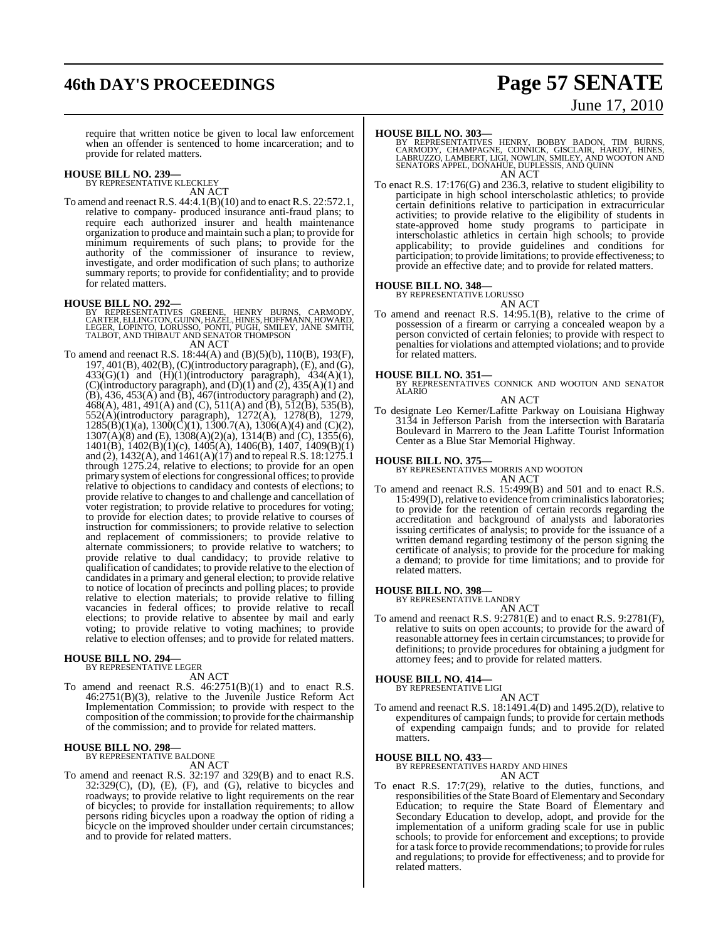# **46th DAY'S PROCEEDINGS Page 57 SENATE**

# June 17, 2010

require that written notice be given to local law enforcement when an offender is sentenced to home incarceration; and to provide for related matters.

# **HOUSE BILL NO. 239—** BY REPRESENTATIVE KLECKLEY

AN ACT

To amend and reenact R.S. 44:4.1(B)(10) and to enact R.S. 22:572.1, relative to company- produced insurance anti-fraud plans; to require each authorized insurer and health maintenance organization to produce and maintain such a plan; to provide for minimum requirements of such plans; to provide for the authority of the commissioner of insurance to review, investigate, and order modification of such plans; to authorize summary reports; to provide for confidentiality; and to provide for related matters.

- **HOUSE BILL NO. 292—**<br>BY REPRESENTATIVES GREENE, HENRY BURNS, CARMODY<br>CARTER, ELLINGTON, GUINN, HAZEL, HINES, HOFFMANN, HOWARD,<br>LEGER, LOPINTO, LORUSSO, PONTI, PUGH, SMILEY, JANE SMITH,<br>TALBOT, AND THIBAUT AND SENATOR THOM AN ACT
- To amend and reenact R.S. 18:44(A) and (B)(5)(b), 110(B), 193(F), 197, 401(B), 402(B), (C)(introductory paragraph), (E), and (G),  $433(G)(1)$  and  $(H)(1)(introductory)$  paragraph),  $434(A)(1)$ , (C)(introductory paragraph), and  $(D)(1)$  and  $(2)$ , 435(A)(1) and  $(B)$ , 436, 453 $(A)$  and  $(B)$ , 467 $($ introductory paragraph) and  $(2)$ ,  $468(A)$ , 481, 491(A) and (C), 511(A) and (B), 512(B), 535(B), 552(A)(introductory paragraph), 1272(A), 1278(B), 1279,  $1285(B)(1)(a)$ ,  $1300(\overrightarrow{C})(1)$ ,  $1300.7(A)$ ,  $1306(A)(4)$  and  $(C)(2)$ ,  $1307(A)(8)$  and (E),  $1308(A)(2)(a)$ ,  $1314(B)$  and (C),  $1355(6)$ , 1401(B), 1402(B)(1)(c), 1405(A), 1406(B), 1407, 1409(B)(1) and (2), 1432(A), and 1461(A)(17) and to repealR.S. 18:1275.1 through 1275.24, relative to elections; to provide for an open primary system of elections for congressional offices; to provide relative to objections to candidacy and contests of elections; to provide relative to changes to and challenge and cancellation of voter registration; to provide relative to procedures for voting; to provide for election dates; to provide relative to courses of instruction for commissioners; to provide relative to selection and replacement of commissioners; to provide relative to alternate commissioners; to provide relative to watchers; to provide relative to dual candidacy; to provide relative to qualification of candidates; to provide relative to the election of candidates in a primary and general election; to provide relative to notice of location of precincts and polling places; to provide relative to election materials; to provide relative to filling vacancies in federal offices; to provide relative to recall elections; to provide relative to absentee by mail and early voting; to provide relative to voting machines; to provide relative to election offenses; and to provide for related matters.

**HOUSE BILL NO. 294—** BY REPRESENTATIVE LEGER AN ACT

To amend and reenact R.S. 46:2751(B)(1) and to enact R.S. 46:2751(B)(3), relative to the Juvenile Justice Reform Act Implementation Commission; to provide with respect to the composition of the commission; to provide for the chairmanship of the commission; and to provide for related matters.

# **HOUSE BILL NO. 298—** BY REPRESENTATIVE BALDONE

- AN ACT
- To amend and reenact R.S. 32:197 and 329(B) and to enact R.S.  $32:329(C)$ ,  $(D)$ ,  $(E)$ ,  $(F)$ , and  $(G)$ , relative to bicycles and roadways; to provide relative to light requirements on the rear of bicycles; to provide for installation requirements; to allow persons riding bicycles upon a roadway the option of riding a bicycle on the improved shoulder under certain circumstances; and to provide for related matters.

#### **HOUSE BILL NO. 303—**

BY REPRESENTATIVES HENRY, BOBBY BADON, TIM BURNS,<br>CARMODY, CHAMPAGNE, CONNICK, GISCLAIR, HARDY, HINES,<br>LABRUZZO, LAMBERT, LIGI, NOWLIN, SMILEY, AND WOOTON AND SENATORS APPEL, DONAHUE, DUPLESSIS, AND QUINN AN ACT

To enact R.S. 17:176(G) and 236.3, relative to student eligibility to participate in high school interscholastic athletics; to provide certain definitions relative to participation in extracurricular activities; to provide relative to the eligibility of students in state-approved home study programs to participate in interscholastic athletics in certain high schools; to provide applicability; to provide guidelines and conditions for participation; to provide limitations; to provide effectiveness; to provide an effective date; and to provide for related matters.

# **HOUSE BILL NO. 348—** BY REPRESENTATIVE LORUSSO

AN ACT To amend and reenact R.S. 14:95.1(B), relative to the crime of possession of a firearm or carrying a concealed weapon by a person convicted of certain felonies; to provide with respect to penalties for violations and attempted violations; and to provide for related matters.

**HOUSE BILL NO. 351—** BY REPRESENTATIVES CONNICK AND WOOTON AND SENATOR ALARIO

#### AN ACT

To designate Leo Kerner/Lafitte Parkway on Louisiana Highway 3134 in Jefferson Parish from the intersection with Barataria Boulevard in Marrero to the Jean Lafitte Tourist Information Center as a Blue Star Memorial Highway.

#### **HOUSE BILL NO. 375—**

BY REPRESENTATIVES MORRIS AND WOOTON AN ACT

To amend and reenact R.S. 15:499(B) and 501 and to enact R.S. 15:499(D), relative to evidence from criminalistics laboratories; to provide for the retention of certain records regarding the accreditation and background of analysts and laboratories issuing certificates of analysis; to provide for the issuance of a written demand regarding testimony of the person signing the certificate of analysis; to provide for the procedure for making a demand; to provide for time limitations; and to provide for related matters.

# **HOUSE BILL NO. 398—** BY REPRESENTATIVE LANDRY

AN ACT To amend and reenact R.S. 9:2781(E) and to enact R.S. 9:2781(F), relative to suits on open accounts; to provide for the award of reasonable attorney fees in certain circumstances; to provide for definitions; to provide procedures for obtaining a judgment for attorney fees; and to provide for related matters.

# **HOUSE BILL NO. 414—** BY REPRESENTATIVE LIGI

AN ACT To amend and reenact R.S. 18:1491.4(D) and 1495.2(D), relative to expenditures of campaign funds; to provide for certain methods of expending campaign funds; and to provide for related matters.

**HOUSE BILL NO. 433—** BY REPRESENTATIVES HARDY AND HINES AN ACT

To enact R.S. 17:7(29), relative to the duties, functions, and responsibilities of the State Board of Elementary and Secondary Education; to require the State Board of Elementary and Secondary Education to develop, adopt, and provide for the implementation of a uniform grading scale for use in public schools; to provide for enforcement and exceptions; to provide for a task force to provide recommendations; to provide forrules and regulations; to provide for effectiveness; and to provide for related matters.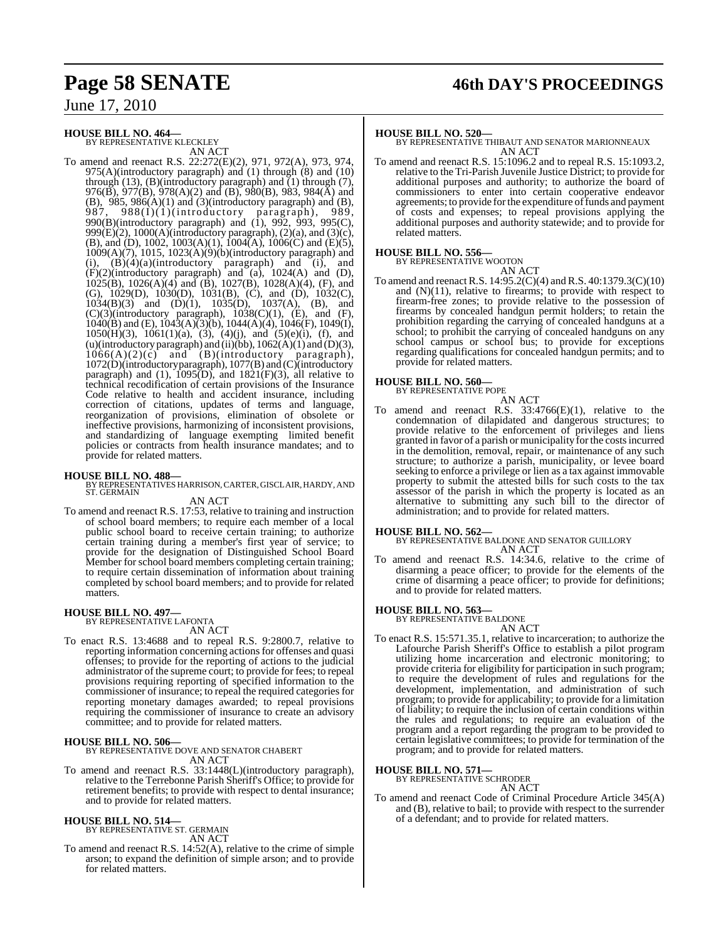# **Page 58 SENATE 46th DAY'S PROCEEDINGS**

June 17, 2010

#### **HOUSE BILL NO. 464—**

BY REPRESENTATIVE KLECKLEY AN ACT

To amend and reenact R.S. 22:272(E)(2), 971, 972(A), 973, 974,  $975(A)$ (introductory paragraph) and (1) through (8) and (10) through  $(13)$ ,  $(B)$ (introductory paragraph) and  $(1)$  through  $(7)$ , 976(B), 977(B), 978(A)(2) and (B), 980(B), 983, 984(A) and (B), 985, 986(A)(1) and (3)(introductory paragraph) and (B), 987, 988(I)(1)(introductory paragraph), 989, 987, 988 $(I)(i)$ (introductory paragraph), 989, 990(B)(introductory paragraph) and (1), 992, 993, 995(C), 999 $(E)(2)$ , 1000 $(A)$ (introductory paragraph),  $(2)(a)$ , and  $(3)(c)$ , (B), and (D), 1002, 1003(A)(1),  $1004(A)$ ,  $1006(C)$  and (E)(5), 1009(A)(7), 1015, 1023(A)(9)(b)(introductory paragraph) and (i),  $(B)(4)(a)$ (introductory paragraph) and (i), and  $(F)(2)$ (introductory paragraph) and (a), 1024(A) and (D), 1025(B), 1026(A)(4) and (B), 1027(B), 1028(A)(4), (F), and (G), 1029(D), 1030(D), 1031(B), (C), and (D), 1032(C),  $1034(B)(3)$  and  $(D)(1)$ ,  $1035(D)$ ,  $1037(A)$ ,  $(B)$ , and  $(C)(3)$ (introductory paragraph),  $1038(C)(1)$ ,  $(E)$ , and  $(F)$ ,  $1040(B)$  and (E),  $1043(A)(3)(b)$ ,  $1044(A)(4)$ ,  $1046(F)$ ,  $1049(I)$ , 1050(H)(3), 1061(1)(a), (3), (4)(j), and (5)(e)(i), (f), and (u)(introductory paragraph) and (ii)(bb),  $1062(A)(1)$  and  $(D)(3)$ ,  $1066(A)(2)(c)$  and  $(B)$ (introductory paragraph),  $1066(A)(2)(c)$  and (B)(introductory paragraph), 1072(D)(introductory paragraph), 1077(B) and (C)(introductory paragraph) and (1),  $1095(D)$ , and  $1821(F)(3)$ , all relative to technical recodification of certain provisions of the Insurance Code relative to health and accident insurance, including correction of citations, updates of terms and language, reorganization of provisions, elimination of obsolete or ineffective provisions, harmonizing of inconsistent provisions, and standardizing of language exempting limited benefit policies or contracts from health insurance mandates; and to provide for related matters.

#### **HOUSE BILL NO. 488—**

BY REPRESENTATIVES HARRISON, CARTER, GISCLAIR, HARDY, AND ST. GERMAIN

#### AN ACT

To amend and reenact R.S. 17:53, relative to training and instruction of school board members; to require each member of a local public school board to receive certain training; to authorize certain training during a member's first year of service; to provide for the designation of Distinguished School Board Member for school board members completing certain training; to require certain dissemination of information about training completed by school board members; and to provide for related matters.

# **HOUSE BILL NO. 497—** BY REPRESENTATIVE LAFONTA

- AN ACT
- To enact R.S. 13:4688 and to repeal R.S. 9:2800.7, relative to reporting information concerning actions for offenses and quasi offenses; to provide for the reporting of actions to the judicial administrator of the supreme court; to provide for fees; to repeal provisions requiring reporting of specified information to the commissioner of insurance; to repeal the required categories for reporting monetary damages awarded; to repeal provisions requiring the commissioner of insurance to create an advisory committee; and to provide for related matters.

**HOUSE BILL NO. 506—** BY REPRESENTATIVE DOVE AND SENATOR CHABERT AN ACT

To amend and reenact R.S. 33:1448(L)(introductory paragraph), relative to the Terrebonne Parish Sheriff's Office; to provide for retirement benefits; to provide with respect to dental insurance; and to provide for related matters.

# **HOUSE BILL NO. 514—** BY REPRESENTATIVE ST. GERMAIN

AN ACT

To amend and reenact R.S. 14:52(A), relative to the crime of simple arson; to expand the definition of simple arson; and to provide for related matters.

**HOUSE BILL NO. 520—** BY REPRESENTATIVE THIBAUT AND SENATOR MARIONNEAUX AN ACT

To amend and reenact R.S. 15:1096.2 and to repeal R.S. 15:1093.2, relative to the Tri-Parish Juvenile Justice District; to provide for additional purposes and authority; to authorize the board of commissioners to enter into certain cooperative endeavor agreements; to provide forthe expenditure offunds and payment of costs and expenses; to repeal provisions applying the additional purposes and authority statewide; and to provide for related matters.

#### **HOUSE BILL NO. 556—**

BY REPRESENTATIVE WOOTON

AN ACT

To amend and reenact R.S. 14:95.2(C)(4) and R.S. 40:1379.3(C)(10) and  $(N)(11)$ , relative to firearms; to provide with respect to firearm-free zones; to provide relative to the possession of firearms by concealed handgun permit holders; to retain the prohibition regarding the carrying of concealed handguns at a school; to prohibit the carrying of concealed handguns on any school campus or school bus; to provide for exceptions regarding qualifications for concealed handgun permits; and to provide for related matters.

#### **HOUSE BILL NO. 560—**

BY REPRESENTATIVE POPE AN ACT

To amend and reenact R.S.  $33:4766(E)(1)$ , relative to the condemnation of dilapidated and dangerous structures; to provide relative to the enforcement of privileges and liens granted in favor of a parish or municipality for the costsincurred in the demolition, removal, repair, or maintenance of any such structure; to authorize a parish, municipality, or levee board seeking to enforce a privilege or lien as a tax against immovable property to submit the attested bills for such costs to the tax assessor of the parish in which the property is located as an alternative to submitting any such bill to the director of administration; and to provide for related matters.

**HOUSE BILL NO. 562—** BY REPRESENTATIVE BALDONE AND SENATOR GUILLORY AN ACT

To amend and reenact R.S. 14:34.6, relative to the crime of disarming a peace officer; to provide for the elements of the crime of disarming a peace officer; to provide for definitions; and to provide for related matters.

# **HOUSE BILL NO. 563—** BY REPRESENTATIVE BALDONE

AN ACT

To enact R.S. 15:571.35.1, relative to incarceration; to authorize the Lafourche Parish Sheriff's Office to establish a pilot program utilizing home incarceration and electronic monitoring; to provide criteria for eligibility for participation in such program; to require the development of rules and regulations for the development, implementation, and administration of such program; to provide for applicability; to provide for a limitation of liability; to require the inclusion of certain conditions within the rules and regulations; to require an evaluation of the program and a report regarding the program to be provided to certain legislative committees; to provide for termination of the program; and to provide for related matters.

#### **HOUSE BILL NO. 571—**

BY REPRESENTATIVE SCHRODER

#### AN ACT

To amend and reenact Code of Criminal Procedure Article 345(A) and (B), relative to bail; to provide with respect to the surrender of a defendant; and to provide for related matters.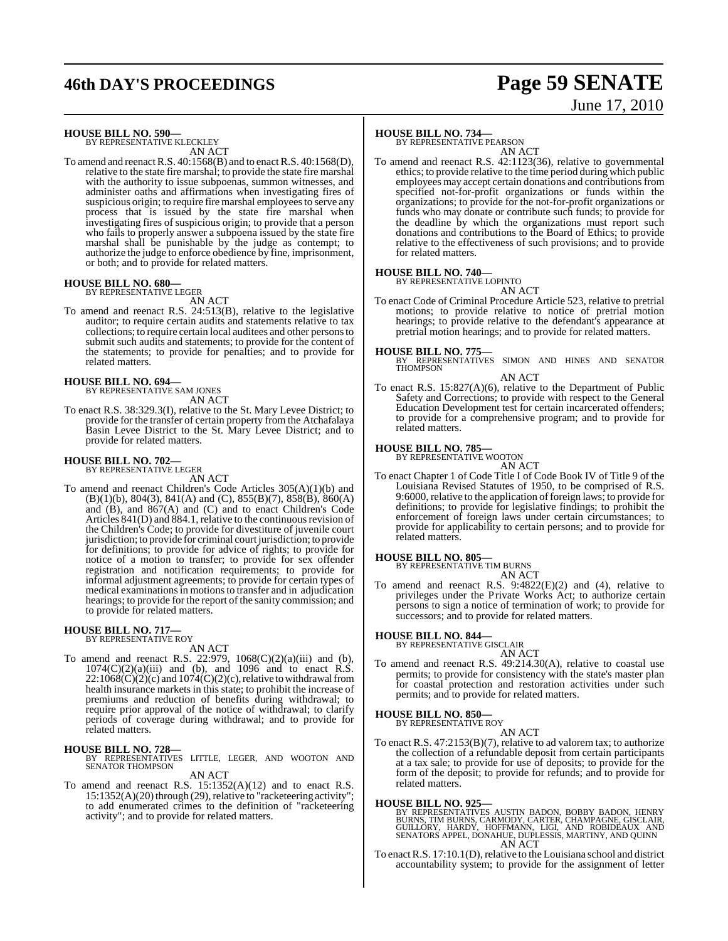# **46th DAY'S PROCEEDINGS Page 59 SENATE**

# June 17, 2010

### **HOUSE BILL NO. 590—**

BY REPRESENTATIVE KLECKLEY AN ACT

To amend and reenact R.S.  $40:1568(B)$  and to enact R.S.  $40:1568(D)$ , relative to the state fire marshal; to provide the state fire marshal with the authority to issue subpoenas, summon witnesses, and administer oaths and affirmations when investigating fires of suspicious origin; to require fire marshal employees to serve any process that is issued by the state fire marshal when investigating fires of suspicious origin; to provide that a person who fails to properly answer a subpoena issued by the state fire marshal shall be punishable by the judge as contempt; to authorize the judge to enforce obedience by fine, imprisonment, or both; and to provide for related matters.

#### **HOUSE BILL NO. 680—** BY REPRESENTATIVE LEGER

AN ACT

To amend and reenact R.S. 24:513(B), relative to the legislative auditor; to require certain audits and statements relative to tax collections; to require certain local auditees and other personsto submit such audits and statements; to provide for the content of the statements; to provide for penalties; and to provide for related matters.

#### **HOUSE BILL NO. 694—**

BY REPRESENTATIVE SAM JONES AN ACT

To enact R.S. 38:329.3(I), relative to the St. Mary Levee District; to provide for the transfer of certain property from the Atchafalaya Basin Levee District to the St. Mary Levee District; and to provide for related matters.

#### **HOUSE BILL NO. 702—** BY REPRESENTATIVE LEGER

AN ACT

To amend and reenact Children's Code Articles 305(A)(1)(b) and  $(B)(1)(b)$ , 804(3), 841(A) and (C), 855(B)(7), 858(B), 860(A) and (B), and 867(A) and (C) and to enact Children's Code Articles 841(D) and 884.1, relative to the continuous revision of the Children's Code; to provide for divestiture of juvenile court jurisdiction; to provide for criminal court jurisdiction; to provide for definitions; to provide for advice of rights; to provide for notice of a motion to transfer; to provide for sex offender registration and notification requirements; to provide for informal adjustment agreements; to provide for certain types of medical examinations in motions to transfer and in adjudication hearings; to provide for the report of the sanity commission; and to provide for related matters.

#### **HOUSE BILL NO. 717—** BY REPRESENTATIVE ROY

AN ACT

To amend and reenact R.S. 22:979,  $1068(C)(2)(a)(iii)$  and (b),  $1074(C)(2)(a)(iii)$  and (b), and 1096 and to enact R.S.  $22:1068(\dot{C})(2)(c)$  and  $1074(\dot{C})(2)(c)$ , relative to withdrawal from health insurance markets in this state; to prohibit the increase of premiums and reduction of benefits during withdrawal; to require prior approval of the notice of withdrawal; to clarify periods of coverage during withdrawal; and to provide for related matters.

#### **HOUSE BILL NO. 728—**

BY REPRESENTATIVES LITTLE, LEGER, AND WOOTON AND SENATOR THOMPSON AN ACT

To amend and reenact R.S. 15:1352(A)(12) and to enact R.S. 15:1352(A)(20) through (29), relative to "racketeering activity"; to add enumerated crimes to the definition of "racketeering activity"; and to provide for related matters.

### **HOUSE BILL NO. 734—**

BY REPRESENTATIVE PEARSON

AN ACT To amend and reenact R.S. 42:1123(36), relative to governmental ethics; to provide relative to the time period during which public employees may accept certain donations and contributions from specified not-for-profit organizations or funds within the organizations; to provide for the not-for-profit organizations or funds who may donate or contribute such funds; to provide for the deadline by which the organizations must report such donations and contributions to the Board of Ethics; to provide relative to the effectiveness of such provisions; and to provide for related matters.

#### **HOUSE BILL NO. 740—**

BY REPRESENTATIVE LOPINTO AN ACT

To enact Code of Criminal Procedure Article 523, relative to pretrial motions; to provide relative to notice of pretrial motion hearings; to provide relative to the defendant's appearance at pretrial motion hearings; and to provide for related matters.

#### **HOUSE BILL NO. 775—**

BY REPRESENTATIVES SIMON AND HINES AND SENATOR THOMPSON

#### AN ACT

To enact R.S. 15:827(A)(6), relative to the Department of Public Safety and Corrections; to provide with respect to the General Education Development test for certain incarcerated offenders; to provide for a comprehensive program; and to provide for related matters.

#### **HOUSE BILL NO. 785—**

BY REPRESENTATIVE WOOTON AN ACT

To enact Chapter 1 of Code Title I of Code Book IV of Title 9 of the Louisiana Revised Statutes of 1950, to be comprised of R.S. 9:6000, relative to the application of foreign laws; to provide for definitions; to provide for legislative findings; to prohibit the enforcement of foreign laws under certain circumstances; to provide for applicability to certain persons; and to provide for related matters.

# **HOUSE BILL NO. 805—** BY REPRESENTATIVE TIM BURNS

AN ACT To amend and reenact R.S. 9:4822(E)(2) and (4), relative to privileges under the Private Works Act; to authorize certain persons to sign a notice of termination of work; to provide for successors; and to provide for related matters.

#### **HOUSE BILL NO. 844—** BY REPRESENTATIVE GISCLAIR

AN ACT

To amend and reenact R.S. 49:214.30(A), relative to coastal use permits; to provide for consistency with the state's master plan for coastal protection and restoration activities under such permits; and to provide for related matters.

#### **HOUSE BILL NO. 850—**

BY REPRESENTATIVE ROY AN ACT

To enact R.S. 47:2153(B)(7), relative to ad valorem tax; to authorize the collection of a refundable deposit from certain participants at a tax sale; to provide for use of deposits; to provide for the form of the deposit; to provide for refunds; and to provide for related matters.

#### **HOUSE BILL NO. 925—**

BY REPRESENTATIVES AUSTIN BADON, BOBBY BADON, HENRY<br>BURNS, TIM BURNS, CARMODY, CARTER, CHAMPAGNE, GISCLAIR,<br>GUILLORY, HARDY, HOFFMANN, LIGI, AND ROBIDEAUX AND<br>SENATORS APPEL, DONAHUE, DUPLESSIS, MARTINY, AND QUINN<br>AN ACT

To enact R.S. 17:10.1(D), relative to the Louisiana school and district accountability system; to provide for the assignment of letter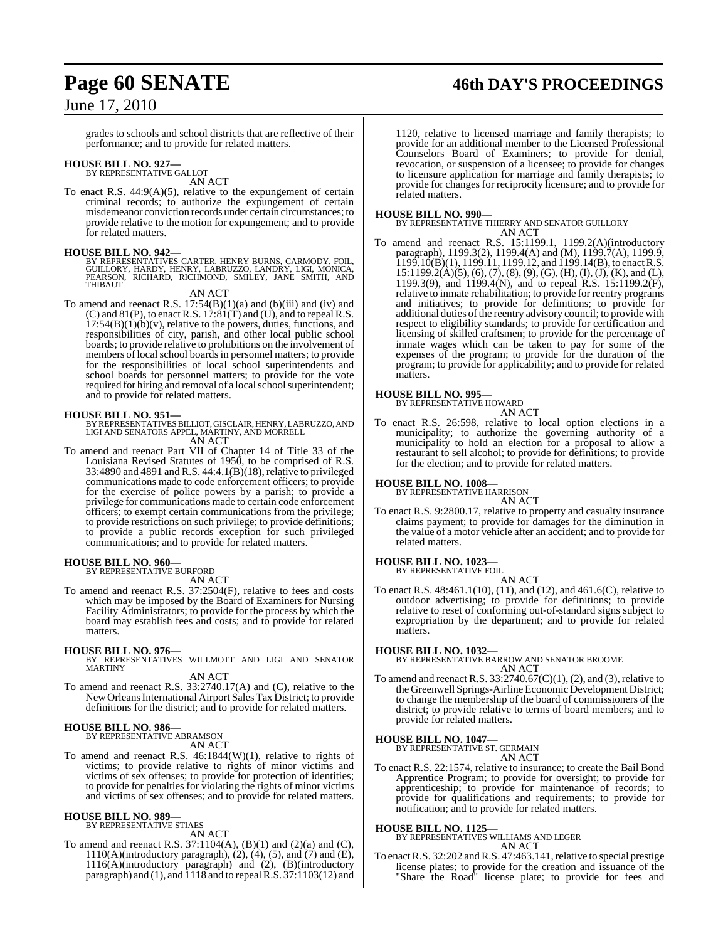# **Page 60 SENATE 46th DAY'S PROCEEDINGS**

## June 17, 2010

grades to schools and school districts that are reflective of their performance; and to provide for related matters.

# **HOUSE BILL NO. 927—** BY REPRESENTATIVE GALLOT

AN ACT

To enact R.S.  $44:9(A)(5)$ , relative to the expungement of certain criminal records; to authorize the expungement of certain misdemeanor conviction records under certain circumstances; to provide relative to the motion for expungement; and to provide for related matters.

#### **HOUSE BILL NO. 942—**

BY REPRESENTATIVES CARTER, HENRY BURNS, CARMODY, FOIL,<br>GUILLORY, HARDY, HENRY, LABRUZZO, LANDRY, LIGI, MONICA,<br>PEARSON, RICHARD, RICHMOND, SMILEY, JANE SMITH, AND THIRAUT

AN ACT

To amend and reenact R.S.  $17:54(B)(1)(a)$  and  $(b)(iii)$  and  $(iv)$  and (C) and 81(P), to enact R.S. 17:81(T) and (U), and to repeal R.S.  $17:54(B)(1)(b)(v)$ , relative to the powers, duties, functions, and responsibilities of city, parish, and other local public school boards; to provide relative to prohibitions on the involvement of members of local school boards in personnel matters; to provide for the responsibilities of local school superintendents and school boards for personnel matters; to provide for the vote required for hiring and removal of a local school superintendent; and to provide for related matters.

**HOUSE BILL NO. 951—** BY REPRESENTATIVESBILLIOT, GISCLAIR, HENRY, LABRUZZO, AND LIGI AND SENATORS APPEL, MARTINY, AND MORRELL AN ACT

To amend and reenact Part VII of Chapter 14 of Title 33 of the Louisiana Revised Statutes of 1950, to be comprised of R.S. 33:4890 and 4891 and R.S. 44:4.1(B)(18), relative to privileged communications made to code enforcement officers; to provide for the exercise of police powers by a parish; to provide a privilege for communications made to certain code enforcement officers; to exempt certain communications from the privilege; to provide restrictions on such privilege; to provide definitions; to provide a public records exception for such privileged communications; and to provide for related matters.

# **HOUSE BILL NO. 960—** BY REPRESENTATIVE BURFORD

AN ACT

To amend and reenact R.S. 37:2504(F), relative to fees and costs which may be imposed by the Board of Examiners for Nursing Facility Administrators; to provide for the process by which the board may establish fees and costs; and to provide for related matters.

#### **HOUSE BILL NO. 976—**

BY REPRESENTATIVES WILLMOTT AND LIGI AND SENATOR MARTINY

AN ACT

To amend and reenact R.S. 33:2740.17(A) and (C), relative to the New OrleansInternational Airport Sales Tax District; to provide definitions for the district; and to provide for related matters.

#### **HOUSE BILL NO. 986—**

BY REPRESENTATIVE ABRAMSON

AN ACT

To amend and reenact R.S. 46:1844(W)(1), relative to rights of victims; to provide relative to rights of minor victims and victims of sex offenses; to provide for protection of identities; to provide for penalties for violating the rights of minor victims and victims of sex offenses; and to provide for related matters.

### **HOUSE BILL NO. 989—**

BY REPRESENTATIVE STIAES

AN ACT

To amend and reenact R.S. 37:1104(A), (B)(1) and (2)(a) and (C), 1110(A)(introductory paragraph), (2), (4), (5), and (7) and (E), 1116(A)(introductory paragraph) and (2), (B)(introductory paragraph) and (1), and 1118 and to repealR.S. 37:1103(12) and

1120, relative to licensed marriage and family therapists; to provide for an additional member to the Licensed Professional Counselors Board of Examiners; to provide for denial, revocation, or suspension of a licensee; to provide for changes to licensure application for marriage and family therapists; to provide for changes for reciprocity licensure; and to provide for related matters.

**HOUSE BILL NO. 990—** BY REPRESENTATIVE THIERRY AND SENATOR GUILLORY AN ACT

To amend and reenact R.S. 15:1199.1, 1199.2(A)(introductory paragraph), 1199.3(2), 1199.4(A) and (M), 1199.7(A), 1199.9,  $1199.10(B)(1)$ ,  $1199.11$ ,  $1199.12$ , and  $1199.14(B)$ , to enact R.S.  $15:1199.2(A)(5), (6), (7), (8), (9), (G), (H), (I), (J), (K),$  and (L), 1199.3(9), and 1199.4(N), and to repeal R.S. 15:1199.2(F), relative to inmate rehabilitation; to provide for reentry programs and initiatives; to provide for definitions; to provide for additional duties of the reentry advisory council; to provide with respect to eligibility standards; to provide for certification and licensing of skilled craftsmen; to provide for the percentage of inmate wages which can be taken to pay for some of the expenses of the program; to provide for the duration of the program; to provide for applicability; and to provide for related matters.

## **HOUSE BILL NO. 995—**

BY REPRESENTATIVE HOWARD AN ACT

To enact R.S. 26:598, relative to local option elections in a municipality; to authorize the governing authority of a municipality to hold an election for a proposal to allow a restaurant to sell alcohol; to provide for definitions; to provide for the election; and to provide for related matters.

# **HOUSE BILL NO. 1008—** BY REPRESENTATIVE HARRISON

AN ACT

To enact R.S. 9:2800.17, relative to property and casualty insurance claims payment; to provide for damages for the diminution in the value of a motor vehicle after an accident; and to provide for related matters.

#### **HOUSE BILL NO. 1023—** BY REPRESENTATIVE FOIL

AN ACT

To enact R.S. 48:461.1(10), (11), and (12), and 461.6(C), relative to outdoor advertising; to provide for definitions; to provide relative to reset of conforming out-of-standard signs subject to expropriation by the department; and to provide for related matters.

#### **HOUSE BILL NO. 1032—**

BY REPRESENTATIVE BARROW AND SENATOR BROOME AN ACT

To amend and reenact R.S. 33:2740.67(C)(1), (2), and (3), relative to the Greenwell Springs-Airline Economic Development District; to change the membership of the board of commissioners of the district; to provide relative to terms of board members; and to provide for related matters.

#### **HOUSE BILL NO. 1047—**

BY REPRESENTATIVE ST. GERMAIN AN ACT

To enact R.S. 22:1574, relative to insurance; to create the Bail Bond Apprentice Program; to provide for oversight; to provide for apprenticeship; to provide for maintenance of records; to provide for qualifications and requirements; to provide for notification; and to provide for related matters.

#### **HOUSE BILL NO. 1125—**

BY REPRESENTATIVES WILLIAMS AND LEGER AN ACT

To enact R.S. 32:202 and R.S. 47:463.141, relative to special prestige license plates; to provide for the creation and issuance of the "Share the Road" license plate; to provide for fees and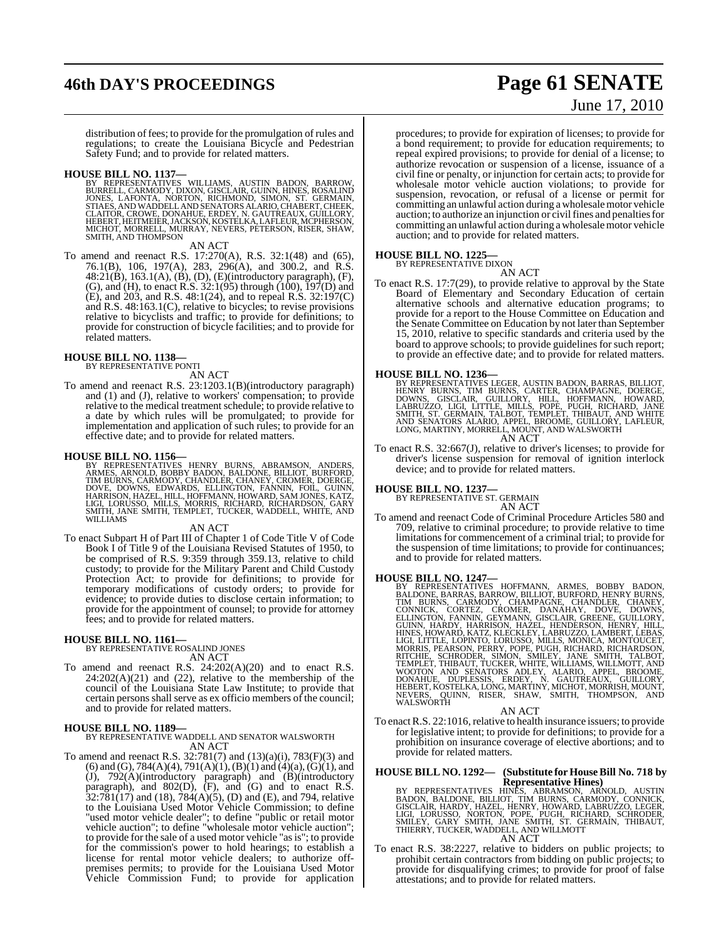# **46th DAY'S PROCEEDINGS Page 61 SENATE**

# June 17, 2010

distribution of fees; to provide for the promulgation of rules and regulations; to create the Louisiana Bicycle and Pedestrian Safety Fund; and to provide for related matters.

#### **HOUSE BILL NO. 1137—**

BY REPRESENTATIVES WILLIAMS, AUSTIN BADON, BARROW,<br>BURRELL, CARMODY, DIXON, GISCLAIR, GUINN, HINES, ROSALIND<br>JONES, LAFONTA, NORTON, RICHMOND, SIMON, ST. GERMAIN,<br>STIAES, AND WADDELL AND SENATORS ALARIO, CHABERT, CHEEK,<br>CL SMITH, AND THOMPSON

AN ACT

To amend and reenact R.S. 17:270(A), R.S. 32:1(48) and (65), 76.1(B), 106, 197(A), 283, 296(A), and 300.2, and R.S. 48:21(B), 163.1(A), (B), (D), (E)(introductory paragraph), (F), (G), and (H), to enact R.S.  $32:1(95)$  through (100),  $197(D)$  and (E), and 203, and R.S. 48:1(24), and to repeal R.S. 32:197(C) and R.S. 48:163.1(C), relative to bicycles; to revise provisions relative to bicyclists and traffic; to provide for definitions; to provide for construction of bicycle facilities; and to provide for related matters.

#### **HOUSE BILL NO. 1138—** BY REPRESENTATIVE PONTI

AN ACT

To amend and reenact R.S. 23:1203.1(B)(introductory paragraph) and (1) and (J), relative to workers' compensation; to provide relative to the medical treatment schedule; to provide relative to a date by which rules will be promulgated; to provide for implementation and application of such rules; to provide for an effective date; and to provide for related matters.

**HOUSE BILL NO. 1156**—<br>BY REPRESENTATIVES HENRY BURNS, ABRAMSON, ANDERS,<br>ARMES, ARNOLD, BOBBY BADON, BALDONE, BILLIOT, BURFORD,<br>TIM BURNS, CARMODY, CHANDLER, CHANEY, CROMER, DOERGE,<br>DOVE, DOWNS, EDWARDS, ELLINGTON, FANNIN,

#### AN ACT

To enact Subpart H of Part III of Chapter 1 of Code Title V of Code Book I of Title 9 of the Louisiana Revised Statutes of 1950, to be comprised of R.S. 9:359 through 359.13, relative to child custody; to provide for the Military Parent and Child Custody Protection Act; to provide for definitions; to provide for temporary modifications of custody orders; to provide for evidence; to provide duties to disclose certain information; to provide for the appointment of counsel; to provide for attorney fees; and to provide for related matters.

#### **HOUSE BILL NO. 1161—**

BY REPRESENTATIVE ROSALIND JONES AN ACT

To amend and reenact R.S. 24:202(A)(20) and to enact R.S. 24:202(A)(21) and (22), relative to the membership of the council of the Louisiana State Law Institute; to provide that certain persons shall serve as ex officio members of the council; and to provide for related matters.

**HOUSE BILL NO. 1189—** BY REPRESENTATIVE WADDELL AND SENATOR WALSWORTH AN ACT

To amend and reenact R.S. 32:781(7) and (13)(a)(i), 783(F)(3) and (6) and (G), 784(A)(4), 791(A)(1), (B)(1) and (4)(a), (G)(1), and (J), 792(A)(introductory paragraph) and (B)(introductory paragraph), and 802(D), (F), and (G) and to enact R.S.  $32:781(17)$  and  $(18)$ ,  $784(A)(5)$ ,  $(D)$  and  $(E)$ , and  $794$ , relative to the Louisiana Used Motor Vehicle Commission; to define "used motor vehicle dealer"; to define "public or retail motor vehicle auction"; to define "wholesale motor vehicle auction"; to provide for the sale of a used motor vehicle "as is"; to provide for the commission's power to hold hearings; to establish a license for rental motor vehicle dealers; to authorize offpremises permits; to provide for the Louisiana Used Motor Vehicle Commission Fund; to provide for application

procedures; to provide for expiration of licenses; to provide for a bond requirement; to provide for education requirements; to repeal expired provisions; to provide for denial of a license; to authorize revocation or suspension of a license, issuance of a civil fine or penalty, or injunction for certain acts; to provide for wholesale motor vehicle auction violations; to provide for suspension, revocation, or refusal of a license or permit for committing an unlawful action during awholesalemotor vehicle auction; to authorize an injunction or civil fines and penalties for committing an unlawful action during awholesalemotor vehicle auction; and to provide for related matters.

#### **HOUSE BILL NO. 1225—**

BY REPRESENTATIVE DIXON

AN ACT

To enact R.S. 17:7(29), to provide relative to approval by the State Board of Elementary and Secondary Education of certain alternative schools and alternative education programs; to provide for a report to the House Committee on Education and the Senate Committee on Education by not later than September 15, 2010, relative to specific standards and criteria used by the board to approve schools; to provide guidelines for such report; to provide an effective date; and to provide for related matters.

**HOUSE BILL NO. 1236—**<br>BY REPRESENTATIVES LEGER, AUSTIN BADON, BARRAS, BILLIOT,<br>HENRY BURNS, TIM BURNS, CARTER, CHAMPAGNE, DOERGE,<br>DOWNS, GISCLAIR, GUILLORY, HILL, HOFFMANN, HOWARD,<br>LABRUZZO, LIGI, LITTLE, MILLS, POPE, PUG AN ACT

To enact R.S. 32:667(J), relative to driver's licenses; to provide for driver's license suspension for removal of ignition interlock device; and to provide for related matters.

#### **HOUSE BILL NO. 1237—**

BY REPRESENTATIVE ST. GERMAIN AN ACT

To amend and reenact Code of Criminal Procedure Articles 580 and 709, relative to criminal procedure; to provide relative to time limitations for commencement of a criminal trial; to provide for the suspension of time limitations; to provide for continuances; and to provide for related matters.

HOUSE BILL NO. 1247—<br>BY REPRESENTATIVES HOFFMANN, ARMES, BOBBY BADON, BALDONE, BARRAS, BARROW, BILLIOT, BURFORD, HENRY BURNS, TIM BURNS, CARMODY, CHAMPAGNE, CRADIER, CHANDY,<br>CONNICK, CORTEZ, CROMER, DANAHAY, DOVE, DOVEN, D

#### AN ACT

To enactR.S. 22:1016, relative to health insurance issuers; to provide for legislative intent; to provide for definitions; to provide for a prohibition on insurance coverage of elective abortions; and to provide for related matters.

#### **HOUSE BILL NO. 1292— (Substitute for HouseBill No. 718 by Representative Hines)**

BY REPRESENTATIVES HINÈS, ABRAMSON, ARNOLD, AUSTIN<br>BADON, BALDONE, BILLIOT, TIM BURNS, CARMODY, CONNICK,<br>GISCLAIR, HARDY, HAZEL, HENRY, HOWARD, LABRUZZO, LEGER,<br>LIGI, LORUSSO, NORTON, POPE, PUGH, RICHARD, SCHRODER,<br>SMILEY,

To enact R.S. 38:2227, relative to bidders on public projects; to prohibit certain contractors from bidding on public projects; to provide for disqualifying crimes; to provide for proof of false attestations; and to provide for related matters.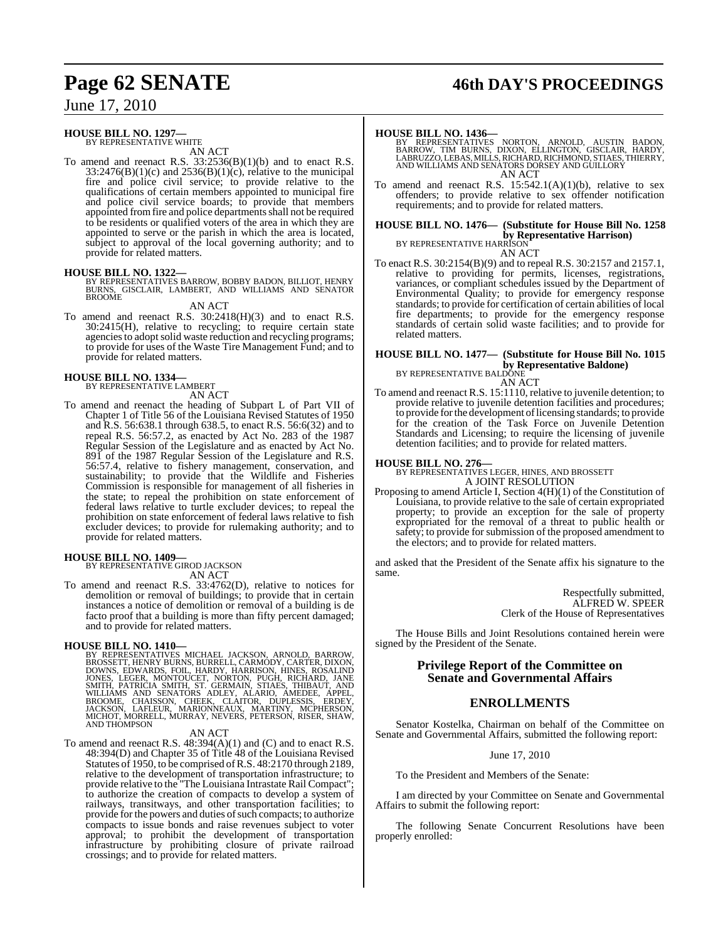# **Page 62 SENATE 46th DAY'S PROCEEDINGS**

June 17, 2010

#### **HOUSE BILL NO. 1297—**

BY REPRESENTATIVE WHITE AN ACT

To amend and reenact R.S.  $33:2536(B)(1)(b)$  and to enact R.S.  $33:2476(B)(1)(c)$  and  $2536(B)(1)(c)$ , relative to the municipal fire and police civil service; to provide relative to the qualifications of certain members appointed to municipal fire and police civil service boards; to provide that members appointed from fire and police departments shall not be required to be residents or qualified voters of the area in which they are appointed to serve or the parish in which the area is located, subject to approval of the local governing authority; and to provide for related matters.

#### **HOUSE BILL NO. 1322—**

BY REPRESENTATIVES BARROW, BOBBY BADON, BILLIOT, HENRY BURNS, GISCLAIR, LAMBERT, AND WILLIAMS AND SENATOR BROOME

#### AN ACT

To amend and reenact R.S. 30:2418(H)(3) and to enact R.S.  $30:2415$ (H), relative to recycling; to require certain state agencies to adopt solid waste reduction and recycling programs; to provide for uses of the Waste Tire Management Fund; and to provide for related matters.

**HOUSE BILL NO. 1334—** BY REPRESENTATIVE LAMBERT

AN ACT

To amend and reenact the heading of Subpart L of Part VII of Chapter 1 of Title 56 of the Louisiana Revised Statutes of 1950 and R.S. 56:638.1 through 638.5, to enact R.S. 56:6(32) and to repeal R.S. 56:57.2, as enacted by Act No. 283 of the 1987 Regular Session of the Legislature and as enacted by Act No. 891 of the 1987 Regular Session of the Legislature and R.S. 56:57.4, relative to fishery management, conservation, and sustainability; to provide that the Wildlife and Fisheries Commission is responsible for management of all fisheries in the state; to repeal the prohibition on state enforcement of federal laws relative to turtle excluder devices; to repeal the prohibition on state enforcement of federal laws relative to fish excluder devices; to provide for rulemaking authority; and to provide for related matters.

# **HOUSE BILL NO. 1409—** BY REPRESENTATIVE GIROD JACKSON

AN ACT To amend and reenact R.S. 33:4762(D), relative to notices for demolition or removal of buildings; to provide that in certain instances a notice of demolition or removal of a building is de facto proof that a building is more than fifty percent damaged; and to provide for related matters.

**HOUSE BILL NO. 1410—**<br>BY REPRESENTATIVES MICHAEL JACKSON, ARNOLD, BARROW, BROSSETT, HENRY BURNS, BURRELL, CARMODY, CARTER, DIXON, DOWNS, EDWARDS, FOIL, HARDY, HARRISON, HINES, ROSALIND JONES, LEGER, MONTOUCET, NORTON, PUG

#### AN ACT

To amend and reenact R.S. 48:394(A)(1) and (C) and to enact R.S. 48:394(D) and Chapter 35 of Title 48 of the Louisiana Revised Statutes of 1950, to be comprised ofR.S. 48:2170 through 2189, relative to the development of transportation infrastructure; to provide relative to the "The Louisiana Intrastate Rail Compact"; to authorize the creation of compacts to develop a system of railways, transitways, and other transportation facilities; to provide for the powers and duties of such compacts; to authorize compacts to issue bonds and raise revenues subject to voter approval; to prohibit the development of transportation infrastructure by prohibiting closure of private railroad crossings; and to provide for related matters.

#### **HOUSE BILL NO. 1436—**

BY REPRESENTATIVES NORTON, ARNOLD, AUSTIN BADON,<br>BARROW, TIM BURNS, DIXON, ELLINGTON, GISCLAIR, HARDY,<br>LABRUZZO,LEBAS,MILLS,RICHARD,RICHMOND,STIAES,THIERRY,<br>AND WILLIAMS AND SENATORS DORSEY AND GUILLORY AN ACT

To amend and reenact R.S.  $15:542.1(A)(1)(b)$ , relative to sex offenders; to provide relative to sex offender notification requirements; and to provide for related matters.

#### **HOUSE BILL NO. 1476— (Substitute for House Bill No. 1258 by Representative Harrison)** BY REPRESENTATIVE HARRISON

AN ACT

To enact R.S. 30:2154(B)(9) and to repeal R.S. 30:2157 and 2157.1, relative to providing for permits, licenses, registrations, variances, or compliant schedules issued by the Department of Environmental Quality; to provide for emergency response standards; to provide for certification of certain abilities of local fire departments; to provide for the emergency response standards of certain solid waste facilities; and to provide for related matters.

## **HOUSE BILL NO. 1477— (Substitute for House Bill No. 1015 by Representative Baldone)** BY REPRESENTATIVE BALDONE

AN ACT

To amend and reenact R.S. 15:1110, relative to juvenile detention; to provide relative to juvenile detention facilities and procedures; to provide for the development of licensing standards; to provide for the creation of the Task Force on Juvenile Detention Standards and Licensing; to require the licensing of juvenile detention facilities; and to provide for related matters.

**HOUSE BILL NO. 276—** BY REPRESENTATIVES LEGER, HINES, AND BROSSETT A JOINT RESOLUTION

Proposing to amend Article I, Section 4(H)(1) of the Constitution of Louisiana, to provide relative to the sale of certain expropriated property; to provide an exception for the sale of property expropriated for the removal of a threat to public health or safety; to provide for submission of the proposed amendment to the electors; and to provide for related matters.

and asked that the President of the Senate affix his signature to the same.

> Respectfully submitted, ALFRED W. SPEER Clerk of the House of Representatives

The House Bills and Joint Resolutions contained herein were signed by the President of the Senate.

#### **Privilege Report of the Committee on Senate and Governmental Affairs**

#### **ENROLLMENTS**

Senator Kostelka, Chairman on behalf of the Committee on Senate and Governmental Affairs, submitted the following report:

#### June 17, 2010

To the President and Members of the Senate:

I am directed by your Committee on Senate and Governmental Affairs to submit the following report:

The following Senate Concurrent Resolutions have been properly enrolled: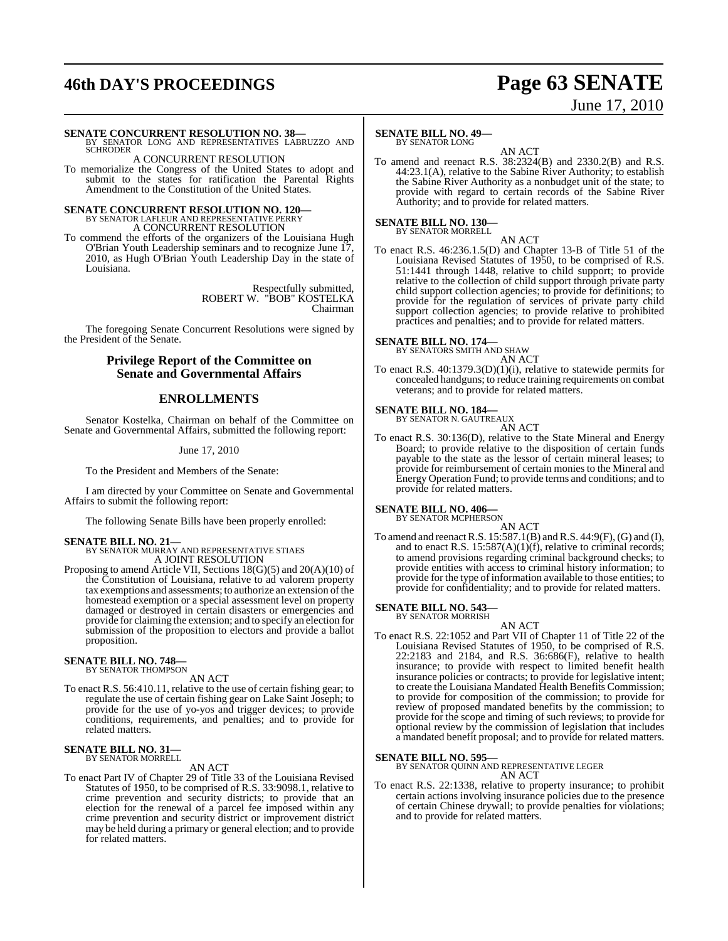# **46th DAY'S PROCEEDINGS Page 63 SENATE**

# June 17, 2010

#### **SENATE CONCURRENT RESOLUTION NO. 38—**

BY SENATOR LONG AND REPRESENTATIVES LABRUZZO AND **SCHRODER** A CONCURRENT RESOLUTION

To memorialize the Congress of the United States to adopt and submit to the states for ratification the Parental Rights Amendment to the Constitution of the United States.

# **SENATE CONCURRENT RESOLUTION NO. 120—** BY SENATOR LAFLEUR AND REPRESENTATIVE PERRY

A CONCURRENT RESOLUTION

To commend the efforts of the organizers of the Louisiana Hugh O'Brian Youth Leadership seminars and to recognize June 17, 2010, as Hugh O'Brian Youth Leadership Day in the state of Louisiana.

> Respectfully submitted, ROBERT W. "BOB" KOSTELKA Chairman

The foregoing Senate Concurrent Resolutions were signed by the President of the Senate.

#### **Privilege Report of the Committee on Senate and Governmental Affairs**

## **ENROLLMENTS**

Senator Kostelka, Chairman on behalf of the Committee on Senate and Governmental Affairs, submitted the following report:

June 17, 2010

To the President and Members of the Senate:

I am directed by your Committee on Senate and Governmental Affairs to submit the following report:

The following Senate Bills have been properly enrolled:

# **SENATE BILL NO. 21—** BY SENATOR MURRAY AND REPRESENTATIVE STIAES

A JOINT RESOLUTION

Proposing to amend Article VII, Sections 18(G)(5) and 20(A)(10) of the Constitution of Louisiana, relative to ad valorem property tax exemptions and assessments; to authorize an extension ofthe homestead exemption or a special assessment level on property damaged or destroyed in certain disasters or emergencies and provide for claiming the extension; and to specify an election for submission of the proposition to electors and provide a ballot proposition.

# **SENATE BILL NO. 748—** BY SENATOR THOMPSON

AN ACT

To enact R.S. 56:410.11, relative to the use of certain fishing gear; to regulate the use of certain fishing gear on Lake Saint Joseph; to provide for the use of yo-yos and trigger devices; to provide conditions, requirements, and penalties; and to provide for related matters.

#### **SENATE BILL NO. 31—** BY SENATOR MORRELL

#### AN ACT

To enact Part IV of Chapter 29 of Title 33 of the Louisiana Revised Statutes of 1950, to be comprised of R.S. 33:9098.1, relative to crime prevention and security districts; to provide that an election for the renewal of a parcel fee imposed within any crime prevention and security district or improvement district may be held during a primary or general election; and to provide for related matters.

#### **SENATE BILL NO. 49—**

BY SENATOR LONG

AN ACT To amend and reenact R.S. 38:2324(B) and 2330.2(B) and R.S. 44:23.1(A), relative to the Sabine River Authority; to establish the Sabine River Authority as a nonbudget unit of the state; to provide with regard to certain records of the Sabine River Authority; and to provide for related matters.

**SENATE BILL NO. 130—** BY SENATOR MORRELL

AN ACT

To enact R.S. 46:236.1.5(D) and Chapter 13-B of Title 51 of the Louisiana Revised Statutes of 1950, to be comprised of R.S. 51:1441 through 1448, relative to child support; to provide relative to the collection of child support through private party child support collection agencies; to provide for definitions; to provide for the regulation of services of private party child support collection agencies; to provide relative to prohibited practices and penalties; and to provide for related matters.

#### **SENATE BILL NO. 174—** BY SENATORS SMITH AND SHAW

AN ACT

To enact R.S. 40:1379.3(D)(1)(i), relative to statewide permits for concealed handguns; to reduce training requirements on combat veterans; and to provide for related matters.

#### **SENATE BILL NO. 184—**

BY SENATOR N. GAUTREAUX AN ACT

To enact R.S. 30:136(D), relative to the State Mineral and Energy Board; to provide relative to the disposition of certain funds payable to the state as the lessor of certain mineral leases; to provide for reimbursement of certain monies to the Mineral and Energy Operation Fund; to provide terms and conditions; and to provide for related matters.

# **SENATE BILL NO. 406—**<br>BY SENATOR MCPHERSON

AN ACT To amend and reenactR.S. 15:587.1(B) and R.S. 44:9(F), (G) and (I), and to enact R.S.  $15:587(A)(1)(f)$ , relative to criminal records; to amend provisions regarding criminal background checks; to provide entities with access to criminal history information; to provide for the type of information available to those entities; to provide for confidentiality; and to provide for related matters.

#### **SENATE BILL NO. 543—**

BY SENATOR MORRISH

AN ACT To enact R.S. 22:1052 and Part VII of Chapter 11 of Title 22 of the Louisiana Revised Statutes of 1950, to be comprised of R.S. 22:2183 and 2184, and R.S. 36:686(F), relative to health insurance; to provide with respect to limited benefit health insurance policies or contracts; to provide for legislative intent; to create the Louisiana Mandated Health Benefits Commission; to provide for composition of the commission; to provide for review of proposed mandated benefits by the commission; to provide for the scope and timing of such reviews; to provide for optional review by the commission of legislation that includes a mandated benefit proposal; and to provide for related matters.

**SENATE BILL NO. 595—** BY SENATOR QUINN AND REPRESENTATIVE LEGER AN ACT

To enact R.S. 22:1338, relative to property insurance; to prohibit certain actions involving insurance policies due to the presence of certain Chinese drywall; to provide penalties for violations; and to provide for related matters.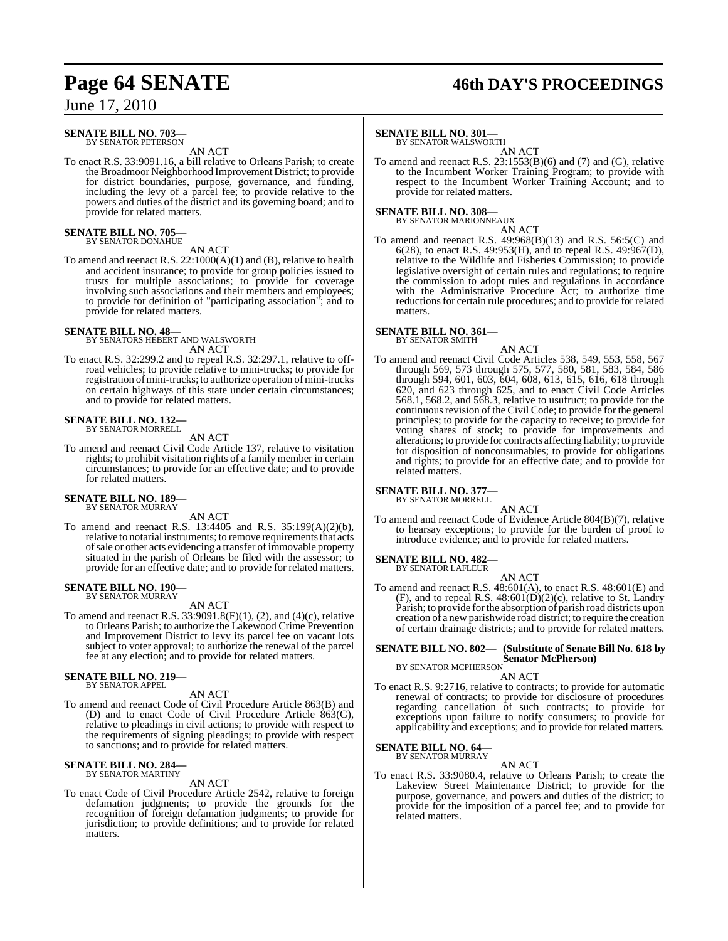#### **SENATE BILL NO. 703—** BY SENATOR PETERSON

AN ACT

To enact R.S. 33:9091.16, a bill relative to Orleans Parish; to create the Broadmoor Neighborhood Improvement District; to provide for district boundaries, purpose, governance, and funding, including the levy of a parcel fee; to provide relative to the powers and duties of the district and its governing board; and to provide for related matters.

# **SENATE BILL NO. 705—** BY SENATOR DONAHUE

AN ACT

To amend and reenact R.S. 22:1000(A)(1) and (B), relative to health and accident insurance; to provide for group policies issued to trusts for multiple associations; to provide for coverage involving such associations and their members and employees; to provide for definition of "participating association"; and to provide for related matters.

# **SENATE BILL NO. 48—** BY SENATORS HEBERT AND WALSWORTH

AN ACT

To enact R.S. 32:299.2 and to repeal R.S. 32:297.1, relative to offroad vehicles; to provide relative to mini-trucks; to provide for registration of mini-trucks; to authorize operation of mini-trucks on certain highways of this state under certain circumstances; and to provide for related matters.

#### **SENATE BILL NO. 132—** BY SENATOR MORRELL

AN ACT

To amend and reenact Civil Code Article 137, relative to visitation rights; to prohibit visitation rights of a family member in certain circumstances; to provide for an effective date; and to provide for related matters.

#### **SENATE BILL NO. 189—** BY SENATOR MURRAY

AN ACT

To amend and reenact R.S. 13:4405 and R.S. 35:199(A)(2)(b), relative to notarial instruments; to remove requirements that acts of sale or other acts evidencing a transfer of immovable property situated in the parish of Orleans be filed with the assessor; to provide for an effective date; and to provide for related matters.

# **SENATE BILL NO. 190—** BY SENATOR MURRAY

AN ACT

To amend and reenact R.S.  $33:9091.8(F)(1)$ , (2), and (4)(c), relative to Orleans Parish; to authorize the Lakewood Crime Prevention and Improvement District to levy its parcel fee on vacant lots subject to voter approval; to authorize the renewal of the parcel fee at any election; and to provide for related matters.

#### **SENATE BILL NO. 219—**

BY SENATOR APPEL AN ACT

To amend and reenact Code of Civil Procedure Article 863(B) and (D) and to enact Code of Civil Procedure Article 863(G), relative to pleadings in civil actions; to provide with respect to the requirements of signing pleadings; to provide with respect to sanctions; and to provide for related matters.

#### **SENATE BILL NO. 284** BY SENATOR MARTINY

#### AN ACT

To enact Code of Civil Procedure Article 2542, relative to foreign defamation judgments; to provide the grounds for the recognition of foreign defamation judgments; to provide for jurisdiction; to provide definitions; and to provide for related matters.

# **Page 64 SENATE 46th DAY'S PROCEEDINGS**

#### **SENATE BILL NO. 301—**

BY SENATOR WALSWORTH

AN ACT To amend and reenact R.S. 23:1553(B)(6) and (7) and (G), relative to the Incumbent Worker Training Program; to provide with respect to the Incumbent Worker Training Account; and to provide for related matters.

#### **SENATE BILL NO. 308—**

BY SENATOR MARIONNEAUX

AN ACT To amend and reenact R.S. 49:968(B)(13) and R.S. 56:5(C) and 6(28), to enact R.S. 49:953(H), and to repeal R.S. 49:967(D), relative to the Wildlife and Fisheries Commission; to provide legislative oversight of certain rules and regulations; to require the commission to adopt rules and regulations in accordance with the Administrative Procedure Act; to authorize time reductions for certain rule procedures; and to provide for related matters.

#### **SENATE BILL NO. 361—** BY SENATOR SMITH

AN ACT

To amend and reenact Civil Code Articles 538, 549, 553, 558, 567 through 569, 573 through 575, 577, 580, 581, 583, 584, 586 through 594, 601, 603, 604, 608, 613, 615, 616, 618 through 620, and 623 through 625, and to enact Civil Code Articles 568.1, 568.2, and 568.3, relative to usufruct; to provide for the continuous revision of the Civil Code; to provide for the general principles; to provide for the capacity to receive; to provide for voting shares of stock; to provide for improvements and alterations; to provide for contracts affecting liability; to provide for disposition of nonconsumables; to provide for obligations and rights; to provide for an effective date; and to provide for related matters.

#### **SENATE BILL NO. 377**

BY SENATOR MORRELL AN ACT

To amend and reenact Code of Evidence Article 804(B)(7), relative to hearsay exceptions; to provide for the burden of proof to introduce evidence; and to provide for related matters.

#### **SENATE BILL NO. 482—**

BY SENATOR LAFLEUR

AN ACT To amend and reenact R.S. 48:601(A), to enact R.S. 48:601(E) and (F), and to repeal R.S.  $48:601(D)(2)(c)$ , relative to St. Landry Parish; to provide forthe absorption of parish road districts upon creation of a new parishwide road district; to require the creation of certain drainage districts; and to provide for related matters.

#### **SENATE BILL NO. 802— (Substitute of Senate Bill No. 618 by Senator McPherson)**

BY SENATOR MCPHERSON AN ACT

To enact R.S. 9:2716, relative to contracts; to provide for automatic renewal of contracts; to provide for disclosure of procedures regarding cancellation of such contracts; to provide for exceptions upon failure to notify consumers; to provide for applicability and exceptions; and to provide for related matters.

# **SENATE BILL NO. 64—** BY SENATOR MURRAY

AN ACT

To enact R.S. 33:9080.4, relative to Orleans Parish; to create the Lakeview Street Maintenance District; to provide for the purpose, governance, and powers and duties of the district; to provide for the imposition of a parcel fee; and to provide for related matters.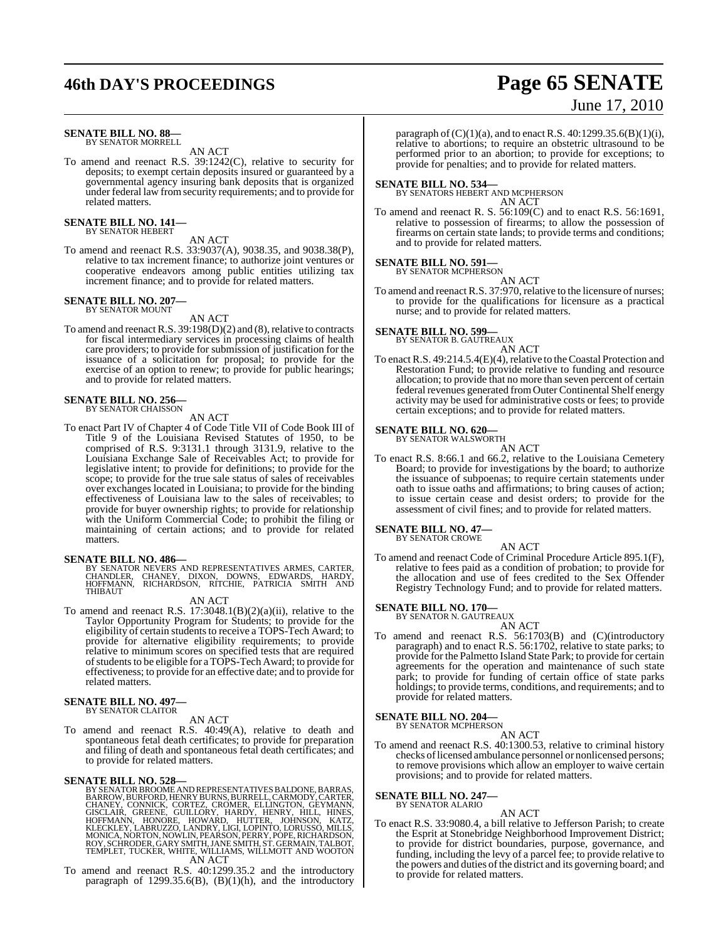# **46th DAY'S PROCEEDINGS Page 65 SENATE**

#### **SENATE BILL NO. 88—** BY SENATOR MORRELL

AN ACT

To amend and reenact R.S. 39:1242(C), relative to security for deposits; to exempt certain deposits insured or guaranteed by a governmental agency insuring bank deposits that is organized under federal law fromsecurity requirements; and to provide for related matters.

#### **SENATE BILL NO. 141—** BY SENATOR HEBERT

#### AN ACT

To amend and reenact R.S. 33:9037(A), 9038.35, and 9038.38(P), relative to tax increment finance; to authorize joint ventures or cooperative endeavors among public entities utilizing tax increment finance; and to provide for related matters.

#### **SENATE BILL NO. 207—** BY SENATOR MOUNT

AN ACT

To amend and reenact R.S.  $39:198(D)(2)$  and (8), relative to contracts for fiscal intermediary services in processing claims of health care providers; to provide for submission of justification for the issuance of a solicitation for proposal; to provide for the exercise of an option to renew; to provide for public hearings; and to provide for related matters.

#### **SENATE BILL NO. 256—** BY SENATOR CHAISSON

AN ACT

To enact Part IV of Chapter 4 of Code Title VII of Code Book III of Title 9 of the Louisiana Revised Statutes of 1950, to be comprised of R.S. 9:3131.1 through 3131.9, relative to the Louisiana Exchange Sale of Receivables Act; to provide for legislative intent; to provide for definitions; to provide for the scope; to provide for the true sale status of sales of receivables over exchanges located in Louisiana; to provide for the binding effectiveness of Louisiana law to the sales of receivables; to provide for buyer ownership rights; to provide for relationship with the Uniform Commercial Code; to prohibit the filing or maintaining of certain actions; and to provide for related matters.

**SENATE BILL NO. 486—**<br>BY SENATOR NEVERS AND REPRESENTATIVES ARMES, CARTER,<br>CHANDLER, CHANEY, DIXON, DOWNS, EDWARDS, HARDY,<br>HOFFMANN, RICHARDSON, RITCHIE, PATRICIA SMITH AND THIBAUT

#### AN ACT

To amend and reenact R.S. 17:3048.1(B)(2)(a)(ii), relative to the Taylor Opportunity Program for Students; to provide for the eligibility of certain students to receive a TOPS-Tech Award; to provide for alternative eligibility requirements; to provide relative to minimum scores on specified tests that are required of students to be eligible for a TOPS-Tech Award; to provide for effectiveness; to provide for an effective date; and to provide for related matters.

#### **SENATE BILL NO. 497—** BY SENATOR CLAITOR

AN ACT

To amend and reenact R.S. 40:49(A), relative to death and spontaneous fetal death certificates; to provide for preparation and filing of death and spontaneous fetal death certificates; and to provide for related matters.

SENATE BILL NO. 528—<br>
BY SENATOR BROOME AND REPRESENTATIVES BALDONE, BARRAS,<br>
BARROW, BURFORD, HENRY BURNS, BURRELL, CARMODY, CARTER,<br>
CHANEY, CONNICK, CORTEZ, CROMER, ELLINGTON, GEYMANN,<br>
GISCLAIR, GREENE, GUILLORY, HARDY

To amend and reenact R.S. 40:1299.35.2 and the introductory paragraph of 1299.35.6(B), (B)(1)(h), and the introductory

#### paragraph of (C)(1)(a), and to enact R.S. 40:1299.35.6(B)(1)(i), relative to abortions; to require an obstetric ultrasound to be performed prior to an abortion; to provide for exceptions; to

#### **SENATE BILL NO. 534—** BY SENATORS HEBERT AND MCPHERSON

AN ACT

provide for penalties; and to provide for related matters.

To amend and reenact R. S. 56:109(C) and to enact R.S. 56:1691, relative to possession of firearms; to allow the possession of firearms on certain state lands; to provide terms and conditions; and to provide for related matters.

#### **SENATE BILL NO. 591—** BY SENATOR MCPHERSON

AN ACT

To amend and reenact R.S. 37:970, relative to the licensure of nurses; to provide for the qualifications for licensure as a practical nurse; and to provide for related matters.

#### **SENATE BILL NO. 599—**

BY SENATOR B. GAUTREAUX

AN ACT To enact R.S.  $49:214.5.4(E)(4)$ , relative to the Coastal Protection and Restoration Fund; to provide relative to funding and resource allocation; to provide that no more than seven percent of certain federal revenues generated from Outer Continental Shelf energy activity may be used for administrative costs or fees; to provide certain exceptions; and to provide for related matters.

# **SENATE BILL NO. 620—** BY SENATOR WALSWORTH

AN ACT

To enact R.S. 8:66.1 and 66.2, relative to the Louisiana Cemetery Board; to provide for investigations by the board; to authorize the issuance of subpoenas; to require certain statements under oath to issue oaths and affirmations; to bring causes of action; to issue certain cease and desist orders; to provide for the assessment of civil fines; and to provide for related matters.

#### **SENATE BILL NO. 47—**

BY SENATOR CROWE AN ACT

To amend and reenact Code of Criminal Procedure Article 895.1(F), relative to fees paid as a condition of probation; to provide for the allocation and use of fees credited to the Sex Offender Registry Technology Fund; and to provide for related matters.

#### **SENATE BILL NO. 170—**

BY SENATOR N. GAUTREAUX

- AN ACT
- To amend and reenact R.S. 56:1703(B) and (C)(introductory paragraph) and to enact R.S. 56:1702, relative to state parks; to provide for the Palmetto Island State Park; to provide for certain agreements for the operation and maintenance of such state park; to provide for funding of certain office of state parks holdings; to provide terms, conditions, and requirements; and to provide for related matters.

# **SENATE BILL NO. 204—** BY SENATOR MCPHERSON

AN ACT To amend and reenact R.S. 40:1300.53, relative to criminal history checks of licensed ambulance personnel or nonlicensed persons; to remove provisions which allow an employer to waive certain provisions; and to provide for related matters.

#### **SENATE BILL NO. 247—** BY SENATOR ALARIO

To enact R.S. 33:9080.4, a bill relative to Jefferson Parish; to create the Esprit at Stonebridge Neighborhood Improvement District; to provide for district boundaries, purpose, governance, and funding, including the levy of a parcel fee; to provide relative to the powers and duties of the district and its governing board; and to provide for related matters.

AN ACT

# June 17, 2010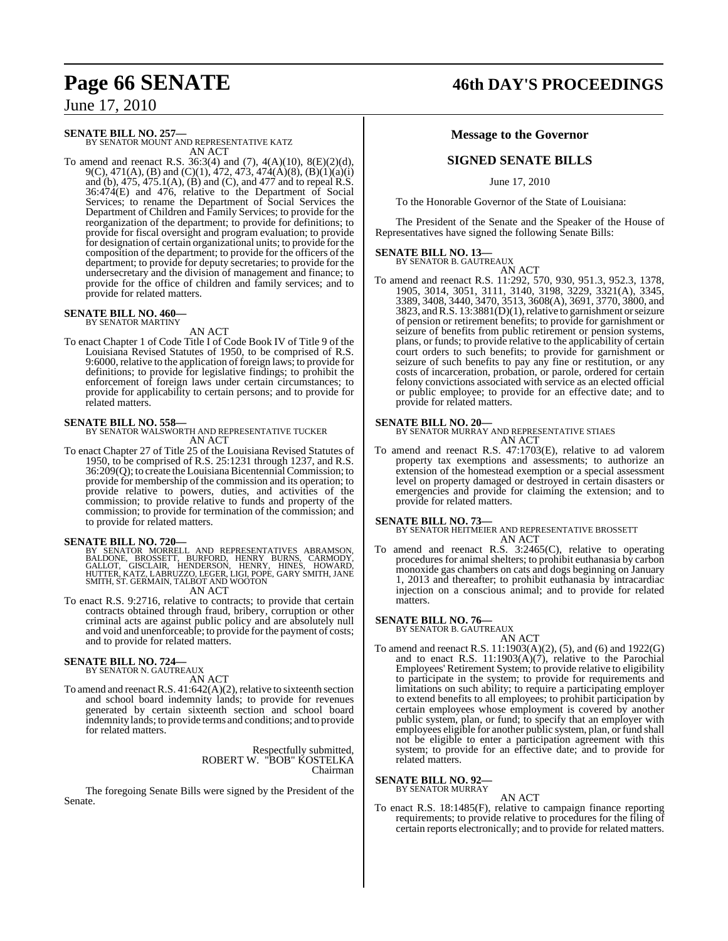# **SENATE BILL NO. 257—** BY SENATOR MOUNT AND REPRESENTATIVE KATZ

AN ACT

To amend and reenact R.S. 36:3(4) and (7), 4(A)(10), 8(E)(2)(d), 9(C), 471(A), (B) and (C)(1), 472, 473, 474(A)(8), (B)(1)(a)(i) and (b), 475, 475.1(A), (B) and (C), and 477 and to repeal R.S. 36:474(E) and 476, relative to the Department of Social Services; to rename the Department of Social Services the Department of Children and Family Services; to provide for the reorganization of the department; to provide for definitions; to provide for fiscal oversight and program evaluation; to provide for designation of certain organizational units; to provide forthe composition of the department; to provide for the officers of the department; to provide for deputy secretaries; to provide for the undersecretary and the division of management and finance; to provide for the office of children and family services; and to provide for related matters.

#### **SENATE BILL NO. 460—** BY SENATOR MARTINY

## AN ACT

To enact Chapter 1 of Code Title I of Code Book IV of Title 9 of the Louisiana Revised Statutes of 1950, to be comprised of R.S. 9:6000, relative to the application of foreign laws; to provide for definitions; to provide for legislative findings; to prohibit the enforcement of foreign laws under certain circumstances; to provide for applicability to certain persons; and to provide for related matters.

**SENATE BILL NO. 558—** BY SENATOR WALSWORTH AND REPRESENTATIVE TUCKER AN ACT

To enact Chapter 27 of Title 25 of the Louisiana Revised Statutes of 1950, to be comprised of R.S. 25:1231 through 1237, and R.S. 36:209(Q); to create the LouisianaBicentennialCommission; to provide for membership of the commission and its operation; to provide relative to powers, duties, and activities of the commission; to provide relative to funds and property of the commission; to provide for termination of the commission; and to provide for related matters.

#### **SENATE BILL NO. 720—**

BY SENATOR MORRELL AND REPRESENTATIVES ABRAMSON,<br>BALDONE, BROSSETT, BURFORD, HENRY BURNS, CARMODY,<br>GALLOT, GISCLAIR, HENDERSON, HENRY, HINES, HOWARD,<br>HUTTER,KATZ,LABRUZZO,LEGER,LIGI,POPE,GARY SMITH,JANE<br>SMITH,ST.GERMAIN,TA

AN ACT

To enact R.S. 9:2716, relative to contracts; to provide that certain contracts obtained through fraud, bribery, corruption or other criminal acts are against public policy and are absolutely null and void and unenforceable; to provide for the payment of costs; and to provide for related matters.

#### **SENATE BILL NO. 724—** BY SENATOR N. GAUTREAUX

AN ACT

To amend and reenact R.S.  $41:642(A)(2)$ , relative to sixteenth section and school board indemnity lands; to provide for revenues generated by certain sixteenth section and school board indemnity lands; to provide terms and conditions; and to provide for related matters.

> Respectfully submitted, ROBERT W. "BOB" KOSTELKA Chairman

The foregoing Senate Bills were signed by the President of the Senate.

# **Page 66 SENATE 46th DAY'S PROCEEDINGS**

#### **Message to the Governor**

## **SIGNED SENATE BILLS**

June 17, 2010

To the Honorable Governor of the State of Louisiana:

The President of the Senate and the Speaker of the House of Representatives have signed the following Senate Bills:

# **SENATE BILL NO. 13—** BY SENATOR B. GAUTREAUX

AN ACT

To amend and reenact R.S. 11:292, 570, 930, 951.3, 952.3, 1378, 1905, 3014, 3051, 3111, 3140, 3198, 3229, 3321(A), 3345, 3389, 3408, 3440, 3470, 3513, 3608(A), 3691, 3770, 3800, and 3823, andR.S. 13:3881(D)(1),relative to garnishment or seizure of pension or retirement benefits; to provide for garnishment or seizure of benefits from public retirement or pension systems, plans, or funds; to provide relative to the applicability of certain court orders to such benefits; to provide for garnishment or seizure of such benefits to pay any fine or restitution, or any costs of incarceration, probation, or parole, ordered for certain felony convictions associated with service as an elected official or public employee; to provide for an effective date; and to provide for related matters.

#### **SENATE BILL NO. 20—**

BY SENATOR MURRAY AND REPRESENTATIVE STIAES AN ACT

To amend and reenact R.S. 47:1703(E), relative to ad valorem property tax exemptions and assessments; to authorize an extension of the homestead exemption or a special assessment level on property damaged or destroyed in certain disasters or emergencies and provide for claiming the extension; and to provide for related matters.

**SENATE BILL NO. 73—** BY SENATOR HEITMEIER AND REPRESENTATIVE BROSSETT AN ACT

To amend and reenact R.S. 3:2465(C), relative to operating procedures for animal shelters; to prohibit euthanasia by carbon monoxide gas chambers on cats and dogs beginning on January 1, 2013 and thereafter; to prohibit euthanasia by intracardiac injection on a conscious animal; and to provide for related matters.

# **SENATE BILL NO. 76—** BY SENATOR B. GAUTREAUX

AN ACT To amend and reenact R.S. 11:1903(A)(2), (5), and (6) and 1922(G) and to enact R.S. 11:1903(A)(7), relative to the Parochial Employees' Retirement System; to provide relative to eligibility to participate in the system; to provide for requirements and limitations on such ability; to require a participating employer to extend benefits to all employees; to prohibit participation by certain employees whose employment is covered by another public system, plan, or fund; to specify that an employer with employees eligible for another public system, plan, or fund shall not be eligible to enter a participation agreement with this system; to provide for an effective date; and to provide for related matters.

#### **SENATE BILL NO. 92—** BY SENATOR MURRAY

AN ACT To enact R.S. 18:1485(F), relative to campaign finance reporting requirements; to provide relative to procedures for the filing of certain reports electronically; and to provide for related matters.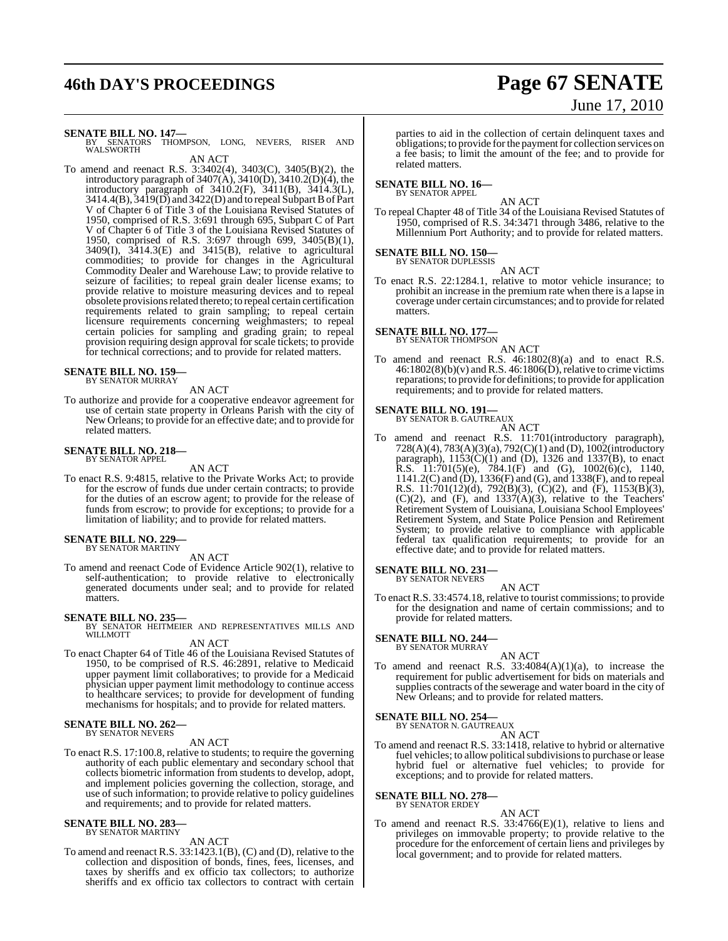# **46th DAY'S PROCEEDINGS Page 67 SENATE**

# June 17, 2010

**SENATE BILL NO. 147—**<br>BY SENATORS THOMPSON, LONG, NEVERS, RISER AND WALSWORTH AN ACT

To amend and reenact R.S. 3:3402(4), 3403(C), 3405(B)(2), the introductory paragraph of  $3407(A)$ ,  $3410(D)$ ,  $3410.2(D)(4)$ , the introductory paragraph of 3410.2(F), 3411(B), 3414.3(L), 3414.4(B),  $3419(D)$  and  $3422(D)$  and to repeal Subpart B of Part V of Chapter 6 of Title 3 of the Louisiana Revised Statutes of 1950, comprised of R.S. 3:691 through 695, Subpart C of Part V of Chapter 6 of Title 3 of the Louisiana Revised Statutes of 1950, comprised of R.S. 3:697 through 699, 3405(B)(1), 3409(I), 3414.3(E) and 3415(B), relative to agricultural commodities; to provide for changes in the Agricultural Commodity Dealer and Warehouse Law; to provide relative to seizure of facilities; to repeal grain dealer license exams; to provide relative to moisture measuring devices and to repeal obsolete provisions related thereto; to repeal certain certification requirements related to grain sampling; to repeal certain licensure requirements concerning weighmasters; to repeal certain policies for sampling and grading grain; to repeal provision requiring design approval for scale tickets; to provide for technical corrections; and to provide for related matters.

#### **SENATE BILL NO. 159—** BY SENATOR MURRAY

AN ACT

To authorize and provide for a cooperative endeavor agreement for use of certain state property in Orleans Parish with the city of New Orleans; to provide for an effective date; and to provide for related matters.

#### **SENATE BILL NO. 218—** BY SENATOR APPEL

AN ACT

To enact R.S. 9:4815, relative to the Private Works Act; to provide for the escrow of funds due under certain contracts; to provide for the duties of an escrow agent; to provide for the release of funds from escrow; to provide for exceptions; to provide for a limitation of liability; and to provide for related matters.

#### **SENATE BILL NO. 229** BY SENATOR MARTINY

#### AN ACT

To amend and reenact Code of Evidence Article 902(1), relative to self-authentication; to provide relative to electronically generated documents under seal; and to provide for related matters.

#### **SENATE BILL NO. 235—**

BY SENATOR HEITMEIER AND REPRESENTATIVES MILLS AND WILLMOTT

AN ACT

To enact Chapter 64 of Title 46 of the Louisiana Revised Statutes of 1950, to be comprised of R.S. 46:2891, relative to Medicaid upper payment limit collaboratives; to provide for a Medicaid physician upper payment limit methodology to continue access to healthcare services; to provide for development of funding mechanisms for hospitals; and to provide for related matters.

#### **SENATE BILL NO. 262—** BY SENATOR NEVERS

AN ACT

To enact R.S. 17:100.8, relative to students; to require the governing authority of each public elementary and secondary school that collects biometric information from students to develop, adopt, and implement policies governing the collection, storage, and use of such information; to provide relative to policy guidelines and requirements; and to provide for related matters.

#### **SENATE BILL NO. 283—**

BY SENATOR MARTINY AN ACT

To amend and reenact R.S. 33:1423.1(B), (C) and (D), relative to the collection and disposition of bonds, fines, fees, licenses, and taxes by sheriffs and ex officio tax collectors; to authorize sheriffs and ex officio tax collectors to contract with certain parties to aid in the collection of certain delinquent taxes and obligations; to provide for the payment for collection services on a fee basis; to limit the amount of the fee; and to provide for related matters.

#### **SENATE BILL NO. 16—** BY SENATOR APPEL

AN ACT

To repeal Chapter 48 of Title 34 of the Louisiana Revised Statutes of 1950, comprised of R.S. 34:3471 through 3486, relative to the Millennium Port Authority; and to provide for related matters.

#### **SENATE BILL NO. 150—** BY SENATOR DUPLESSIS

AN ACT

To enact R.S. 22:1284.1, relative to motor vehicle insurance; to prohibit an increase in the premium rate when there is a lapse in coverage under certain circumstances; and to provide for related matters.

#### **SENATE BILL NO. 177—** BY SENATOR THOMPSON

AN ACT

To amend and reenact R.S. 46:1802(8)(a) and to enact R.S.  $46:1802(8)(b)(v)$  and R.S.  $46:1806(D)$ , relative to crime victims reparations; to provide for definitions; to provide for application requirements; and to provide for related matters.

#### **SENATE BILL NO. 191—**

BY SENATOR B. GAUTREAUX AN ACT

To amend and reenact R.S. 11:701(introductory paragraph), 728(A)(4), 783(A)(3)(a), 792(C)(1) and (D), 1002(introductory paragraph),  $1153(C)(1)$  and (D), 1326 and 1337(B), to enact **R.S.** 11:701(5)(e), 784.1(F) and (G), 1002(6)(c), 1140, 1141.2(C) and (D), 1336(F) and (G), and 1338(F), and to repeal R.S. 11:701(12)(d), 792(B)(3), (C)(2), and (F), 1153(B)(3),  $(C)(2)$ , and  $(F)$ , and  $1337(A)(3)$ , relative to the Teachers' Retirement System of Louisiana, Louisiana School Employees' Retirement System, and State Police Pension and Retirement System; to provide relative to compliance with applicable federal tax qualification requirements; to provide for an effective date; and to provide for related matters.

# **SENATE BILL NO. 231—** BY SENATOR NEVERS

AN ACT

To enact R.S. 33:4574.18, relative to tourist commissions; to provide for the designation and name of certain commissions; and to provide for related matters.

#### **SENATE BILL NO. 244—**

BY SENATOR MURRAY

- AN ACT
- To amend and reenact R.S. 33:4084(A)(1)(a), to increase the requirement for public advertisement for bids on materials and supplies contracts of the sewerage and water board in the city of New Orleans; and to provide for related matters.

# **SENATE BILL NO. 254—** BY SENATOR N. GAUTREAUX

AN ACT To amend and reenact R.S. 33:1418, relative to hybrid or alternative fuel vehicles; to allow political subdivisions to purchase or lease hybrid fuel or alternative fuel vehicles; to provide for exceptions; and to provide for related matters.

#### **SENATE BILL NO. 278—** BY SENATOR ERDEY

AN ACT To amend and reenact R.S.  $33:4766(E)(1)$ , relative to liens and privileges on immovable property; to provide relative to the procedure for the enforcement of certain liens and privileges by local government; and to provide for related matters.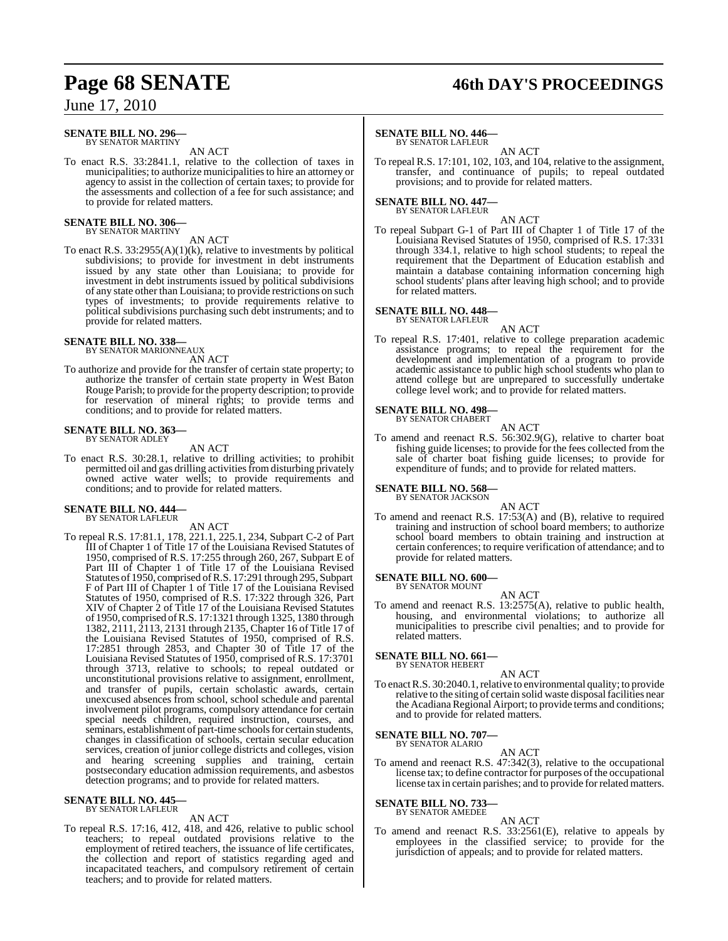#### **SENATE BILL NO. 296—** BY SENATOR MARTINY

AN ACT

To enact R.S. 33:2841.1, relative to the collection of taxes in municipalities; to authorize municipalitiesto hire an attorney or agency to assist in the collection of certain taxes; to provide for the assessments and collection of a fee for such assistance; and to provide for related matters.

#### **SENATE BILL NO. 306—** BY SENATOR MARTINY

#### AN ACT

To enact R.S.  $33:2955(A)(1)(k)$ , relative to investments by political subdivisions; to provide for investment in debt instruments issued by any state other than Louisiana; to provide for investment in debt instruments issued by political subdivisions of any state other than Louisiana; to provide restrictions on such types of investments; to provide requirements relative to political subdivisions purchasing such debt instruments; and to provide for related matters.

#### **SENATE BILL NO. 338—** BY SENATOR MARIONNEAUX

AN ACT

To authorize and provide for the transfer of certain state property; to authorize the transfer of certain state property in West Baton Rouge Parish; to provide forthe property description; to provide for reservation of mineral rights; to provide terms and conditions; and to provide for related matters.

# **SENATE BILL NO. 363—** BY SENATOR ADLEY

AN ACT

To enact R.S. 30:28.1, relative to drilling activities; to prohibit permitted oil and gas drilling activities from disturbing privately owned active water wells; to provide requirements and conditions; and to provide for related matters.

# **SENATE BILL NO. 444—** BY SENATOR LAFLEUR

AN ACT

To repeal R.S. 17:81.1, 178, 221.1, 225.1, 234, Subpart C-2 of Part III of Chapter 1 of Title 17 of the Louisiana Revised Statutes of 1950, comprised of R.S. 17:255 through 260, 267, Subpart E of Part III of Chapter 1 of Title 17 of the Louisiana Revised Statutes of 1950, comprised of R.S. 17:291 through 295, Subpart F of Part III of Chapter 1 of Title 17 of the Louisiana Revised Statutes of 1950, comprised of R.S. 17:322 through 326, Part XIV of Chapter 2 of Title 17 of the Louisiana Revised Statutes of 1950, comprised ofR.S. 17:1321 through 1325, 1380 through 1382, 2111, 2113, 2131 through 2135, Chapter 16 of Title 17 of the Louisiana Revised Statutes of 1950, comprised of R.S. 17:2851 through 2853, and Chapter 30 of Title 17 of the Louisiana Revised Statutes of 1950, comprised of R.S. 17:3701 through 3713, relative to schools; to repeal outdated or unconstitutional provisions relative to assignment, enrollment, and transfer of pupils, certain scholastic awards, certain unexcused absences from school, school schedule and parental involvement pilot programs, compulsory attendance for certain special needs children, required instruction, courses, and seminars, establishment of part-time schools for certain students, changes in classification of schools, certain secular education services, creation of junior college districts and colleges, vision and hearing screening supplies and training, certain postsecondary education admission requirements, and asbestos detection programs; and to provide for related matters.

# **SENATE BILL NO. 445—** BY SENATOR LAFLEUR

AN ACT

To repeal R.S. 17:16, 412, 418, and 426, relative to public school teachers; to repeal outdated provisions relative to the employment of retired teachers, the issuance of life certificates, the collection and report of statistics regarding aged and incapacitated teachers, and compulsory retirement of certain teachers; and to provide for related matters.

# **Page 68 SENATE 46th DAY'S PROCEEDINGS**

#### **SENATE BILL NO. 446—**

BY SENATOR LAFLEUR

AN ACT To repeal R.S. 17:101, 102, 103, and 104, relative to the assignment, transfer, and continuance of pupils; to repeal outdated provisions; and to provide for related matters.

# **SENATE BILL NO. 447—** BY SENATOR LAFLEUR

AN ACT To repeal Subpart G-1 of Part III of Chapter 1 of Title 17 of the Louisiana Revised Statutes of 1950, comprised of R.S. 17:331 through 334.1, relative to high school students; to repeal the requirement that the Department of Education establish and maintain a database containing information concerning high school students' plans after leaving high school; and to provide for related matters.

#### **SENATE BILL NO. 448—**

BY SENATOR LAFLEUR AN ACT

To repeal R.S. 17:401, relative to college preparation academic assistance programs; to repeal the requirement for the development and implementation of a program to provide academic assistance to public high school students who plan to attend college but are unprepared to successfully undertake college level work; and to provide for related matters.

#### **SENATE BILL NO. 498—** BY SENATOR CHABERT

AN ACT

To amend and reenact R.S. 56:302.9(G), relative to charter boat fishing guide licenses; to provide for the fees collected from the sale of charter boat fishing guide licenses; to provide for expenditure of funds; and to provide for related matters.

## **SENATE BILL NO. 568**

BY SENATOR JACKSON

AN ACT To amend and reenact R.S. 17:53(A) and (B), relative to required training and instruction of school board members; to authorize school board members to obtain training and instruction at certain conferences; to require verification of attendance; and to provide for related matters.

# **SENATE BILL NO. 600—** BY SENATOR MOUNT

AN ACT

To amend and reenact R.S. 13:2575(A), relative to public health, housing, and environmental violations; to authorize all municipalities to prescribe civil penalties; and to provide for related matters.

# **SENATE BILL NO. 661—** BY SENATOR HEBERT

AN ACT

To enact R.S. 30:2040.1, relative to environmental quality; to provide relative to the siting of certain solid waste disposal facilities near the Acadiana Regional Airport; to provide terms and conditions; and to provide for related matters.

# **SENATE BILL NO. 707—** BY SENATOR ALARIO

AN ACT

To amend and reenact R.S. 47:342(3), relative to the occupational license tax; to define contractor for purposes of the occupational license tax in certain parishes; and to provide for related matters.

**SENATE BILL NO. 733—** BY SENATOR AMEDEE

#### AN ACT

To amend and reenact R.S. 33:2561(E), relative to appeals by employees in the classified service; to provide for the jurisdiction of appeals; and to provide for related matters.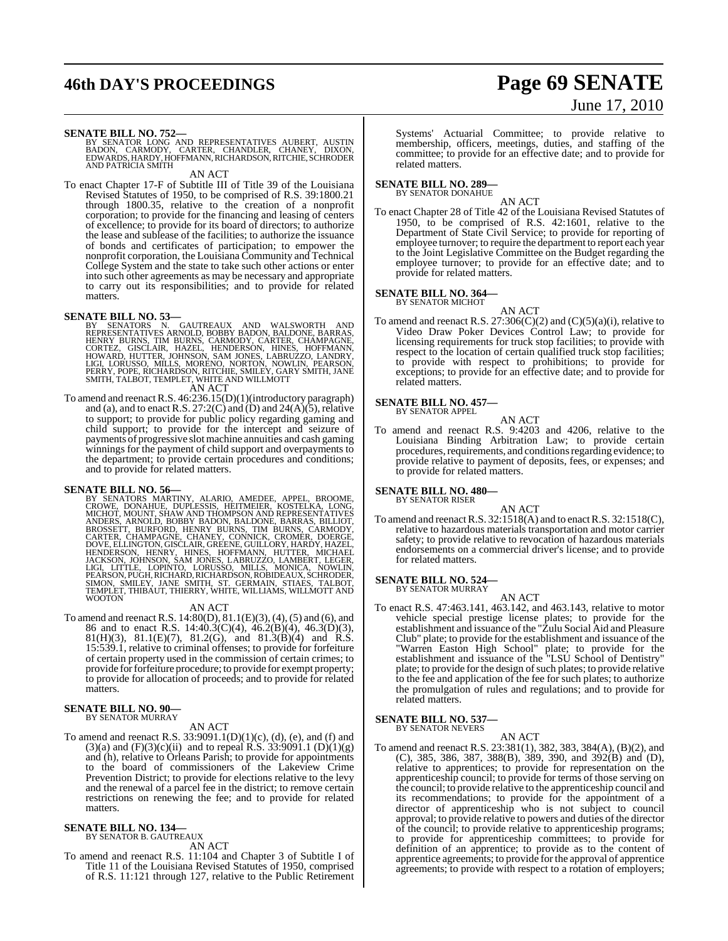# **46th DAY'S PROCEEDINGS Page 69 SENATE**

# June 17, 2010

**SENATE BILL NO. 752—**<br>BY SENATOR LONG AND REPRESENTATIVES AUBERT, AUSTIN<br>BADON, CARMODY, CARTER, CHANDLER, CHANEY, DIXON,<br>EDWARDS, HARDY, HOFFMANN, RICHARDSON, RITCHIE, SCHRODER AND PATRICIA SMITH

AN ACT

To enact Chapter 17-F of Subtitle III of Title 39 of the Louisiana Revised Statutes of 1950, to be comprised of R.S. 39:1800.21 through 1800.35, relative to the creation of a nonprofit corporation; to provide for the financing and leasing of centers of excellence; to provide for its board of directors; to authorize the lease and sublease of the facilities; to authorize the issuance of bonds and certificates of participation; to empower the nonprofit corporation, the Louisiana Community and Technical College System and the state to take such other actions or enter into such other agreements as may be necessary and appropriate to carry out its responsibilities; and to provide for related matters.

**SENATE BILL NO. 53—**<br>BY SENATORS N. GAUTREAUX AND WALSWORTH AND<br>REPRESENTATIVES ARNOLD, BOBBY BADON, BALDONE, BARRAS,<br>HENRY BURNS, TIM BURNS, CARMODY, CARTER, CHAMPAGNE,<br>CORTEZ, GISCLAIR, HAZEL, HENDERSON, HINES, HOFFMANN

AN ACT

To amend and reenactR.S. 46:236.15(D)(1)(introductory paragraph) and (a), and to enact R.S. 27:2(C) and (D) and 24(A)(5), relative to support; to provide for public policy regarding gaming and child support; to provide for the intercept and seizure of payments of progressive slotmachine annuities and cash gaming winnings for the payment of child support and overpayments to the department; to provide certain procedures and conditions; and to provide for related matters.

**SENATE BILL NO. 56—**<br>BY SENATORS MARTINY, ALARIO, AMEDEE, APPEL, BROOME, BY SENATORS MARTINY, ALARIO, AMEDEE, KOSTELKA, LONG, MICHOT, MOUNT, SHAW AND THOMPSON AND REPRESENTATIVES<br>ANDERS, ARNOLD, BOBBY BADON, BALDONE, BARR

#### AN ACT

To amend and reenact R.S. 14:80(D), 81.1(E)(3), (4), (5) and (6), and 86 and to enact R.S. 14:40.3(C)(4), 46.2(B)(4), 46.3(D)(3), 81(H)(3), 81.1(E)(7), 81.2(G), and 81.3(B)(4) and R.S. 15:539.1, relative to criminal offenses; to provide for forfeiture of certain property used in the commission of certain crimes; to provide for forfeiture procedure; to provide for exempt property; to provide for allocation of proceeds; and to provide for related matters.

#### **SENATE BILL NO. 90—** BY SENATOR MURRAY

AN ACT

To amend and reenact R.S. 33:9091.1(D)(1)(c), (d), (e), and (f) and (3)(a) and (F)(3)(c)(ii) and to repeal R.S. 33:9091.1 (D)(1)(g) and (h), relative to Orleans Parish; to provide for appointments to the board of commissioners of the Lakeview Crime Prevention District; to provide for elections relative to the levy and the renewal of a parcel fee in the district; to remove certain restrictions on renewing the fee; and to provide for related matters.

# **SENATE BILL NO. 134—** BY SENATOR B. GAUTREAUX

AN ACT

To amend and reenact R.S. 11:104 and Chapter 3 of Subtitle I of Title 11 of the Louisiana Revised Statutes of 1950, comprised of R.S. 11:121 through 127, relative to the Public Retirement

Systems' Actuarial Committee; to provide relative to membership, officers, meetings, duties, and staffing of the committee; to provide for an effective date; and to provide for related matters.

#### **SENATE BILL NO. 289—** BY SENATOR DONAHUE

AN ACT

To enact Chapter 28 of Title 42 of the Louisiana Revised Statutes of 1950, to be comprised of R.S. 42:1601, relative to the Department of State Civil Service; to provide for reporting of employee turnover; to require the department to report each year to the Joint Legislative Committee on the Budget regarding the employee turnover; to provide for an effective date; and to provide for related matters.

# **SENATE BILL NO. 364—** BY SENATOR MICHOT

AN ACT

To amend and reenact R.S. 27:306(C)(2) and (C)(5)(a)(i), relative to Video Draw Poker Devices Control Law; to provide for licensing requirements for truck stop facilities; to provide with respect to the location of certain qualified truck stop facilities; to provide with respect to prohibitions; to provide for exceptions; to provide for an effective date; and to provide for related matters.

# **SENATE BILL NO. 457—** BY SENATOR APPEL

- AN ACT
- To amend and reenact R.S. 9:4203 and 4206, relative to the Louisiana Binding Arbitration Law; to provide certain procedures, requirements, and conditions regarding evidence; to provide relative to payment of deposits, fees, or expenses; and to provide for related matters.

**SENATE BILL NO. 480—** BY SENATOR RISER

AN ACT

To amend and reenactR.S. 32:1518(A) and to enactR.S. 32:1518(C), relative to hazardous materials transportation and motor carrier safety; to provide relative to revocation of hazardous materials endorsements on a commercial driver's license; and to provide for related matters.

#### **SENATE BILL NO. 524—** BY SENATOR MURRAY

AN ACT

To enact R.S. 47:463.141, 463.142, and 463.143, relative to motor vehicle special prestige license plates; to provide for the establishment and issuance ofthe "Zulu Social Aid and Pleasure Club" plate; to provide for the establishment and issuance of the "Warren Easton High School" plate; to provide for the establishment and issuance of the "LSU School of Dentistry" plate; to provide for the design of such plates; to provide relative to the fee and application of the fee for such plates; to authorize the promulgation of rules and regulations; and to provide for related matters.

# **SENATE BILL NO. 537—** BY SENATOR NEVERS

AN ACT

To amend and reenact R.S. 23:381(1), 382, 383, 384(A), (B)(2), and (C), 385, 386, 387, 388(B), 389, 390, and 392(B) and (D), relative to apprentices; to provide for representation on the apprenticeship council; to provide for terms of those serving on the council; to provide relative to the apprenticeship council and its recommendations; to provide for the appointment of a director of apprenticeship who is not subject to council approval; to provide relative to powers and duties of the director of the council; to provide relative to apprenticeship programs; to provide for apprenticeship committees; to provide for definition of an apprentice; to provide as to the content of apprentice agreements; to provide for the approval of apprentice agreements; to provide with respect to a rotation of employers;